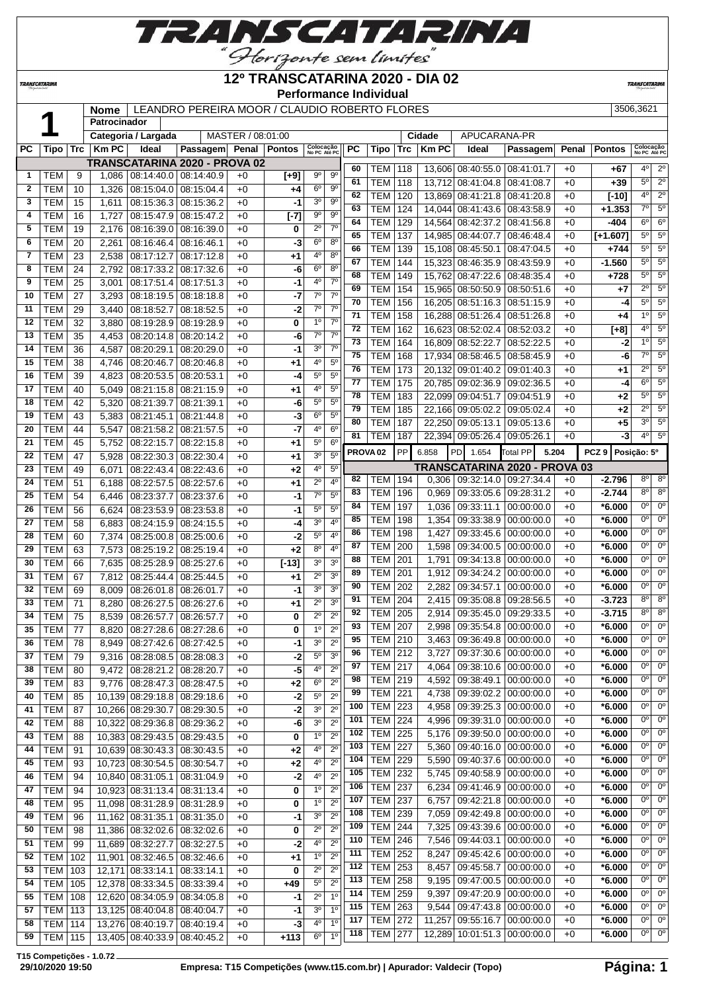

### **12º TRANSCATARINA 2020 - DIA 02**

**Performance Individual**

**TRANSCATARI** 

|              |                |                 |              |                              |                                               |                   |               |                           |                  |                 | Performance Individual |           |             |                         |                               |       |                  |                           |                             |
|--------------|----------------|-----------------|--------------|------------------------------|-----------------------------------------------|-------------------|---------------|---------------------------|------------------|-----------------|------------------------|-----------|-------------|-------------------------|-------------------------------|-------|------------------|---------------------------|-----------------------------|
|              |                |                 | <b>Nome</b>  |                              | LEANDRO PEREIRA MOOR / CLAUDIO ROBERTO FLORES |                   |               |                           |                  |                 |                        |           |             |                         |                               |       |                  | 3506,3621                 |                             |
|              |                |                 | Patrocinador |                              |                                               |                   |               |                           |                  |                 |                        |           |             |                         |                               |       |                  |                           |                             |
|              |                |                 |              | Categoria / Largada          |                                               | MASTER / 08:01:00 |               |                           |                  |                 |                        |           | Cidade      | APUCARANA-PR            |                               |       |                  |                           |                             |
| PС           | Tipo           | <b>Trc</b>      | <b>KmPC</b>  | Ideal                        | Passagem                                      | Penal             | <b>Pontos</b> | Colocação<br>No PC Até PC |                  | <b>PC</b>       | Tipo                   | Trc       | <b>KmPC</b> | Ideal                   | Passagem                      | Penal | <b>Pontos</b>    | Colocação<br>No PC Até PO |                             |
|              |                |                 |              |                              | TRANSCATARINA 2020 - PROVA 02                 |                   |               |                           |                  | 60              |                        |           |             |                         |                               |       |                  | 4 <sup>0</sup>            | 2 <sup>o</sup>              |
| $\mathbf{1}$ | TEM            | 9               | 1,086        | 08:14:40.0                   | 08:14:40.9                                    | $+0$              | $[+9]$        | $9^{\circ}$               | $9^{\circ}$      | 61              | TEM                    | 118       |             | 13,606 08:40:55.0       | 08:41:01.7                    | $+0$  | $+67$            | $5^{\circ}$               | $\overline{2^{\circ}}$      |
| $\mathbf{2}$ | <b>TEM</b>     | 10              | 1,326        | 08:15:04.0                   | 08:15:04.4                                    | $+0$              | +4            | 6 <sup>o</sup>            | 9 <sup>o</sup>   |                 | <b>TEM</b>             | 118       | 13,712      | 08:41:04.8              | 08:41:08.7                    | $+0$  | $+39$            |                           |                             |
| 3            | TEM            | 15              | 1,611        | 08:15:36.3                   | 08:15:36.2                                    | $+0$              | $-1$          | 3 <sup>o</sup>            | 9 <sup>o</sup>   | 62              | <b>TEM</b>             | 120       | 13,869      | 08:41:21.8              | 08:41:20.8                    | $+0$  | $[-10]$          | 4 <sup>0</sup>            | 2 <sup>o</sup>              |
| 4            | <b>TEM</b>     | 16              | 1,727        | 08:15:47.9                   | 08:15:47.2                                    | $+0$              | $[-7]$        | $9^{\circ}$               | $9^{\circ}$      | 63              | <b>TEM</b>             | 124       | 14,044      | 08:41:43.6              | 08:43:58.9                    | $+0$  | $+1.353$         | $7^\circ$                 | 5 <sup>c</sup>              |
| 5            | <b>TEM</b>     | 19              | 2,176        | 08:16:39.0                   | 08:16:39.0                                    | $+0$              | 0             | $2^{\circ}$               | 7 <sup>0</sup>   | 64              | <b>TEM</b>             | 129       | 14,564      | 08:42:37.2              | 08:41:56.8                    | $+0$  | -404             | $6^{\circ}$               | 6 <sup>o</sup>              |
| 6            | <b>TEM</b>     | 20              | 2,261        | 08:16:46.4                   | 08:16:46.1                                    | $+0$              | -3            | 6 <sup>o</sup>            | $8^{\circ}$      | 65              | <b>TEM</b>             | 137       | 14,985      | 08:44:07.7              | 08:46:48.4                    | $+0$  | $[+1.607]$       | $5^{\circ}$               | $5^\circ$                   |
| 7            | <b>TEM</b>     | 23              | 2,538        | 08:17:12.7                   | 08:17:12.8                                    | $+0$              | +1            | $4^{\circ}$               | 8 <sup>o</sup>   | 66              | <b>TEM</b>             | 139       | 15,108      | 08:45:50.1              | 08:47:04.5                    | $+0$  | $+744$           | $\overline{5^0}$          | $\overline{5^{\circ}}$      |
| 8            | <b>TEM</b>     | $\overline{24}$ | 2,792        | 08:17:33.2                   | 08:17:32.6                                    | $+0$              | -6            | 6 <sup>o</sup>            | 8 <sup>o</sup>   | 67              | <b>TEM</b>             | 144       | 15,323      | 08:46:35.9              | 08:43:59.9                    | $+0$  | $-1.560$         | 5 <sup>o</sup>            | 5 <sup>c</sup>              |
| 9            | <b>TEM</b>     | $\overline{25}$ | 3,001        | 08:17:51.4                   | 08:17:51.3                                    | $+0$              | $-1$          | 4°                        | $7^\circ$        | 68              | <b>TEM</b>             | 149       | 15,762      | 08:47:22.6              | 08:48:35.4                    | $+0$  | $+728$           | $5^{\circ}$               | 5 <sup>o</sup>              |
|              |                |                 |              |                              |                                               |                   |               | $7^\circ$                 | $\overline{7^0}$ | 69              | <b>TEM</b>             | 154       | 15,965      | 08:50:50.9              | 08:50:51.6                    | $+0$  | $+7$             | $\overline{2^0}$          | 5 <sup>c</sup>              |
| 10           | <b>TEM</b>     | 27              | 3,293        | 08:18:19.5                   | 08:18:18.8                                    | $+0$              | $-7$          |                           |                  | 70              | <b>TEM</b>             | 156       | 16,205      | 08:51:16.3              | 08:51:15.9                    | $+0$  | -4               | $5^{\circ}$               | 5 <sup>o</sup>              |
| 11           | <b>TEM</b>     | 29              | 3,440        | 08:18:52.7                   | 08:18:52.5                                    | $+0$              | $-2$          | $7^{\circ}$               | $7^\circ$        | $\overline{71}$ | <b>TEM</b>             | 158       | 16,288      | 08:51:26.4              | 08:51:26.8                    | $+0$  | +4               | 1 <sup>0</sup>            | 5 <sup>c</sup>              |
| 12           | <b>TEM</b>     | $\overline{32}$ | 3,880        | 08:19:28.9                   | 08:19:28.9                                    | $+0$              | 0             | 1 <sup>0</sup>            | 7 <sup>0</sup>   | 72              | <b>TEM</b>             | 162       | 16,623      | 08:52:02.4              | 08:52:03.2                    | $+0$  | $[+8]$           | 4 <sup>0</sup>            | 5 <sup>c</sup>              |
| 13           | <b>TEM</b>     | 35              | 4,453        | 08:20:14.8                   | 08:20:14.2                                    | $+0$              | -6            | $7^\circ$                 | 7 <sup>o</sup>   | $\overline{73}$ | <b>TEM</b>             | 164       | 16,809      | 08:52:22.7              | 08:52:22.5                    | $+0$  | $-2$             | 1 <sup>0</sup>            | 5 <sup>c</sup>              |
| 14           | <b>TEM</b>     | 36              | 4,587        | 08:20:29.1                   | 08:20:29.0                                    | $+0$              | -1            | 3 <sup>o</sup>            | $\overline{7^0}$ | 75              | <b>TEM</b>             | 168       | 17,934      | 08:58:46.5              | 08:58:45.9                    | $+0$  | -6               | $7^\circ$                 | $5^\circ$                   |
| 15           | <b>TEM</b>     | 38              | 4,746        | 08:20:46.7                   | 08:20:46.8                                    | $+0$              | +1            | $4^{\circ}$               | $5^{\circ}$      | 76              | <b>TEM</b>             | 173       | 20,132      | 09:01:40.2              | 09:01:40.3                    | $+0$  | +1               | $2^{\circ}$               | $5^\circ$                   |
| 16           | <b>TEM</b>     | 39              | 4,823        | 08:20:53.5                   | 08:20:53.1                                    | $+0$              | -4            | 5 <sup>0</sup>            | 5 <sup>0</sup>   | 77              | <b>TEM</b>             | 175       | 20.785      | 09:02:36.9              | 09:02:36.5                    | $+0$  | -4               | 6 <sup>o</sup>            | 5 <sup>c</sup>              |
| 17           | <b>TEM</b>     | 40              | 5,049        | 08:21:15.8                   | 08:21:15.9                                    | $+0$              | +1            | 4 <sup>0</sup>            | 5 <sup>0</sup>   | 78              | <b>TEM</b>             |           |             |                         |                               | $+0$  | $+2$             | $5^{\circ}$               | 5 <sup>c</sup>              |
| 18           | <b>TEM</b>     | 42              | 5,320        | 08:21:39.7                   | 08:21:39.1                                    | $+0$              | -6            | 5 <sup>0</sup>            | 5 <sup>o</sup>   | 79              |                        | 183       | 22,099      | 09:04:51.7              | 09:04:51.9                    |       |                  | $2^{\circ}$               | 5 <sup>c</sup>              |
| 19           | <b>TEM</b>     | 43              | 5,383        | 08:21:45.1                   | 08:21:44.8                                    | $+0$              | $-3$          | 6 <sup>o</sup>            | $5^{\circ}$      |                 | <b>TEM</b>             | 185       | 22.166      | 09:05:02.2              | 09:05:02.4                    | $+0$  | $+2$             | 3 <sup>o</sup>            |                             |
| 20           | <b>TEM</b>     | 44              | 5,547        | 08:21:58.2                   | 08:21:57.5                                    | $+0$              | -7            | $4^{\circ}$               | 6 <sup>o</sup>   | 80              | <b>TEM</b>             | 187       | 22,250      | 09:05:13.1              | 09:05:13.6                    | $+0$  | $+5$             |                           | 5 <sup>o</sup>              |
| 21           | <b>TEM</b>     | 45              | 5,752        | 08:22:15.7                   | 08:22:15.8                                    | $+0$              | +1            | 5 <sup>0</sup>            | 6 <sup>o</sup>   | 81              | <b>TEM</b>             | 187       |             | 22,394 09:05:26.4       | 09:05:26.1                    | $+0$  | $-3$             | $\overline{4^0}$          | 5 <sup>o</sup>              |
| 22           | <b>TEM</b>     | 47              | 5,928        | 08:22:30.3                   | 08:22:30.4                                    | $+0$              | +1            | 3 <sup>o</sup>            | $5^{\circ}$      |                 | PROVA <sub>02</sub>    | <b>PP</b> | 6.858       | PD<br>1.654             | 5.204<br>Total PP             |       | PCZ <sub>9</sub> | Posição: 5º               |                             |
| 23           | <b>TEM</b>     | 49              | 6,071        | 08:22:43.4                   | 08:22:43.6                                    | $+0$              | +2            | 4 <sup>0</sup>            | $5^{\circ}$      |                 |                        |           |             |                         | TRANSCATARINA 2020 - PROVA 03 |       |                  |                           |                             |
| 24           | <b>TEM</b>     | 51              | 6,188        | 08:22:57.5                   | 08:22:57.6                                    | $+0$              | +1            | $2^{\circ}$               | $4^{\circ}$      | 82              | <b>TEM</b>             | 194       | 0,306       | 09:32:14.0              | 09:27:34.4                    | $+0$  | $-2.796$         | 8 <sup>o</sup>            | 8 <sup>o</sup>              |
| 25           | <b>TEM</b>     | $\overline{54}$ | 6,446        | 08:23:37.7                   | 08:23:37.6                                    | $+0$              | $-1$          | 7 <sup>0</sup>            | 5 <sup>0</sup>   | 83              | <b>TEM</b>             | 196       | 0,969       | 09:33:05.6              | 09:28:31.2                    | $+0$  | $-2.744$         | 8 <sup>o</sup>            | 8 <sup>o</sup>              |
| 26           | <b>TEM</b>     | 56              |              | 08:23:53.9                   |                                               | $+0$              | $-1$          | $5^{\circ}$               | $\overline{5^0}$ | 84              | <b>TEM</b>             | 197       | 1,036       | 09:33:11.1              | 00:00:00.0                    | $+0$  | $*6.000$         | $0^{\circ}$               | 0 <sup>c</sup>              |
| 27           |                |                 | 6,624        |                              | 08:23:53.8                                    | $+0$              |               | 3 <sup>o</sup>            | 4 <sup>0</sup>   | 85              | <b>TEM</b>             | 198       | 1,354       | 09:33:38.9              | 00:00:00.0                    | $+0$  | $*6.000$         | 0°                        | $0^{\circ}$                 |
|              | <b>TEM</b>     | $\overline{58}$ | 6,883        | 08:24:15.9                   | 08:24:15.5                                    |                   | -4            | 5 <sup>0</sup>            |                  | 86              | <b>TEM</b>             | 198       | 1,427       | 09:33:45.6              | 00:00:00.0                    | $+0$  | $*6.000$         | $0^{\circ}$               | $\overline{0}$ <sup>c</sup> |
| 28           | <b>TEM</b>     | 60              | 7,374        | 08:25:00.8                   | 08:25:00.6                                    | $+0$              | $-2$          |                           | $4^{\circ}$      | 87              | <b>TEM</b>             | 200       | 1,598       | 09:34:00.5              | 00:00:00.0                    | $+0$  | *6.000           | $0^{\circ}$               | $\overline{0}$ <sup>c</sup> |
| 29           | <b>TEM</b>     | 63              | 7,573        | 08:25:19.2                   | 08:25:19.4                                    | $+0$              | $+2$          | 8 <sup>o</sup>            | 4 <sup>0</sup>   | 88              | <b>TEM</b>             | 201       | 1,791       | 09:34:13.8              | 00:00:00.0                    | $+0$  | *6.000           | $0^{\circ}$               | 0 <sup>o</sup>              |
| 30           | <b>TEM</b>     | 66              | 7,635        | 08:25:28.9                   | 08:25:27.6                                    | $+0$              | $[-13]$       | 3 <sup>o</sup>            | 3 <sup>o</sup>   | 89              | TEM                    | 201       | 1,912       | 09:34:24.2              | 00:00:00.0                    | $+0$  | *6.000           | $0^{\circ}$               | 0 <sup>c</sup>              |
| 31           | <b>TEM</b>     | 67              | 7,812        | 08:25:44.4                   | 08:25:44.5                                    | $+0$              | $+1$          | $2^{\circ}$               | 3 <sup>o</sup>   | 90              | <b>TEM</b>             | 202       | 2,282       | 09:34:57.1              | 00:00:00.0                    | $+0$  | $*6.000$         | $0^{\circ}$               | $0^{\circ}$                 |
| 32           | <b>TEM</b>     | 69              | 8,009        | 08:26:01.8                   | 08:26:01.7                                    | $+0$              | $-1$          | 3 <sup>o</sup>            | 3 <sup>0</sup>   | 91              | <b>TEM</b>             | 204       |             | 09:35:08.8              | 09:28:56.5                    |       |                  | 8 <sup>o</sup>            | 8 <sup>o</sup>              |
| 33           | <b>TEM</b>     | 71              | 8,280        | 08:26:27.5                   | 08:26:27.6                                    | $+0$              | +1            | $2^{\circ}$               | 3 <sup>o</sup>   |                 |                        |           | 2,415       |                         |                               | $+0$  | $-3.723$         | 8 <sup>o</sup>            |                             |
| 34           | <b>TEM</b>     | 75              | 8,539        |                              | 08:26:57.7 08:26:57.7                         | $+0$              | $\bf{0}$      | $\overline{2^0}$          | $\overline{2^0}$ | 92              | <b>TEM</b>             | 205       | 2,914       | 09:35:45.0              | 09:29:33.5                    | $+0$  | $-3.715$         |                           | 8 <sup>o</sup>              |
| 35           | TEM            | 77              | 8,820        |                              | 08:27:28.6   08:27:28.6                       | $+0$              | 0             | 1 <sup>0</sup>            | $2^{\circ}$      | 93              | TEM   207              |           |             | 2,998   09:35:54.8      | 00:00:00.0                    | $+0$  | $*6.000$         | 0°                        | 0 <sup>o</sup>              |
| 36           | <b>TEM</b>     | 78              | 8,949        |                              | 08:27:42.6   08:27:42.5                       | $+0$              | -1            | 3 <sup>o</sup>            | $2^{\circ}$      | 95              | <b>TEM 210</b>         |           | 3,463       | 09:36:49.8              | 00:00:00.0                    | $+0$  | $*6.000$         | $0^{\circ}$               | 0 <sup>c</sup>              |
| 37           | <b>TEM</b>     | 79              | 9,316        |                              | 08:28:08.5   08:28:08.3                       | $+0$              | $-2$          | $5^{\circ}$               | 3 <sup>o</sup>   | 96              | <b>TEM</b>             | 212       | 3,727       |                         | 09:37:30.6 00:00:00.0         | $+0$  | $*6.000$         | 0 <sup>o</sup>            | $0^{\circ}$                 |
| 38           | <b>TEM</b>     | 80              | 9,472        | 08:28:21.2                   | 08:28:20.7                                    | $+0$              | $-5$          | $4^{\circ}$               | $2^{\circ}$      | 97              | <b>TEM 217</b>         |           | 4,064       |                         | 09:38:10.6   00:00:00.0       | $+0$  | $*6.000$         | $0^{\circ}$               | $0^{\circ}$                 |
| 39           | <b>TEM</b>     | 83              | 9,776        | 08:28:47.3                   | 08:28:47.5                                    | $+0$              | $+2$          | 6 <sup>o</sup>            | $2^{\circ}$      | 98              | TEM 219                |           | 4,592       | 09:38:49.1              | 00:00:00.0                    | $+0$  | $*6.000$         | $0^{\circ}$               | $0^{\circ}$                 |
| 40           | <b>TEM</b>     | 85              | 10,139       | 08:29:18.8                   | 08:29:18.6                                    | $+0$              | -2            | $5^{\circ}$               | $2^{\circ}$      | 99              | TEM                    | 221       | 4,738       | 09:39:02.2 00:00:00.0   |                               | $+0$  | $*6.000$         | 0°                        | $0^{\circ}$                 |
| 41           | <b>TEM</b>     | 87              | 10,266       | 08:29:30.7                   | 08:29:30.5                                    | $+0$              | $-2$          | 3 <sup>o</sup>            | $2^{\circ}$      | 100             | TEM                    | 223       | 4,958       | 09:39:25.3 00:00:00.0   |                               | $+0$  | $*6.000$         | $0^{\circ}$               | 0 <sup>o</sup>              |
| 42           | <b>TEM</b>     | 88              | 10,322       | 08:29:36.8                   | 08:29:36.2                                    | $+0$              | -6            | 3 <sup>o</sup>            | $2^{\circ}$      | 101             | TEM                    | 224       | 4,996       | 09:39:31.0 00:00:00.0   |                               | $+0$  | $*6.000$         | 0°                        | $0^{\circ}$                 |
| 43           | <b>TEM</b>     | 88              |              | 10,383 08:29:43.5            | 08:29:43.5                                    | $+0$              | 0             | $1^{\circ}$               | $2^{\circ}$      | 102             | <b>TEM</b>             | 225       | 5,176       | 09:39:50.0              | 00:00:00.0                    | $+0$  | $*6.000$         | $0^{\circ}$               | $0^{\circ}$                 |
| 44           | <b>TEM</b>     | 91              |              |                              | 10,639 08:30:43.3 08:30:43.5                  | $+0$              | +2            | 4 <sup>o</sup>            | 2 <sup>0</sup>   | 103             | TEM                    | 227       | 5,360       | 09:40:16.0              | 00:00:00.0                    | $+0$  | $*6.000$         | $0^{\circ}$               | $0^{\circ}$                 |
| 45           | <b>TEM</b>     | 93              |              | 10,723 08:30:54.5 08:30:54.7 |                                               | $+0$              | $+2$          | $4^{\circ}$               | $2^{\circ}$      | 104             | TEM                    | 229       | 5,590       |                         | 09:40:37.6   00:00:00.0       | $+0$  | $*6.000$         | 0°                        | $0^{\circ}$                 |
| 46           | <b>TEM</b>     | 94              |              |                              | 10,840 08:31:05.1 08:31:04.9                  | +0                | -2            | $4^{\circ}$               | $2^{\circ}$      | 105             | TEM                    | 232       | 5,745       | 09:40:58.9              | 00:00:00.0                    | $+0$  | $*6.000$         | 0°                        | $0^{\circ}$                 |
| 47           | <b>TEM</b>     | 94              |              | 10,923 08:31:13.4            | 08:31:13.4                                    | $+0$              | 0             | 1 <sup>0</sup>            | $2^{\circ}$      | 106             | TEM                    | 237       | 6,234       | 09:41:46.9              | 00:00:00.0                    | $+0$  | $*6.000$         | $0^{\circ}$               | $0^{\circ}$                 |
|              |                |                 |              |                              |                                               |                   |               | 1 <sup>0</sup>            | $2^{\circ}$      | 107             | <b>TEM</b>             | 237       | 6,757       | 09:42:21.8              | 00:00:00.0                    | $+0$  | $*6.000$         | $0^{\circ}$               | $0^{\circ}$                 |
| 48           | <b>TEM</b>     | 95              | 11,098       | 08:31:28.9                   | 08:31:28.9                                    | $+0$              | 0             | 3 <sup>o</sup>            | $2^{\circ}$      | 108             | <b>TEM</b>             | 239       | 7,059       | 09:42:49.8 00:00:00.0   |                               | $+0$  | $*6.000$         | 0°                        | $0^{\circ}$                 |
| 49           | <b>TEM</b>     | 96              | 11,162       | 08:31:35.1                   | 08:31:35.0                                    | $+0$              | $-1$          |                           |                  | 109             | TEM                    | 244       | 7,325       | 09:43:39.6 00:00:00.0   |                               | $+0$  | $*6.000$         | $0^{\circ}$               | 0 <sup>o</sup>              |
| 50           | <b>TEM</b>     | 98              | 11,386       |                              | 08:32:02.6   08:32:02.6                       | $+0$              | 0             | $2^{\circ}$               | $2^{\circ}$      | 110             | TEM                    | 246       | 7,546       | 09:44:03.1              | 00:00:00.0                    | $+0$  | $*6.000$         | $0^{\circ}$               | $0^{\circ}$                 |
| 51           | <b>TEM</b>     | 99              | 11,689       | 08:32:27.7                   | 08:32:27.5                                    | +0                | -2            | 4 <sup>o</sup>            | $2^{\circ}$      | 111             | <b>TEM</b>             | 252       |             | 09:45:42.6              | 00:00:00.0                    |       | $*6.000$         | $0^{\circ}$               | $0^{\circ}$                 |
| 52           | <b>TEM</b>     | 102             | 11,901       | 08:32:46.5                   | 08:32:46.6                                    | $+0$              | +1            | 1 <sup>o</sup>            | $2^{\circ}$      |                 |                        |           | 8,247       |                         |                               | $+0$  |                  | 0°                        | $0^{\circ}$                 |
| 53           | TEM            | 103             |              | 12,171 08:33:14.1 08:33:14.1 |                                               | $+0$              | 0             | $2^{\circ}$               | $2^{\circ}$      | 112             | TEM                    | 253       | 8,457       | 09:45:58.7              | 00:00:00.0                    | $+0$  | $*6.000$         |                           |                             |
| 54           | TEM            | 105             |              |                              | 12,378 08:33:34.5 08:33:39.4                  | $+0$              | $+49$         | $5^{\circ}$               | $2^{\circ}$      | 113             | TEM                    | 258       | 9,195       | 09:47:00.5   00:00:00.0 |                               | $+0$  | $*6.000$         | $0^{\circ}$               | $0^{\circ}$                 |
| 55           | TEM            | 108             |              |                              | 12,620 08:34:05.9 08:34:05.8                  | $+0$              | $-1$          | $2^{\circ}$               | 1 <sup>0</sup>   | 114             | TEM                    | 259       | 9,397       | 09:47:20.9 00:00:00.0   |                               | $+0$  | $*6.000$         | 0°                        | $0^{\circ}$                 |
| 57           | <b>TEM 113</b> |                 |              |                              | 13,125 08:40:04.8 08:40:04.7                  | $+0$              | $-1$          | 3 <sup>o</sup>            | 1 <sup>0</sup>   | 115             | <b>TEM</b>             | 263       | 9,544       | 09:47:43.8              | 00:00:00.0                    | $+0$  | $*6.000$         | 0°                        | $0^{\circ}$                 |
| 58           | <b>TEM 114</b> |                 |              |                              | 13.276 08:40:19.7 08:40:19.4                  | $+0$              | $-3$          | $4^{\circ}$               | 1 <sup>0</sup>   | 117             | <b>TEM 272</b>         |           | 11,257      | 09:55:16.7              | 00:00:00.0                    | $+0$  | $*6.000$         | $0^{\circ}$               | $\overline{0}$              |

**T15 Competições - 1.0.72**

**TRANSCATARINA** 

**58** TEM 114 13,276 08:40:19.7 08:40:19.4 +0 **-3** 4<sup>° 10</sup><br>**59** TEM 115 13.405 08:40:33.9 08:40:45.2 +0 **+113** 6<sup>°</sup> 1<sup>6</sup> **TEM** 115 13,405 08:40:33.9 08:40:45.2 +0 +113

TEM 277 12,289 10:01:51.3 00:00:00.0 +0 **\*6.000** 0º 0º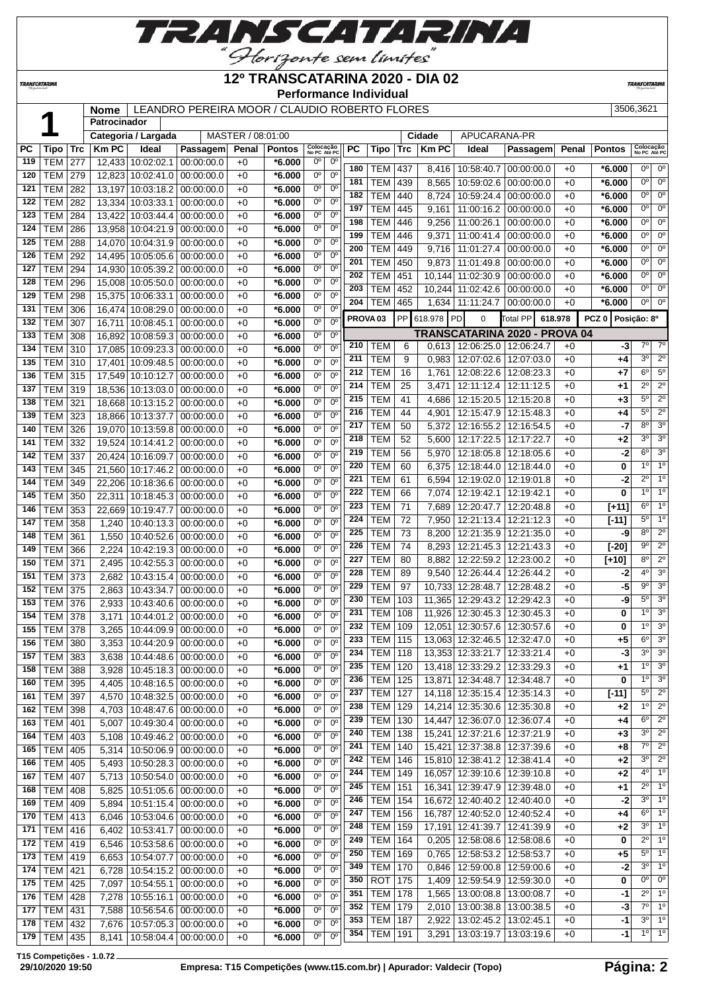

#### **12º TRANSCATARINA 2020 - DIA 02**

**Performance Individual**

**TRANSCATAR** 

 **Nome** LEANDRO PEREIRA MOOR / CLAUDIO ROBERTO FLORES 3506,3621 **Patrocinador Categoria / Largada** MASTER / 08:01:00 **Cidade** APUCARANA-PR **PC Tipo Trc Km PC Ideal Passagem Penal Pontos Colocação No PC Até PC PC Tipo Trc Km PC Ideal Passagem Penal Pontos Colocação No PC Até PC** TEM 277 12,433 10:02:02.1 00:00:00.0 +0 **\*6.000** 0º 0º TEM 279 12,823 10:02:41.0 00:00:00.0 +0 **\*6.000** 0º 0º TEM 282 13,197 10:03:18.2 00:00:00.0 +0 **\*6.000** 0º 0º TEM 282 13,334 10:03:33.1 00:00:00.0 +0 **\*6.000** 0º 0º | TEM | 284 | 13,422 | 10:03:44.4 | 00:00:00.0 | +0 | **\*6.000** | 0<sup>°</sup> | 0<sup>°</sup> | TEM | 286 | 13,958 | 10:04:21.9 | 00:00:00.0 | +0 | **\*6.000** | 0<sup>°</sup> | 0<sup>°</sup> TEM 288 14,070 10:04:31.9 00:00:00.0 +0 **\*6.000** 0º 0º TEM 292 14,495 10:05:05.6 00:00:00.0 +0 **\*6.000** 0º 0º TEM 294 14,930 10:05:39.2 00:00:00.0 +0 **\*6.000** 0º 0º TEM 296 15,008 10:05:50.0 00:00:00.0 +0 **\*6.000** 0º 0º | TEM | 298 | 15,375 | 10:06:33.1 | 00:00:00.0 | +0 | \*6.000 | 0° | 0° | TEM | 306 | 16,474 | 10:08:29.0 | 00:00:00.0 | +0 | **\*6.000** | 0<sup>o</sup> | 0<sup>o</sup>  $\mathsf{TEM}$  307 | 16.711 10:08:45.1 00:00:00.0 +0 **\*6.000** 0<sup>o</sup> 0<sup>o</sup> TEM 308 16,892 10:08:59.3 00:00:00.0 +0 **\*6.000** 0º 0º TEM 310 17,085 10:09:23.3 00:00:00.0 +0 **\*6.000** 0º 0º TEM 310 17,401 10:09:48.5 00:00:00.0 +0 **\*6.000** 0º 0º TEM 315 17,549 10:10:12.7 00:00:00.0 +0 **\*6.000** 0º 0º TEM 319 18,536 10:13:03.0 00:00:00.0 +0 **\*6.000** 0º 0º TEM 321 18,668 10:13:15.2 00:00:00.0 +0 **\*6.000** 0º 0º TEM 323 18,866 10:13:37.7 00:00:00.0 +0 **\*6.000** 0º 0º TEM 326 19,070 10:13:59.8 00:00:00.0 +0 **\*6.000** 0º 0º TEM 332 19,524 10:14:41.2 00:00:00.0 +0 **\*6.000** 0º 0º TEM 337 20,424 10:16:09.7 00:00:00.0 +0 **\*6.000** 0º 0º TEM 345 21,560 10:17:46.2 00:00:00.0 +0 **\*6.000** 0º 0º TEM 349 22,206 10:18:36.6 00:00:00.0 +0 **\*6.000** 0º 0º TEM 350 22,311 10:18:45.3 00:00:00.0 +0 **\*6.000** 0º 0º TEM 353 22,669 10:19:47.7 00:00:00.0 +0 **\*6.000** 0º 0º TEM 358 1,240 10:40:13.3 00:00:00.0 +0 **\*6.000** 0º 0º TEM 361 1,550 10:40:52.6 00:00:00.0 +0 **\*6.000** 0º 0º TEM 366 2,224 10:42:19.3 00:00:00.0 +0 **\*6.000** 0º 0º TEM 371 2,495 10:42:55.3 00:00:00.0 +0 **\*6.000** 0º 0º TEM 373 2,682 10:43:15.4 00:00:00.0 +0 **\*6.000** 0º 0º TEM 375 2,863 10:43:34.7 00:00:00.0 +0 **\*6.000** 0º 0º TEM 376 2,933 10:43:40.6 00:00:00.0 +0 **\*6.000** 0º 0º TEM 378 3,171 10:44:01.2 00:00:00.0 +0 **\*6.000** 0º 0º | TEM | 378 | 3,265 | 10:44:09.9 | 00:00:00.0 | +0 | \*6.000 | 0<sup>o</sup> | 0<sup>o</sup> | TEM | 380 | 3,353 | 10:44:20.9 | 00:00:00.0 | +0 | \*6.000 | 0° | 0° | TEM | 383 | 3,638 | 10:44:48.6 | 00:00:00.0 | +0 | **\*6.000** | 0<sup>°</sup> | 0<sup>°</sup> TEM 388 3,928 10:45:18.3 00:00:00.0 +0 **\*6.000** 0º 0º TEM 395 4,405 10:48:16.5 00:00:00.0 +0 **\*6.000** 0º 0º TEM 397 4,570 10:48:32.5 00:00:00.0 +0 **\*6.000** 0º 0º TEM 398 4,703 10:48:47.6 00:00:00.0 +0 **\*6.000** 0º 0º TEM 401 5,007 10:49:30.4 00:00:00.0 +0 **\*6.000** 0º 0º TEM 403 5,108 10:49:46.2 00:00:00.0 +0 **\*6.000** 0º 0º TEM 405 5,314 10:50:06.9 00:00:00.0 +0 **\*6.000** 0º 0º TEM 405 5,493 10:50:28.3 00:00:00.0 +0 **\*6.000** 0º 0º TEM 407 5,713 10:50:54.0 00:00:00.0 +0 **\*6.000** 0º 0º TEM 408 5,825 10:51:05.6 00:00:00.0 +0 **\*6.000** 0º 0º TEM 409 5,894 10:51:15.4 00:00:00.0 +0 **\*6.000** 0º 0º TEM 413 6,046 10:53:04.6 00:00:00.0 +0 **\*6.000** 0º 0º TEM 416 6,402 10:53:41.7 00:00:00.0 +0 **\*6.000** 0º 0º TEM 419 6,546 10:53:58.6 00:00:00.0 +0 **\*6.000** 0º 0º TEM 419 6,653 10:54:07.7 00:00:00.0 +0 **\*6.000** 0º 0º TEM 421 6,728 10:54:15.2 00:00:00.0 +0 **\*6.000** 0º 0º TEM 425 7,097 10:54:55.1 00:00:00.0 +0 **\*6.000** 0º 0º TEM 428 7,278 10:55:16.1 00:00:00.0 +0 **\*6.000** 0º 0º TEM 431 7,588 10:56:54.6 00:00:00.0 +0 **\*6.000** 0º 0º TEM 432 7,676 10:57:05.3 00:00:00.0 +0 **\*6.000** 0º 0º TEM 437 8,416 10:58:40.7 00:00:00.0 +0 **\*6.000** 0º 0º | TEM | 439 | 8,565 | 10:59:02.6 | 00:00:00.0 | +0 | **\*6.000** |  $0^{\circ}$  |  $0^{\circ}$  | TEM | 440 | 8,724 | 10:59:24.4 | 00:00:00.0 | +0 | **\*6.000** |  $\frac{0^{\circ}}{0^{\circ}}$  | 0<sup>o</sup> TEM 445 9,161 11:00:16.2 00:00:00.0 +0 **\*6.000** 0º 0º TEM 446 9,256 11:00:26.1 00:00:00.0 +0 **\*6.000** 0º 0º | TEM | 446 | 9,371 | 11:00:41.4 | 00:00:00.0 | +0 | **\*6.000** |  $\frac{0^{\circ}}{0^{\circ}}$  | TEM | 449 | 9,716 | 11:01:27.4 | 00:00:00.0 | +0 | \*6.000 | 0<sup>°</sup> | 0<sup>°</sup> | TEM | 450 | 9,873 | 11:01:49.8 | 00:00:00.0 | +0 | \*6.000 | 0<sup>o</sup> | 0<sup>o</sup> | TEM | 451 | 10,144 | 11:02:30.9 | 00:00:00.0 | +0 | \*6.000 | 0<sup>°</sup> | 0<sup>°</sup> TEM 452 | 10,244 | 11:02:42.6 | 00:00:00.0 | +0 | \*6.000 | 0<sup>o</sup> | 0<sup>o</sup> TEM 465 1,634 11:11:24.7 00:00:00.0 +0  $*6.000$  0<sup>o</sup> 0 **PROVA 03** PP 618.978 PD 0 Total PP **618.978 PCZ 0 Posição: 8º TRANSCATARINA 2020 - PROVA 04** TEM 6 0.613 12:06:25.0 12:06:24.7 +0 **-3**  TEM 9 0,983 12:07:02.6 12:07:03.0 +0 +4 3° 2<sup>o</sup> TEM 16 1,761 12:08:22.6 12:08:23.3 +0 +7 6° 5 TEM 25 3,471 12:11:12.4 12:11:12.5 +0 **+1** 2º 2º TEM 41 4,686 12:15:20.5 12:15:20.8 +0 **+3** 5º 2º TEM 44 4,901 12:15:47.9 12:15:48.3 +0 +4 5° 2 TEM 50 5,372 12:16:55.2 12:16:54.5 +0 **-7** 8º 3º TEM 52 5,600 12:17:22.5 12:17:22.7 +0 **+2** 3º 3º TEM 56 5,970 12:18:05.8 12:18:05.6 +0 **-2** 6º 3º TEM 60 6,375 12:18:44.0 12:18:44.0 +0 **0** 1<sup>o</sup> 1 TEM 61 6.594 12:19:02.0 12:19:01.8 +0 -2 2<sup>o</sup> 1<sup>'</sup> TEM 66 7,074 12:19:42.1 12:19:42.1 +0 **0** 1º 1º TEM 71 7,689 12:20:47.7 12:20:48.8 +0 **[+11]** 6º 1º TEM 72 7,950 12:21:13.4 12:21:12.3 +0 **[-11]** 5º 1º TEM 73 8,200 12:21:35.9 12:21:35.0 +0 **-9** 8º 2º TEM 74 8,293 12:21:45.3 12:21:43.3 +0 **[-20]** 9º 2º TEM 80 8,882 12:22:59.2 12:23:00.2 +0 **[+10]** 8º 2º TEM 89 9,540 12:26:44.4 12:26:44.2 +0 **-2** 4º 3º TEM 97 10,733 12:28:48.7 12:28:48.2 +0 **-5** 9º 3º TEM 103 11,365 12:29:43.2 12:29:42.3 +0 **-9** 5º 3º | TEM | 108 | 11,926 | 12:30:45.3 | 12:30:45.3 | +0 | **0** | 1<sup>0</sup> | 3<sup>°</sup> TEM 109 12,051 12:30:57.6 12:30:57.6 +0 **0** 1<sup>0</sup> 3<sup>o</sup> TEM 115 13,063 12:32:46.5 12:32:47.0 +0 **+5** 6º 3º TEM 118 13,353 12:33:21.7 12:33:21.4 +0 **-3** 3º 3º TEM 120 13,418 12:33:29.2 12:33:29.3 +0 **+1** 1º 3º TEM 125 13,871 12:34:48.7 12:34:48.7 +0 **0** 1<sup>o</sup> 3 | TEM | 127 | 14,118 | 12:35:15.4 | 12:35:14.3 | +0 | **[-11]** | 5<sup>°</sup> 2<sup>°</sup> TEM 129 14,214 12:35:30.6 12:35:30.8 +0 +2 1º 2 TEM 130 14,447 12:36:07.0 12:36:07.4 +0 +4 6° 2 TEM 138 15,241 12:37:21.6 12:37:21.9 +0 **+3** 3º 2º TEM 140 15,421 12:37:38.8 12:37:39.6 +0 **+8** 7º 2º TEM 146 15,810 12:38:41.2 12:38:41.4 +0 **+2** 3º 2º TEM 149 16,057 12:39:10.6 12:39:10.8 +0 **+2** 4º 1º TEM 151 16,341 12:39:47.9 12:39:48.0 +0 +1 2<sup>o</sup> 1 TEM 154 16,672 12:40:40.2 12:40:40.0 +0 -2 3<sup>°</sup> 1 TEM 156 16,787 12:40:52.0 12:40:52.4 +0 +4 6° 1 TEM 159 17,191 12:41:39.7 12:41:39.9 +0 **+2** 3º 1º TEM 164 0,205 12:58:08.6 12:58:08.6 +0 **0** 2º 1º TEM 169 0,765 12:58:53.2 12:58:53.7 +0 **+5** 5º 1º TEM 170 0.846 12:59:00.8 12:59:00.6 +0 **-2** 3<sup>°</sup> 1 ROT 175 1,409 12:59:54.9 12:59:30.0 +0 **0** 0<sup>o</sup> 0 **351 TEM 178 1,565 13:00:08.8 13:00:08.7 +0 -1 2<sup>o</sup> 1**  TEM 179 2,010 13:00:38.8 13:00:38.5 +0 **-3** 7º 1º TEM 187 2,922 13:02:45.2 13:02:45.1 +0 **-1** 3º 1º

**T15 Competições - 1.0.72**

*TRANSCATARINA* 

**179** TEM 435 8,141 10:58:04.4 00:00:00.0 +0 **\*6.000** 0<sup>o</sup> 0

TEM 191 3,291 13:03:19.7 13:03:19.6 +0 **-1** 1º 1º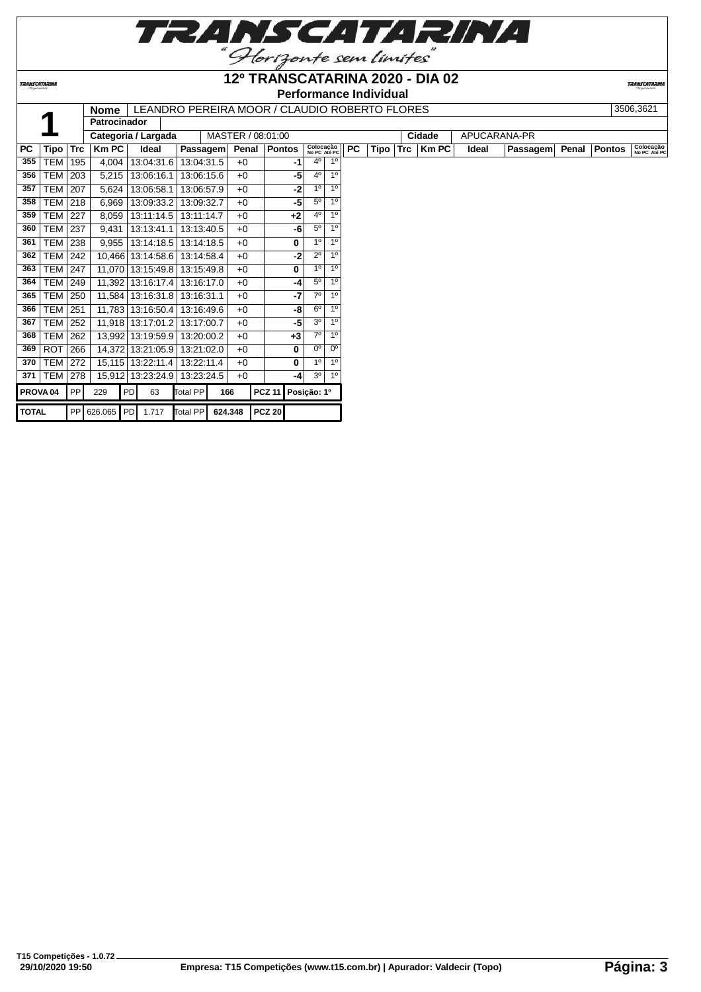

**12º TRANSCATARINA 2020 - DIA 02**

**TRANSCATARINA** 

### **Performance Individual**

|                     |            |            | <b>Nome</b>         |    | LEANDRO PEREIRA MOOR / CLAUDIO ROBERTO FLORES |            |         |       |                    |      |                           |                |           |             |            |              |              |                 |       |               | 3506,3621                 |
|---------------------|------------|------------|---------------------|----|-----------------------------------------------|------------|---------|-------|--------------------|------|---------------------------|----------------|-----------|-------------|------------|--------------|--------------|-----------------|-------|---------------|---------------------------|
|                     |            |            | <b>Patrocinador</b> |    |                                               |            |         |       |                    |      |                           |                |           |             |            |              |              |                 |       |               |                           |
|                     |            |            |                     |    | Categoria / Largada                           |            |         |       | MASTER / 08:01:00  |      |                           |                |           |             |            | Cidade       | APUCARANA-PR |                 |       |               |                           |
| <b>PC</b>           | Tipo       | <b>Trc</b> | <b>KmPC</b>         |    | Ideal                                         | Passagem   |         | Penal | Pontos             |      | Colocação<br>No PC Até PC |                | <b>PC</b> | <b>Tipo</b> | <b>Trc</b> | <b>Km PC</b> | Ideal        | <b>Passagem</b> | Penal | <b>Pontos</b> | Colocação<br>No PC Até PC |
| 355                 | TEM        | 195        | 4,004               |    | 13:04:31.6                                    | 13:04:31.5 |         | $+0$  |                    | -1   | $4^{\circ}$               | 1 <sup>0</sup> |           |             |            |              |              |                 |       |               |                           |
| 356                 | <b>TEM</b> | 203        | 5,215               |    | 13:06:16.1                                    | 13:06:15.6 |         | $+0$  |                    | -5   | 4°                        | 1 <sup>°</sup> |           |             |            |              |              |                 |       |               |                           |
| 357                 | TEM        | 207        | 5,624               |    | 13:06:58.1                                    | 13:06:57.9 |         | $+0$  |                    | -2   | 1 <sup>0</sup>            | 1 <sup>0</sup> |           |             |            |              |              |                 |       |               |                           |
| 358                 | <b>TEM</b> | 218        | 6,969               |    | 13:09:33.2                                    | 13:09:32.7 |         | $+0$  |                    | -5   | 5 <sup>0</sup>            | 1 <sup>0</sup> |           |             |            |              |              |                 |       |               |                           |
| 359                 | <b>TEM</b> | 227        | 8,059               |    | 13:11:14.5                                    | 13:11:14.7 |         | $+0$  |                    | $+2$ | $4^{\circ}$               | 1 <sup>o</sup> |           |             |            |              |              |                 |       |               |                           |
| 360                 | <b>TEM</b> | 237        | 9,431               |    | 13:13:41.1                                    | 13:13:40.5 |         | $+0$  |                    | -6   | 5 <sup>0</sup>            | 1 <sup>°</sup> |           |             |            |              |              |                 |       |               |                           |
| 361                 | <b>TEM</b> | 238        | 9,955               |    | 13:14:18.5                                    | 13:14:18.5 |         | $+0$  |                    | 0    | 1 <sup>0</sup>            | 1 <sup>0</sup> |           |             |            |              |              |                 |       |               |                           |
| 362                 | TEM        | 242        |                     |    | 10,466 13:14:58.6                             | 13:14:58.4 |         | $+0$  |                    | -2   | $2^{\circ}$               | 1 <sup>0</sup> |           |             |            |              |              |                 |       |               |                           |
| 363                 | <b>TEM</b> | 247        |                     |    | 11,070 13:15:49.8                             | 13:15:49.8 |         | $+0$  |                    | 0    | 1 <sup>0</sup>            | 1 <sup>0</sup> |           |             |            |              |              |                 |       |               |                           |
| 364                 | <b>TEM</b> | 249        |                     |    | 11,392 13:16:17.4                             | 13:16:17.0 |         | $+0$  |                    | -4   | $5^{\circ}$               | 1 <sup>°</sup> |           |             |            |              |              |                 |       |               |                           |
| 365                 | <b>TEM</b> | 250        |                     |    | 11,584 13:16:31.8                             | 13:16:31.1 |         | $+0$  |                    | -7   | 70                        | 1 <sup>0</sup> |           |             |            |              |              |                 |       |               |                           |
| 366                 | TEM        | 251        |                     |    | 11,783 13:16:50.4                             | 13:16:49.6 |         | $+0$  |                    | -8   | $6^{\circ}$               | 1 <sup>0</sup> |           |             |            |              |              |                 |       |               |                           |
| 367                 | TEM        | 252        |                     |    | 11,918 13:17:01.2                             | 13:17:00.7 |         | $+0$  |                    | -5   | 3 <sup>0</sup>            | 1 <sup>o</sup> |           |             |            |              |              |                 |       |               |                           |
| 368                 | <b>TEM</b> | 262        |                     |    | 13,992 13:19:59.9                             | 13:20:00.2 |         | $+0$  |                    | $+3$ | 7 <sup>o</sup>            | 1 <sup>°</sup> |           |             |            |              |              |                 |       |               |                           |
| 369                 | <b>ROT</b> | 266        |                     |    | 14,372 13:21:05.9                             | 13:21:02.0 |         | $+0$  |                    | 0    | $0^{\circ}$               | 0 <sup>o</sup> |           |             |            |              |              |                 |       |               |                           |
| 370                 | <b>TEM</b> | 272        |                     |    | 15,115 13:22:11.4                             | 13:22:11.4 |         | $+0$  |                    | 0    | 1 <sup>0</sup>            | 1 <sup>0</sup> |           |             |            |              |              |                 |       |               |                           |
| 371                 | <b>TEM</b> | 278        |                     |    | 15,912 13:23:24.9                             | 13:23:24.5 |         | $+0$  |                    | -4   | 30                        | 1 <sup>0</sup> |           |             |            |              |              |                 |       |               |                           |
| PROVA <sub>04</sub> |            | <b>PP</b>  | 229                 | PD | 63                                            | Total PP   | 166     |       | PCZ 11 Posição: 1º |      |                           |                |           |             |            |              |              |                 |       |               |                           |
| <b>TOTAL</b>        |            |            | PP 626.065 PD       |    | 1.717                                         | Total PP   | 624.348 |       | <b>PCZ 20</b>      |      |                           |                |           |             |            |              |              |                 |       |               |                           |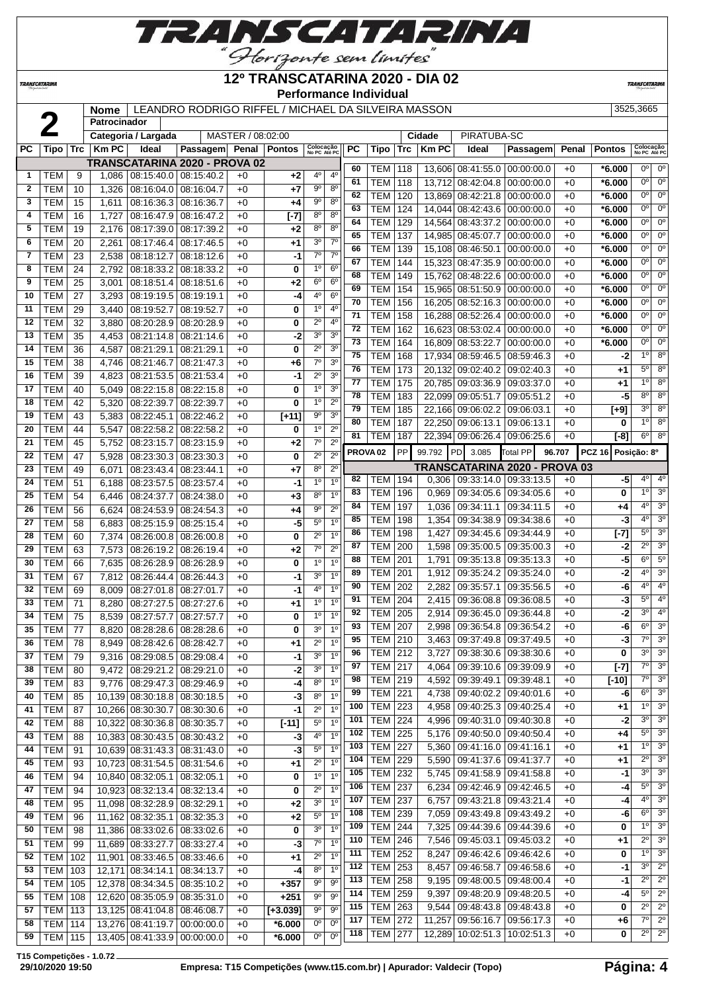

# **12º TRANSCATARINA 2020 - DIA 02**

**TRANSCATARIN** 

**Performance Individual**

|              |                          |            | Nome           |                                   | LEANDRO RODRIGO RIFFEL / MICHAEL DA SILVEIRA MASSON |                   |               |                               |                                  |                 |                          |            |                 |                                       |                                      |              |                    | 3525,3665                     |                                  |
|--------------|--------------------------|------------|----------------|-----------------------------------|-----------------------------------------------------|-------------------|---------------|-------------------------------|----------------------------------|-----------------|--------------------------|------------|-----------------|---------------------------------------|--------------------------------------|--------------|--------------------|-------------------------------|----------------------------------|
|              | 2                        |            | Patrocinador   |                                   |                                                     |                   |               |                               |                                  |                 |                          |            |                 |                                       |                                      |              |                    |                               |                                  |
|              |                          |            |                | Categoria / Largada               |                                                     | MASTER / 08:02:00 |               |                               |                                  |                 |                          |            | Cidade          | PIRATUBA-SC                           |                                      |              |                    |                               |                                  |
| <b>PC</b>    | <b>Tipo</b>              | <b>Trc</b> | <b>Km PC</b>   | Ideal                             | Passagem                                            | Penal             | <b>Pontos</b> | Colocação<br>No PC Até PC     |                                  | PC              | <b>Tipo</b>              | <b>Trc</b> | <b>Km PC</b>    | Ideal                                 | Passagem                             | Penal        | <b>Pontos</b>      | Colocação<br>No PC Até PO     |                                  |
|              |                          |            |                |                                   | <b>TRANSCATARINA 2020 - PROVA 02</b>                |                   |               |                               |                                  | 60              | <b>TEM</b>               | 118        |                 | 13,606 08:41:55.0 00:00:00.0          |                                      | $+0$         | $*6.000$           | $0^{\circ}$                   | 0 <sup>o</sup>                   |
| 1            | TEM                      | 9          | 1,086          | $08:15:40.0$ 08:15:40.2           |                                                     | $+0$              | $+2$          | $4^{\circ}$                   | 4 <sup>0</sup>                   | 61              | <b>TEM</b>               | 118        |                 | 13,712 08:42:04.8 00:00:00.0          |                                      | $+0$         | $*6.000$           | 0°                            | 0 <sup>o</sup>                   |
| $\mathbf{2}$ | <b>TEM</b>               | 10         | 1,326          | 08:16:04.0 08:16:04.7             |                                                     | $+0$              | +7            | $9^{\circ}$                   | $8^{\circ}$                      | 62              | <b>TEM</b>               | 120        |                 | 13,869 08:42:21.8                     | 00:00:00.0                           | $+0$         | $*6.000$           | 0°                            | 0 <sup>o</sup>                   |
| 3            | <b>TEM</b>               | 15         | 1,611          | 08:16:36.3                        | 08:16:36.7                                          | $+0$              | +4            | $9^{\rm o}$                   | $8^{\circ}$                      | 63              | <b>TEM</b>               | 124        |                 | 14,044 08:42:43.6                     | 00:00:00.0                           | $+0$         | $*6.000$           | $0^{\circ}$                   | 0 <sup>c</sup>                   |
| 4            | <b>TEM</b>               | 16         | 1,727          | 08:16:47.9                        | 08:16:47.2                                          | $+0$              | $[-7]$        | $8^{\circ}$                   | 8 <sup>o</sup>                   | 64              | <b>TEM</b>               | 129        |                 | 14,564 08:43:37.2                     | 00:00:00.0                           | $+0$         | $*6.000$           | $\overline{0^{\circ}}$        | $\overline{0}$ <sup>c</sup>      |
| 5            | TEM                      | 19         | 2,176          | 08:17:39.0                        | 08:17:39.2                                          | $+0$              | $+2$          | 8 <sup>o</sup>                | 8 <sup>o</sup>                   | 65              | <b>TEM</b>               | 137        |                 | 14,985 08:45:07.7                     | 00:00:00.0                           | $+0$         | $*6.000$           | $0^{\circ}$                   | $\overline{0}$ <sup>c</sup>      |
| 6            | <b>TEM</b>               | 20         | 2,261          | 08:17:46.4                        | 08:17:46.5                                          | $+0$              | +1            | 3 <sup>0</sup>                | $7^{\circ}$                      | 66              | <b>TEM</b>               | 139        |                 | 15,108 08:46:50.1                     | 00:00:00.0                           | $+0$         | $*6.000$           | 0 <sup>o</sup>                | $\overline{0}$ <sup>c</sup>      |
| 7            | <b>TEM</b>               | 23         | 2,538          | 08:18:12.7                        | 08:18:12.6                                          | $+0$              | -1            | $7^\circ$                     | $7^{\circ}$                      | 67              | <b>TEM</b>               | 144        |                 | 15,323 08:47:35.9                     | 00:00:00.0                           | $+0$         | $*6.000$           | $0^{\circ}$                   | 0 <sup>o</sup>                   |
| 8            | <b>TEM</b>               | 24         | 2,792          | 08:18:33.2                        | 08:18:33.2                                          | $+0$              | 0             | 1 <sup>0</sup>                | $6^{\circ}$                      | 68              | <b>TEM</b>               | 149        | 15,762          | 08:48:22.6                            | 00:00:00.0                           | $+0$         | $*6.000$           | $0^{\circ}$                   | $\overline{0}$ <sup>c</sup>      |
| 9            | <b>TEM</b>               | 25         | 3,001          | 08:18:51.4                        | 08:18:51.6                                          | $+0$              | $+2$          | 6 <sup>o</sup>                | 6 <sup>o</sup>                   | 69              | <b>TEM</b>               | 154        |                 | 15,965 08:51:50.9                     | 00:00:00.0                           | $+0$         | $*6.000$           | $0^{\circ}$                   | $\overline{0}$ <sup>c</sup>      |
| 10           | <b>TEM</b>               | 27         | 3,293          | 08:19:19.5 08:19:19.1             |                                                     | $+0$              | $-4$          | 4 <sup>0</sup>                | $6^{\circ}$                      | 70              | <b>TEM</b>               | 156        |                 | 16,205 08:52:16.3 00:00:00.0          |                                      | $+0$         | $*6.000$           | $0^{\circ}$                   | 0 <sup>o</sup>                   |
| 11           | <b>TEM</b>               | 29         | 3,440          | 08:19:52.7                        | 08:19:52.7                                          | $+0$              | 0             | 1 <sup>0</sup>                | $4^{\circ}$                      | 71              | <b>TEM</b>               | 158        |                 | 16,288 08:52:26.4                     | 00:00:00.0                           | $+0$         | $*6.000$           | $0^{\circ}$                   | 0 <sup>o</sup>                   |
| 12           | <b>TEM</b>               | 32         | 3,880          | 08:20:28.9                        | 08:20:28.9                                          | $+0$              | 0             | $2^{\circ}$                   | $4^{\rm o}$                      | 72              | <b>TEM</b>               | 162        |                 | 16,623 08:53:02.4                     | 00:00:00.0                           | $+0$         | $*6.000$           | $0^{\circ}$                   | 0 <sup>c</sup>                   |
| 13           | <b>TEM</b>               | 35         | 4,453          | 08:21:14.8                        | 08:21:14.6                                          | $+0$              | $-2$          | 3 <sup>o</sup><br>$2^{\circ}$ | 3 <sup>o</sup><br>3 <sup>0</sup> | $\overline{73}$ | <b>TEM</b>               | 164        |                 | 16,809 08:53:22.7                     | 00:00:00.0                           | $+0$         | $*6.000$           | $\overline{0^{\circ}}$        | $\overline{0}$ <sup>c</sup>      |
| 14           | <b>TEM</b>               | 36         | 4,587          | 08:21:29.1                        | 08:21:29.1                                          | $+0$              | 0             |                               |                                  | 75              | <b>TEM</b>               | 168        |                 | 17,934 08:59:46.5                     | 08:59:46.3                           | $+0$         | -2                 | $\overline{1^{\circ}}$        | 8 <sup>o</sup>                   |
| 15           | <b>TEM</b>               | 38         | 4,746          | 08:21:46.7                        | 08:21:47.3                                          | $+0$              | +6            | $7^\circ$<br>$2^{\circ}$      | 3 <sup>0</sup>                   | 76              | <b>TEM</b>               | 173        |                 | 20,132 09:02:40.2                     | 09:02:40.3                           | $+0$         | $+1$               | $5^{\circ}$                   | 8 <sup>o</sup>                   |
| 16           | <b>TEM</b>               | 39         | 4,823          | 08:21:53.5                        | 08:21:53.4                                          | $+0$              | $-1$          | 1 <sup>0</sup>                | 3 <sup>0</sup>                   | 77              | <b>TEM</b>               | 175        |                 | 20.785 09:03:36.9                     | 09:03:37.0                           | $+0$         | $+1$               | 1 <sup>0</sup>                | 8 <sup>o</sup>                   |
| 17           | <b>TEM</b>               | 40         | 5,049          | 08:22:15.8                        | 08:22:15.8                                          | $+0$              | 0             | 1 <sup>0</sup>                | 3 <sup>o</sup><br>$2^{\circ}$    | 78              | <b>TEM</b>               | 183        |                 | 22,099 09:05:51.7                     | 09:05:51.2                           | $+0$         | $-5$               | 8 <sup>o</sup>                | 8 <sup>o</sup>                   |
| 18           | <b>TEM</b>               | 42         | 5,320          | 08:22:39.7                        | 08:22:39.7                                          | $+0$              | 0             | $9^{\circ}$                   | 3 <sup>o</sup>                   | 79              | <b>TEM</b>               | 185        |                 | 22,166 09:06:02.2                     | 09:06:03.1                           | $+0$         | $[+9]$             | 3 <sup>o</sup>                | 8 <sup>o</sup>                   |
| 19           | TEM                      | 43         | 5,383          | 08:22:45.1                        | 08:22:46.2                                          | $+0$              | $[+11]$       | 1 <sup>0</sup>                | $2^{\circ}$                      | 80              | <b>TEM</b>               | 187        |                 | 22,250 09:06:13.1                     | 09:06:13.1                           | $+0$         | 0                  | 1 <sup>0</sup>                | 8 <sup>o</sup>                   |
| 20<br>21     | <b>TEM</b><br><b>TEM</b> | 44         | 5,547          | 08:22:58.2 08:22:58.2             |                                                     | $+0$<br>$+0$      | 0             | $7^\circ$                     | $2^{\circ}$                      | 81              | <b>TEM</b>               | 187        |                 | 22,394 09:06:26.4 09:06:25.6          |                                      | $+0$         | $[-8]$             | $6^{\circ}$                   | 8 <sup>o</sup>                   |
| 22           | <b>TEM</b>               | 45<br>47   | 5,752<br>5,928 | 08:23:15.7<br>08:23:30.3          | 08:23:15.9                                          | $+0$              | +2<br>0       | $2^{\circ}$                   | $2^{\circ}$                      |                 | PROVA <sub>02</sub>      | PP         | 99.792          | PD 3.085                              | Total PP                             | 96.707       | PCZ 16 Posicão: 8º |                               |                                  |
| 23           | <b>TEM</b>               | 49         | 6,071          | 08:23:43.4                        | 08:23:30.3<br>08:23:44.1                            | $+0$              | +7            | 8 <sup>o</sup>                | $2^{\circ}$                      |                 |                          |            |                 |                                       | <b>TRANSCATARINA 2020 - PROVA 03</b> |              |                    |                               |                                  |
| 24           | <b>TEM</b>               | 51         | 6,188          |                                   | 08:23:57.5 08:23:57.4                               | $+0$              | $-1$          | $1^{\circ}$                   | 1 <sup>0</sup>                   | 82              | <b>TEM</b>               | 194        | 0,306           | $\vert$ 09:33:14.0 $\vert$ 09:33:13.5 |                                      | $+0$         | $-5$               | $4^{\circ}$                   | 4 <sup>0</sup>                   |
| 25           | <b>TEM</b>               | 54         | 6,446          | 08:24:37.7                        | 08:24:38.0                                          | $+0$              | $+3$          | 8 <sup>o</sup>                | 1 <sup>0</sup>                   | 83              | <b>TEM</b>               | 196        | 0,969           |                                       | 09:34:05.6 09:34:05.6                | $+0$         | 0                  | 1 <sup>0</sup>                | 3 <sup>o</sup>                   |
| 26           | <b>TEM</b>               | 56         | 6,624          | 08:24:53.9                        | 08:24:54.3                                          | $+0$              | +4            | $9^{\circ}$                   | $\overline{2^0}$                 | 84              | <b>TEM</b>               | 197        | 1,036           | 09:34:11.1                            | 09:34:11.5                           | $+0$         | $+4$               | 4 <sup>0</sup>                | 3 <sup>0</sup>                   |
| 27           | <b>TEM</b>               | 58         | 6,883          | 08:25:15.9                        | 08:25:15.4                                          | $+0$              | $-5$          | $5^{\circ}$                   | 1 <sup>0</sup>                   | 85              | <b>TEM</b>               | 198        | 1,354           | 09:34:38.9                            | 09:34:38.6                           | $+0$         | $-3$               | 4 <sup>0</sup>                | 3 <sup>o</sup>                   |
| 28           | <b>TEM</b>               | 60         | 7,374          | 08:26:00.8                        | 08:26:00.8                                          | $+0$              | 0             | $2^{\circ}$                   | 1 <sup>0</sup>                   | 86              | <b>TEM</b>               | 198        | 1,427           | 09:34:45.6                            | 09:34:44.9                           | $+0$         | $[-7]$             | $5^{\circ}$                   | 3 <sup>o</sup>                   |
| 29           | <b>TEM</b>               | 63         | 7,573          | 08:26:19.2 08:26:19.4             |                                                     | $+0$              | +2            | 7 <sup>0</sup>                | $2^{\circ}$                      | 87              | <b>TEM</b>               | 200        | 1,598           | 09:35:00.5                            | 09:35:00.3                           | $+0$         | $-2$               | $\overline{2^0}$              | $\overline{3^{\circ}}$           |
| 30           | <b>TEM</b>               | 66         | 7,635          | 08:26:28.9 08:26:28.9             |                                                     | $+0$              | 0             | $1^{\circ}$                   | 1 <sup>0</sup>                   | 88              | <b>TEM</b>               | 201        | 1,791           | 09:35:13.8                            | 09:35:13.3                           | $+0$         | $-5$               | 6 <sup>o</sup>                | 5 <sup>o</sup>                   |
| 31           | <b>TEM</b>               | 67         | 7,812          | 08:26:44.4                        | 08:26:44.3                                          | $+0$              | $-1$          | 30                            | 1 <sup>0</sup>                   | 89              | <b>TEM</b>               | 201        | 1,912           | 09:35:24.2                            | 09:35:24.0                           | $+0$         | -2                 | 4°                            | 3 <sup>o</sup>                   |
| 32           | <b>TEM</b>               | 69         | 8,009          | 08:27:01.8                        | 08:27:01.7                                          | $+0$              | $-1$          | 4 <sup>0</sup>                | 1 <sup>0</sup>                   | 90              | <b>TEM</b>               | 202        | 2,282           | 09:35:57.1                            | 09:35:56.5                           | $+0$         | -6                 | 4 <sup>0</sup>                | $\overline{4^c}$                 |
| 33           | <b>TEM</b>               | 71         | 8,280          | 08:27:27.5                        | 08:27:27.6                                          | $+0$              | +1            | 1 <sup>0</sup>                | 1 <sup>0</sup>                   | 91              | <b>TEM</b>               | 204        | 2,415           | 09:36:08.8                            | 09:36:08.5                           | $+0$         | $-3$               | $5^{\circ}$                   | $4^\circ$                        |
| 34           | <b>TEM</b>               | 75         | 8,539          | 08:27:57.7                        | 08:27:57.7                                          | $+0$              | 0             | 1 <sup>0</sup>                | 1 <sup>0</sup>                   | 92              | <b>TEM</b>               | 205        | 2,914           | 09:36:45.0                            | 09:36:44.8                           | $+0$         | -2                 | 3 <sup>o</sup>                | $4^\circ$                        |
| 35           | <b>TEM</b>               | 77         |                | 8,820   08:28:28.6   08:28:28.6   |                                                     | $+0$              | $\mathbf{0}$  | 3 <sup>0</sup>                | 1 <sup>0</sup>                   | 93              | <b>TEM</b>               | 207        | 2,998           |                                       | 09:36:54.8 09:36:54.2                | $+0$         | $-6$               | $6^{\circ}$                   | 3 <sup>o</sup>                   |
| 36           | <b>TEM</b>               | 78         | 8,949          | 08:28:42.6   08:28:42.7           |                                                     | $+0$              | +1            | $2^{\circ}$                   | 1 <sup>0</sup>                   | 95              | TEM   210                |            |                 | 3,463   09:37:49.8   09:37:49.5       |                                      | $+0$         | -3                 | 70                            | 3 <sup>o</sup>                   |
| 37           | TEM                      | 79         |                | 9,316   08:29:08.5   08:29:08.4   |                                                     | $+0$              | -1            | 3 <sup>0</sup>                | 1 <sup>0</sup>                   | 96              | <b>TEM 212</b>           |            | 3,727           | 09:38:30.6                            | 09:38:30.6                           | $+0$         | 0                  | 3 <sup>o</sup>                | 3 <sup>o</sup>                   |
| 38           | <b>TEM</b>               | 80         |                | $9,472$   08:29:21.2   08:29:21.0 |                                                     | $+0$              | $-2$          | 3 <sup>o</sup>                | 10                               | 97              | <b>TEM 217</b>           |            | 4,064           | $\mid$ 09:39:10.6 $\mid$ 09:39:09.9   |                                      | $+0$         | $[-7]$             | $7^\circ$                     | 3 <sup>o</sup>                   |
| 39           | <b>TEM</b>               | 83         |                | 9,776   08:29:47.3   08:29:46.9   |                                                     | $+0$              | -4            | 8 <sup>o</sup>                | 1 <sup>0</sup>                   | 98              | TEM                      | 219        | 4,592           | $\vert$ 09:39:49.1 $\vert$ 09:39:48.1 |                                      | $+0$         | $[-10]$            | $7^\circ$                     | 3 <sup>o</sup>                   |
| 40           | <b>TEM</b>               | 85         |                | 10,139 08:30:18.8 08:30:18.5      |                                                     | $+0$              | $-3$          | $8^{\circ}$                   | 1 <sup>o</sup>                   | 99              | <b>TEM</b>               | 221        | 4,738           |                                       | 09:40:02.2 09:40:01.6                | $+0$         | -6                 | 6 <sup>o</sup>                | 3 <sup>0</sup>                   |
| 41           | <b>TEM</b>               | 87         |                | 10,266 08:30:30.7                 | 08:30:30.6                                          | $+0$              | -1            | $2^{\circ}$                   | 1 <sup>0</sup>                   | 100             | <b>TEM</b>               | 223        | 4,958           |                                       | 09:40:25.3 09:40:25.4                | $+0$         | +1                 | 1 <sup>0</sup>                | $\overline{3^{\circ}}$           |
| 42           | TEM                      | 88         |                | 10,322 08:30:36.8                 | 08:30:35.7                                          | $+0$              | $[-11]$       | $5^\circ$                     | 1 <sup>o</sup>                   | 101             | <b>TEM</b>               | 224        | 4,996           | 09:40:31.009:40:30.8                  |                                      | $+0$         | -2                 | 3 <sup>o</sup>                | 3 <sup>o</sup>                   |
| 43           | <b>TEM</b>               | 88         |                |                                   | 10,383 08:30:43.5 08:30:43.2                        | $+0$              | $-3$          | $4^{\circ}$                   | 1 <sup>0</sup>                   | 102             | <b>TEM</b>               | 225        | 5,176           | 09:40:50.0 09:40:50.4                 |                                      | $+0$         | +4                 | $5^{\circ}$                   | 3 <sup>o</sup>                   |
| 44           | <b>TEM</b>               | 91         |                | 10,639 08:31:43.3                 | 08:31:43.0                                          | $+0$              | -3            | $5^{\circ}$                   | 1 <sup>0</sup>                   | 103             | <b>TEM</b>               | 227        | 5,360           | 09:41:16.0 09:41:16.1                 |                                      | $+0$         | $+1$               | $1^{\circ}$                   | 3 <sup>o</sup>                   |
| 45           | <b>TEM</b>               | 93         |                | 10,723 08:31:54.5 08:31:54.6      |                                                     | $+0$              | +1            | $2^{\circ}$                   | 1 <sup>0</sup>                   | 104             | <b>TEM</b>               | 229        | 5,590           | 09:41:37.6 09:41:37.7                 |                                      | $+0$         | +1                 | $2^{\circ}$                   | 3 <sup>o</sup>                   |
| 46           | <b>TEM</b>               | 94         |                | 10,840 08:32:05.1                 | 08:32:05.1                                          | $+0$              | 0             | 1 <sup>°</sup>                | 1 <sup>0</sup>                   | 105             | <b>TEM 232</b>           |            | 5,745           | 09:41:58.9 09:41:58.8                 |                                      | $+0$         | $-1$               | 3 <sup>o</sup>                | 3 <sup>o</sup>                   |
| 47           | <b>TEM</b>               | 94         |                |                                   | 10,923 08:32:13.4 08:32:13.4                        | $+0$              | 0             | $2^{\circ}$                   | 1 <sup>0</sup>                   | 106             | <b>TEM</b>               | 237        | 6,234           |                                       | $09:42:46.9$ 09:42:46.5              | $+0$         | $-4$               | $5^{\circ}$                   | 3 <sup>o</sup>                   |
| 48           | <b>TEM</b>               | 95         |                | 11,098 08:32:28.9 08:32:29.1      |                                                     | $+0$              | $+2$          | 3 <sup>0</sup>                | 1 <sup>0</sup>                   | 107             | <b>TEM</b>               | 237        | 6,757           |                                       | 09:43:21.8 09:43:21.4                | $+0$         | -4                 | 4°                            | 3 <sup>o</sup>                   |
| 49           | <b>TEM</b>               | 96         |                | 11,162 08:32:35.1                 | 08:32:35.3                                          | $+0$              | +2            | $5^{\circ}$                   | 1 <sup>0</sup>                   | 108             | <b>TEM</b>               | 239        | 7,059           |                                       | 09:43:49.8 09:43:49.2                | $+0$         | -6                 | $6^{\circ}$                   | 3 <sup>0</sup>                   |
| 50           | <b>TEM</b>               | 98         |                | 11,386 08:33:02.6 08:33:02.6      |                                                     | $+0$              | 0             | 3 <sup>o</sup>                | 1 <sup>0</sup>                   | 109             | <b>TEM</b>               | 244        | 7,325           |                                       | 09:44:39.6 09:44:39.6                | $+0$         | 0                  | 1 <sup>°</sup><br>$2^{\circ}$ | 3 <sup>o</sup><br>3 <sup>o</sup> |
| 51           | <b>TEM</b>               | 99         |                | 11,689 08:33:27.7                 | 08:33:27.4                                          | $+0$              | $-3$          | $7^\circ$                     | 1 <sup>0</sup>                   | 110             | <b>TEM</b>               | 246        | 7,546           |                                       | $09:45:03.1$ 09:45:03.2              | $+0$         | +1                 |                               | 3 <sup>o</sup>                   |
| 52           | <b>TEM</b>               | 102        |                |                                   | 11,901 08:33:46.5 08:33:46.6                        | $+0$              | +1            | $2^{\circ}$                   | $1^{\circ}$                      | 111             | <b>TEM</b>               | 252        | 8,247           |                                       | 09:46:42.6 09:46:42.6                | $+0$         | 0                  | $1^{\circ}$<br>30             | $2^{\circ}$                      |
| 53           | <b>TEM</b>               | 103        |                | 12,171 08:34:14.1                 | 08:34:13.7                                          | $+0$              | -4            | 8 <sup>o</sup>                | 1 <sup>0</sup>                   | 112             | TEM                      | 253        | 8,457           |                                       | 09:46:58.7 09:46:58.6                | $+0$         | -1                 | $2^{\circ}$                   | 2 <sup>o</sup>                   |
| 54           | <b>TEM</b>               | 105        |                | 12,378 08:34:34.5 08:35:10.2      |                                                     | $+0$              | $+357$        | $9^{\circ}$                   | $9^{\circ}$                      | 113<br>114      | <b>TEM</b><br><b>TEM</b> | 258        | 9,195           | $\vert$ 09:48:00.5 $\vert$ 09:48:00.4 |                                      | $+0$         | $-1$               | $5^{\circ}$                   | 2 <sup>o</sup>                   |
| 55           | <b>TEM 108</b>           |            |                | 12,620 08:35:05.9 08:35:31.0      |                                                     | $+0$              | $+251$        | g                             | $9^{\circ}$                      | 115             | <b>TEM</b>               | 259<br>263 | 9,397           | $09:48:43.8$ 09:48:43.8               | 09:48:20.9 09:48:20.5                | $+0$         | -4                 | $\overline{2^0}$              | $\overline{2^{\circ}}$           |
| 57           | <b>TEM 113</b>           |            |                | 13,125 08:41:04.8 08:46:08.7      |                                                     | $+0$              | $[-3.039]$    | $9^{\circ}$                   | $9^{\circ}$                      | 117             | TEM                      | 272        | 9,544<br>11,257 |                                       | 09:56:16.7 09:56:17.3                | $+0$<br>$+0$ | 0                  | $7^\circ$                     | $\overline{2^{\circ}}$           |
| 58           | <b>TEM 114</b>           |            |                | 13,276 08:41:19.7 00:00:00.0      |                                                     | $+0$              | $*6.000$      | $0^{\circ}$                   | $0^{\circ}$                      | 118             | <b>TEM</b>               | 277        |                 | 12,289 10:02:51.3 10:02:51.3          |                                      | $+0$         | +6<br>0            | $2^{\circ}$                   | 2 <sup>o</sup>                   |
| 59           | <b>TEM 115</b>           |            |                |                                   | 13,405 08:41:33.9 00:00:00.0                        | $+0$              | $*6.000$      | 0 <sup>o</sup>                | $0^{\circ}$                      |                 |                          |            |                 |                                       |                                      |              |                    |                               |                                  |

**T15 Competições - 1.0.72**

**TRANSCATARINA** 

**TEM** 115 13,405 08:41:33.9 00:00:00.0 +0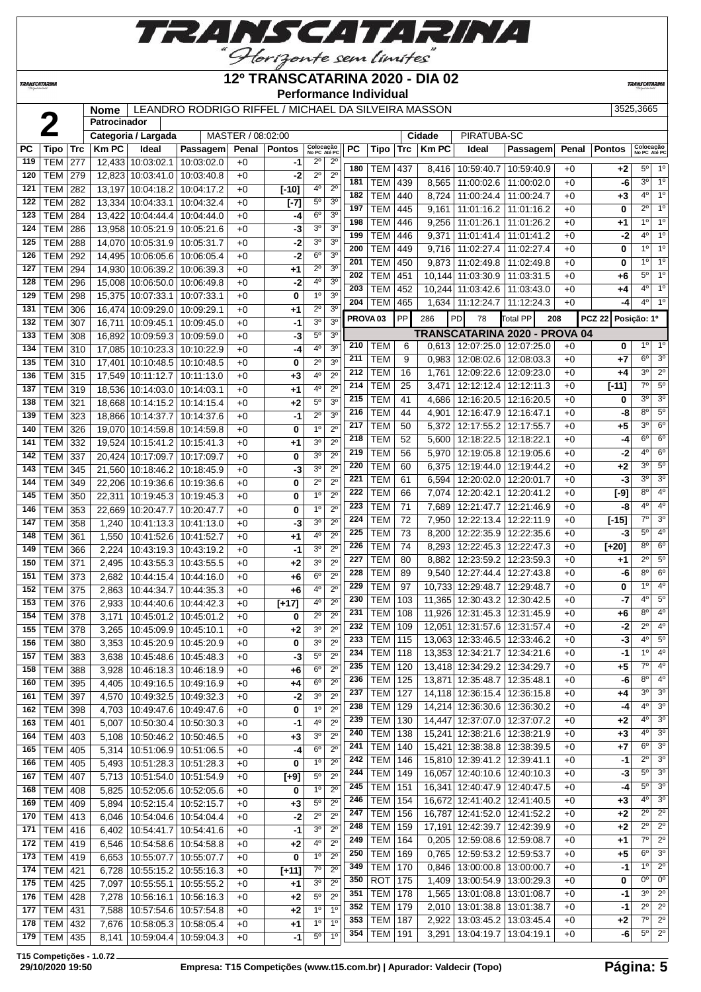

# **12º TRANSCATARINA 2020 - DIA 02**

**TRANSCATARIN** 

**Performance Individual**

**Nome** LEANDRO RODRIGO RIFFEL / MICHAEL DA SILVEIRA MASSON 3525,3665

|            |                           |            | <b>Nome</b><br>Patrocinador |                                                            | LEAINDRO RODRIGO RIFFEL/ MIIGHAEL DA SILVEIRA MASSON |                   |               |                               |                            |                     |                          |            |        |                                    |                               |            |                      | ວວ∠ວ,ວບບວ                  |                            |
|------------|---------------------------|------------|-----------------------------|------------------------------------------------------------|------------------------------------------------------|-------------------|---------------|-------------------------------|----------------------------|---------------------|--------------------------|------------|--------|------------------------------------|-------------------------------|------------|----------------------|----------------------------|----------------------------|
|            |                           |            |                             | Categoria / Largada                                        |                                                      | MASTER / 08:02:00 |               |                               |                            |                     |                          |            | Cidade | PIRATUBA-SC                        |                               |            |                      |                            |                            |
| <b>PC</b>  | Tipo                      | <b>Trc</b> | <b>Km PC</b>                | Ideal                                                      | Passagem                                             | Penal             | <b>Pontos</b> | Colocação<br>No PC Até PC     |                            | PC                  | Tipo                     | <b>Trc</b> | KmPC   | Ideal                              | Passagem                      | Penal      | <b>Pontos</b>        | Colocação<br>No PC Até PC  |                            |
| 119        | <b>TEM</b>                | 277        |                             | 12,433 10:03:02.1                                          | 10:03:02.0                                           | $+0$              | -1            | $2^{\circ}$                   | $2^{\circ}$                |                     |                          |            |        |                                    |                               |            |                      |                            |                            |
| 120        | <b>TEM</b>                | 279        |                             | 12,823 10:03:41.0                                          | 10:03:40.8                                           | $+0$              | -2            | $2^{\circ}$                   | $2^{\circ}$                | 180                 | TEM                      | 437        |        | 8,416 10:59:40.7                   | 10:59:40.9                    | $+0$       | +2                   | $5^{\circ}$                | $1^{\circ}$                |
| 121        | <b>TEM</b>                | 282        |                             | 13,197 10:04:18.2                                          | 10:04:17.2                                           | +0                | $[-10]$       | 40                            | $2^{\circ}$                | 181                 | TEM                      | 439        | 8,565  | 11:00:02.6                         | 11:00:02.0                    | $+0$       | -6                   | 3 <sup>0</sup>             | 1 <sup>0</sup>             |
| 122        | <b>TEM</b>                | 282        |                             | 13,334 10:04:33.1                                          | 10:04:32.4                                           | $+0$              | $[-7]$        | $5^{\circ}$                   | 3 <sup>0</sup>             | 182                 | <b>TEM</b>               | 440        | 8,724  | 11:00:24.4                         | 11:00:24.7                    | $+0$       | $+3$                 | $4^{\circ}$                | $1^{\circ}$                |
| 123        | <b>TEM</b>                | 284        |                             | 13,422 10:04:44.4                                          | 10:04:44.0                                           | $+0$              | -4            | 6 <sup>o</sup>                | 3 <sup>o</sup>             | 197                 | <b>TEM</b>               | 445        | 9,161  | 11:01:16.2                         | 11:01:16.2                    | $+0$       | 0                    | $2^{\circ}$                | 1 <sup>o</sup>             |
| 124        | <b>TEM</b>                | 286        |                             | 13,958 10:05:21.9 10:05:21.6                               |                                                      | $+0$              | -3            | 3 <sup>o</sup>                | 3 <sup>0</sup>             | 198                 | <b>TEM</b>               | 446        |        | 9,256 11:01:26.1                   | 11:01:26.2                    | $+0$       | $+1$                 | $1^{\circ}$                | 1 <sup>o</sup>             |
| 125        | TEM                       | 288        |                             | 14,070 10:05:31.9 10:05:31.7                               |                                                      | $+0$              | $-2$          | 3 <sup>0</sup>                | 3 <sup>0</sup>             | 199                 | <b>TEM</b>               | 446        |        | 9,371   11:01:41.4                 | 11:01:41.2                    | $+0$       | -2                   | $4^{\circ}$                | 1 <sup>0</sup>             |
| 126        | TEM                       | 292        |                             | 14,495 10:06:05.6                                          | 10:06:05.4                                           | $+0$              | -2            | 6 <sup>0</sup>                | 3 <sup>0</sup>             | 200                 | <b>TEM</b>               | 449        |        | 9,716 11:02:27.4                   | 11:02:27.4                    | $+0$       | 0                    | $1^{\circ}$                | 1 <sup>o</sup>             |
| 127        | TEM                       | 294        |                             | 14,930 10:06:39.2                                          | 10:06:39.3                                           | $+0$              | $+1$          | $2^{\circ}$                   | 3 <sup>0</sup>             | 201                 | <b>TEM</b>               | 450        |        | 9,873 11:02:49.8                   | 11:02:49.8                    | $+0$       | 0                    | $1^{\circ}$                | $1^{\circ}$                |
| 128        | TEM                       | 296        |                             | 15,008 10:06:50.0                                          | 10:06:49.8                                           | $+0$              | -2            | 4 <sup>0</sup>                | 3 <sup>0</sup>             | 202                 | <b>TEM</b>               | 451        |        | 10.144 11:03:30.9                  | 11:03:31.5                    | $+0$       | +6                   | $5^{\circ}$                | 1 <sup>°</sup>             |
| 129        | <b>TEM</b>                | 298        |                             | 15,375 10:07:33.1                                          | 10:07:33.1                                           | $+0$              | 0             | $1^{\circ}$                   | 3 <sup>0</sup>             | 203                 | <b>TEM</b>               | 452        |        | 10,244 11:03:42.6                  | 11:03:43.0                    | $+0$       | +4                   | $4^{\circ}$                | 1 <sup>°</sup>             |
| 131        | TEM                       | 306        |                             | 16,474 10:09:29.0                                          | 10:09:29.1                                           | $+0$              | +1            | $2^{\circ}$                   | 3 <sup>0</sup>             | 204                 | TEM                      | 465        |        | 1,634 11:12:24.7                   | 11:12:24.3                    | $+0$       | -4                   | $4^{\circ}$                | $1^{\circ}$                |
| 132        | <b>TEM</b>                | 307        |                             | 16,711 10:09:45.1                                          | 10:09:45.0                                           | $+0$              | $-1$          | 3 <sup>0</sup>                | 3 <sup>o</sup>             | PROVA <sub>03</sub> |                          | <b>PP</b>  | 286    | PD<br>78                           | Total PP<br>208               |            | PCZ 22 Posição: 1º   |                            |                            |
| 133        | <b>TEM</b>                | 308        |                             | 16,892 10:09:59.3 10:09:59.0                               |                                                      | $+0$              | $-3$          | $5^{\circ}$                   | 3 <sup>o</sup>             |                     |                          |            |        |                                    | TRANSCATARINA 2020 - PROVA 04 |            |                      |                            |                            |
| 134        | <b>TEM 310</b>            |            |                             | 17,085 10:10:23.3 10:10:22.9                               |                                                      | $+0$              | -4            | 4 <sup>0</sup>                | 3 <sup>o</sup>             | 210                 | TEM                      | 6          |        | $0,613$   12:07:25.0   12:07:25.0  |                               | $+0$       | 0                    | $1^{\circ}$                | $1^{\circ}$                |
| 135        | TEM                       | 310        |                             | 17,401 10:10:48.5                                          | 10:10:48.5                                           | $+0$              | 0             | $2^{\circ}$                   | 3 <sup>0</sup>             | 211                 | <b>TEM</b>               | 9          |        | $0,983$   12:08:02.6               | 12:08:03.3                    | $+0$       | +7                   | 6 <sup>o</sup>             | 3 <sup>o</sup>             |
| 136        | <b>TEM</b>                | 315        |                             | 17,549 10:11:12.7                                          | 10:11:13.0                                           | +0                | $+3$          | 4 <sup>0</sup>                | $2^{\circ}$                | 212                 | <b>TEM</b>               | 16         |        | 1,761   12:09:22.6                 | 12:09:23.0                    | $+0$       | +4                   | 3 <sup>0</sup>             | $2^{\circ}$                |
| 137        | TEM 319                   |            |                             | 18,536 10:14:03.0                                          | 10:14:03.1                                           | $+0$              | $+1$          | 4°                            | $2^{\circ}$                | 214                 | <b>TEM</b>               | 25         |        | 3,471   12:12:12.4                 | 12:12:11.3                    | +0         | $[-11]$              | $7^\circ$                  | $5^{\circ}$                |
| 138        | TEM                       | 321        |                             | 18,668 10:14:15.2                                          | 10:14:15.4                                           | $+0$              | +2            | 5 <sup>0</sup>                | 3 <sup>0</sup>             | 215                 | <b>TEM</b>               | 41         |        | 4,686 12:16:20.5                   | 12:16:20.5                    | $+0$       | 0                    | 3 <sup>o</sup>             | 3 <sup>o</sup>             |
| 139        | <b>TEM</b>                | 323        |                             | 18,866 10:14:37.7                                          | 10:14:37.6                                           | $+0$              | $-1$          | $2^{\circ}$                   | 3 <sup>0</sup>             | 216                 | <b>TEM</b>               | 44         |        | 4,901 12:16:47.9                   | 12:16:47.1                    | $+0$       | -8                   | $8^{\circ}$                | $5^{\circ}$                |
| 140        | TEM                       | 326        |                             | 19,070 10:14:59.8                                          | 10:14:59.8                                           | $+0$              | 0             | 1 <sup>0</sup>                | $2^{\circ}$                | 217                 | <b>TEM</b>               | 50         |        | 5,372   12:17:55.2                 | 12:17:55.7                    | $+0$       | $+5$                 | 30                         | $6^{\circ}$                |
| 141        | <b>TEM</b>                | 332        |                             | 19,524 10:15:41.2                                          | 10:15:41.3                                           | $+0$              | +1            | 3 <sup>0</sup>                | $2^{\circ}$                | 218                 | <b>TEM</b>               | 52         |        | 5,600   12:18:22.5                 | 12:18:22.1                    | $+0$       | -4                   | $6^{\circ}$                | $6^{\circ}$                |
| 142        | <b>TEM</b>                | 337        |                             | 20,424 10:17:09.7                                          | 10:17:09.7                                           | $+0$              | 0             | 3 <sup>0</sup>                | $2^{\circ}$                | 219                 | <b>TEM</b>               | 56         |        | 5,970   12:19:05.8                 | 12:19:05.6                    | $+0$       | -2                   | 4 <sup>o</sup>             | $6^{\circ}$                |
| 143        | <b>TEM</b>                | 345        |                             | 21,560 10:18:46.2 10:18:45.9                               |                                                      | $+0$              | -3            | 3 <sup>0</sup>                | $2^{\circ}$                | 220                 | <b>TEM</b>               | 60         |        | 6,375 12:19:44.0                   | 12:19:44.2                    | $+0$       | +2                   | 30                         | 5 <sup>o</sup>             |
| 144        | <b>TEM</b>                | 349        |                             | 22,206 10:19:36.6 10:19:36.6                               |                                                      | $+0$              | 0             | $2^{\circ}$                   | $2^{\circ}$                | 221                 | <b>TEM</b>               | 61         | 6,594  | 12:20:02.0                         | 12:20:01.7                    | $+0$       | -3                   | 30                         | 3 <sup>o</sup>             |
| 145        | TEM                       | 350        |                             | 22,311   10:19:45.3   10:19:45.3                           |                                                      | $+0$              | 0             | 1 <sup>0</sup>                | $2^{\circ}$                | 222                 | <b>TEM</b>               | 66         | 7,074  | 12:20:42.1                         | 12:20:41.2                    | $+0$       | $[-9]$               | $8^{\circ}$                | $4^{\circ}$                |
| 146        | <b>TEM</b>                | 353        |                             | 22,669 10:20:47.7                                          | 10:20:47.7                                           | $+0$              | 0             | 1 <sup>0</sup>                | $2^{\circ}$                | 223                 | <b>TEM</b>               | 71         |        | 7,689   12:21:47.7                 | 12:21:46.9                    | +0         | -8                   | 4 <sup>o</sup>             | 4 <sup>0</sup>             |
| 147        | TEM                       | 358        | 1,240                       | 10:41:13.3                                                 | 10:41:13.0                                           | $+0$              | $-3$          | 3 <sup>0</sup>                | $2^{\circ}$                | 224                 | <b>TEM</b>               | 72         |        | 7,950   12:22:13.4                 | 12:22:11.9                    | +0         | $[-15]$              | $7^\circ$                  | 3 <sup>o</sup>             |
| 148        | <b>TEM</b>                | 361        | 1,550                       | 10:41:52.6                                                 | 10:41:52.7                                           | $+0$              | +1            | 4°                            | $2^{\circ}$                | 225                 | <b>TEM</b>               | 73         |        | 8,200   12:22:35.9                 | 12:22:35.6                    | $+0$       | -3                   | $5^{\circ}$<br>$8^{\circ}$ | $4^{\circ}$<br>$6^{\circ}$ |
| 149        | TEM                       | 366        | 2,224                       | 10:43:19.3                                                 | 10:43:19.2                                           | $+0$              | -1            | 3 <sup>0</sup>                | $2^{\circ}$                | 226<br>227          | <b>TEM</b>               | 74         |        | 8,293 12:22:45.3                   | 12:22:47.3                    | $+0$       | $[+20]$              | $2^{\circ}$                | $5^{\circ}$                |
| 150        | TEM                       | 371        | 2,495                       | 10:43:55.3                                                 | 10:43:55.5                                           | $+0$              | +2            | 30                            | $2^{\circ}$                | 228                 | <b>TEM</b>               | 80         | 8,882  | 12:23:59.2<br>$9.540$   12:27:44.4 | 12:23:59.3                    | +0         | +1                   | $8^{\circ}$                | 6 <sup>o</sup>             |
| 151        | <b>TEM</b>                | 373        | 2,682                       | 10:44:15.4                                                 | 10:44:16.0                                           | $+0$              | $+6$          | $6^{\circ}$                   | $2^{\circ}$                | 229                 | <b>TEM</b><br><b>TEM</b> | 89         |        | 10,733 12:29:48.7                  | 12:27:43.8                    | +0         | -6<br>0              | $1^{\circ}$                | 4 <sup>o</sup>             |
| 152        | TEM                       | 375        | 2,863                       | 10:44:34.7                                                 | 10:44:35.3                                           | $+0$              | $+6$          | 40                            | $2^{\circ}$                | 230                 | TEM                      | 97<br>103  |        | 11,365 12:30:43.2 12:30:42.5       | 12:29:48.7                    | +0<br>$+0$ | -7                   | $4^{\circ}$                | $5^\circ$                  |
| 153        | <b>TEM</b>                | 376        | 2,933                       | 10:44:40.6                                                 | 10:44:42.3                                           | $+0$              | $[+17]$       | 4°                            | $2^{\circ}$                | 231                 | TEM                      | 108        |        | 11,926 12:31:45.3                  | 12:31:45.9                    | $+0$       | +6                   | $8^{\circ}$                | $4^{\circ}$                |
| 154        | TEM                       | 378        | 3,171                       | 10:45:01.2                                                 | 10:45:01.2                                           | +0                | 0             | $2^{\circ}$                   | $2^{\circ}$                | 232                 | <b>TEM</b>               | 109        |        | 12,051 12:31:57.6 12:31:57.4       |                               | +0         | -2                   | $2^{\circ}$                | $4^{\circ}$                |
| 155        | <b>TEM 378</b>            |            | 3,265                       | 10:45:09.9 10:45:10.1                                      |                                                      | $+0$              | $+2$          | 3 <sup>o</sup>                | $2^{\circ}$                | 233                 | $TEM$ 115                |            |        | 13,063 12:33:46.5 12:33:46.2       |                               | $+0$       | $\overline{\cdot}$ 3 | $4^{\circ}$                | $5^{\circ}$                |
|            | 156   TEM   380           |            |                             | 3,353   10:45:20.9   10:45:20.9                            |                                                      | $+0$              | 0             | 3 <sup>0</sup>                | $2^{\circ}$                | 234                 | <b>TEM 118</b>           |            |        | 13,353 12:34:21.7 12:34:21.6       |                               | $+0$       | -1                   | $1^{\circ}$                | $4^{\circ}$                |
| 157        | <b>TEM 383</b>            |            |                             | 3,638   10:45:48.6   10:45:48.3                            |                                                      | $+0$              | $-3$          | $5^{\circ}$<br>6 <sup>o</sup> | $2^{\circ}$<br>$2^{\circ}$ | 235                 | <b>TEM 120</b>           |            |        | 13,418 12:34:29.2 12:34:29.7       |                               | +0         | +5                   | 7°                         | $4^{\circ}$                |
| 158        | <b>TEM 388</b>            |            | 3,928                       | 10:46:18.3   10:46:18.9                                    |                                                      | $+0$              | +6            | $6^{\circ}$                   | $2^{\circ}$                | 236                 | <b>TEM</b>               | 125        |        | 13,871 12:35:48.7                  | 12:35:48.1                    | +0         | -6                   | $8^{\circ}$                | 4 <sup>0</sup>             |
| 160        | <b>TEM</b>                | 395        | 4,405                       | 10:49:16.5 10:49:16.9                                      |                                                      | $+0$              | +4            | 3 <sup>o</sup>                | $2^{\circ}$                | 237                 | <b>TEM</b>               | 127        |        | 14,118 12:36:15.4 12:36:15.8       |                               | +0         | +4                   | $3^{\circ}$                | 3 <sup>o</sup>             |
| 161<br>162 | <b>TEM 397</b><br>TEM 398 |            | 4,570                       | 10:49:32.5   10:49:32.3<br>4,703   10:49:47.6   10:49:47.6 |                                                      | $+0$<br>$+0$      | $-2$<br>0     | 1 <sup>0</sup>                | $2^{\circ}$                | 238                 | <b>TEM</b>               | 129        |        | 14,214 12:36:30.6 12:36:30.2       |                               | $+0$       | -4                   | $4^{\circ}$                | 3 <sup>o</sup>             |
| 163        | <b>TEM 401</b>            |            |                             | 10:50:30.4 10:50:30.3                                      |                                                      |                   | $-1$          | 4 <sup>0</sup>                | $2^{\circ}$                | 239                 | TEM   130                |            |        | 14,447 12:37:07.0 12:37:07.2       |                               | $+0$       | +2                   | $4^{\circ}$                | $3^{\circ}$                |
| 164        | TEM   403                 |            | 5,007<br>5,108              | 10:50:46.2 10:50:46.5                                      |                                                      | $+0$<br>$+0$      | $+3$          | 30                            | $2^{\circ}$                | 240                 | <b>TEM</b>               | 138        |        | 15,241 12:38:21.6                  | 12:38:21.9                    | +0         | $+3$                 | $4^{\circ}$                | $3^{\circ}$                |
| 165        | <b>TEM 405</b>            |            |                             | 5,314   10:51:06.9   10:51:06.5                            |                                                      | $+0$              | -4            | $6^{\circ}$                   | $2^{\circ}$                | 241                 | TEM                      | 140        |        | 15,421 12:38:38.8                  | 12:38:39.5                    | +0         | +7                   | $6^{\circ}$                | $3^{\circ}$                |
| 166        | <b>TEM 405</b>            |            |                             | 5,493   10:51:28.3   10:51:28.3                            |                                                      | $+0$              | 0             | 1 <sup>0</sup>                | $2^{\circ}$                | 242                 | <b>TEM 146</b>           |            |        | 15,810 12:39:41.2 12:39:41.1       |                               | +0         | $-1$                 | $2^{\circ}$                | 3 <sup>0</sup>             |
| 167        | <b>TEM 407</b>            |            |                             | 5,713   10:51:54.0   10:51:54.9                            |                                                      | $+0$              | $[+9]$        | $5^{\circ}$                   | $2^{\circ}$                | 244                 | TEM   149                |            |        | 16,057 12:40:10.6 12:40:10.3       |                               | $+0$       | -3                   | $5^{\circ}$                | $3^{\circ}$                |
| 168        | <b>TEM 408</b>            |            | 5,825                       | 10:52:05.6   10:52:05.6                                    |                                                      | $+0$              | 0             | 1 <sup>0</sup>                | $2^{\circ}$                | 245                 | <b>TEM 151</b>           |            |        | 16,341 12:40:47.9 12:40:47.5       |                               | +0         | -4                   | $5^{\circ}$                | 3 <sup>o</sup>             |
| 169        | TEM 409                   |            | 5,894                       | 10:52:15.4   10:52:15.7                                    |                                                      | $+0$              | $+3$          | $5^{\circ}$                   | $2^{\circ}$                | 246                 | TEM                      | 154        |        | 16,672 12:41:40.2 12:41:40.5       |                               | +0         | $+3$                 | $4^{\circ}$                | $3^\circ$                  |
| 170        | <b>TEM 413</b>            |            | 6,046                       | 10:54:04.6   10:54:04.4                                    |                                                      | $+0$              | -2            | $2^{\circ}$                   | $2^{\circ}$                | 247                 | TEM                      | 156        |        | 16,787 12:41:52.0 12:41:52.2       |                               | +0         | $+2$                 | $2^{\circ}$                | $2^{\circ}$                |
| 171        | TEM 416                   |            | 6,402                       | 10:54:41.7   10:54:41.6                                    |                                                      | $+0$              | $-1$          | 3 <sup>0</sup>                | $2^{\circ}$                | 248                 | <b>TEM</b>               | 159        |        | 17,191 12:42:39.7                  | 12:42:39.9                    | $+0$       | $+2$                 | $2^{\circ}$                | $2^{\circ}$                |
| 172        | $TEM$ 419                 |            |                             | 6,546   10:54:58.6   10:54:58.8                            |                                                      | $+0$              | $+2$          | 4°                            | $2^{\circ}$                | 249                 | <b>TEM</b>               | 164        |        | $0,205$ 12:59:08.6 12:59:08.7      |                               | $+0$       | $+1$                 | 7°                         | $2^{\circ}$                |
| 173        | TEM   419                 |            | 6,653                       | 10:55:07.7   10:55:07.7                                    |                                                      | $+0$              | 0             | 1 <sup>0</sup>                | $2^{\circ}$                | 250                 | <b>TEM</b>               | 169        |        | $0,765$   12:59:53.2   12:59:53.7  |                               | +0         | +5                   | $6^{\circ}$                | $3^{\circ}$                |
| 174        | <b>TEM 421</b>            |            | 6,728                       | 10:55:15.2 10:55:16.3                                      |                                                      | $+0$              | $[+11]$       | $7^\circ$                     | $2^{\circ}$                | 349                 | <b>TEM</b>               | 170        |        | $0,846$   13:00:00.8               | 13:00:00.7                    | +0         | -1                   | 1 <sup>0</sup>             | $2^{\circ}$                |
| 175        | <b>TEM 425</b>            |            | 7,097                       | 10:55:55.1   10:55:55.2                                    |                                                      | $+0$              | $+1$          | 3 <sup>o</sup>                | $2^{\circ}$                | 350                 | ROT 175                  |            |        | 1,409   13:00:54.9                 | 13:00:29.3                    | +0         | 0                    | 0 <sup>o</sup>             | $0^{\circ}$                |
| 176        | <b>TEM 428</b>            |            | 7,278                       | 10:56:16.1   10:56:16.3                                    |                                                      | $+0$              | $+2$          | $5^{\circ}$                   | $2^{\circ}$                | 351                 | <b>TEM 178</b>           |            |        | 1,565   13:01:08.8                 | 13:01:08.7                    | +0         | -1                   | 3 <sup>o</sup>             | $2^{\circ}$                |
| 177        | <b>TEM</b>                | 431        | 7,588                       | 10:57:54.6   10:57:54.8                                    |                                                      | $+0$              | $+2$          | 1 <sup>0</sup>                | 1 <sup>0</sup>             | 352                 | <b>TEM 179</b>           |            |        | 2,010   13:01:38.8   13:01:38.7    |                               | +0         | -1                   | $2^{\circ}$                | $2^{\circ}$                |
| 178        | <b>TEM</b>                | 432        | 7,676                       | 10:58:05.3 10:58:05.4                                      |                                                      | +0                | $+1$          | 1 <sup>o</sup>                | $1^{\circ}$                | 353                 | TEM                      | 187        |        | 2,922   13:03:45.2                 | 13:03:45.4                    | +0         | +2                   | 7°                         | $2^{\circ}$                |
| 179        | <b>TEM 435</b>            |            | 8,141                       | 10:59:04.4   10:59:04.3                                    |                                                      | $+0$              | -1            | 5 <sup>o</sup>                | 1 <sup>0</sup>             | 354                 | <b>TEM</b>               | 191        |        | 3,291   13:04:19.7   13:04:19.1    |                               | +0         | -6                   |                            | $5^\circ$   2 $^\circ$     |

**T15 Competições - 1.0.72**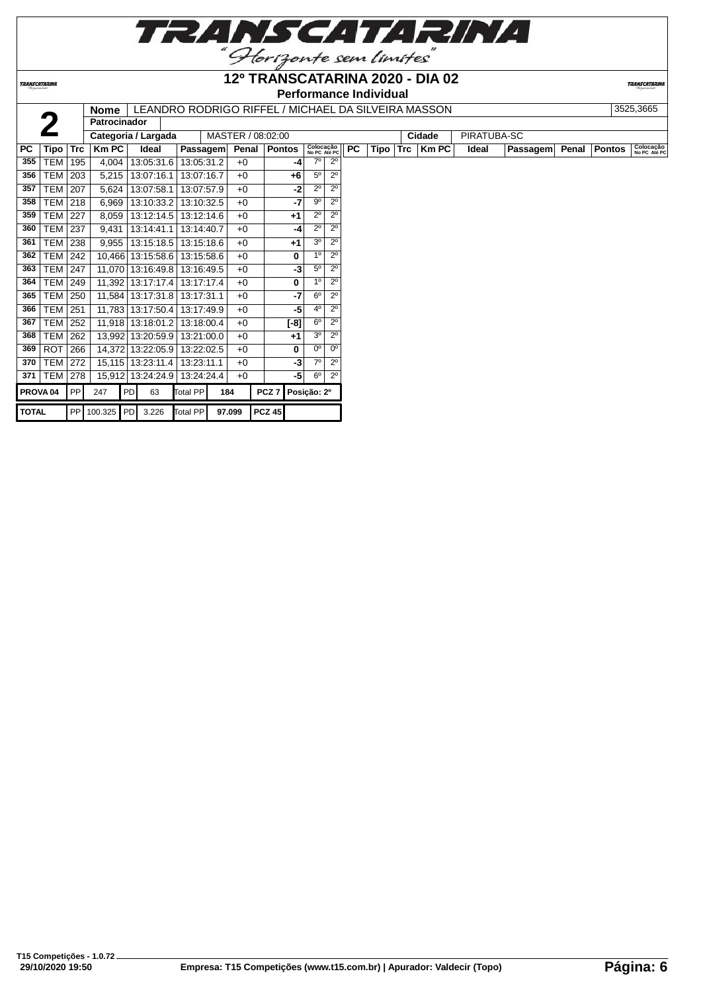

**TRANSCATARINA** 

#### **12º TRANSCATARINA 2020 - DIA 02 Performance Individual**

| <b>Nome</b> | LEANDRO RODRIGO RIFFEL / MICHAEL DA SILVEIRA MASSON | 3525.3665 |
|-------------|-----------------------------------------------------|-----------|

| 3525.3665 |
|-----------|

|                     |            |            | <b>Nome</b>         |                   |            |                 |     |                   |                  |             |                           |             |           |          | LEANDRO RODRIGO RIFFEL/ MICHAEL DA SILVEIRA MASSON |             |          |       |               | <b>JJZJ,JUUJ</b>          |
|---------------------|------------|------------|---------------------|-------------------|------------|-----------------|-----|-------------------|------------------|-------------|---------------------------|-------------|-----------|----------|----------------------------------------------------|-------------|----------|-------|---------------|---------------------------|
|                     |            |            | <b>Patrocinador</b> |                   |            |                 |     |                   |                  |             |                           |             |           |          |                                                    |             |          |       |               |                           |
|                     |            |            | Categoria / Largada |                   |            |                 |     | MASTER / 08:02:00 |                  |             |                           |             |           |          | Cidade                                             | PIRATUBA-SC |          |       |               |                           |
| PC.                 | Tipo       | <b>Trc</b> | $Km$ PC             | Ideal             |            | <b>Passagem</b> |     | Penal   Pontos    |                  |             | Colocação<br>No PC Até PC |             | <b>PC</b> | Tipo Trc | <b>Km PC</b>                                       | Ideal       | Passagem | Penal | <b>Pontos</b> | Colocação<br>No PC Até PC |
| 355                 | <b>TEM</b> | 195        | 4,004               | 13:05:31.6        |            | 13:05:31.2      |     | $+0$              |                  | $-4$        | $7^\circ$                 | $2^{\circ}$ |           |          |                                                    |             |          |       |               |                           |
| 356                 | <b>TEM</b> | 203        | 5,215               | 13:07:16.1        |            | 13:07:16.7      |     | $+0$              |                  | $+6$        | 5 <sup>o</sup>            | $2^{\circ}$ |           |          |                                                    |             |          |       |               |                           |
| 357                 | TEM        | 207        | 5,624               | 13:07:58.1        |            | 13:07:57.9      |     | $+0$              |                  | $-2$        | $2^{\circ}$               | $2^{\circ}$ |           |          |                                                    |             |          |       |               |                           |
| 358                 | TEM        | 218        | 6,969               |                   | 13:10:33.2 | 13:10:32.5      |     | $+0$              |                  | $-7$        | 9º                        | $2^{\circ}$ |           |          |                                                    |             |          |       |               |                           |
| 359                 | TEM        | 227        | 8,059               | 13:12:14.5        |            | 13:12:14.6      |     | $+0$              |                  | $+1$        | $2^{\circ}$               | $2^{\circ}$ |           |          |                                                    |             |          |       |               |                           |
| 360                 | <b>TEM</b> | 237        | 9,431               | 13:14:41.1        |            | 13:14:40.7      |     | $+0$              |                  | $-4$        | $2^{\circ}$               | $2^{\circ}$ |           |          |                                                    |             |          |       |               |                           |
| 361                 | <b>TEM</b> | 238        | 9,955               | 13:15:18.5        |            | 13:15:18.6      |     | $+0$              |                  | $+1$        | 3 <sup>o</sup>            | $2^{\circ}$ |           |          |                                                    |             |          |       |               |                           |
| 362                 | TEM        | 242        |                     | 10,466 13:15:58.6 |            | 13:15:58.6      |     | $+0$              |                  | 0           | 10 <sup>°</sup>           | $2^{\circ}$ |           |          |                                                    |             |          |       |               |                           |
| 363                 | TEM        | 247        | 11,070 13:16:49.8   |                   |            | 13:16:49.5      |     | $+0$              |                  | $-3$        | $5^{\circ}$               | $2^{\circ}$ |           |          |                                                    |             |          |       |               |                           |
| 364                 | <b>TEM</b> | 249        | 11,392              | 13:17:17.4        |            | 13:17:17.4      |     | $+0$              |                  | 0           | 10 <sup>1</sup>           | $2^{\circ}$ |           |          |                                                    |             |          |       |               |                           |
| 365                 | <b>TEM</b> | 250        |                     | 11,584 13:17:31.8 |            | 13:17:31.1      |     | $+0$              |                  | $-7$        | 6 <sup>0</sup>            | $2^{\circ}$ |           |          |                                                    |             |          |       |               |                           |
| 366                 | <b>TEM</b> | 251        | 11.783              | 13:17:50.4        |            | 13:17:49.9      |     | $+0$              |                  | -51         | 4 <sup>0</sup>            | $2^{\circ}$ |           |          |                                                    |             |          |       |               |                           |
| 367                 | TEM        | 252        | 11,918 13:18:01.2   |                   |            | 13:18:00.4      |     | $+0$              |                  | $[-8]$      | $6^{\circ}$               | $2^{\circ}$ |           |          |                                                    |             |          |       |               |                           |
| 368                 | TEM        | 262        |                     | 13,992 13:20:59.9 |            | 13:21:00.0      |     | $+0$              |                  | $+1$        | 3 <sup>o</sup>            | $2^{\circ}$ |           |          |                                                    |             |          |       |               |                           |
| 369                 | <b>ROT</b> | 266        | 14,372              | 13:22:05.9        |            | 13:22:02.5      |     | $+0$              |                  | 0           | 0 <sup>o</sup>            | $\sqrt{0}$  |           |          |                                                    |             |          |       |               |                           |
| 370                 | <b>TEM</b> | 272        | 15,115              | 13:23:11.4        |            | 13:23:11.1      |     | $+0$              |                  | $-3$        | $7^\circ$                 | $2^{\circ}$ |           |          |                                                    |             |          |       |               |                           |
| 371                 | <b>TEM</b> | 278        | 15,912              | 13:24:24.9        |            | 13:24:24.4      |     | $+0$              |                  | -5          | 6 <sup>o</sup>            | $2^{\circ}$ |           |          |                                                    |             |          |       |               |                           |
| PROVA <sub>04</sub> |            | PP         | 247                 | PD                | 63         | Total PP        | 184 |                   | PCZ <sub>7</sub> | Posição: 2º |                           |             |           |          |                                                    |             |          |       |               |                           |
| <b>TOTAL</b>        |            |            | PP 100.325 PD       |                   | 3.226      | Total PP        |     | 97.099            | <b>PCZ 45</b>    |             |                           |             |           |          |                                                    |             |          |       |               |                           |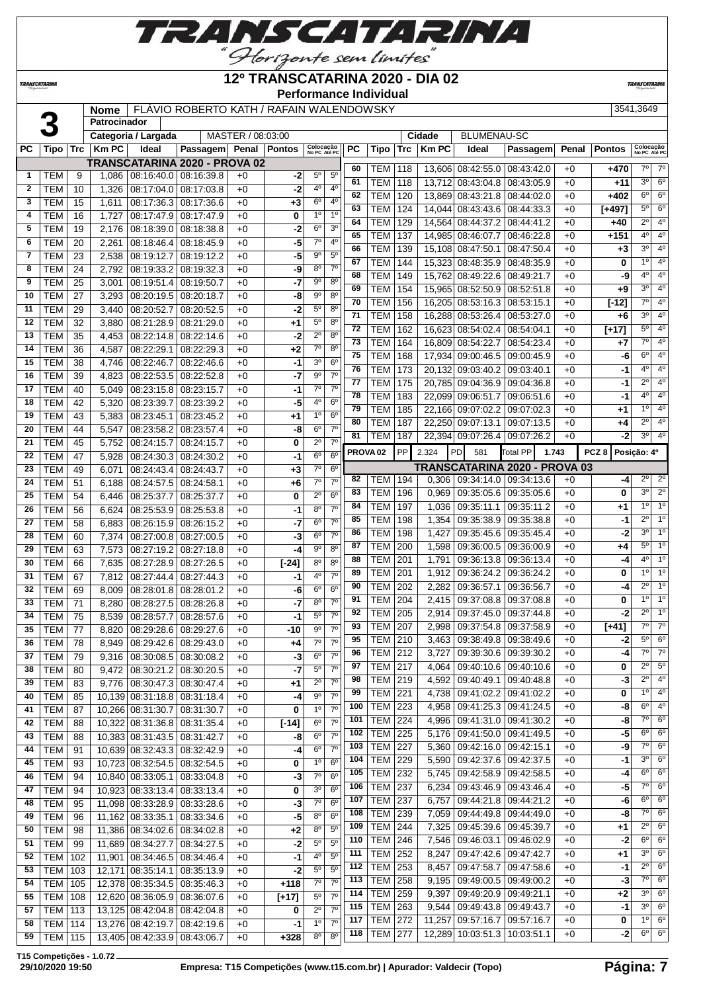**RANSCATARINA** 

"Horizonte sem limites"

### **12º TRANSCATARINA 2020 - DIA 02**

**Performance Individual**

**TRANSCATARIN** 

**TRANSCATARINA** 

|                |              |        | <b>Nome</b>  |                     | FLÁVIO ROBERTO KATH / RAFAIN WALENDOWSKY |                   |      |                           |                 |                 |                     |            |              |                      |                                 |       |                  | 3541.3649              |  |
|----------------|--------------|--------|--------------|---------------------|------------------------------------------|-------------------|------|---------------------------|-----------------|-----------------|---------------------|------------|--------------|----------------------|---------------------------------|-------|------------------|------------------------|--|
|                | 3            |        | Patrocinador |                     |                                          |                   |      |                           |                 |                 |                     |            |              |                      |                                 |       |                  |                        |  |
|                |              |        |              | Categoria / Largada |                                          | MASTER / 08:03:00 |      |                           |                 |                 |                     |            | Cidade       | <b>BLUMENAU-SC</b>   |                                 |       |                  |                        |  |
| <b>PC</b>      | Tipo         |        | $Trc$ Km PC  | Ideal               | Passagem Penal Pontos                    |                   |      | Colocação<br>No PC Até PC |                 | PC              | <b>Tipo</b>         | <b>Trc</b> | <b>Km PC</b> | <b>Ideal</b>         | Passagem                        | Penal | <b>Pontos</b>    | Colocaçã<br>No PC Até  |  |
|                |              |        |              |                     | TRANSCATARINA 2020 - PROVA 02            |                   |      |                           |                 | 60              | <b>TEM</b>          | 118        |              |                      | 13,606 08:42:55.0 08:43:42.0    | $+0$  | $+470$           | $7^\circ$              |  |
| $\mathbf 1$    | <b>TEM</b>   | 9      | 1.086        |                     | $08:16:40.0$ 08:16:39.8                  | $+0$              | -21  | 5 <sup>0</sup>            | $5^{\circ}$     | 61              | <b>TEM</b>          | 118        |              |                      | 13.712 08:43:04.8 08:43:05.9    | $+0$  | $+11$            | 3 <sup>0</sup>         |  |
| $\mathbf{2}$   | <b>TEM</b>   | 10     | 1.326        | 08:17:04.0          | 08:17:03.8                               | $+0$              | $-2$ | 4 <sup>0</sup>            | $4^{\circ}$     | 62              | <b>TEM</b>          | 120        |              |                      | 13,869 08:43:21.8 08:44:02.0    | $+0$  | $+402$           | $\overline{6^0}$       |  |
| 3              | <b>TEM</b>   | 15     | 1.611        | 08:17:36.3          | 08:17:36.6                               | $+0$              | $+3$ | $6^{\circ}$               | 4 <sup>0</sup>  | 63              | <b>TEM</b>          | 124        |              | 14.044 08:43:43.6    | 08:44:33.3                      | $+0$  | $[+497]$         | $\overline{5^0}$       |  |
| 4              | <b>TEM</b>   | 16     | 1.727        |                     | 08:17:47.9 08:17:47.9                    | $+0$              | 0    | $1^{\circ}$               | 1 <sup>0</sup>  | 64              | <b>TEM</b>          | 129        |              |                      | 14.564 08:44:37.2 08:44:41.2    | $+0$  | $+40$            | $\overline{2^0}$       |  |
| 5              | <b>TEM</b>   | 19     | 2.176        |                     | 08:18:39.0 08:18:38.8                    | $+0$              | $-2$ | $6^\circ$                 | 3 <sup>0</sup>  | 65              | <b>TEM</b>          | 137        |              | 14,985 08:46:07.7    | 08:46:22.8                      | $+0$  | $+151$           | $\overline{4^0}$       |  |
| 6              | <b>TEM</b>   | 20     | 2.261        |                     | 08:18:46.4 08:18:45.9                    | $+0$              | $-5$ | $7^\circ$                 | 4 <sup>0</sup>  | 66              | <b>TEM</b>          | 139        |              | 15,108 08:47:50.1    | 08:47:50.4                      | $+0$  | $+3$             | $\overline{3^0}$       |  |
| $\overline{7}$ | <b>TEM</b>   | 23     | 2,538        |                     | 08:19:12.7 08:19:12.2                    | $+0$              | $-5$ | 9 <sup>o</sup>            | 5 <sup>o</sup>  | 67              | <b>TEM</b>          | 144        |              | 15.323 08:48:35.9    | 08:48:35.9                      | $+0$  | 0                | $\overline{1^0}$       |  |
| 8              | <b>TEM</b>   | 24     | 2.792        |                     | 08:19:33.2 08:19:32.3                    | $+0$              | -9   | $8^{\circ}$               | $7^\circ$       | 68              | <b>TEM</b>          | 149        |              | 15.762 08:49:22.6    | 08:49:21.7                      | $+0$  | -9               | $\overline{4^0}$       |  |
| 9              | <b>TEM</b>   | 25     | 3.001        |                     | 08:19:51.4 08:19:50.7                    | $+0$              | $-7$ | $9^\circ$                 | $8^\circ$       | 69              | <b>TEM</b>          | 154        |              | 15,965 08:52:50.9    | 08:52:51.8                      | $+0$  | $+9$             | 3 <sup>0</sup>         |  |
| 10             | <b>TEM</b>   | 27     | 3.293        |                     | 08:20:19.5 08:20:18.7                    | $+0$              | -8   | 9 <sup>o</sup>            | $8^\circ$       | 70              | <b>TEM</b>          | 156        |              | 16.205 08:53:16.3    | 08:53:15.1                      | $+0$  | $[-12]$          | $\overline{7^0}$       |  |
| 11             | <b>TEM</b>   | 29     | 3.440        | 08:20:52.7          | 08:20:52.5                               | $+0$              | $-2$ | $5^{\circ}$               | $8^{\circ}$     | $\overline{71}$ | <b>TEM</b>          | 158        |              |                      | 16,288 08:53:26.4 08:53:27.0    | $+0$  | $+6$             | $\overline{3^0}$       |  |
| 12             | <b>TEM</b>   | 32     | 3.880        |                     | 08:21:28.9 08:21:29.0                    | $+0$              | $+1$ | $5^{\circ}$               | 8 <sup>0</sup>  | 72              | <b>TEM</b>          | 162        |              | 16.623 08:54:02.4    | 08:54:04.1                      | $+0$  | $[+17]$          | $\overline{5^0}$       |  |
| 13             | <b>TEM</b>   | 35     | 4,453        |                     | 08:22:14.8 08:22:14.6                    | $+0$              | -2   | $2^{\circ}$               | $8^{\circ}$     | $\overline{73}$ | <b>TEM</b>          | 164        |              | 16,809 08:54:22.7    | 08:54:23.4                      | $+0$  | $+7$             | $\overline{7^0}$       |  |
| 14             | <b>TEM</b>   | 36     | 4.587        | 08:22:29.1          | 08:22:29.3                               | $+0$              | $+2$ | $7^\circ$                 | $8^\circ$       | 75              | <b>TEM</b>          | 168        |              | 17.934 09:00:46.5    | 09:00:45.9                      | $+0$  | -6               | $\overline{6^{\circ}}$ |  |
| 15             | <b>TEM</b>   | 38     | 4.746        | 08:22:46.7          | 08:22:46.6                               | $+0$              | $-1$ | 3 <sup>o</sup>            | $6^{\circ}$     | 76              | <b>TEM</b>          | 173        |              | 20.132 09:03:40.2    | 09:03:40.1                      | $+0$  | $-1$             | 4 <sup>0</sup>         |  |
| 16             | <b>TEM</b>   | 39     | 4.823        |                     | $08:22:53.5$ 08:22:52.8                  | $+0$              | $-7$ | 9 <sup>o</sup>            | $7^\circ$       | 77              | <b>TEM</b>          | 175        |              | 20,785 09:04:36.9    | 09:04:36.8                      | $+0$  | $-1$             | $\overline{2^{\circ}}$ |  |
| 17             | <b>TEM</b>   | 40     | 5.049        | 08:23:15.8          | 08:23:15.7                               | $+0$              | $-1$ | $7^\circ$                 | 7 <sup>0</sup>  | 78              | <b>TEM</b>          | 183        |              | 22.099 09:06:51.7    | 09:06:51.6                      | $+0$  | -1               | 4 <sup>0</sup>         |  |
| 18             | <b>TEM</b>   | 42     | 5,320        | 08:23:39.7          | 08:23:39.2                               | $+0$              | -5   | 4 <sup>0</sup>            | $6^{\circ}$     | $\overline{79}$ | <b>TEM</b>          | 185        |              |                      | 22,166 09:07:02.2 09:07:02.3    | $+0$  | $+1$             | $\overline{1^{\circ}}$ |  |
| 19             | <b>TEM</b>   | 43     | 5.383        | 08:23:45.1          | 08:23:45.2                               | $+0$              | $+1$ | 1 <sup>0</sup>            | $6^{\circ}$     | 80              | <b>TEM</b>          | 187        |              | 22.250 09:07:13.1    | 09:07:13.5                      | $+0$  | $+4$             | $\overline{2^{\circ}}$ |  |
| 20             | <b>TEM</b>   | 44     | 5.547        | 08:23:58.2          | 08:23:57.4                               | $+0$              | -8   | $6^{\circ}$               | $7^\circ$       | 81              | <b>TEM</b>          | 187        |              |                      | 22,394 09:07:26.4 09:07:26.2    | $+0$  | $-2$             | 3 <sup>0</sup>         |  |
| 21             | <b>TEM</b>   | 45     | 5.752        | 08:24:15.7          | 08:24:15.7                               | $+0$              | 0    | $2^{\circ}$               | 70              |                 |                     |            |              |                      |                                 |       |                  |                        |  |
| 22             | <b>TEM</b>   | 47     | 5.928        | 08:24:30.3          | 08:24:30.2                               | $+0$              | $-1$ | $6^{\circ}$               | $6^{\circ}$     |                 | PROVA <sub>02</sub> | PP         | 2.324        | PD<br>581            | Total PP                        | 1.743 | PCZ <sub>8</sub> | Posição: 4º            |  |
| 23             | <b>TEM</b>   | 49     | 6,071        | 08:24:43.4          | 08:24:43.7                               | $+0$              | $+3$ | $7^\circ$                 | $6^{\circ}$     |                 |                     |            |              |                      | TRANSCATARINA 2020 - PROVA 03   |       |                  |                        |  |
| 24             | <b>TEM</b>   | 51     | 6.188        | 08:24:57.5          | 08:24:58.1                               | $+0$              | $+6$ | 7 <sup>0</sup>            | 70              | 82              | <b>TEM</b>          | 194        |              | $0,306$   09:34:14.0 | 09:34:13.6                      | $+0$  | $-4$             | $2^{\circ}$            |  |
| 25             | <b>TEM</b>   | 54     | 6,446        | 08:25:37.7          | 08:25:37.7                               | $+0$              | 0    | $2^{\circ}$               | $6^{\circ}$     | 83              | <b>TEM</b>          | 196        |              |                      | 0.969   09:35:05.6   09:35:05.6 | $+0$  | 0                | 3 <sup>0</sup>         |  |
|                | $\sim$ $\pm$ | $\sim$ |              |                     |                                          | $\sim$ $\sim$     | - 1  | on I                      | $\overline{20}$ | 84              | <b>TFM 197</b>      |            |              |                      | 1 036 09:35:11 1 09:35:11 2     | $+0$  | $+1$             | 10                     |  |

|              |                |     |        | Categoria / Largada              |                               | MASTER / 08:03:00 |                      |                           |                        |     |                     |            | Cidade       | <b>BLUMENAU-SC</b>                |                               |       |               |                           |                        |
|--------------|----------------|-----|--------|----------------------------------|-------------------------------|-------------------|----------------------|---------------------------|------------------------|-----|---------------------|------------|--------------|-----------------------------------|-------------------------------|-------|---------------|---------------------------|------------------------|
| PС           | Tipo           | Trc | Km PC  | Ideal                            | Passagem Penal Pontos         |                   |                      | Colocação<br>No PC Até PC |                        | PC  | Tipo                | $\sf{Trc}$ | <b>Km PC</b> | Ideal                             | Passagem                      | Penal | <b>Pontos</b> | Colocação<br>No PC Até PC |                        |
|              |                |     |        |                                  | TRANSCATARINA 2020 - PROVA 02 |                   |                      |                           |                        | 60  | <b>TEM 118</b>      |            |              | 13,606 08:42:55.0 08:43:42.0      |                               | $+0$  | +470          | $7^\circ$                 | $7^\circ$              |
| $\mathbf{1}$ | <b>TEM</b>     | 9   | 1,086  | 08:16:40.0 08:16:39.8            |                               | $+0$              | -2                   | $5^{\circ}$               | $5^{\circ}$            | 61  | TEM                 | 118        |              | 13,712 08:43:04.8                 | 08:43:05.9                    | $+0$  | +11           | 3 <sup>0</sup>            | $6^{\circ}$            |
| $\mathbf{2}$ | <b>TEM</b>     | 10  | 1,326  | 08:17:04.0                       | 08:17:03.8                    | $+0$              | $-2$                 | 4º                        | 4°                     | 62  | <b>TEM</b>          | 120        | 13,869       | 08:43:21.8   08:44:02.0           |                               | $+0$  | +402          | $6^{\circ}$               | $6^{\circ}$            |
| 3            | TEM            | 15  | 1,611  | 08:17:36.3                       | 08:17:36.6                    | $+0$              | +3                   | $6^{\circ}$               | 4°                     | 63  | TEM                 | 124        |              |                                   |                               | $+0$  |               | $5^{\circ}$               | $6^{\circ}$            |
| 4            | TEM            | 16  | 1,727  | 08:17:47.9                       | 08:17:47.9                    | $+0$              | 0                    | 1 <sup>0</sup>            | 1 <sup>0</sup>         | 64  |                     |            |              | 14,044 08:43:43.6 08:44:33.3      |                               |       | [+497]        | $2^{\circ}$               | $4^{\circ}$            |
| 5            | <b>TEM</b>     | 19  | 2,176  | 08:18:39.0                       | 08:18:38.8                    | $+0$              | $-2$                 | 6°                        | 30                     | 65  | <b>TEM</b>          | 129        |              | 14,564 08:44:37.2 08:44:41.2      |                               | $+0$  | +40           | $4^{\circ}$               | $4^{\circ}$            |
| 6            | <b>TEM</b>     | 20  | 2,261  | 08:18:46.4                       | 08:18:45.9                    | $+0$              | -5                   | $7^\circ$                 | 4°                     | 66  | <b>TEM</b>          | 137        |              | 14,985 08:46:07.7                 | 08:46:22.8                    | +0    | +151          | 30                        | $4^{\circ}$            |
| 7            | <b>TEM</b>     | 23  | 2,538  | 08:19:12.7                       | 08:19:12.2                    | $+0$              | -5                   | 90                        | $5^{\circ}$            |     | <b>TEM</b>          | 139        |              | 15,108 08:47:50.1                 | 08:47:50.4                    | +0    | $+3$          | 1 <sup>0</sup>            | 4 <sup>0</sup>         |
| 8            | TEM            | 24  | 2,792  | 08:19:33.2                       | 08:19:32.3                    | $+0$              | -9                   | $8^{\circ}$               | 7 <sup>0</sup>         | 67  | <b>TEM</b>          | 144        |              | 15,323 08:48:35.9                 | 08:48:35.9                    | $+0$  | 0             | 4°                        | 4 <sup>0</sup>         |
| 9            | <b>TEM</b>     | 25  | 3,001  | 08:19:51.4 08:19:50.7            |                               | $+0$              | -7                   | 90                        | $8^{\circ}$            | 68  | TEM                 | 149        |              | 15,762 08:49:22.6                 | 08:49:21.7                    | $+0$  | -9            |                           | 4 <sup>0</sup>         |
| 10           | <b>TEM</b>     | 27  | 3,293  | 08:20:19.5                       | 08:20:18.7                    | $+0$              | -8                   | 90                        | 80                     | 69  | <b>TEM</b>          | 154        |              | 15,965 08:52:50.9 08:52:51.8      |                               | $+0$  | +9            | 30                        |                        |
| 11           | <b>TEM</b>     | 29  | 3,440  | 08:20:52.7                       | 08:20:52.5                    | $+0$              | $-2$                 | $5^{\circ}$               | $8^{\circ}$            | 70  | TEM                 | 156        |              | 16,205 08:53:16.3 08:53:15.1      |                               | $+0$  | [-12]         | $7^\circ$                 | 4 <sup>0</sup>         |
| 12           | <b>TEM</b>     | 32  | 3,880  | 08:21:28.9                       | 08:21:29.0                    | $+0$              | +1                   | $5^{\circ}$               | $8^{\circ}$            | 71  | <b>TEM</b>          | 158        |              | 16,288 08:53:26.4 08:53:27.0      |                               | +0    | $+6$          | 3 <sup>o</sup>            | 4 <sup>0</sup>         |
| 13           | TEM            | 35  | 4,453  | 08:22:14.8                       | 08:22:14.6                    | $+0$              | $-2$                 | $2^{\circ}$               | 80                     | 72  | <b>TEM</b>          | 162        |              | 16,623 08:54:02.4                 | 08:54:04.1                    | $+0$  | $[+17]$       | $5^{\circ}$               | 4 <sup>o</sup>         |
| 14           | <b>TEM</b>     | 36  | 4,587  | 08:22:29.1                       | 08:22:29.3                    | $+0$              | $+2$                 | $7^\circ$                 | $8^{\circ}$            | 73  | <b>TEM</b>          | 164        |              | 16,809 08:54:22.7                 | 08:54:23.4                    | $+0$  | +7            | 7°                        | 4 <sup>0</sup>         |
| 15           | <b>TEM</b>     | 38  | 4,746  | 08:22:46.7                       | 08:22:46.6                    | $+0$              | -1                   | 30                        | $6^{\circ}$            | 75  | <b>TEM</b>          | 168        |              | 17,934 09:00:46.5                 | 09:00:45.9                    | +0    | -6            | $6^{\circ}$               | $4^{\circ}$            |
| 16           | <b>TEM</b>     | 39  | 4,823  | 08:22:53.5                       | 08:22:52.8                    | $+0$              | -7                   | 90                        | $7^\circ$              | 76  | <b>TEM</b>          | 173        |              | 20,132 09:03:40.2                 | 09:03:40.1                    | +0    | -1            | 4°                        | $4^{\circ}$            |
| 17           | <b>TEM</b>     | 40  | 5,049  | 08:23:15.8 08:23:15.7            |                               | $+0$              | -1                   | $7^\circ$                 | $7^\circ$              | 77  | <b>TEM</b>          | 175        |              | 20.785 09:04:36.9                 | 09:04:36.8                    | +0    | -1            | $2^{\circ}$               | $4^{\circ}$            |
| 18           | <b>TEM</b>     | 42  | 5,320  | 08:23:39.7                       | 08:23:39.2                    | $+0$              | -5                   | 4º                        | $6^{\circ}$            | 78  | <b>TEM</b>          | 183        |              | 22,099 09:06:51.7                 | 09:06:51.6                    | $+0$  | -1            | 4°                        | 4 <sup>0</sup>         |
| 19           | <b>TEM</b>     | 43  | 5,383  | 08:23:45.1                       | 08:23:45.2                    | $+0$              | +1                   | 1 <sup>0</sup>            | $6^{\circ}$            | 79  | <b>TEM</b>          | 185        |              | 22,166 09:07:02.2                 | 09:07:02.3                    | +0    | +1            | $1^{\circ}$               | $4^{\circ}$            |
| 20           | <b>TEM</b>     | 44  | 5,547  | 08:23:58.2                       | 08:23:57.4                    | $+0$              | -8                   | $6^{\circ}$               | $7^\circ$              | 80  | <b>TEM</b>          | 187        |              | 22,250 09:07:13.1                 | 09:07:13.5                    | $+0$  | +4            | $2^{\circ}$               | $4^{\circ}$            |
| 21           | <b>TEM</b>     |     |        |                                  |                               |                   |                      | $2^{\circ}$               | $\overline{7}^{\circ}$ | 81  | TEM                 | 187        |              | 22,394 09:07:26.4 09:07:26.2      |                               | $+0$  | -2            | $3^{\circ}$               | $4^{\circ}$            |
|              |                | 45  | 5,752  | 08:24:15.7                       | 08:24:15.7                    | $+0$              | 0                    | 6 <sup>o</sup>            | 6 <sup>0</sup>         |     | PROVA <sub>02</sub> | <b>PP</b>  | 2.324        | PD<br>581                         | <b>Total PP</b><br>1.743      |       | PCZ8          | Posição: 4º               |                        |
| 22           | <b>TEM</b>     | 47  | 5,928  | 08:24:30.3                       | 08:24:30.2                    | $+0$              | -1                   |                           |                        |     |                     |            |              |                                   | TRANSCATARINA 2020 - PROVA 03 |       |               |                           |                        |
| 23           | <b>TEM</b>     | 49  | 6,071  | 08:24:43.4                       | 08:24:43.7                    | $+0$              | +3                   | $7^\circ$                 | $6^{\circ}$            | 82  | <b>TEM 194</b>      |            |              | $0,306$   09:34:14.0   09:34:13.6 |                               | $+0$  | -4            | $2^{\circ}$               | $2^{\circ}$            |
| 24           | <b>TEM</b>     | 51  | 6,188  | 08:24:57.5                       | 08:24:58.1                    | $+0$              | +6                   | $7^\circ$                 | $7^\circ$              | 83  | <b>TEM</b>          | 196        | 0,969        | 09:35:05.6                        | 09:35:05.6                    | $+0$  | 0             | 30                        | $2^{\circ}$            |
| 25           | <b>TEM</b>     | 54  | 6,446  | 08:25:37.7                       | 08:25:37.7                    | $+0$              | 0                    | $2^{\circ}$               | 6 <sup>o</sup>         | 84  | <b>TEM</b>          |            |              |                                   |                               | $+0$  |               | 1 <sup>0</sup>            | 1 <sup>0</sup>         |
| 26           | <b>TEM</b>     | 56  | 6,624  | 08:25:53.9                       | 08:25:53.8                    | $+0$              | -1                   | $8^{\circ}$               | 7 <sup>0</sup>         |     |                     | 197        | 1,036        | 09:35:11.1                        | 09:35:11.2                    |       | $+1$          | $2^{\circ}$               | 1 <sup>o</sup>         |
| 27           | <b>TEM</b>     | 58  | 6,883  | 08:26:15.9 08:26:15.2            |                               | $+0$              | -7                   | $6^{\circ}$               | $7^\circ$              | 85  | TEM                 | 198        | 1,354        | 09:35:38.9                        | 09:35:38.8                    | $+0$  | -1            |                           | 1 <sup>0</sup>         |
| 28           | <b>TEM</b>     | 60  | 7,374  | 08:27:00.8                       | 08:27:00.5                    | $+0$              | -3                   | $6^{\circ}$               | $7^\circ$              | 86  | <b>TEM</b>          | 198        | 1,427        |                                   | 09:35:45.6   09:35:45.4       | $+0$  | -2            | 30                        |                        |
| 29           | <b>TEM</b>     | 63  | 7,573  | 08:27:19.2                       | 08:27:18.8                    | $+0$              | -4                   | $9^{\circ}$               | $8^{\circ}$            | 87  | <b>TEM</b>          | 200        | 1,598        | 09:36:00.5                        | 09:36:00.9                    | $+0$  | +4            | 5°                        | 1 <sup>o</sup>         |
| 30           | <b>TEM</b>     | 66  | 7,635  | 08:27:28.9                       | 08:27:26.5                    | $+0$              | $[-24]$              | $8^{\circ}$               | $8^{\circ}$            | 88  | <b>TEM</b>          | 201        | 1,791        | 09:36:13.8                        | 09:36:13.4                    | +0    | -4            | $4^{\circ}$               | 1 <sup>0</sup>         |
| 31           | TEM            | 67  | 7,812  | 08:27:44.4                       | 08:27:44.3                    | $+0$              | -1                   | 40                        | $7^\circ$              | 89  | TEM                 | 201        | 1,912        | 09:36:24.2                        | 09:36:24.2                    | $+0$  | 0             | 1 <sup>0</sup>            | 1 <sup>o</sup>         |
| 32           | <b>TEM</b>     | 69  | 8,009  | 08:28:01.8                       | 08:28:01.2                    | $+0$              | -6                   | $6^{\circ}$               | $6^{\circ}$            | 90  | <b>TEM</b>          | 202        | 2,282        | 09:36:57.1                        | 09:36:56.7                    | $+0$  | -4            | $2^{\circ}$               | $1^{\circ}$            |
| 33           | <b>TEM</b>     | 71  | 8,280  | 08:28:27.5                       | 08:28:26.8                    | $+0$              | -7                   | 80                        | $7^\circ$              | 91  | <b>TEM</b>          | 204        | 2,415        | 09:37:08.8                        | 09:37:08.8                    | $+0$  | 0             | 1 <sup>0</sup>            | 1 <sup>o</sup>         |
| 34           | <b>TEM</b>     | 75  | 8,539  | 08:28:57.7                       | 08:28:57.6                    | $+0$              | -1                   | 5°                        | $7^\circ$              | 92  | <b>TEM</b>          | 205        | 2,914        | 09:37:45.0                        | 09:37:44.8                    | $+0$  | -2            | $2^{\circ}$               | 1 <sup>0</sup>         |
| 35           | <b>TEM</b>     | 77  | 8,820  | 08:29:28.6                       | 08:29:27.6                    | $+0$              | -10                  | $9^{\circ}$               | 7 <sup>0</sup>         | 93  | <b>TEM</b>          | 207        | 2,998        | 09:37:54.8                        | 09:37:58.9                    | +0    | $[+41]$       | $7^\circ$                 | $7^\circ$              |
| 36           | <b>TEM</b>     | 78  | 8,949  | 08:29:42.6 08:29:43.0            |                               | $+0$              | +4                   | $7^\circ$                 | $7^\circ$              | 95  | <b>TEM</b>          | 210        | 3,463        | 09:38:49.8 09:38:49.6             |                               | $+0$  | -2            | $5^{\circ}$               | $6^{\circ}$            |
|              | $37$ TEM       | 79  |        | 9,316 08:30:08.5 08:30:08.2      |                               | $+0$              | $\overline{\cdot 3}$ | $6^{\circ}$               | 7 <sup>0</sup>         | 96  | $TEM$ 212           |            |              | 3,727   09:39:30.6   09:39:30.2   |                               | $+0$  | -4            | $7^{\circ}$               | $\overline{7^{\circ}}$ |
| 38           | TEM            | 80  | 9,472  | 08:30:21.2 08:30:20.5            |                               | +0                | -7                   | $5^{\circ}$               | $7^{\circ}$            | 97  | TEM   217           |            |              | 4,064   09:40:10.6   09:40:10.6   |                               | +0    | 0             | $2^{\circ}$               | $5^{\circ}$            |
| 39           | <b>TEM</b>     | 83  | 9,776  | 08:30:47.3 08:30:47.4            |                               | $+0$              | $+1$                 | $2^{\circ}$               | $7^{\circ}$            | 98  | <b>TEM 219</b>      |            |              | 4,592   09:40:49.1   09:40:48.8   |                               | +0    | -3            | $2^{\circ}$               | $4^{\circ}$            |
| 40           | TEM            | 85  |        | 10,139 08:31:18.8 08:31:18.4     |                               | +0                | -4                   | $9^{\circ}$               | $7^{\circ}$            | 99  | <b>TEM</b> 221      |            |              | 4,738   09:41:02.2   09:41:02.2   |                               | $+0$  | 0             | 1 <sup>°</sup>            | $4^{\circ}$            |
| 41           | <b>TEM</b>     | 87  |        | 10,266 08:31:30.7 08:31:30.7     |                               | $+0$              | 0                    | $1^{\circ}$               | $7^\circ$              | 100 | <b>TEM 223</b>      |            |              | 4,958   09:41:25.3   09:41:24.5   |                               | $+0$  | -8            | $6^{\circ}$               | $4^{\circ}$            |
| 42           | <b>TEM</b>     | 88  | 10,322 | 08:31:36.8 08:31:35.4            |                               | +0                | $[-14]$              | $6^{\circ}$               | $7^\circ$              | 101 | <b>TEM 224</b>      |            |              | 4,996   09:41:31.0   09:41:30.2   |                               | +0    | -8            | $7^\circ$                 | $6^{\circ}$            |
| 43           | <b>TEM</b>     | 88  |        | 10,383 08:31:43.5 08:31:42.7     |                               | +0                | -8                   | $6^{\circ}$               | $7^\circ$              | 102 | <b>TEM 225</b>      |            |              | 5,176   09:41:50.0   09:41:49.5   |                               | +0    | -5            | $6^{\circ}$               | $6^{\circ}$            |
| 44           | <b>TEM</b>     | 91  |        | 10,639 08:32:43.3 08:32:42.9     |                               | +0                | -4                   | $6^{\circ}$               | $7^\circ$              | 103 | <b>TEM 227</b>      |            |              | 5,360   09:42:16.0   09:42:15.1   |                               | +0    | -9            | $7^{\circ}$               | $6^{\circ}$            |
| 45           | TEM            | 93  |        | 10,723 08:32:54.5 08:32:54.5     |                               | $+0$              | 0                    | 1 <sup>o</sup>            | $6^{\circ}$            | 104 | <b>TEM 229</b>      |            | 5,590        |                                   | 09:42:37.6   09:42:37.5       | $+0$  | -1            | $3^{\circ}$               | $6^{\circ}$            |
| 46           | TEM            | 94  |        | 10,840 08:33:05.1 08:33:04.8     |                               | +0                | -3                   | $7^\circ$                 | $6^{\circ}$            | 105 | <b>TEM 232</b>      |            |              | 5,745   09:42:58.9   09:42:58.5   |                               | +0    | -4            | $6^{\circ}$               | $6^{\circ}$            |
|              |                |     |        |                                  |                               |                   |                      | 3 <sup>o</sup>            | 6 <sup>o</sup>         | 106 | <b>TEM 237</b>      |            |              | 6,234   09:43:46.9   09:43:46.4   |                               | +0    | -5            | $7^\circ$                 | $6^{\circ}$            |
| 47           | <b>TEM</b>     | 94  |        | 10,923 08:33:13.4 08:33:13.4     |                               | +0                | 0                    | $7^\circ$                 | $6^{\circ}$            | 107 | <b>TEM 237</b>      |            | 6,757        |                                   | 09:44:21.8 09:44:21.2         | +0    | -6            | $6^{\circ}$               | $6^{\circ}$            |
| 48           | <b>TEM</b>     | 95  |        | 11,098 08:33:28.9 08:33:28.6     |                               | +0                | -3                   | $8^{\circ}$               | 6 <sup>o</sup>         | 108 | <b>TEM 239</b>      |            |              | 7,059   09:44:49.8   09:44:49.0   |                               | +0    | -8            | $7^\circ$                 | $6^{\circ}$            |
| 49           | <b>TEM</b>     | 96  |        | 11,162 08:33:35.1 08:33:34.6     |                               | +0                | $-5$                 |                           |                        | 109 | <b>TEM 244</b>      |            |              | 7,325   09:45:39.6   09:45:39.7   |                               | $+0$  | +1            | $2^{\circ}$               | $6^{\circ}$            |
| 50           | <b>TEM</b>     | 98  |        | 11,386 08:34:02.6 08:34:02.8     |                               | $+0$              | $+2$                 | $8^{\circ}$               | $5^{\circ}$            | 110 | <b>TEM 246</b>      |            |              | 7,546   09:46:03.1   09:46:02.9   |                               | +0    | -2            | $6^{\circ}$               | $6^{\circ}$            |
| 51           | <b>TEM</b>     | 99  |        | 11,689 08:34:27.7                | 08:34:27.5                    | $+0$              | -2                   | $5^{\circ}$               | $5^{\circ}$            | 111 | <b>TEM 252</b>      |            | 8,247        |                                   | 09:47:42.6   09:47:42.7       | +0    | $+1$          | $3^{\circ}$               | $6^{\circ}$            |
| 52           | <b>TEM</b>     | 102 |        | 11,901   08:34:46.5   08:34:46.4 |                               | +0                | -1                   | $4^{\circ}$               | $5^{\circ}$            | 112 | <b>TEM 253</b>      |            | 8,457        |                                   | 09:47:58.7 09:47:58.6         | $+0$  | -1            | $2^{\circ}$               | $6^{\circ}$            |
| 53           | <b>TEM</b>     | 103 |        | 12,171 08:35:14.1                | 08:35:13.9                    | +0                | $-2$                 | $5^{\circ}$               | $5^{\circ}$            | 113 | <b>TEM 258</b>      |            |              |                                   |                               |       | -3            | $7^\circ$                 | 6 <sup>o</sup>         |
| 54           | TEM            | 105 |        | 12,378 08:35:34.5 08:35:46.3     |                               | +0                | +118                 | $7^\circ$                 | $7^\circ$              |     |                     |            |              | 9,195   09:49:00.5   09:49:00.2   |                               | $+0$  |               | $3^{\circ}$               | $6^{\circ}$            |
| 55           | TEM            | 108 |        | 12,620 08:36:05.9 08:36:07.6     |                               | $+0$              | $[+17]$              | $5^{\circ}$               | $7^\circ$              | 114 | <b>TEM 259</b>      |            | 9,397        | 09:49:20.9 09:49:21.1             |                               | $+0$  | $+2$          | $3^{\circ}$               | $6^{\circ}$            |
| 57           | TEM            | 113 |        | 13,125 08:42:04.8 08:42:04.8     |                               | +0                | 0                    | $2^{\circ}$               | $7^\circ$              | 115 | <b>TEM 263</b>      |            |              | $9,544$   09:49:43.8   09:49:43.7 |                               | +0    | -1            | $1^{\circ}$               | $6^{\circ}$            |
| 58           | <b>TEM</b> 114 |     |        | 13,276 08:42:19.7 08:42:19.6     |                               | +0                | $-1$                 | 1 <sup>0</sup>            | $7^\circ$              | 117 | <b>TEM 272</b>      |            |              | 11,257   09:57:16.7   09:57:16.7  |                               | +0    | 0             |                           |                        |
| 59           | <b>TEM 115</b> |     |        | 13,405 08:42:33.9 08:43:06.7     |                               | +0                | $+328$               | 8 <sup>o</sup>            | 8 <sup>o</sup>         | 118 | <b>TEM 277</b>      |            |              | 12,289 10:03:51.3 10:03:51.1      |                               | +0    | -2            | $6^{\circ}$               | $6^{\circ}$            |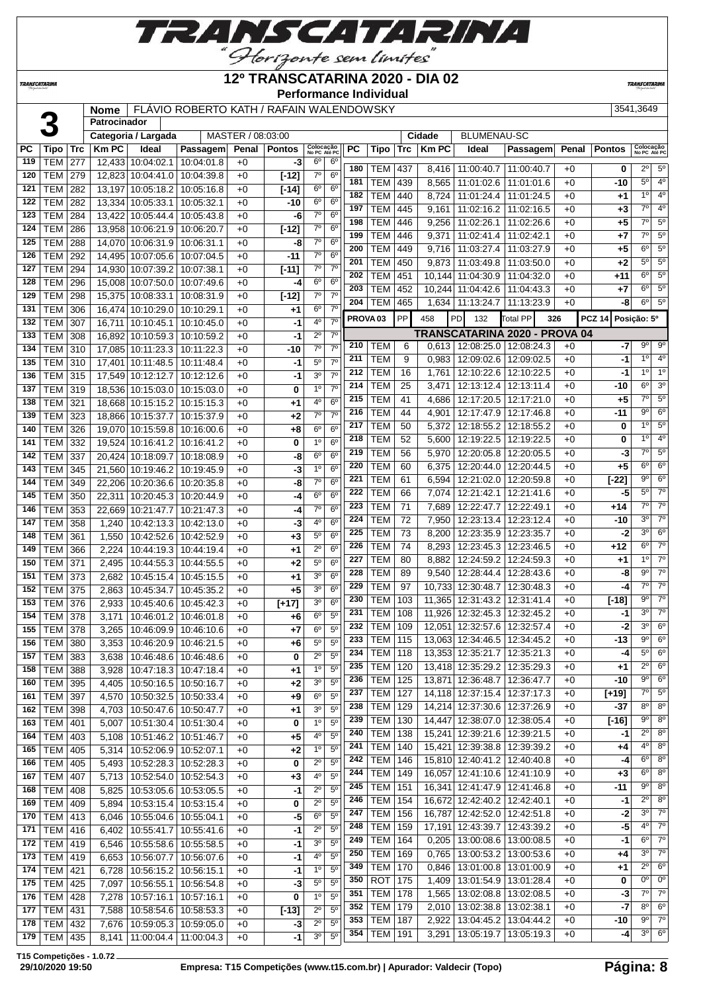

#### **12º TRANSCATARINA 2020 - DIA 02**

**Performance Individual**

**TRANSCATARIN** 

**TRANSCATARINA** 

# **Nome** FLÁVIO ROBERTO KATH / RAFAIN WALENDOWSKY And the state of the state of  $3541,3649$

|     |                 |     | Patrocinador |                         |                                 |                   |               |                           |                 |           |                     |                 |              |                    |                               |       |               |                           |                  |
|-----|-----------------|-----|--------------|-------------------------|---------------------------------|-------------------|---------------|---------------------------|-----------------|-----------|---------------------|-----------------|--------------|--------------------|-------------------------------|-------|---------------|---------------------------|------------------|
|     |                 |     |              | Categoria / Largada     |                                 | MASTER / 08:03:00 |               |                           |                 |           |                     |                 | Cidade       | <b>BLUMENAU-SC</b> |                               |       |               |                           |                  |
| PС  | Tipo            | Trc | <b>Km PC</b> | Ideal                   | Passagem                        | Penal             | <b>Pontos</b> | Colocação<br>No PC Até PC |                 | <b>PC</b> | <b>Tipo</b>         | Trc             | <b>Km PC</b> | Ideal              | Passagem                      | Penal | <b>Pontos</b> | Colocação<br>No PC Até PC |                  |
| 119 | <b>TEM</b>      | 277 |              | 12.433 10:04:02.1       | 10:04:01.8                      | $+0$              | -3            | $6^{\circ}$               | 6 <sup>o</sup>  | 180       | TEM                 | 437             | 8,416        | 11:00:40.7         | 11:00:40.7                    | $+0$  | 0             | $2^{\circ}$               | 5 <sup>o</sup>   |
| 120 | <b>TEM</b>      | 279 |              | 12,823 10:04:41.0       | 10:04:39.8                      | $+0$              | $[-12]$       | $7^\circ$                 | 6 <sup>o</sup>  | 181       | TEM                 | 439             | 8,565        | 11:01:02.6         | 11:01:01.6                    | $+0$  | -10           | $5^{\circ}$               | 4 <sup>0</sup>   |
| 121 | <b>TEM</b>      | 282 |              | 13,197 10:05:18.2       | 10:05:16.8                      | $+0$              | $[-14]$       | $6^{\circ}$               | 6 <sup>o</sup>  | 182       | <b>TEM</b>          | 440             |              | 11:01:24.4         |                               | $+0$  |               | 10                        | 4 <sup>0</sup>   |
| 122 | <b>TEM</b>      | 282 |              | 13,334 10:05:33.1       | 10:05:32.1                      | $+0$              | $-10$         | $6^{\circ}$               | 6 <sup>o</sup>  | 197       |                     |                 | 8,724        |                    | 11:01:24.5                    |       | $+1$          | $\overline{7^0}$          | 4 <sup>0</sup>   |
| 123 | <b>TEM</b>      | 284 |              | 13,422 10:05:44.4       | 10:05:43.8                      | $+0$              | -6            | $7^\circ$                 | 6 <sup>o</sup>  |           | <b>TEM</b>          | 445             | 9,161        | 11:02:16.2         | 11:02:16.5                    | $+0$  | $+3$          |                           |                  |
| 124 | <b>TEM</b>      | 286 |              | 13,958 10:06:21.9       | 10:06:20.7                      | $+0$              | $[-12]$       | $7^\circ$                 | 6 <sup>o</sup>  | 198       | <b>TEM</b>          | 446             | 9,256        | 11:02:26.1         | 11:02:26.6                    | $+0$  | $+5$          | $\overline{7^0}$          | $5^{\circ}$      |
| 125 | <b>TEM</b>      | 288 |              | 14,070 10:06:31.9       | 10:06:31.1                      | $+0$              | -8            | $7^\circ$                 | $6^{\circ}$     | 199       | <b>TEM</b>          | 446             | 9,371        | 11:02:41.4         | 11:02:42.1                    | $+0$  | $+7$          | $\overline{7^0}$          | $\overline{5^0}$ |
| 126 | <b>TEM</b>      | 292 |              | 14,495 10:07:05.6       | 10:07:04.5                      | $+0$              | -11           | $7^\circ$                 | 6 <sup>o</sup>  | 200       | <b>TEM</b>          | 449             | 9,716        | 11:03:27.4         | 11:03:27.9                    | $+0$  | $+5$          | 6 <sup>o</sup>            | $5^{\circ}$      |
| 127 | <b>TEM</b>      | 294 |              | 14,930 10:07:39.2       | 10:07:38.1                      | $+0$              | $[-11]$       | $7^\circ$                 | $7^\circ$       | 201       | <b>TEM</b>          | 450             | 9,873        | 11:03:49.8         | 11:03:50.0                    | $+0$  | +2            | $5^{\circ}$               | $\overline{5^0}$ |
| 128 | <b>TEM</b>      | 296 |              | 15,008 10:07:50.0       | 10:07:49.6                      | $+0$              | -4            | 6 <sup>o</sup>            | 6 <sup>o</sup>  | 202       | <b>TEM</b>          | 451             | 10.144       | 11:04:30.9         | 11:04:32.0                    | $+0$  | +11           | $6^{\circ}$               | $5^{\circ}$      |
| 129 | <b>TEM</b>      | 298 |              | 15,375 10:08:33.1       | 10:08:31.9                      | $+0$              | $[-12]$       | $7^\circ$                 | 7 <sup>o</sup>  | 203       | <b>TEM</b>          | 452             | 10,244       | 11:04:42.6         | 11:04:43.3                    | $+0$  | $+7$          | $6^{\circ}$               | $\overline{5^0}$ |
| 131 | <b>TEM</b>      | 306 |              | 16,474 10:10:29.0       | 10:10:29.1                      | $+0$              | $+1$          | 6 <sup>o</sup>            | $7^\circ$       | 204       | TEM                 | 465             | 1,634        | 11:13:24.7         | 11:13:23.9                    | $+0$  | -8            | $6^{\circ}$               | $5^{\circ}$      |
| 132 | TEM             | 307 | 16,711       | 10:10:45.1              | 10:10:45.0                      | $+0$              | $-1$          | 4°                        | 7 <sup>o</sup>  |           | PROVA <sub>03</sub> | PP              | 458          | <b>PD</b><br>132   | <b>Total PP</b><br>326        |       | <b>PCZ 14</b> | Posição: 5º               |                  |
| 133 | <b>TEM</b>      | 308 |              | 16,892 10:10:59.3       | 10:10:59.2                      | $+0$              | -1            | $2^{\circ}$               | $7^\circ$       |           |                     |                 |              |                    | TRANSCATARINA 2020 - PROVA 04 |       |               |                           |                  |
| 134 | <b>TEM</b>      | 310 |              | 17,085 10:11:23.3       | 10:11:22.3                      | $+0$              | $-10$         | $\overline{7}^{\circ}$    | $7^\circ$       | 210       | TEM                 | 6               | 0,613        | 12:08:25.0         | 12:08:24.3                    | $+0$  | -7            | $9^{\circ}$               | $9^{\circ}$      |
| 135 |                 |     |              | 17,401 10:11:48.5       |                                 | $+0$              | -1            | $5^{\circ}$               | $7^\circ$       | 211       | <b>TEM</b>          | 9               | 0,983        | 12:09:02.6         | 12:09:02.5                    | $+0$  | -1            | 1 <sup>0</sup>            | 4 <sup>0</sup>   |
|     | TEM             | 310 |              |                         | 10:11:48.4                      |                   |               | $3^{\circ}$               | $7^\circ$       | 212       | <b>TEM</b>          | 16              | 1,761        |                    | 12:10:22.6   12:10:22.5       | $+0$  | -1            | $1^{\circ}$               | 1 <sup>0</sup>   |
| 136 | TEM             | 315 |              | 17,549 10:12:12.7       | 10:12:12.6                      | $+0$              | -1            |                           | 7 <sup>0</sup>  | 214       | <b>TEM</b>          | 25              | 3,471        | 12:13:12.4         | 12:13:11.4                    | $+0$  | -10           | $6^{\circ}$               | 3 <sup>o</sup>   |
| 137 | TEM             | 319 |              | 18,536 10:15:03.0       | 10:15:03.0                      | $+0$              | 0             | 1 <sup>0</sup>            |                 | 215       | <b>TEM</b>          | 41              | 4,686        | 12:17:20.5         | 12:17:21.0                    | $+0$  | $+5$          | $7^\circ$                 | 5 <sup>o</sup>   |
| 138 | <b>TEM</b>      | 321 |              | 18,668 10:15:15.2       | 10:15:15.3                      | $+0$              | $+1$          | 4 <sup>0</sup>            | $6^{\circ}$     | 216       | <b>TEM</b>          | 44              | 4,901        | 12:17:47.9         | 12:17:46.8                    | $+0$  | $-11$         | 9 <sup>o</sup>            | 6 <sup>o</sup>   |
| 139 | <b>TEM</b>      | 323 |              | 18,866 10:15:37.7       | 10:15:37.9                      | $+0$              | $+2$          | $\overline{7}^{\circ}$    | $\overline{70}$ | 217       | <b>TEM</b>          | 50              | 5,372        | 12:18:55.2         | 12:18:55.2                    | $+0$  | 0             | 1 <sup>o</sup>            | 5 <sup>o</sup>   |
| 140 | <b>TEM</b>      | 326 |              | 19,070 10:15:59.8       | 10:16:00.6                      | $+0$              | $+8$          | $6^{\circ}$               | 6 <sup>o</sup>  | 218       | <b>TEM</b>          | 52              | 5,600        | 12:19:22.5         | 12:19:22.5                    | $+0$  | 0             | 1 <sup>0</sup>            | 4 <sup>0</sup>   |
| 141 | <b>TEM</b>      | 332 |              | 19,524 10:16:41.2       | 10:16:41.2                      | $+0$              | 0             | 1 <sup>0</sup>            | 6 <sup>o</sup>  | 219       | <b>TEM</b>          | 56              | 5,970        | 12:20:05.8         | 12:20:05.5                    | $+0$  | -3            | $7^\circ$                 | 5 <sup>0</sup>   |
| 142 | <b>TEM</b>      | 337 |              | 20.424 10:18:09.7       | 10:18:08.9                      | $+0$              | -8            | $6^{\circ}$               | 6 <sup>o</sup>  | 220       |                     |                 |              |                    |                               |       |               | 6 <sup>o</sup>            | 6 <sup>o</sup>   |
| 143 | <b>TEM</b>      | 345 |              | 21,560 10:19:46.2       | 10:19:45.9                      | $+0$              | -3            | 1 <sup>0</sup>            | 6 <sup>o</sup>  | 221       | <b>TEM</b>          | 60              | 6,375        | 12:20:44.0         | 12:20:44.5                    | $+0$  | $+5$          | $9^{\circ}$               | 6 <sup>o</sup>   |
| 144 | <b>TEM</b>      | 349 |              | 22,206 10:20:36.6       | 10:20:35.8                      | $+0$              | -8            | $7^{\circ}$               | 6 <sup>o</sup>  |           | <b>TEM</b>          | 61              | 6,594        | 12:21:02.0         | 12:20:59.8                    | $+0$  | $[-22]$       | $5^{\circ}$               | $7^\circ$        |
| 145 | <b>TEM</b>      | 350 |              | 22,311 10:20:45.3       | 10:20:44.9                      | $+0$              | -4            | $6^{\circ}$               | 6 <sup>o</sup>  | 222       | <b>TEM</b>          | 66              | 7,074        | 12:21:42.1         | 12:21:41.6                    | $+0$  | $-5$          |                           |                  |
| 146 | <b>TEM</b>      | 353 | 22,669       | 10:21:47.7              | 10:21:47.3                      | $+0$              | -4            | $7^\circ$                 | 6 <sup>o</sup>  | 223       | <b>TEM</b>          | 71              | 7,689        | 12:22:47.7         | 12:22:49.1                    | $+0$  | $+14$         | $7^\circ$                 | $7^\circ$        |
| 147 | <b>TEM</b>      | 358 | 1,240        | 10:42:13.3              | 10:42:13.0                      | $+0$              | -3            | 4°                        | 6 <sup>o</sup>  | 224       | <b>TEM</b>          | 72              | 7,950        | 12:23:13.4         | 12:23:12.4                    | $+0$  | -10           | 3 <sup>o</sup>            | $7^\circ$        |
| 148 | <b>TEM</b>      | 361 | 1,550        | 10:42:52.6              | 10:42:52.9                      | $+0$              | $+3$          | $5^{\circ}$               | $6^{\circ}$     | 225       | <b>TEM</b>          | $\overline{73}$ | 8,200        | 12:23:35.9         | 12:23:35.7                    | $+0$  | -2            | 3 <sup>0</sup>            | 6 <sup>o</sup>   |
| 149 | <b>TEM</b>      | 366 | 2,224        | 10:44:19.3              | 10:44:19.4                      | $+0$              | $+1$          | $2^{\circ}$               | $6^{\circ}$     | 226       | <b>TEM</b>          | $\overline{74}$ | 8,293        | 12:23:45.3         | 12:23:46.5                    | $+0$  | $+12$         | $6^{\circ}$               | $7^\circ$        |
| 150 | <b>TEM</b>      | 371 | 2,495        | 10:44:55.3              | 10:44:55.5                      | $+0$              | $+2$          | $5^{\circ}$               | 6 <sup>o</sup>  | 227       | <b>TEM</b>          | 80              | 8,882        | 12:24:59.2         | 12:24:59.3                    | $+0$  | $+1$          | 1 <sup>0</sup>            | $7^\circ$        |
| 151 | <b>TEM</b>      | 373 | 2,682        | 10:45:15.4              | 10:45:15.5                      | $+0$              | $+1$          | $3^{\circ}$               | 6 <sup>o</sup>  | 228       | <b>TEM</b>          | 89              | 9,540        | 12:28:44.4         | 12:28:43.6                    | $+0$  | -8            | $9^{\circ}$               | $\overline{70}$  |
| 152 | <b>TEM</b>      | 375 | 2,863        | 10:45:34.7              | 10:45:35.2                      | $+0$              | $+5$          | 3 <sup>o</sup>            | 6 <sup>o</sup>  | 229       | <b>TEM</b>          | 97              | 10,733       | 12:30:48.7         | 12:30:48.3                    | $+0$  | -4            | $7^\circ$                 | $7^\circ$        |
| 153 | TEM             | 376 | 2,933        | 10:45:40.6              | 10:45:42.3                      | $+0$              | [t17]         | 3 <sup>o</sup>            | 6 <sup>o</sup>  | 230       | <b>TEM</b>          | 103             | 11,365       | 12:31:43.2         | 12:31:41.4                    | $+0$  | $[-18]$       | $9^{\circ}$               | $\overline{70}$  |
| 154 | <b>TEM</b>      | 378 | 3,171        | 10:46:01.2              | 10:46:01.8                      | $+0$              | $+6$          | $6^{\circ}$               | $5^{\circ}$     | 231       | TEM                 | 108             | 11,926       |                    | 12:32:45.3   12:32:45.2       | $+0$  | -1            | 3 <sup>0</sup>            | $7^\circ$        |
| 155 | TEM             | 378 | 3,265        | 10:46:09.9              | 10:46:10.6                      | $+0$              | $+7$          | $6^{\circ}$               | $5^{\circ}$     | 232       | <b>TEM</b>          | 109             | 12,051       | 12:32:57.6         | 12:32:57.4                    | $+0$  | $-2$          | 30                        | 6 <sup>o</sup>   |
| 156 | <b>TEM</b>      | 380 | 3.353        | 10:46:20.9              | 10:46:21.5                      | $+0$              | $+6$          | $5^{\circ}$               | 5 <sup>0</sup>  | 233       | <b>TEM</b>          | 115             | 13.063       | 12:34:46.5         | 12:34:45.2                    | $+0$  | $-13$         | $9^{\circ}$               | 6 <sup>o</sup>   |
| 157 | TEM 383         |     | 3,638        | 10:46:48.6   10:46:48.6 |                                 | $+0$              | 0             | $2^{\circ}$               | 5 <sup>0</sup>  | 234       | <b>TEM   118</b>    |                 |              |                    | 13,353 12:35:21.7 12:35:21.3  | +0    | -4            | $5^{\circ}$               | $6^{\circ}$      |
| 158 | <b>TEM 388</b>  |     | 3,928        |                         | 10:47:18.3 10:47:18.4           | $+0$              | +1            | 1 <sup>0</sup>            | 5 <sup>o</sup>  | 235       | <b>TEM</b>          | 120             |              |                    | 13,418 12:35:29.2 12:35:29.3  | $+0$  | +1            | $2^{\circ}$               | 6 <sup>o</sup>   |
| 160 | TEM 395         |     |              |                         | 4,405   10:50:16.5   10:50:16.7 | $+0$              | $+2$          | 3 <sup>o</sup>            | $5^{\circ}$     | 236       | <b>TEM</b>          | 125             | 13,871       |                    | 12:36:48.7   12:36:47.7       | $+0$  | $-10$         | $9^{\circ}$               | $6^{\circ}$      |
| 161 | TEM             | 397 | 4,570        |                         | 10:50:32.5   10:50:33.4         | $+0$              | +9            | $6^{\circ}$               | $5^{\circ}$     | 237       | TEM                 | 127             |              |                    | 14,118 12:37:15.4 12:37:17.3  | $+0$  | $[+19]$       | $7^\circ$                 | $5^{\circ}$      |
| 162 | <b>TEM</b>      | 398 | 4,703        |                         | 10:50:47.6 10:50:47.7           | $+0$              | $+1$          | 3 <sup>o</sup>            | $5^{\circ}$     | 238       | <b>TEM</b>          | 129             |              |                    | 14,214 12:37:30.6 12:37:26.9  | $+0$  | -37           | 80                        | $8^{\circ}$      |
| 163 | <b>TEM</b>      | 401 | 5,007        | 10:51:30.4              | 10:51:30.4                      | $+0$              | 0             | 1 <sup>o</sup>            | $5^{\circ}$     | 239       | TEM                 | 130             | 14,447       |                    | 12:38:07.0   12:38:05.4       | $+0$  | $[-16]$       | $9^{\circ}$               | 8 <sup>o</sup>   |
| 164 | TEM             | 403 | 5,108        | 10:51:46.2              | 10:51:46.7                      | $+0$              | $+5$          | $4^{\circ}$               | 5 <sup>0</sup>  | 240       | TEM                 | 138             | 15,241       |                    | 12:39:21.6   12:39:21.5       | $+0$  | -1            | $2^{\circ}$               | $8^{\circ}$      |
| 165 | <b>TEM</b>      | 405 | 5,314        |                         | 10:52:06.9 10:52:07.1           | $+0$              | $+2$          | 1 <sup>0</sup>            | $5^{\circ}$     | 241       | TEM                 | 140             |              |                    | 15,421 12:39:38.8 12:39:39.2  | $+0$  | +4            | $4^{\circ}$               | $8^{\circ}$      |
| 166 | <b>TEM</b>      | 405 | 5,493        | 10:52:28.3              | 10:52:28.3                      | $+0$              | 0             | $2^{\circ}$               | 5 <sup>0</sup>  | 242       | <b>TEM</b>          | 146             |              |                    | 15,810 12:40:41.2 12:40:40.8  | $+0$  | -4            | $6^{\circ}$               | $8^{\circ}$      |
| 167 | <b>TEM</b>      | 407 | 5,713        |                         | 10:52:54.0   10:52:54.3         | $+0$              | $+3$          | 4 <sup>0</sup>            | 5 <sup>0</sup>  | 244       | TEM                 | 149             |              |                    | 16,057 12:41:10.6 12:41:10.9  | $+0$  | $+3$          | 6 <sup>o</sup>            | $8^{\circ}$      |
| 168 | <b>TEM 408</b>  |     | 5,825        |                         | 10:53:05.6   10:53:05.5         | $+0$              | $-1$          | $2^{\circ}$               | $5^{\circ}$     | 245       | TEM                 | 151             | 16,341       |                    | 12:41:47.9 12:41:46.8         | $+0$  | -11           | $9^{\circ}$               | $8^{\circ}$      |
| 169 | TEM   409       |     | 5,894        |                         | 10:53:15.4 10:53:15.4           | $+0$              | 0             | $2^{\circ}$               | $5^{\circ}$     | 246       | <b>TEM</b>          | 154             |              |                    | 16,672 12:42:40.2 12:42:40.1  | $+0$  | $-1$          | $2^{\circ}$               | 8 <sup>0</sup>   |
|     |                 |     |              |                         |                                 |                   |               | $6^{\circ}$               | 5 <sup>o</sup>  | 247       | TEM                 | 156             |              |                    | 16,787 12:42:52.0 12:42:51.8  | $+0$  | $-2$          | $3^{\circ}$               | $7^\circ$        |
| 170 | TEM   413       |     | 6,046        | 10:55:04.6              | 10:55:04.1                      | $+0$              | -5            | $2^{\circ}$               | $5^{\circ}$     | 248       | TEM                 | 159             | 17,191       |                    | 12:43:39.7   12:43:39.2       | $+0$  | $-5$          | $4^{\circ}$               | $7^\circ$        |
| 171 | <b>TEM 416</b>  |     | 6,402        | 10:55:41.7              | 10:55:41.6                      | $+0$              | $-1$          | 3 <sup>o</sup>            | $5^{\circ}$     | 249       | <b>TEM</b>          | 164             | 0,205        |                    | 13:00:08.6   13:00:08.5       | $+0$  | $-1$          | $6^{\circ}$               | $7^\circ$        |
| 172 | TEM 419         |     | 6,546        | 10:55:58.6   10:55:58.5 |                                 | $+0$              | $-1$          |                           |                 | 250       | <b>TEM</b>          | 169             | 0,765        |                    | 13:00:53.2 13:00:53.6         | $+0$  | $+4$          | 3 <sup>0</sup>            | $7^\circ$        |
| 173 | TEM 419         |     | 6,653        | 10:56:07.7              | 10:56:07.6                      | $+0$              | $-1$          | 4 <sup>0</sup>            | $5^{\circ}$     | 349       | TEM                 | 170             | 0,846        |                    | 13:01:00.8   13:01:00.9       | $+0$  | $+1$          | $2^{\circ}$               | $6^{\circ}$      |
| 174 | <b>TEM</b>      | 421 | 6,728        | 10:56:15.2 10:56:15.1   |                                 | $+0$              | -1            | 1 <sup>0</sup>            | 5 <sup>o</sup>  | 350       | <b>ROT</b>          | 175             | 1,409        |                    | 13:01:54.9   13:01:28.4       | $+0$  | 0             | 0°                        | $0^{\circ}$      |
| 175 | <b>TEM 425</b>  |     | 7,097        | 10:56:55.1              | 10:56:54.8                      | $+0$              | $-3$          | $5^{\circ}$               | 5 <sup>0</sup>  | 351       | <b>TEM</b>          | 178             | 1,565        |                    | 13:02:08.8   13:02:08.5       | $+0$  | $-3$          | $7^\circ$                 | $7^\circ$        |
|     | 176   TEM       | 428 | 7,278        | 10:57:16.1              | 10:57:16.1                      | $+0$              | 0             | 1 <sup>o</sup>            | $5^{\circ}$     | 352       | TEM                 | 179             | 2,010        |                    | 13:02:38.8   13:02:38.1       | $+0$  | $-7$          | $8^{\circ}$               | 6 <sup>o</sup>   |
| 177 | TEM   431       |     | 7,588        |                         | 10:58:54.6   10:58:53.3         | $+0$              | $[-13]$       | $2^{\circ}$               | 5 <sup>0</sup>  | 353       | TEM                 |                 |              |                    |                               |       |               | $9^{\circ}$               | $7^\circ$        |
|     | 178   TEM   432 |     |              |                         | 7,676   10:59:05.3   10:59:05.0 | $+0$              | $-3$          | $2^{\circ}$               | 5 <sup>0</sup>  |           |                     | 187             | 2,922        |                    | 13:04:45.2   13:04:44.2       | $+0$  | -10           | $3^{\circ}$               | 6 <sup>o</sup>   |
|     | 179   TEM   435 |     |              | 8,141   11:00:04.4      | 11:00:04.3                      | $+0$              | $-1$          | 30                        | 5 <sup>0</sup>  | 354       | <b>TEM</b>          | 191             | 3,291        |                    | 13:05:19.7   13:05:19.3       | $+0$  | $-4$          |                           |                  |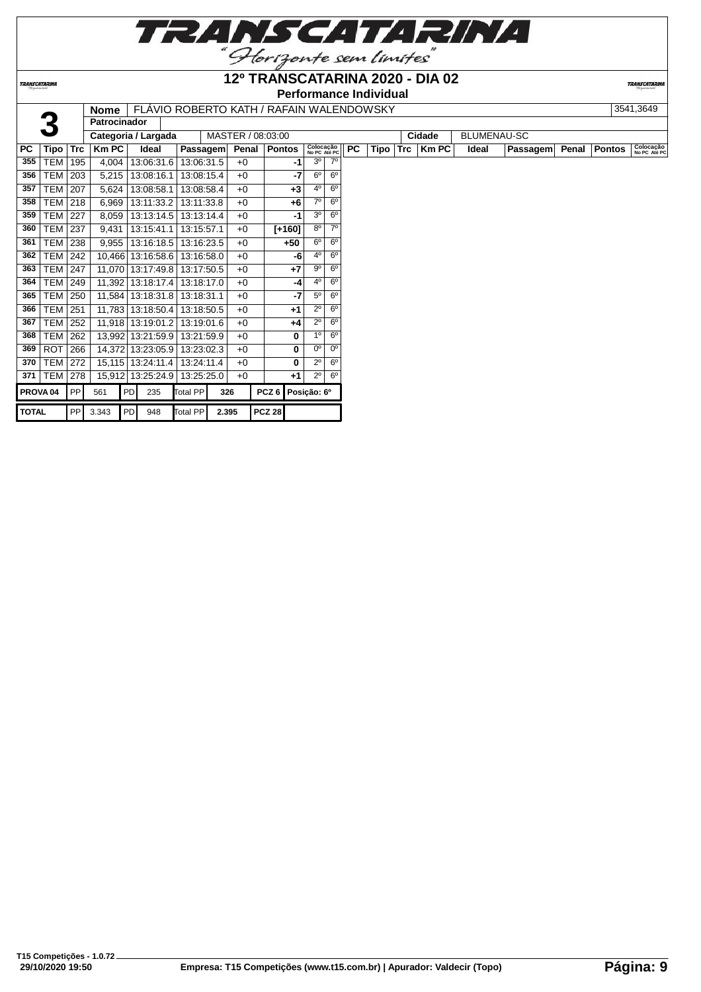

## **12º TRANSCATARINA 2020 - DIA 02**

**Performance Individual**

**TRANSCATARIN** 

|                     |                |            | <b>Nome</b>         |    |                   |                 |       |       | FLAVIO ROBERTO KATH / RAFAIN WALENDOWSKY |             |                |                           |           |      |     |              |                    |          |       |               | 3541,3649                 |
|---------------------|----------------|------------|---------------------|----|-------------------|-----------------|-------|-------|------------------------------------------|-------------|----------------|---------------------------|-----------|------|-----|--------------|--------------------|----------|-------|---------------|---------------------------|
|                     |                |            | <b>Patrocinador</b> |    |                   |                 |       |       |                                          |             |                |                           |           |      |     |              |                    |          |       |               |                           |
|                     |                |            | Categoria / Largada |    |                   |                 |       |       | MASTER / 08:03:00                        |             |                |                           |           |      |     | Cidade       | <b>BLUMENAU-SC</b> |          |       |               |                           |
| <b>PC</b>           | Tipo           | <b>Trc</b> | <b>Km PC</b>        |    | Ideal             | <b>Passagem</b> |       | Penal | <b>Pontos</b>                            |             |                | Colocação<br>No PC Até PC | <b>PC</b> | Tipo | Trc | <b>Km PC</b> | Ideal              | Passagem | Penal | <b>Pontos</b> | Colocação<br>No PC Até PC |
| 355                 | TEM            | 195        | 4,004               |    | 13:06:31.6        | 13:06:31.5      |       | $+0$  |                                          | -1          | 3 <sup>0</sup> | 70                        |           |      |     |              |                    |          |       |               |                           |
| 356                 | TEM            | 203        | 5,215               |    | 13:08:16.1        | 13:08:15.4      |       | $+0$  |                                          | $-7$        | 6 <sup>o</sup> | 6 <sup>o</sup>            |           |      |     |              |                    |          |       |               |                           |
| 357                 | TEM            | 207        | 5,624               |    | 13:08:58.1        | 13:08:58.4      |       | $+0$  |                                          | $+3$        | 4 <sup>0</sup> | 6 <sup>o</sup>            |           |      |     |              |                    |          |       |               |                           |
| 358                 | <b>TEM</b>     | 218        | 6,969               |    | 13:11:33.2        | 13:11:33.8      |       | $+0$  |                                          | $+6$        | 70             | $6^{\circ}$               |           |      |     |              |                    |          |       |               |                           |
| 359                 | TEM            | 227        | 8,059               |    | 13:13:14.5        | 13:13:14.4      |       | $+0$  |                                          | -1          | 3 <sup>o</sup> | 6 <sup>o</sup>            |           |      |     |              |                    |          |       |               |                           |
| 360                 | TEM            | 237        | 9,431               |    | 13:15:41.1        | 13:15:57.1      |       | $+0$  | $[+160]$                                 |             | $8^{\circ}$    | 7 <sup>0</sup>            |           |      |     |              |                    |          |       |               |                           |
| 361                 | <b>TEM 238</b> |            | 9.955               |    | 13:16:18.5        | 13:16:23.5      |       | $+0$  | $+50$                                    |             | 6 <sup>o</sup> | $6^{\circ}$               |           |      |     |              |                    |          |       |               |                           |
| 362                 | <b>TEM</b>     | 242        |                     |    | 10.466 13:16:58.6 | 13:16:58.0      |       | $+0$  |                                          | -6          | 40             | $6^{\circ}$               |           |      |     |              |                    |          |       |               |                           |
| 363                 | <b>TEM</b>     | 247        |                     |    | 11,070 13:17:49.8 | 13:17:50.5      |       | $+0$  |                                          | $+7$        | $9^{\circ}$    | $6^{\circ}$               |           |      |     |              |                    |          |       |               |                           |
| 364                 | TEM            | 249        |                     |    | 11,392 13:18:17.4 | 13:18:17.0      |       | $+0$  |                                          | -4          | 40             | $6^{\circ}$               |           |      |     |              |                    |          |       |               |                           |
| 365                 | TEM            | 250        |                     |    | 11,584 13:18:31.8 | 13:18:31.1      |       | $+0$  |                                          | $-7$        | $5^{\circ}$    | $6^{\circ}$               |           |      |     |              |                    |          |       |               |                           |
| 366                 | TEM            | 251        |                     |    | 11,783 13:18:50.4 | 13:18:50.5      |       | $+0$  |                                          | $+1$        | $2^{\circ}$    | $6^{\circ}$               |           |      |     |              |                    |          |       |               |                           |
| 367                 | TEM            | 252        |                     |    | 11,918 13:19:01.2 | 13:19:01.6      |       | $+0$  |                                          | $+4$        | $2^{\circ}$    | $6^{\circ}$               |           |      |     |              |                    |          |       |               |                           |
| 368                 | TEM            | 262        |                     |    | 13,992 13:21:59.9 | 13:21:59.9      |       | $+0$  |                                          | 0           | 10             | 6 <sup>o</sup>            |           |      |     |              |                    |          |       |               |                           |
| 369                 | <b>ROT</b>     | 266        |                     |    | 14,372 13:23:05.9 | 13:23:02.3      |       | $+0$  |                                          | 0           | $0^{\circ}$    | 0 <sup>o</sup>            |           |      |     |              |                    |          |       |               |                           |
| 370                 | <b>TEM 272</b> |            |                     |    | 15,115 13:24:11.4 | 13:24:11.4      |       | $+0$  |                                          | 0           | $2^{\circ}$    | $6^{\circ}$               |           |      |     |              |                    |          |       |               |                           |
| 371                 | <b>TEM 278</b> |            |                     |    | 15,912 13:25:24.9 | 13:25:25.0      |       | $+0$  |                                          | $+1$        | $2^{\circ}$    | $6^{\circ}$               |           |      |     |              |                    |          |       |               |                           |
| PROVA <sub>04</sub> |                | <b>PP</b>  | 561                 | PD | 235               | Total PP        | 326   |       | PCZ <sub>6</sub>                         | Posição: 6º |                |                           |           |      |     |              |                    |          |       |               |                           |
| <b>TOTAL</b>        |                | PP         | 3.343               | PD | 948               | <b>Total PP</b> | 2.395 |       | <b>PCZ 28</b>                            |             |                |                           |           |      |     |              |                    |          |       |               |                           |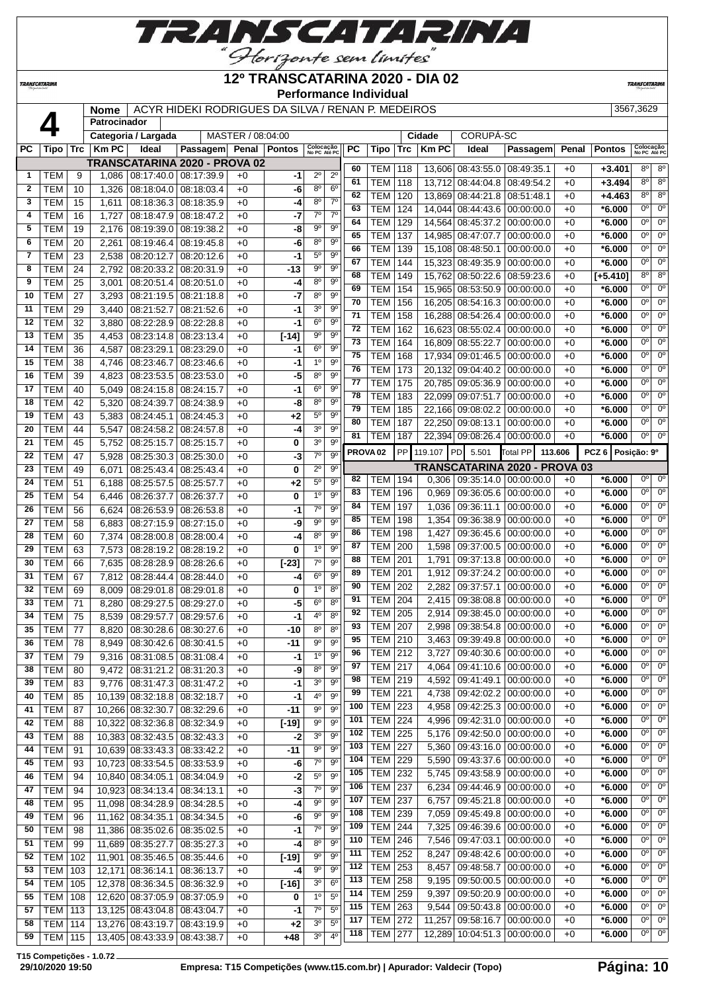

#### **TRANSCATARINA**

#### **12º TRANSCATARINA 2020 - DIA 02 Performance Individual**

**TRANSCATARIN** 

 **Nome** | ACYR HIDEKI RODRIGUES DA SILVA / RENAN P. MEDEIROS | 3567,3629 **Patrocinador Categoria / Largada** MASTER / 08:04:00 **Cidade** CORUPÁ-SC **PC Tipo Trc Km PC Ideal Passagem Penal Pontos Colocação No PC Até PC PC Tipo Trc Km PC Ideal Passagem Penal Pontos Colocação No PC Até PC TRANSCATARINA 2020 - PROVA 02** TEM 9 1,086 08:17:40.0 08:17:39.9 +0 **-1** 2º 2º **FEM 10 1,000 08:18:00 08:18:00 18:00**  TEM 15 1,611 08:18:36.3 08:18:35.9 +0 **-4** 8º 7º TEM 16 1,727 08:18:47.9 08:18:47.2 +0 **-7** 7º 7º TEM 118 13,606 08:43:55.0 08:49:35.1 +0 **+3.401** 8º 8º TEM 118 13,712 08:44:04.8 08:49:54.2 +0 **+3.494** 8º 8º

| ∠  | <b>I EM</b>    | Ίυ  | 0/∠3، ا | 08.18.04.0 08.18.03.4            |                         | +v   | -0                 | o,             | O,                     | 62  | TEM                 | 120       |            | 13,869 08:44:21.8 08:51:48.1          |                               | $+0$    | +4.463            | $8^{\circ}$    | 8 <sup>o</sup>      |
|----|----------------|-----|---------|----------------------------------|-------------------------|------|--------------------|----------------|------------------------|-----|---------------------|-----------|------------|---------------------------------------|-------------------------------|---------|-------------------|----------------|---------------------|
| 3  | <b>TEM</b>     | 15  | 1,611   |                                  | 08:18:36.3 08:18:35.9   | $+0$ | -4                 | $8^{\circ}$    | 7 <sup>0</sup>         | 63  | <b>TEM</b>          | 124       |            | 14,044 08:44:43.6 00:00:00.0          |                               | $+0$    | $*6.000$          | 0 <sup>0</sup> | $0^{\circ}$         |
| 4  | <b>TEM</b>     | 16  | 1,727   | 08:18:47.9 08:18:47.2            |                         | $+0$ | -7                 | $7^\circ$      | $7^\circ$              | 64  | <b>TEM</b>          | 129       |            | 14,564 08:45:37.2 00:00:00.0          |                               | $+0$    | $*6.000$          | $0^{\circ}$    | $0^{\circ}$         |
| 5  | <b>TEM</b>     | 19  | 2.176   | 08:19:39.0                       | 08:19:38.2              | $+0$ | -8                 | $9^{\circ}$    | $9^{\circ}$            | 65  | <b>TEM</b>          | 137       | 14,985     | 08:47:07.7                            | 00:00:00.0                    | $+0$    | $*6.000$          | 0°             | $0^{\circ}$         |
| 6  | <b>TEM</b>     | 20  | 2,261   | 08:19:46.4                       | 08:19:45.8              | $+0$ | -6                 | 8 <sup>o</sup> | $9^{\circ}$            | 66  | <b>TEM</b>          | 139       | 15,108     | 08:48:50.1                            | 00:00:00.0                    |         | $*6.000$          | 0 <sup>0</sup> | $0^{\circ}$         |
| 7  | <b>TEM</b>     | 23  | 2,538   | 08:20:12.7                       | 08:20:12.6              | $+0$ | $-1$               | $5^{\circ}$    | $9^{\circ}$            | 67  |                     |           |            |                                       |                               | $+0$    |                   | $0^{\circ}$    | $0^{\circ}$         |
| 8  | <b>TEM</b>     | 24  | 2,792   | 08:20:33.2 08:20:31.9            |                         | $+0$ | $-13$              | $9^{\circ}$    | $9^{\circ}$            |     | <b>TEM</b>          | 144       | 15,323     | $\vert$ 08:49:35.9 $\vert$ 00:00:00.0 |                               | $+0$    | $*6.000$          |                |                     |
| 9  | <b>TEM</b>     | 25  | 3,001   | 08:20:51.4                       | 08:20:51.0              | $+0$ | -4                 | $8^{\circ}$    | $9^{\circ}$            | 68  | <b>TEM</b>          | 149       | 15.762     | 08:50:22.6 08:59:23.6                 |                               | $+0$    | $[+5.410]$        | $8^{\circ}$    | $8^{\circ}$         |
| 10 | <b>TEM</b>     | 27  | 3,293   | 08:21:19.5                       | 08:21:18.8              | $+0$ | -7                 | $8^{\circ}$    | $9^{\circ}$            | 69  | TEM                 | 154       | 15,965     | 08:53:50.9                            | 00:00:00.0                    | $+0$    | *6.000            | 0 <sup>0</sup> | $0^{\circ}$         |
| 11 | <b>TEM</b>     | 29  | 3,440   | 08:21:52.7                       | 08:21:52.6              | $+0$ | -1                 | 3 <sup>o</sup> | $9^{\circ}$            | 70  | <b>TEM</b>          | 156       | 16,205     | $\vert$ 08:54:16.3 $\vert$ 00:00:00.0 |                               | $+0$    | $*6.000$          | 0 <sup>0</sup> | $0^{\circ}$         |
| 12 | <b>TEM</b>     | 32  | 3,880   |                                  | 08:22:28.9 08:22:28.8   | $+0$ | $-1$               | 6 <sup>o</sup> | $9^{\circ}$            | 71  | TEM                 | 158       |            | 16,288 08:54:26.4 00:00:00.0          |                               | $+0$    | $*6.000$          | 0 <sup>o</sup> | $0^{\circ}$         |
| 13 | <b>TEM</b>     | 35  | 4,453   |                                  | 08:23:14.8 08:23:13.4   | $+0$ | $[-14]$            | 90             | $9^{\circ}$            | 72  | <b>TEM</b>          | 162       |            | 16,623 08:55:02.4 00:00:00.0          |                               | $+0$    | $*6.000$          | $0^{\circ}$    | $0^{\circ}$         |
| 14 | <b>TEM</b>     | 36  |         |                                  | 08:23:29.0              | $+0$ | -1                 | $6^{\circ}$    | $9^{\circ}$            | 73  | <b>TEM</b>          | 164       |            | 16,809 08:55:22.7                     | 00:00:00.0                    | $+0$    | $*6.000$          | $0^{\circ}$    | $0^{\circ}$         |
| 15 | <b>TEM</b>     |     | 4,587   | 08:23:29.1                       |                         |      |                    | 1 <sup>0</sup> | $9^{\circ}$            | 75  | <b>TEM</b>          | 168       | 17,934     | 09:01:46.5                            | $\boxed{00:00:00.0}$          | $+0$    | $*6.000$          | 0°             | $0^{\circ}$         |
|    |                | 38  | 4,746   | 08:23:46.7                       | 08:23:46.6              | $+0$ | $-1$               | 8 <sup>o</sup> | $9^{\circ}$            | 76  | <b>TEM</b>          | 173       | 20,132     | 09:04:40.2                            | 00:00:00.0                    | $+0$    | $*6.000$          | 0 <sup>o</sup> | $0^{\circ}$         |
| 16 | <b>TEM</b>     | 39  | 4,823   | 08:23:53.5                       | 08:23:53.0              | $+0$ | $-5$               |                |                        | 77  | TEM                 | 175       |            | 20,785 09:05:36.9 00:00:00.0          |                               | $+0$    | $*6.000$          | 0 <sup>0</sup> | $0^{\circ}$         |
| 17 | <b>TEM</b>     | 40  | 5,049   | 08:24:15.8 08:24:15.7            |                         | $+0$ | -1                 | 6 <sup>o</sup> | $9^{\circ}$            | 78  | <b>TEM</b>          | 183       |            | 22,099 09:07:51.7                     | 00:00:00.0                    | $+0$    | $*6.000$          | 0 <sup>0</sup> | $0^{\circ}$         |
| 18 | <b>TEM</b>     | 42  | 5,320   | 08:24:39.7                       | 08:24:38.9              | $+0$ | -8                 | $8^{\circ}$    | $9^{\circ}$            | 79  | TEM                 | 185       |            | 22,166 09:08:02.2 00:00:00.0          |                               | $+0$    | $*6.000$          | 0 <sup>0</sup> | 0 <sup>o</sup>      |
| 19 | <b>TEM</b>     | 43  | 5,383   | 08:24:45.1                       | 08:24:45.3              | $+0$ | $+2$               | $5^{\circ}$    | $9^{\circ}$            | 80  | <b>TEM</b>          | 187       |            | 22,250 09:08:13.1                     | 00:00:00.0                    | $+0$    | $*6.000$          | 0 <sup>0</sup> | 0 <sup>o</sup>      |
| 20 | <b>TEM</b>     | 44  | 5,547   |                                  | 08:24:58.2 08:24:57.8   | $+0$ | -4                 | 3 <sup>o</sup> | 9 <sup>o</sup>         | 81  | <b>TEM</b>          | 187       |            | 22,394 09:08:26.4 00:00:00.0          |                               | $+0$    | $*6.000$          |                | $0o$ 0 <sup>o</sup> |
| 21 | <b>TEM</b>     | 45  | 5,752   | 08:25:15.7                       | 08:25:15.7              | $+0$ | 0                  | 3 <sup>o</sup> | $9^{\circ}$            |     |                     |           |            |                                       |                               |         |                   |                |                     |
| 22 | <b>TEM</b>     | 47  | 5,928   | 08:25:30.3 08:25:30.0            |                         | $+0$ | -3                 | $7^\circ$      | $9^{\circ}$            |     | PROVA <sub>02</sub> | <b>PP</b> | 119.107 PD | 5.501                                 | Total PP                      | 113.606 | PCZ 6 Posição: 9º |                |                     |
| 23 | <b>TEM</b>     | 49  | 6,071   | 08:25:43.4                       | 08:25:43.4              | $+0$ | 0                  | $2^{\circ}$    | $9^{\circ}$            |     |                     |           |            |                                       | TRANSCATARINA 2020 - PROVA 03 |         |                   |                |                     |
| 24 | <b>TEM</b>     | 51  | 6,188   | 08:25:57.5                       | 08:25:57.7              | $+0$ | $+2$               | $5^{\circ}$    | $9^{\circ}$            | 82  | TEM                 | 194       | 0,306      | $\vert$ 09:35:14.0 $\vert$ 00:00:00.0 |                               | $+0$    | $*6.000$          | $0^{\circ}$    | 0 <sup>o</sup>      |
| 25 | <b>TEM</b>     | 54  | 6,446   | 08:26:37.7                       | 08:26:37.7              | $+0$ | 0                  | 1 <sup>0</sup> | $9^{\circ}$            | 83  | TEM                 | 196       | 0,969      |                                       | 09:36:05.6 00:00:00.0         | $+0$    | $*6.000$          | 0 <sup>0</sup> | $0^{\circ}$         |
| 26 | <b>TEM</b>     | 56  | 6,624   |                                  | 08:26:53.9   08:26:53.8 | $+0$ | -1                 | $7^\circ$      | $9^{\circ}$            | 84  | TEM                 | 197       | 1,036      | 09:36:11.1                            | 00:00:00.0                    | $+0$    | $*6.000$          | 0 <sup>o</sup> | $0^{\circ}$         |
| 27 | <b>TEM</b>     | 58  | 6,883   |                                  | 08:27:15.9 08:27:15.0   | $+0$ | -9                 | $9^{\circ}$    | $9^{\circ}$            | 85  | <b>TEM</b>          | 198       | 1,354      | 09:36:38.9 00:00:00.0                 |                               | $+0$    | $*6.000$          | $0^{\circ}$    | $0^{\circ}$         |
| 28 | <b>TEM</b>     | 60  | 7,374   | 08:28:00.8                       | 08:28:00.4              | $+0$ | -4                 | $8^{\circ}$    | $9^{\circ}$            | 86  | TEM                 | 198       | 1,427      |                                       | 09:36:45.6 00:00:00.0         | $+0$    | $*6.000$          | 0 <sup>o</sup> | $0^{\circ}$         |
| 29 | <b>TEM</b>     | 63  | 7,573   |                                  | 08:28:19.2 08:28:19.2   | $+0$ | 0                  | 1 <sup>0</sup> | $9^{\circ}$            | 87  | <b>TEM</b>          | 200       | 1,598      | 09:37:00.5                            | 00:00:00.0                    | $+0$    | $*6.000$          | 0 <sup>o</sup> | $0^{\circ}$         |
| 30 | <b>TEM</b>     | 66  | 7,635   |                                  | 08:28:28.9 08:28:26.6   | $+0$ | $[-23]$            | $7^{\circ}$    | $9^{\circ}$            | 88  | TEM                 | 201       | 1,791      |                                       | 09:37:13.8 00:00:00.0         | $+0$    | $*6.000$          | $0^{\circ}$    | $0^{\circ}$         |
| 31 | <b>TEM</b>     | 67  | 7,812   | 08:28:44.4                       | 08:28:44.0              | $+0$ | -4                 | 6 <sup>o</sup> | $9^{\circ}$            | 89  | TEM                 | 201       | 1,912      | 09:37:24.2 00:00:00.0                 |                               | $+0$    | $*6.000$          | $0^{\circ}$    | $0^{\circ}$         |
| 32 | <b>TEM</b>     | 69  | 8,009   | 08:29:01.8                       | 08:29:01.8              | $+0$ | 0                  | 1 <sup>0</sup> | 8 <sup>0</sup>         | 90  | TEM                 | 202       | 2,282      | 09:37:57.1                            | 00:00:00.0                    | $+0$    | $*6.000$          | $0^{\circ}$    | $0^{\circ}$         |
| 33 | <b>TEM</b>     | 71  | 8,280   | 08:29:27.5                       | 08:29:27.0              | $+0$ | -5                 | $6^{\circ}$    | $8^{\circ}$            | 91  | <b>TEM</b>          | 204       | 2,415      | 09:38:08.8                            | 00:00:00.0                    | $+0$    | $*6.000$          | $0^{\circ}$    | $0^{\circ}$         |
| 34 | <b>TEM</b>     | 75  | 8,539   | 08:29:57.7                       | 08:29:57.6              | $+0$ | $-1$               | 4 <sup>0</sup> | 8 <sup>o</sup>         | 92  | <b>TEM</b>          | 205       | 2,914      |                                       | 09:38:45.0 00:00:00.0         | $+0$    | $*6.000$          | 0 <sup>o</sup> | $0^{\circ}$         |
| 35 | <b>TEM</b>     | 77  | 8,820   | 08:30:28.6                       | 08:30:27.6              | $+0$ | -10                | 8 <sup>o</sup> | 8 <sup>o</sup>         | 93  | TEM                 | 207       | 2,998      | 09:38:54.8 00:00:00.0                 |                               | $+0$    | $*6.000$          | $0^{\circ}$    | $0^{\circ}$         |
| 36 | <b>TEM</b>     | 78  | 8,949   | 08:30:42.6                       | 08:30:41.5              | $+0$ | -11                | $9^{\circ}$    | $9^{\circ}$            | 95  | TEM                 | 210       | 3,463      | 09:39:49.8 00:00:00.0                 |                               | $+0$    | $*6.000$          | $0^{\circ}$    | $0^{\circ}$         |
| 37 | <b>TEM</b>     | 79  | 9,316   | 08:31:08.5                       | 08:31:08.4              | $+0$ | -1                 | 1 <sup>0</sup> | $9^{\circ}$            | 96  | TEM                 | 212       | 3,727      |                                       | 09:40:30.6   00:00:00.0       | $+0$    | $*6.000$          | $0^{\circ}$    | $0^{\circ}$         |
| 38 | <b>TEM</b>     | 80  | 9,472   | 08:31:21.2                       | 08:31:20.3              | $+0$ | -9                 | 8 <sup>o</sup> | $\overline{9^{\circ}}$ | 97  | <b>TEM</b>          | 217       | 4,064      | 09:41:10.6                            | 00:00:00.0                    | $+0$    | $*6.000$          | $0^{\circ}$    | $0^{\circ}$         |
| 39 | <b>TEM</b>     | 83  | 9,776   | 08:31:47.3 08:31:47.2            |                         | $+0$ | $-1$               | 3 <sup>o</sup> | $9^{\circ}$            | 98  | TEM                 | 219       | 4,592      | 09:41:49.1                            | 00:00:00.0                    | $+0$    | $*6.000$          | 0 <sup>o</sup> | $0^{\circ}$         |
| 40 | <b>TEM</b>     | 85  | 10.139  | 08:32:18.8 08:32:18.7            |                         | $+0$ | $-1$               | 4°             | $9^{\circ}$            | 99  | TEM                 | 221       | 4,738      | 09:42:02.2                            | 00:00:00.0                    | $+0$    | $*6.000$          | 0°             | $0^{\circ}$         |
| 41 | <b>TEM</b>     | 87  |         | 10,266 08:32:30.7                | 08:32:29.6              | $+0$ | -11                | 90             | 9 <sup>o</sup>         | 100 | <b>TEM</b>          | 223       | 4,958      | 09:42:25.3 00:00:00.0                 |                               | $+0$    | $*6.000$          | 0 <sup>0</sup> | $0^{\circ}$         |
| 42 | TEM            | 88  |         | 10,322 08:32:36.8 08:32:34.9     |                         | $+0$ | $[-19]$            | 90             | $9^{\circ}$            | 101 | TEM   224           |           | 4,996      | 09:42:31.0 00:00:00.0                 |                               | $+0$    | $*6.000$          | $0^{\circ}$    | $0^{\circ}$         |
| 43 | <b>TEM</b>     | 88  |         | 10,383 08:32:43.5                | 08:32:43.3              | $+0$ | $-2$               | 3 <sup>o</sup> | $9^{\circ}$            | 102 | <b>TEM 225</b>      |           | 5,176      |                                       | 09:42:50.0 00:00:00.0         | $+0$    | $*6.000$          | 0 <sup>o</sup> | $0^{\circ}$         |
| 44 | <b>TEM</b>     | 91  |         | 10,639 08:33:43.3                | 08:33:42.2              | $+0$ | $-11$              | $9^{\circ}$    | $9^{\circ}$            | 103 | <b>TEM 227</b>      |           | 5,360      |                                       | 09:43:16.0 00:00:00.0         | $+0$    | $*6.000$          | 0 <sup>0</sup> | $0^{\circ}$         |
| 45 | <b>TEM</b>     | 93  |         | 10,723 08:33:54.5 08:33:53.9     |                         | $+0$ | -6                 | $7^\circ$      | $9^{\circ}$            | 104 | <b>TEM 229</b>      |           | 5,590      |                                       | 09:43:37.6 00:00:00.0         | $+0$    | $*6.000$          | 0 <sup>o</sup> | $0^{\circ}$         |
| 46 | <b>TEM</b>     | 94  |         | 10,840 08:34:05.1                | 08:34:04.9              | $+0$ | -2                 | $5^{\circ}$    | 9 <sup>o</sup>         | 105 | <b>TEM</b>          | 232       | 5,745      |                                       | 09:43:58.9 00:00:00.0         | $+0$    | $*6.000$          | 0 <sup>o</sup> | $0^{\circ}$         |
| 47 | <b>TEM</b>     | 94  |         | 10,923 08:34:13.4                | 08:34:13.1              | $+0$ | $-3$               | $7^{\circ}$    | $9^{\circ}$            | 106 | <b>TEM</b>          | 237       | 6,234      |                                       | 09:44:46.9 00:00:00.0         | $+0$    | $*6.000$          | 0 <sup>o</sup> | $0^{\circ}$         |
|    |                |     |         | 11,098 08:34:28.9 08:34:28.5     |                         |      |                    | $9^{\rm o}$    | 9 <sup>o</sup>         | 107 | <b>TEM 237</b>      |           | 6,757      |                                       | 09:45:21.8 00:00:00.0         | $+0$    | $*6.000$          | 0 <sup>o</sup> | $0^{\circ}$         |
| 48 | <b>TEM</b>     | 95  |         |                                  |                         | $+0$ | -4                 |                |                        | 108 | $TEM$ 239           |           | 7,059      |                                       | 09:45:49.8 00:00:00.0         | $+0$    | $*6.000$          | 0 <sup>o</sup> | $0^{\circ}$         |
| 49 | <b>TEM</b>     | 96  |         | 11,162 08:34:35.1 08:34:34.5     |                         | $+0$ | -6                 | $9^{\circ}$    | $9^{\circ}$            | 109 | TEM                 | 244       | 7,325      |                                       | 09:46:39.6 00:00:00.0         | $+0$    | $*6.000$          | 0 <sup>o</sup> | $0^{\circ}$         |
| 50 | <b>TEM</b>     | 98  |         | 11,386   08:35:02.6   08:35:02.5 |                         | $+0$ | -1                 | $7^\circ$      | $9^{\circ}$            | 110 | <b>TEM</b>          | 246       | 7,546      | 09:47:03.1                            | 00:00:00.0                    | $+0$    | $*6.000$          | 0 <sup>o</sup> | $0^{\circ}$         |
| 51 | <b>TEM</b>     | 99  |         | 11,689 08:35:27.7                | 08:35:27.3              | $+0$ | -4                 | 8 <sup>o</sup> | $9^{\circ}$            | 111 | <b>TEM 252</b>      |           | 8,247      |                                       | 09:48:42.6 00:00:00.0         | $+0$    | $*6.000$          | $0^{\circ}$    | $0^{\circ}$         |
| 52 | TEM            | 102 |         | 11,901 08:35:46.5                | 08:35:44.6              | $+0$ | $[-19]$            | $9^{\circ}$    | $9^{\circ}$            | 112 | <b>TEM 253</b>      |           | 8,457      |                                       | 09:48:58.7 00:00:00.0         | $+0$    | $*6.000$          | 0 <sup>0</sup> | $0^{\circ}$         |
| 53 | TEM            | 103 |         | 12,171 08:36:14.1                | 08:36:13.7              | $+0$ | -4                 | $9^{\circ}$    | $9^{\circ}$            | 113 | <b>TEM 258</b>      |           | 9,195      |                                       | 09:50:00.5 00:00:00.0         | $+0$    | $*6.000$          | 0 <sup>o</sup> | $0^{\circ}$         |
| 54 | TEM            | 105 |         | 12,378 08:36:34.5 08:36:32.9     |                         | $+0$ | $\left[-16\right]$ | 3 <sup>o</sup> | 6 <sup>o</sup>         | 114 | <b>TEM 259</b>      |           |            |                                       | 09:50:20.9 00:00:00.0         |         | $*6.000$          | 0 <sup>o</sup> | $0^{\circ}$         |
| 55 | TEM            | 108 |         | 12,620 08:37:05.9                | 08:37:05.9              | $+0$ | 0                  | 1 <sup>0</sup> | $5^{\circ}$            | 115 | <b>TEM 263</b>      |           | 9,397      |                                       | 09:50:43.8 00:00:00.0         | $+0$    | $*6.000$          | 0 <sup>o</sup> | $0^{\circ}$         |
| 57 | TEM            | 113 |         | 13,125 08:43:04.8 08:43:04.7     |                         | $+0$ | $-1$               | 7 <sup>0</sup> | 5 <sup>0</sup>         |     |                     |           | 9,544      |                                       |                               | $+0$    |                   | 0 <sup>0</sup> | $0^{\circ}$         |
| 58 | TEM            | 114 |         | 13,276 08:43:19.7 08:43:19.9     |                         | $+0$ | $+2$               | 3 <sup>o</sup> | 5 <sup>0</sup>         | 117 | <b>TEM 272</b>      |           | 11,257     |                                       | 09:58:16.7 00:00:00.0         | $+0$    | $*6.000$          | $0^{\circ}$    | $0^{\circ}$         |
| 59 | <b>TEM 115</b> |     |         | 13,405 08:43:33.9 08:43:38.7     |                         | $+0$ | $+48$              | 3 <sup>o</sup> | $4^{\circ}$            | 118 | <b>TEM 277</b>      |           |            | 12,289 10:04:51.3 00:00:00.0          |                               | $+0$    | $*6.000$          |                |                     |
|    |                |     |         |                                  |                         |      |                    |                |                        |     |                     |           |            |                                       |                               |         |                   |                |                     |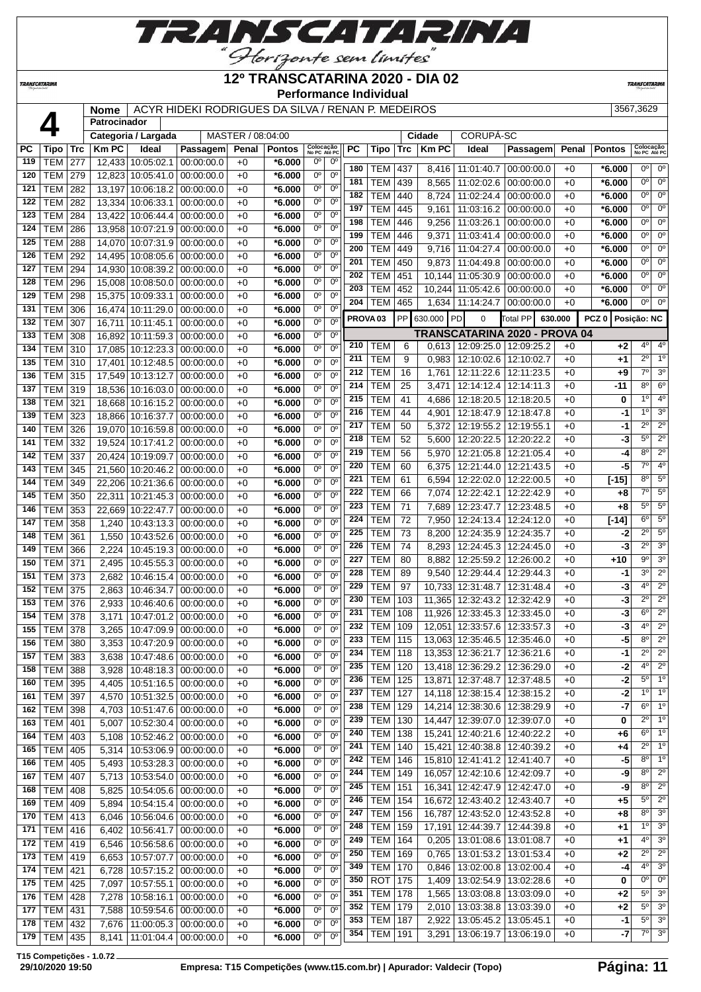

#### *TRANSCATARINA*

#### **12º TRANSCATARINA 2020 - DIA 02 Performance Individual**

**TRANSCATAR** 

 **Nome** ACYR HIDEKI RODRIGUES DA SILVA / RENAN P. MEDEIROS 3567,3629 **Patrocinador Categoria / Largada** MASTER / 08:04:00 **Cidade** CORUPÁ-SC **PC Tipo Trc Km PC Ideal Passagem Penal Pontos Colocação No PC Até PC PC Tipo Trc Km PC Ideal Passagem Penal Pontos Colocação No PC Até PC** TEM 277 12,433 10:05:02.1 00:00:00.0 +0 **\*6.000** 0º 0º TEM 279 12,823 10:05:41.0 00:00:00.0 +0 **\*6.000** 0º 0º TEM 282 13,197 10:06:18.2 00:00:00.0 +0 **\*6.000** 0º 0º TEM 282 13,334 10:06:33.1 00:00:00.0 +0 **\*6.000** 0º 0º | TEM | 284 | 13,422 | 10:06:44.4 | 00:00:00.0 | +0 | **\*6.000** | 0<sup>°</sup> | 0<sup>°</sup> TEM 286 13,958 10:07:21.9 00:00:00.0 +0 **\*6.000** 0º 0º TEM 288 14,070 10:07:31.9 00:00:00.0 +0 **\*6.000** 0º 0º TEM 292 14,495 10:08:05.6 00:00:00.0 +0 **\*6.000** 0º 0º TEM 294 14,930 10:08:39.2 00:00:00.0 +0 **\*6.000** 0º 0º TEM 296 15,008 10:08:50.0 00:00:00.0 +0 **\*6.000** 0º 0º TEM 298 15,375 10:09:33.1 00:00:00.0 +0 **\*6.000** 0<sup>o</sup> 0<sup>o</sup> TEM 306 16,474 10:11:29.0 00:00:00.0 +0 **\*6.000** 0º 0º TEM 307 16.711 10:11:45.1 00:00:00.0 +0 **\*6.000** 0<sup>o</sup> 0<sup>o</sup> TEM 308 16,892 10:11:59.3 00:00:00.0 +0 **\*6.000** 0º 0º TEM 310 17,085 10:12:23.3 00:00:00.0 +0 **\*6.000** 0º 0º TEM 310 17,401 10:12:48.5 00:00:00.0 +0 **\*6.000** 0º 0º TEM 315 17,549 10:13:12.7 00:00:00.0 +0 **\*6.000** 0º 0º TEM 319 18,536 10:16:03.0 00:00:00.0 +0 **\*6.000** 0º 0º TEM 321 18,668 10:16:15.2 00:00:00.0 +0 **\*6.000** 0º 0º TEM 323 18,866 10:16:37.7 00:00:00.0 +0 **\*6.000** 0º 0º TEM 326 19,070 10:16:59.8 00:00:00.0 +0 **\*6.000** 0º 0º TEM 332 19,524 10:17:41.2 00:00:00.0 +0 **\*6.000** 0º 0º TEM 337 20,424 10:19:09.7 00:00:00.0 +0 **\*6.000** 0º 0º TEM 345 21,560 10:20:46.2 00:00:00.0 +0 **\*6.000** 0º 0º TEM 349 22,206 10:21:36.6 00:00:00.0 +0 **\*6.000** 0º 0º TEM 350 22,311 10:21:45.3 00:00:00.0 +0 **\*6.000** 0º 0º TEM 353 22,669 10:22:47.7 00:00:00.0 +0 **\*6.000** 0º 0º TEM 358 1,240 10:43:13.3 00:00:00.0 +0 **\*6.000** 0º 0º TEM 361 1,550 10:43:52.6 00:00:00.0 +0 **\*6.000** 0º 0º TEM 366 2,224 10:45:19.3 00:00:00.0 +0 **\*6.000** 0º 0º TEM 371 2,495 10:45:55.3 00:00:00.0 +0 **\*6.000** 0º 0º TEM 373 2,682 10:46:15.4 00:00:00.0 +0 **\*6.000** 0º 0º TEM 375 2,863 10:46:34.7 00:00:00.0 +0 **\*6.000** 0º 0º TEM 376 2,933 10:46:40.6 00:00:00.0 +0 **\*6.000** 0º 0º TEM 378 3,171 10:47:01.2 00:00:00.0 +0 **\*6.000** 0º 0º | TEM | 378 | 3,265 | 10:47:09.9 | 00:00:00.0 | +0 | \*6.000 | 0<sup>o</sup> | 0<sup>o</sup> | TEM | 380 | 3,353 | 10:47:20.9 | 00:00:00.0 | +0 | **\*6.000** | 0<sup>°</sup> | 0<sup>°</sup> | TEM | 383 | 3,638 | 10:47:48.6 | 00:00:00.0 | +0 | **\*6.000** | 0<sup>°</sup> | 0<sup>°</sup> TEM 388 3,928 10:48:18.3 00:00:00.0 +0 **\*6.000** 0º 0º TEM 395 4,405 10:51:16.5 00:00:00.0 +0 **\*6.000** 0º 0º TEM 397 4,570 10:51:32.5 00:00:00.0 +0 **\*6.000** 0º 0º TEM 398 4,703 10:51:47.6 00:00:00.0 +0 **\*6.000** 0º 0º TEM 401 5,007 10:52:30.4 00:00:00.0 +0 **\*6.000** 0º 0º TEM 403 5,108 10:52:46.2 00:00:00.0 +0 **\*6.000** 0º 0º TEM 405 5,314 10:53:06.9 00:00:00.0 +0 **\*6.000** 0º 0º TEM 405 5,493 10:53:28.3 00:00:00.0 +0 **\*6.000** 0º 0º TEM 407 5,713 10:53:54.0 00:00:00.0 +0 **\*6.000** 0º 0º TEM 408 5,825 10:54:05.6 00:00:00.0 +0 **\*6.000** 0º 0º TEM 409 5,894 10:54:15.4 00:00:00.0 +0 **\*6.000** 0º 0º TEM 413 6,046 10:56:04.6 00:00:00.0 +0 **\*6.000** 0º 0º TEM 416 6,402 10:56:41.7 00:00:00.0 +0 **\*6.000** 0º 0º TEM 419 6,546 10:56:58.6 00:00:00.0 +0 **\*6.000** 0º 0º TEM 419 6,653 10:57:07.7 00:00:00.0 +0 **\*6.000** 0º 0º TEM 421 6,728 10:57:15.2 00:00:00.0 +0 **\*6.000** 0º 0º TEM 425 7,097 10:57:55.1 00:00:00.0 +0 **\*6.000** 0º 0º TEM 428 7,278 10:58:16.1 00:00:00.0 +0 **\*6.000** 0º 0º TEM 431 7,588 10:59:54.6 00:00:00.0 +0 **\*6.000** 0º 0º TEM 432 7,676 11:00:05.3 00:00:00.0 +0 **\*6.000** 0º 0º TEM 435 8,141 11:01:04.4 00:00:00.0 +0 **\*6.000** 0º 0º TEM 437 8,416 11:01:40.7 00:00:00.0 +0 **\*6.000** 0º 0º | TEM | 439 | 8,565 | 11:02:02.6 | 00:00:00.0 | +0 | \*6.000 |  $0^{\circ}$  | 0° | TEM | 440 | 8,724 | 11:02:24.4 | 00:00:00.0 | +0 | **\*6.000** |  $\frac{0^{\circ}}{0^{\circ}}$  |  $\frac{0^{\circ}}{0^{\circ}}$  TEM 445 9,161 11:03:16.2 00:00:00.0 +0 **\*6.000** 0º 0º TEM 446 9,256 11:03:26.1 00:00:00.0 +0 **\*6.000** 0º 0º TEM 446 | 9,371 | 11:03:41.4 | 00:00:00.0 | +0 | **\*6.000** |  $0^{\circ}$  | 0<sup>o</sup> TEM 449 9.716 11:04:27.4 00:00:00.0 +0  $*6.000$  <sup>0</sup> 0 | TEM | 450 | 9,873 | 11:04:49.8 | 00:00:00.0 | +0 | \*6.000 | 0<sup>o</sup> | 0<sup>o</sup> | TEM | 451 | 10,144 | 11:05:30.9 | 00:00:00.0 | +0 | \*6.000 | 0<sup>°</sup> | 0<sup>°</sup> TEM 452 | 10,244 | 11:05:42.6 | 00:00:00.0 | +0 | \*6.000 | 0<sup>o</sup> | 0<sup>o</sup> TEM 465 1,634 11:14:24.7 00:00:00.0 +0  $*6.000$  0<sup>o</sup> 0 **PROVA 03** PP 630.000 PD 0 Total PP **630.000 PCZ 0 Posição: NC TRANSCATARINA 2020 - PROVA 04** TEM 6 0.613 12:09:25.0 12:09:25.2 +0 +2  $\frac{4^0}{4^0}$  4 | TEM | 9 | 0,983 | 12:10:02.6 | 12:10:02.7 | +0 | +1 | 2º | 1<sup>0</sup> TEM 16 1,761 12:11:22.6 12:11:23.5 +0 **+9** 7º 3º TEM 25 3,471 12:14:12.4 12:14:11.3 +0 -11 8° 6 TEM 41 4,686 12:18:20.5 12:18:20.5 +0 **0** 1º 4º TEM 44 4,901 12:18:47.9 12:18:47.8 +0 **-1** 1<sup>o</sup> 3<sup>°</sup> TEM 50 5,372 12:19:55.2 12:19:55.1 +0 **-1** 2º 2º TEM 52 5,600 12:20:22.5 12:20:22.2 +0 **-3** 5º 2º TEM 56 5,970 12:21:05.8 12:21:05.4 +0 **-4** 8º 2º TEM 60 6,375 12:21:44.0 12:21:43.5 +0 **-5** 7º 4º TEM 61 6,594 12:22:02.0 12:22:00.5 +0 **[-15]** 8<sup>°</sup> 5 TEM 66 7,074 12:22:42.1 12:22:42.9 +0 **+8** 7º 5º TEM 71 7,689 12:23:47.7 12:23:48.5 +0 **+8** 5º 5º TEM 72 7,950 12:24:13.4 12:24:12.0 +0 **[-14]** 6º 5º TEM 73 8,200 12:24:35.9 12:24:35.7 +0 **-2** 2º 5º TEM 74 8,293 12:24:45.3 12:24:45.0 +0 **-3** 2º 3º TEM 80 8,882 12:25:59.2 12:26:00.2 +0  $+10$  9<sup>o</sup> 3<sup>o</sup> TEM 89 9,540 12:29:44.4 12:29:44.3 +0 **-1** 3º 2º TEM 97 10,733 12:31:48.7 12:31:48.4 +0 **-3** 4º 2º TEM 103 11,365 12:32:43.2 12:32:42.9 +0 **-3** 2º 2º TEM 108 11,926 12:33:45.3 12:33:45.0 +0 **-3** 6º 2º TEM 109 12,051 12:33:57.6 12:33:57.3 +0 **-3** 4º 2º TEM 115 13,063 12:35:46.5 12:35:46.0 +0 **-5** 8º 2º TEM 118 13,353 12:36:21.7 12:36:21.6 +0 **-1** 2º 2º TEM 120 13,418 12:36:29.2 12:36:29.0 +0 **-2**  $4^{\circ}$  2 TEM 125 13,871 12:37:48.7 12:37:48.5 +0 **-2** 5<sup>°</sup> 1 TEM 127 14,118 12:38:15.4 12:38:15.2 +0 -2 1<sup>o</sup> 1 TEM 129 14,214 12:38:30.6 12:38:29.9 +0 **-7** 6° 1 TEM 130 14,447 12:39:07.0 12:39:07.0 +0 **0** 2<sup>o</sup> 1 TEM 138 15,241 12:40:21.6 12:40:22.2 +0 **+6** 6º 1º TEM 140 15.421 12:40:38.8 12:40:39.2 +0 +4 2<sup>o</sup> 1 TEM 146 15,810 12:41:41.2 12:41:40.7 +0 -5 8<sup>°</sup> 1 TEM 149 16,057 12:42:10.6 12:42:09.7 +0 **-9** 8º 2º TEM 151 16,341 12:42:47.9 12:42:47.0 +0 **-9** 8º 2º TEM 154 16,672 12:43:40.2 12:43:40.7 +0 +5 5° 2 TEM 156 16,787 12:43:52.0 12:43:52.8 +0 +8 8<sup>°</sup> 3<sup>'</sup> TEM 159 17,191 12:44:39.7 12:44:39.8 +0 **+1** 1º 3º TEM 164 0,205 13:01:08.6 13:01:08.7 +0 **+1** 4º 3º TEM 169 0,765 13:01:53.2 13:01:53.4 +0 **+2** 2º 2º TEM 170 0,846 13:02:00.8 13:02:00.4 +0 **-4** 4º 3º ROT 175 1,409 13:02:54.9 13:02:28.6 +0 **0** 0<sup>o</sup> 0 TEM 178 1,565 13:03:08.8 13:03:09.0 +0 **+2** 5º 3º TEM 179 2,010 13:03:38.8 13:03:39.0 +0 **+2** 5º 3º TEM 187 2,922 13:05:45.2 13:05:45.1 +0 **-1** 5º 3º TEM 191 3,291 13:06:19.7 13:06:19.0 +0 **-7** 7º 3º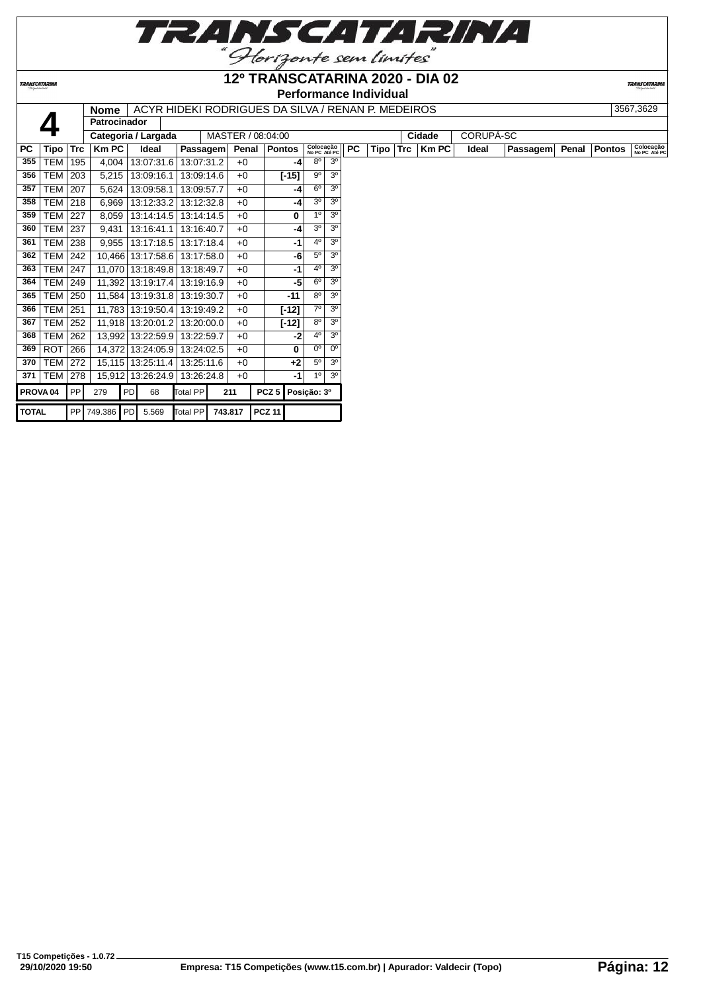

**TRANSCATARINA** 

#### **12º TRANSCATARINA 2020 - DIA 02 Performance Individual**

|              |                     |            | Nome                |    | ACYR HIDEKI RODRIGUES DA SILVA / RENAN P. MEDEIROS |                 |         |                   |               |         |                           |                |           |      |     |              |           |          |       |               | 3567,3629                 |
|--------------|---------------------|------------|---------------------|----|----------------------------------------------------|-----------------|---------|-------------------|---------------|---------|---------------------------|----------------|-----------|------|-----|--------------|-----------|----------|-------|---------------|---------------------------|
|              |                     |            | <b>Patrocinador</b> |    |                                                    |                 |         |                   |               |         |                           |                |           |      |     |              |           |          |       |               |                           |
|              |                     |            |                     |    | Categoria / Largada                                |                 |         | MASTER / 08:04:00 |               |         |                           |                |           |      |     | Cidade       | CORUPÁ-SC |          |       |               |                           |
| <b>PC</b>    | Tipo                | <b>Trc</b> | Km PC               |    | Ideal                                              | <b>Passagem</b> |         | Penal             | Pontos        |         | Colocação<br>No PC Até PC |                | <b>PC</b> | Tipo | Trc | <b>Km PC</b> | Ideal     | Passagem | Penal | <b>Pontos</b> | Colocação<br>No PC Até PC |
| 355          | TEM                 | 195        | 4,004               |    | 13:07:31.6                                         | 13:07:31.2      |         | $+0$              |               | -4      | $8^{\circ}$               | 3 <sup>0</sup> |           |      |     |              |           |          |       |               |                           |
| 356          | <b>TEM</b>          | 203        | 5,215               |    | 13:09:16.1                                         | 13:09:14.6      |         | $+0$              |               | $[-15]$ | 9 <sup>o</sup>            | 3 <sup>o</sup> |           |      |     |              |           |          |       |               |                           |
| 357          | <b>TEM</b>          | 207        | 5,624               |    | 13:09:58.1                                         | 13:09:57.7      |         | $+0$              |               | -4      | 6 <sup>0</sup>            | 3 <sup>0</sup> |           |      |     |              |           |          |       |               |                           |
| 358          | TEM                 | 218        | 6,969               |    | 13:12:33.2                                         | 13:12:32.8      |         | $+0$              |               | -4      | 3 <sup>0</sup>            | 3 <sup>o</sup> |           |      |     |              |           |          |       |               |                           |
| 359          | TEM                 | 227        | 8.059               |    | 13:14:14.5                                         | 13:14:14.5      |         | $+0$              |               | 0       | 10                        | 3 <sup>0</sup> |           |      |     |              |           |          |       |               |                           |
| 360          | TEM                 | 237        | 9,431               |    | 13:16:41.1                                         | 13:16:40.7      |         | $+0$              |               | -4      | 3 <sup>0</sup>            | 3 <sup>o</sup> |           |      |     |              |           |          |       |               |                           |
| 361          | <b>TEM</b>          | 238        | 9,955               |    | 13:17:18.5                                         | 13:17:18.4      |         | $+0$              |               | $-1$    | 40                        | 3 <sup>o</sup> |           |      |     |              |           |          |       |               |                           |
| 362          | <b>TEM</b>          | 242        |                     |    | 10,466 13:17:58.6                                  | 13:17:58.0      |         | $+0$              |               | -6      | $5^{\circ}$               | 3 <sup>o</sup> |           |      |     |              |           |          |       |               |                           |
| 363          | TEM                 | 247        |                     |    | 11,070 13:18:49.8                                  | 13:18:49.7      |         | $+0$              |               | -1      | 4 <sup>0</sup>            | 3 <sup>o</sup> |           |      |     |              |           |          |       |               |                           |
| 364          | <b>TEM</b>          | 249        |                     |    | 11,392 13:19:17.4                                  | 13:19:16.9      |         | $+0$              |               | -5      | 6 <sup>o</sup>            | 3 <sup>o</sup> |           |      |     |              |           |          |       |               |                           |
| 365          | <b>TEM</b>          | 250        |                     |    | 11,584   13:19:31.8                                | 13:19:30.7      |         | $+0$              |               | $-11$   | $8^{\circ}$               | 3 <sup>o</sup> |           |      |     |              |           |          |       |               |                           |
| 366          | <b>TEM</b>          | 251        |                     |    | 11,783   13:19:50.4                                | 13:19:49.2      |         | $+0$              |               | [-12]   | 70                        | 3 <sup>o</sup> |           |      |     |              |           |          |       |               |                           |
| 367          | TEM                 | 252        |                     |    | 11,918 13:20:01.2                                  | 13:20:00.0      |         | $+0$              |               | $[-12]$ | 8 <sup>0</sup>            | 3 <sup>o</sup> |           |      |     |              |           |          |       |               |                           |
| 368          | <b>TEM</b>          | 262        |                     |    | 13,992 13:22:59.9                                  | 13:22:59.7      |         | $+0$              |               | -2      | 40                        | 3 <sup>o</sup> |           |      |     |              |           |          |       |               |                           |
| 369          | <b>ROT</b>          | 266        |                     |    | 14,372 13:24:05.9                                  | 13:24:02.5      |         | $+0$              |               | 0       | 0 <sup>o</sup>            | 0 <sup>o</sup> |           |      |     |              |           |          |       |               |                           |
| 370          | TEM                 | 272        |                     |    | 15,115 13:25:11.4                                  | 13:25:11.6      |         | $+0$              |               | $+2$    | 5 <sup>0</sup>            | 3 <sup>o</sup> |           |      |     |              |           |          |       |               |                           |
| 371          | TEM                 | 278        |                     |    | 15,912 13:26:24.9                                  | 13:26:24.8      |         | $+0$              |               | -1      | 1 <sup>0</sup>            | 3 <sup>0</sup> |           |      |     |              |           |          |       |               |                           |
|              | PROVA <sub>04</sub> | PP         | 279                 | PD | 68                                                 | Total PP        |         | 211               | $PCZ$ 5       |         | Posicão: 3º               |                |           |      |     |              |           |          |       |               |                           |
| <b>TOTAL</b> |                     |            | PP 749.386 PD 5.569 |    |                                                    | Total PP        | 743.817 |                   | <b>PCZ 11</b> |         |                           |                |           |      |     |              |           |          |       |               |                           |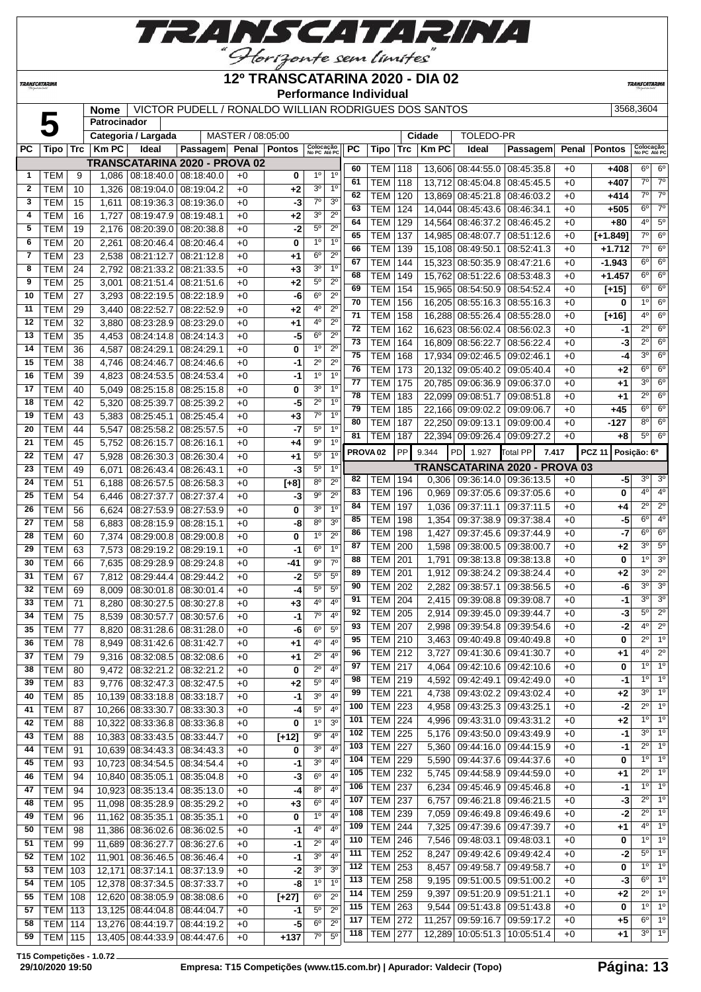

**TRANSCATARINA** 

**Patrocinador**

#### **12º TRANSCATARINA 2020 - DIA 02 Performance Individual**

**TRANSCATARI** 

#### **Nome** | VICTOR PUDELL / RONALDO WILLIAN RODRIGUES DOS SANTOS | 3568,3604

**Categoria / Largada** MASTER / 08:05:00 **Cidade** TOLEDO-PR

| PC           | Tipo             |     | $Trc$   Km PC | Ideal                             | Passagem Penal Pontos                |      |         | Colocação<br>No PC Até PC |                | <b>PC</b>           | Tipo            | Trc       | <b>Km PC</b> | Ideal                           | Passagem   |       | Penal Pontos  | Colocação<br>No PC Até PC             |                                       |
|--------------|------------------|-----|---------------|-----------------------------------|--------------------------------------|------|---------|---------------------------|----------------|---------------------|-----------------|-----------|--------------|---------------------------------|------------|-------|---------------|---------------------------------------|---------------------------------------|
|              |                  |     |               |                                   | TRANSCATARINA 2020 - PROVA 02        |      |         |                           |                |                     |                 |           |              |                                 |            |       |               |                                       |                                       |
| $\mathbf{1}$ | TEM              | 9   | 1,086         |                                   | 08:18:40.0 08:18:40.0                | +0   | 0       | $1^{\circ}$               | 1 <sup>0</sup> | 60                  | <b>TEM</b>      | 118       |              | 13,606 08:44:55.0 08:45:35.8    |            | $+0$  | +408          | $6^{\circ}$<br>$\overline{7^{\circ}}$ | $6^{\circ}$<br>$\overline{7^{\circ}}$ |
| $\mathbf{2}$ | TEM              | 10  | 1,326         | 08:19:04.0                        | 08:19:04.2                           | $+0$ | $+2$    | 3 <sup>o</sup>            | 1 <sup>0</sup> | 61<br>62            | TEM             | 118       |              | 13,712 08:45:04.8 08:45:45.5    |            | $+0$  | +407          | $7^{\circ}$                           | $7^\circ$                             |
| 3            | <b>TEM</b>       | 15  | 1,611         | 08:19:36.3                        | 08:19:36.0                           | $+0$ | -3      | $7^\circ$                 | 3 <sup>0</sup> |                     | TEM             | 120       |              | 13,869 08:45:21.8 08:46:03.2    |            | $+0$  | $+414$        | $6^{\circ}$                           | $7^\circ$                             |
| 4            | TEM              | 16  | 1,727         | 08:19:47.9 08:19:48.1             |                                      | $+0$ | +2      | 3 <sup>o</sup>            | $2^{\circ}$    | 63                  | <b>TEM</b>      | 124       |              | 14,044 08:45:43.6 08:46:34.1    |            | $+0$  | +505          |                                       |                                       |
| 5            | <b>TEM</b>       | 19  | 2,176         |                                   | 08:20:39.0 08:20:38.8                | +0   | -2      | 5 <sup>0</sup>            | $2^{\circ}$    | 64                  | <b>TEM</b>      | 129       |              | 14,564 08:46:37.2 08:46:45.2    |            | $+0$  | $+80$         | $4^{\circ}$                           | $5^{\circ}$                           |
| 6            | <b>TEM</b>       | 20  | 2,261         |                                   | 08:20:46.4 08:20:46.4                | +0   | 0       | 1 <sup>0</sup>            | 1 <sup>0</sup> | 65                  | <b>TEM</b>      | 137       |              | 14,985 08:48:07.7 08:51:12.6    |            | $+0$  | $[+1.849]$    | $7^\circ$                             | $6^{\circ}$                           |
| 7            | <b>TEM</b>       | 23  | 2,538         |                                   | 08:21:12.7 08:21:12.8                | $+0$ | +1      | 6 <sup>o</sup>            | $2^{\circ}$    | 66                  | <b>TEM</b>      | 139       |              | 15,108 08:49:50.1               | 08:52:41.3 | $+0$  | $+1.712$      | $7^{\circ}$                           | $6^{\circ}$                           |
| 8            | <b>TEM</b>       | 24  | 2,792         |                                   | 08:21:33.2 08:21:33.5                | $+0$ | $+3$    | 3 <sup>o</sup>            | 1 <sup>0</sup> | 67                  | <b>TEM</b>      | 144       |              | 15,323 08:50:35.9 08:47:21.6    |            | $+0$  | $-1.943$      | $6^{\circ}$                           | $6^{\circ}$                           |
| 9            | <b>TEM</b>       | 25  | 3,001         |                                   | 08:21:51.4 08:21:51.6                | +0   | +2      | $5^{\circ}$               | $2^{\circ}$    | 68                  | <b>TEM</b>      | 149       |              | 15,762 08:51:22.6 08:53:48.3    |            | $+0$  | $+1.457$      | $6^{\circ}$                           | $6^{\circ}$                           |
| 10           | <b>TEM</b>       | 27  | 3,293         |                                   | 08:22:19.5   08:22:18.9              | +0   | -6      | $6^{\circ}$               | $2^{\circ}$    | 69                  | <b>TEM</b>      | 154       |              | 15.965 08:54:50.9 08:54:52.4    |            | $+0$  | [+15]         | $6^{\circ}$                           | $6^{\circ}$                           |
| 11           | <b>TEM</b>       | 29  | 3,440         | 08:22:52.7                        | 08:22:52.9                           | +0   | +2      | $4^{\circ}$               | $2^{\circ}$    | 70                  | <b>TEM</b>      | 156       |              | 16,205 08:55:16.3 08:55:16.3    |            | $+0$  | 0             | 1 <sup>0</sup>                        | $6^{\circ}$<br>$6^{\circ}$            |
| 12           | TEM              | 32  | 3,880         | $\overline{08}$ :23:28.9          | 08:23:29.0                           | $+0$ | +1      | $4^{\circ}$               | $2^{\circ}$    | 71                  | <b>TEM</b>      | 158       |              | 16,288 08:55:26.4 08:55:28.0    |            | $+0$  | $[+16]$       | $4^{\circ}$                           |                                       |
| 13           | <b>TEM</b>       | 35  | 4,453         | 08:24:14.8                        | 08:24:14.3                           | +0   | -5      | $6^{\circ}$               | $2^{\circ}$    | 72                  | <b>TEM</b>      | 162       |              | 16,623 08:56:02.4 08:56:02.3    |            | $+0$  | -1            | $2^{\circ}$                           | $6^{\circ}$                           |
| 14           | <b>TEM</b>       | 36  | 4,587         | 08:24:29.1                        | 08:24:29.1                           | +0   | 0       | 1 <sup>0</sup>            | $2^{\circ}$    | 73                  | <b>TEM</b>      | 164       |              | 16,809 08:56:22.7 08:56:22.4    |            | $+0$  | -3            | $2^{\circ}$                           | $6^{\circ}$                           |
| 15           | <b>TEM</b>       | 38  | 4,746         | 08:24:46.7                        | 08:24:46.6                           | $+0$ | -1      | $2^{\circ}$               | $2^{\circ}$    | 75                  | <b>TEM</b>      | 168       |              | 17,934 09:02:46.5 09:02:46.1    |            | $+0$  | -4            | $3^{\circ}$                           | $6^{\circ}$                           |
| 16           | <b>TEM</b>       | 39  | 4,823         | 08:24:53.5                        | 08:24:53.4                           | $+0$ | -1      | 1 <sup>0</sup>            | 1 <sup>0</sup> | 76                  | <b>TEM</b>      | 173       |              | 20,132 09:05:40.2 09:05:40.4    |            | $+0$  | $+2$          | $6^{\circ}$                           | $6^{\circ}$                           |
| 17           | <b>TEM</b>       | 40  | 5,049         |                                   | 08:25:15.8 08:25:15.8                | $+0$ | 0       | 30                        | 1 <sup>0</sup> | 77                  | <b>TEM</b>      | 175       |              | 20,785 09:06:36.9 09:06:37.0    |            | $+0$  | +1            | 3 <sup>o</sup>                        | $6^{\circ}$                           |
| 18           | <b>TEM</b>       | 42  | 5,320         | 08:25:39.7                        | 08:25:39.2                           | $+0$ | -5      | $2^{\circ}$               | 1 <sup>0</sup> | 78                  | <b>TEM</b>      | 183       |              | 22,099 09:08:51.7 09:08:51.8    |            | $+0$  | $+1$          | $2^{\circ}$                           | $6^{\circ}$                           |
| 19           | <b>TEM</b>       | 43  | 5,383         | 08:25:45.1                        | 08:25:45.4                           | +0   | $+3$    | $7^\circ$                 | 1 <sup>0</sup> | 79                  | <b>TEM</b>      | 185       |              | 22.166 09:09:02.2 09:09:06.7    |            | $+0$  | $+45$         | $6^{\circ}$                           | $6^{\circ}$                           |
| 20           | <b>TEM</b>       | 44  | 5,547         | 08:25:58.2                        | 08:25:57.5                           | +0   | $-7$    | $5^{\circ}$               | 1 <sup>0</sup> | 80                  | <b>TEM</b>      | 187       |              | 22,250 09:09:13.1 09:09:00.4    |            | $+0$  | $-127$        | $8^{\circ}$                           | $6^{\circ}$                           |
| 21           | TEM              | 45  | 5,752         | 08:26:15.7                        | 08:26:16.1                           | +0   | +4      | $9^{\circ}$               | 1 <sup>0</sup> | 81                  | <b>TEM</b>      | 187       |              | 22,394 09:09:26.4 09:09:27.2    |            | $+0$  | +8            | $5^{\circ}$                           | $6^{\circ}$                           |
| 22           | <b>TEM</b>       | 47  | 5,928         | 08:26:30.3                        | 08:26:30.4                           | $+0$ | +1      | $5^{\circ}$               | 1 <sup>0</sup> | PROVA <sub>02</sub> |                 | <b>PP</b> | 9.344        | PD 1.927                        | Total PP   | 7.417 | <b>PCZ 11</b> | Posição: 6º                           |                                       |
| 23           | <b>TEM</b>       | 49  | 6,071         | 08:26:43.4                        | 08:26:43.1                           | +0   | -3      | $5^{\circ}$               | 1 <sup>0</sup> |                     |                 |           |              | TRANSCATARINA 2020 - PROVA 03   |            |       |               |                                       |                                       |
| 24           | <b>TEM</b>       | 51  | 6,188         | 08:26:57.5                        | 08:26:58.3                           | +0   | $[+8]$  | $8^{\circ}$               | $2^{\circ}$    | 82                  | <b>TEM</b>      | 194       | 0,306        | 09:36:14.0   09:36:13.5         |            | $+0$  | -51           | 3 <sup>o</sup>                        | 3 <sup>o</sup>                        |
| 25           | <b>TEM</b>       | 54  | 6,446         |                                   | 08:27:37.7 08:27:37.4                | $+0$ | -3      | 9 <sup>o</sup>            | $2^{\circ}$    | 83                  | <b>TEM</b>      | 196       | 0,969        | 09:37:05.6   09:37:05.6         |            | $+0$  | 0             | 4 <sup>o</sup>                        | 4 <sup>0</sup>                        |
| 26           | <b>TEM</b>       | 56  | 6,624         |                                   | 08:27:53.9 08:27:53.9                | $+0$ | 0       | 3 <sup>0</sup>            | 1 <sup>0</sup> | 84                  | <b>TEM</b>      | 197       | 1,036        | 09:37:11.1 09:37:11.5           |            | $+0$  | +4            | $2^{\circ}$                           | $2^{\circ}$                           |
| 27           | <b>TEM</b>       | 58  | 6,883         | 08:28:15.9 08:28:15.1             |                                      | $+0$ | -8      | $8^{\circ}$               | 30             | 85                  | <b>TEM</b>      | 198       | 1,354        | 09:37:38.9 09:37:38.4           |            | $+0$  | -5            | $6^{\circ}$                           | 4 <sup>0</sup>                        |
| 28           | <b>TEM</b>       | 60  | 7,374         |                                   | 08:29:00.8   08:29:00.8              | +0   | 0       | 1 <sup>0</sup>            | $2^{\circ}$    | 86                  | <b>TEM</b>      | 198       | 1,427        | 09:37:45.6   09:37:44.9         |            | $+0$  | -7            | $6^{\circ}$                           | $6^{\circ}$                           |
| 29           | <b>TEM</b>       | 63  | 7,573         | 08:29:19.2 08:29:19.1             |                                      | +0   | $-1$    | 6 <sup>o</sup>            | 1 <sup>0</sup> | 87                  | <b>TEM</b>      | 200       | 1,598        | 09:38:00.5 09:38:00.7           |            | $+0$  | +2            | $3^{\circ}$                           | $5^\circ$                             |
| 30           | TEM              | 66  | 7,635         | 08:29:28.9                        | 08:29:24.8                           | $+0$ | -41     | $9^{\circ}$               | 70             | 88                  | <b>TEM</b>      | 201       | 1,791        | 09:38:13.8 09:38:13.8           |            | $+0$  | 0             | 1 <sup>0</sup>                        | 3 <sup>o</sup>                        |
| 31           | <b>TEM</b>       | 67  | 7,812         | 08:29:44.4                        | 08:29:44.2                           | +0   | -2      | $5^{\circ}$               | $5^{\circ}$    | 89                  | <b>TEM</b>      | 201       | 1,912        | $09:38:24.2$ 09:38:24.4         |            | $+0$  | +2            | $3^{\circ}$                           | $2^{\circ}$                           |
| 32           | <b>TEM</b>       | 69  | 8,009         | 08:30:01.8                        | 08:30:01.4                           | +0   | -4      | $5^{\circ}$               | 5 <sup>0</sup> | 90                  | <b>TEM</b>      | 202       | 2,282        | 09:38:57.1 09:38:56.5           |            | $+0$  | -6            | 3 <sup>o</sup>                        | 3 <sup>0</sup>                        |
| 33           | <b>TEM</b>       | 71  | 8,280         | 08:30:27.5                        | 08:30:27.8                           | +0   | +3      | 4°                        | 4 <sup>0</sup> | 91                  | <b>TEM</b>      | 204       | 2,415        | 09:39:08.8 09:39:08.7           |            | $+0$  | $-1$          | 3 <sup>0</sup>                        | 3 <sup>o</sup>                        |
| 34           | <b>TEM</b>       | 75  | 8,539         | 08:30:57.7                        | 08:30:57.6                           | +0   | -1      | $7^\circ$                 | 4 <sup>0</sup> | 92                  | <b>TEM</b>      | 205       | 2,914        | 09:39:45.0 09:39:44.7           |            | $+0$  | -31           | $5^\circ$                             | $\overline{2^0}$                      |
| 35           | <b>TEM</b>       | 77  | 8,820         |                                   | 08:31:28.6   08:31:28.0              | $+0$ | -6      | 6 <sup>o</sup>            | $5^{\circ}$    | 93                  | TEM             | 207       | 2,998        | 09:39:54.8 09:39:54.6           |            | $+0$  | -2            | 4 <sup>o</sup>                        | $2^{\circ}$                           |
| 36           | <b>TEM</b>       | 78  | 8,949         | 08:31:42.6 08:31:42.7             |                                      | $+0$ | +1      | 4 <sup>0</sup>            | $4^{\circ}$    | 95                  | <b>TEM</b>      | 210       | 3,463        | 09:40:49.8 09:40:49.8           |            | $+0$  | 0             | $2^{\circ}$                           | 10                                    |
| 37           | <b>TEM</b>       | 79  | 9,316         |                                   | 08:32:08.5 08:32:08.6                | +0   | +1      | $2^{\circ}$               | $4^{\circ}$    | 96                  | TEM             | 212       | 3,727        | 09:41:30.6   09:41:30.7         |            | $+0$  | +1            | 4 <sup>o</sup>                        | $2^{\circ}$                           |
| 38           | TEM              | 80  |               |                                   | $9,472$ 08:32:21.2 08:32:21.2        | $+0$ | 0       | $\overline{9}$            | 4 <sup>0</sup> | 97                  | TEM             | 217       |              | 4,064   09:42:10.6   09:42:10.6 |            | $+0$  | 0             |                                       | 10 10                                 |
| 39           | TEM              | 83  |               | $9,776$   08:32:47.3   08:32:47.5 |                                      | $+0$ | +2      | $5^{\circ}$               | $4^{\circ}$    | 98                  | <b>TEM 219</b>  |           |              | 4,592   09:42:49.1   09:42:49.0 |            | $+0$  | -1            | 1 <sup>0</sup>                        | 1 <sup>o</sup>                        |
| 40           | <b>TEM</b>       | 85  |               | 10,139 08:33:18.8 08:33:18.7      |                                      | $+0$ | $-1$    | 3 <sup>0</sup>            | 4°             | 99                  | <b>TEM 221</b>  |           |              | 4,738   09:43:02.2   09:43:02.4 |            | $+0$  | $+2$          | $3^{\circ}$                           | $1^{\circ}$                           |
| 41           | <b>TEM</b>       | 87  |               | 10,266 08:33:30.7 08:33:30.3      |                                      | $+0$ | -4      | $5^{\circ}$               | 4°             | 100                 | <b>TEM</b>      | 223       |              | 4,958   09:43:25.3   09:43:25.1 |            | $+0$  | $-2$          | $2^{\circ}$                           | $1^{\circ}$                           |
| 42           | <b>TEM</b>       | 88  |               | 10,322 08:33:36.8 08:33:36.8      |                                      | $+0$ | 0       | $1^{\circ}$               | 3 <sup>o</sup> | 101                 | <b>TEM</b>      | 224       | 4,996        | $09:43:31.0$ 09:43:31.2         |            | $+0$  | +2            | $1^{\circ}$                           | $1^{\circ}$                           |
| 43           | <b>TEM</b>       | 88  |               | 10,383 08:33:43.5 08:33:44.7      |                                      | $+0$ | $[+12]$ | $9^{\rm o}$               | $4^{\circ}$    | 102                 | <b>TEM</b>      | 225       | 5,176        | 09:43:50.0 09:43:49.9           |            | $+0$  | -1            | $3^{\circ}$                           | 1 <sup>o</sup>                        |
| 44           | <b>TEM</b>       | 91  |               | 10,639 08:34:43.3 08:34:43.3      |                                      | $+0$ | 0       | 3 <sup>0</sup>            | $4^{\circ}$    | 103                 | <b>TEM</b>      | 227       | 5,360        | $09:44:16.0$ 09:44:15.9         |            | $+0$  | $-1$          | $2^{\circ}$                           | 1 <sup>o</sup>                        |
| 45           | <b>TEM</b>       | 93  |               | 10,723 08:34:54.5 08:34:54.4      |                                      | $+0$ | -1      | 3 <sup>o</sup>            | 4°             | 104                 | <b>TEM</b>      | 229       | 5,590        | 09:44:37.6 09:44:37.6           |            | $+0$  | 0             | $1^{\circ}$                           | $1^{\circ}$                           |
| 46           | <b>TEM</b>       | 94  |               | 10,840 08:35:05.1 08:35:04.8      |                                      | $+0$ | $-3$    | $6^{\circ}$               | $4^{\circ}$    | 105                 | <b>TEM</b>      | 232       | 5,745        | $09:44:58.9$ 09:44:59.0         |            | $+0$  | +1            | $2^{\circ}$                           | $1^{\circ}$                           |
| 47           | <b>TEM</b>       | 94  |               | 10,923 08:35:13.4 08:35:13.0      |                                      | $+0$ | $-4$    | $8^{\circ}$               | $4^{\circ}$    | 106                 | <b>TEM</b>      | 237       | 6,234        | 09:45:46.9   09:45:46.8         |            | $+0$  | -1            | $1^{\circ}$                           | 1 <sup>o</sup>                        |
| 48           | <b>TEM</b>       | 95  |               | 11,098 08:35:28.9 08:35:29.2      |                                      | $+0$ | $+3$    | $6^{\circ}$               | $4^{\circ}$    | 107                 | <b>TEM 237</b>  |           | 6,757        | 09:46:21.8   09:46:21.5         |            | $+0$  | $-3$          | $2^{\circ}$                           | $1^{\circ}$                           |
| 49           | <b>TEM</b>       | 96  |               | 11,162 08:35:35.1 08:35:35.1      |                                      | $+0$ | 0       | $1^{\circ}$               | 4°             | 108                 | <b>TEM 239</b>  |           | 7,059        | 09:46:49.8 09:46:49.6           |            | $+0$  | -2            | $2^{\circ}$                           | $1^{\circ}$                           |
| 50           | <b>TEM</b>       | 98  |               | 11,386 08:36:02.6 08:36:02.5      |                                      | $+0$ | -1      | 4°                        | $4^{\circ}$    | 109                 | <b>TEM</b>      | 244       | 7,325        | 09:47:39.6   09:47:39.7         |            | $+0$  | +1            | $4^{\circ}$                           | $1^{\circ}$                           |
| 51           | <b>TEM</b>       | 99  |               | 11,689 08:36:27.7 08:36:27.6      |                                      | $+0$ | -1      | $2^{\circ}$               | $4^{\circ}$    | 110                 | <b>TEM</b>      | 246       | 7,546        | 09:48:03.1 09:48:03.1           |            | $+0$  | 0             | $1^{\circ}$                           | $1^{\circ}$                           |
| 52           | <b>TEM</b>       | 102 |               | 11,901 08:36:46.5 08:36:46.4      |                                      | $+0$ | -1      | 3 <sup>0</sup>            | $4^{\circ}$    | 111                 | <b>TEM</b>      | 252       | 8,247        | 09:49:42.6 09:49:42.4           |            | $+0$  | $-2$          | $5^{\circ}$                           | 1 <sup>o</sup>                        |
| 53           | TEM              | 103 |               | 12,171 08:37:14.1 08:37:13.9      |                                      | $+0$ | -21     | 3 <sup>0</sup>            | 3 <sup>0</sup> | 112                 | <b>TEM</b>      | 253       |              | 8,457   09:49:58.7   09:49:58.7 |            | $+0$  | 0             | $1^{\circ}$                           | 1 <sup>o</sup>                        |
|              | 54   TEM   105   |     |               | 12,378 08:37:34.5 08:37:33.7      |                                      | $+0$ | -8      | $1^{\circ}$               | 1 <sup>0</sup> | 113                 | <b>TEM 258</b>  |           |              | 9,195   09:51:00.5   09:51:00.2 |            | $+0$  | $-3$          | $6^{\circ}$                           | 1 <sup>o</sup>                        |
|              | $55$   TFM   108 |     |               |                                   | 12.620 $08.38.05$ 9 $08.38.08$ 6 $1$ | $+0$ | L271    | $6^{\circ}$               | $2^{\circ}$    |                     | 114   TEM   259 |           |              | 9,397   09.51:20.9   09.51:21.1 |            | $+0$  | $+2$          |                                       | $2^{\circ}$ 1 <sup>o</sup>            |

 TEM 105 12,378 08:37:34.5 08:37:33.7 +0 **-8** 1º 1º TEM 108 12,620 08:38:05.9 08:38:08.6 +0 **[+27]** 6º 2º TEM 113 13,125 08:44:04.8 08:44:04.7 +0 **-1** 5º 2º **TEM** 114 13,276 08:44:19.7 08:44:19.2 +0 -5 TEM 115 13,405 08:44:33.9 08:44:47.6 +0 **+137** 7º 5º

 TEM 263 9,544 09:51:43.8 09:51:43.8 +0 **0** 1º 1º TEM 272 11,257 09:59:16.7 09:59:17.2 +0 **+5** 6º 1º TEM 277 12,289 10:05:51.3 10:05:51.4 +0 **+1** 3º 1º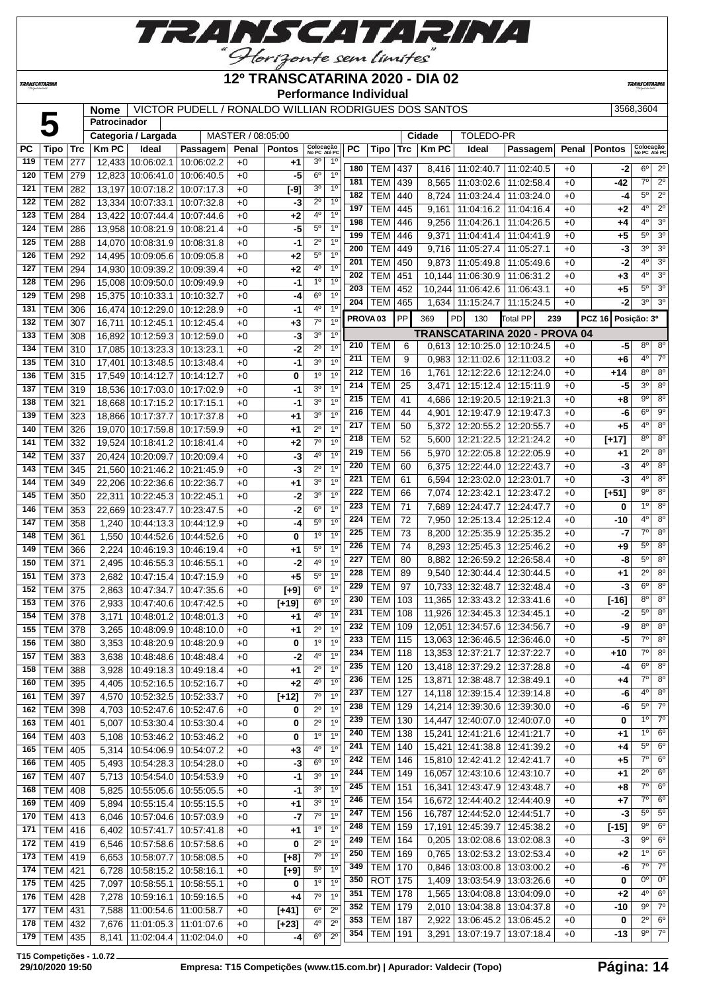

#### **TRANSCATARINA**

#### **12º TRANSCATARINA 2020 - DIA 02 Performance Individual**

**TRANSCATARIN** 

# **Nome** | VICTOR PUDELL / RONALDO WILLIAN RODRIGUES DOS SANTOS | 3568,3604 | 3568,3604

|     |                |            | Patrocinador |                     |                             |                   |               |                           |                      |                  |                     |                 |              |                              |                                 |      |                              |                |                           |
|-----|----------------|------------|--------------|---------------------|-----------------------------|-------------------|---------------|---------------------------|----------------------|------------------|---------------------|-----------------|--------------|------------------------------|---------------------------------|------|------------------------------|----------------|---------------------------|
|     |                |            |              | Categoria / Largada |                             | MASTER / 08:05:00 |               |                           |                      |                  |                     |                 | Cidade       | <b>TOLEDO-PR</b>             |                                 |      |                              |                |                           |
| PC  | Tipo           | <b>Trc</b> | <b>Km PC</b> | Ideal               | Passagem                    | Penal             | <b>Pontos</b> | Colocação<br>No PC Até PC |                      | РC               | Tipo                | Trc             | <b>Km PC</b> | Ideal                        | Passagem                        |      | Penal Pontos                 |                | Colocação<br>No PC Até PC |
| 119 | <b>TEM</b>     | 277        | 12,433       | 10:06:02.1          | 10:06:02.2                  | $+0$              | $+1$          | 30                        | $1^{\circ}$          |                  |                     |                 |              |                              |                                 |      |                              |                |                           |
| 120 | TEM            | 279        |              | 12,823 10:06:41.0   | 10:06:40.5                  | $+0$              | -5            | 6 <sup>o</sup>            | 1 <sup>0</sup>       | 180              | <b>TEM</b>          | 437             | 8,416        | 11:02:40.7                   | 11:02:40.5                      | $+0$ | -2                           | $6^{\circ}$    | $\overline{2^0}$          |
| 121 | <b>TEM</b>     | 282        | 13,197       | 10:07:18.2          | 10:07:17.3                  | $+0$              | $[-9]$        | 3 <sup>o</sup>            | 1 <sup>0</sup>       | 181              | <b>TEM</b>          | 439             | 8,565        | 11:03:02.6                   | 11:02:58.4                      | $+0$ | -42                          | $7^\circ$      | $\overline{2^0}$          |
| 122 | <b>TEM</b>     | 282        | 13,334       | 10:07:33.1          | 10:07:32.8                  | $+0$              | -3            | $2^{\circ}$               | 1 <sup>0</sup>       | 182              | <b>TEM</b>          | 440             | 8,724        |                              | 11:03:24.4   11:03:24.0         | $+0$ | $-4$                         | $5^{\circ}$    | $2^{\circ}$               |
| 123 | <b>TEM</b>     | 284        | 13,422       | 10:07:44.4          | 10:07:44.6                  | $+0$              | $+2$          | 4°                        | 1 <sup>0</sup>       | 197              | <b>TEM</b>          | 445             | 9,161        | 11:04:16.2                   | 11:04:16.4                      | $+0$ | +2                           | $4^{\circ}$    | $2^{\circ}$               |
| 124 | <b>TEM</b>     | 286        |              | 13,958 10:08:21.9   | 10:08:21.4                  | $+0$              | -5            | 5 <sup>0</sup>            | 1 <sup>0</sup>       | 198              | <b>TEM</b>          | 446             | 9,256        | 11:04:26.1                   | 11:04:26.5                      | $+0$ | $+4$                         | $4^{\circ}$    | 3 <sup>o</sup>            |
| 125 | TEM            | 288        | 14,070       | 10:08:31.9          | 10:08:31.8                  | $+0$              | $-1$          | $2^{\circ}$               | 1 <sup>0</sup>       | 199              | <b>TEM</b>          | 446             | 9,371        |                              | 11:04:41.4   11:04:41.9         | $+0$ | +5                           | $5^\circ$      | 3 <sup>o</sup>            |
| 126 | <b>TEM</b>     | 292        |              | 14,495 10:09:05.6   | 10:09:05.8                  | $+0$              | $+2$          | 5°                        | 1 <sup>0</sup>       | 200              | <b>TEM</b>          | 449             | 9,716        | 11:05:27.4   11:05:27.1      |                                 | $+0$ | -3                           | 3 <sup>0</sup> | 3 <sup>o</sup>            |
| 127 | <b>TEM</b>     | 294        |              | 14,930 10:09:39.2   | 10:09:39.4                  | $+0$              | $+2$          | 4°                        | 1 <sup>0</sup>       | 201              | <b>TEM</b>          | 450             | 9,873        | 11:05:49.8                   | 11:05:49.6                      | $+0$ | $-2$                         | 4 <sup>0</sup> | 3 <sup>o</sup>            |
| 128 | <b>TEM</b>     | 296        |              | 15,008 10:09:50.0   | 10:09:49.9                  | $+0$              | -1            | $1^{\circ}$               | 1 <sup>0</sup>       | 202              | <b>TEM</b>          | 451             | 10.144       |                              | 11:06:30.9 11:06:31.2           | $+0$ | $+3$                         | 4 <sup>°</sup> | 3 <sup>0</sup>            |
| 129 | <b>TEM</b>     |            |              |                     |                             |                   |               | $6^{\circ}$               | 1 <sup>0</sup>       | $\overline{203}$ | <b>TEM</b>          | 452             | 10,244       | 11:06:42.6                   | 11:06:43.1                      | $+0$ | $+5$                         | $5^\circ$      | 3 <sup>0</sup>            |
| 131 |                | 298        |              | 15,375 10:10:33.1   | 10:10:32.7                  | $+0$              | -4            | 4°                        | 1 <sup>0</sup>       | 204              | <b>TEM</b>          | 465             | 1,634        | $11:15:24.7$ 11:15:24.5      |                                 | $+0$ | -2                           | 3 <sup>0</sup> | 3 <sup>o</sup>            |
|     | <b>TEM</b>     | 306        |              | 16,474 10:12:29.0   | 10:12:28.9                  | $+0$              | -1            | $7^\circ$                 | 10                   |                  | PROVA <sub>03</sub> | PP              | 369          | <b>PD</b><br>130             | <b>Total PP</b><br>239          |      | <b>PCZ 16</b><br>Posição: 3º |                |                           |
| 132 | <b>TEM</b>     | 307        | 16,711       | 10:12:45.1          | 10:12:45.4                  | $+0$              | $+3$          |                           |                      |                  |                     |                 |              |                              | TRANSCATARINA 2020 - PROVA 04   |      |                              |                |                           |
| 133 | <b>TEM</b>     | 308        | 16,892       | 10:12:59.3          | 10:12:59.0                  | $+0$              | -3            | 3 <sup>o</sup>            | 1 <sup>0</sup><br>10 | 210              | TEM                 | 6               | 0,613        |                              | 12:10:25.0   12:10:24.5         | $+0$ | -5                           | 80             | $8^{\circ}$               |
| 134 | <b>TEM</b>     | 310        |              | 17,085 10:13:23.3   | 10:13:23.1                  | $+0$              | $-2$          | $\overline{2^0}$          |                      | 211              | <b>TEM</b>          | 9               | 0,983        | 12:11:02.6                   | 12:11:03.2                      | $+0$ | +6                           | 4 <sup>0</sup> | 7 <sup>0</sup>            |
| 135 | TEM            | 310        | 17,401       | 10:13:48.5          | 10:13:48.4                  | $+0$              | $-1$          | 3 <sup>o</sup>            | 1 <sup>0</sup>       | 212              | <b>TEM</b>          | 16              | 1,761        |                              | 12:12:22.6   12:12:24.0         | $+0$ | $+14$                        | 80             | 8 <sup>o</sup>            |
| 136 | <b>TEM</b>     | 315        |              | 17,549 10:14:12.7   | 10:14:12.7                  | $+0$              | 0             | $1^{\circ}$               | 1 <sup>0</sup>       | 214              | <b>TEM</b>          | 25              | 3,471        | 12:15:12.4                   | 12:15:11.9                      | $+0$ | -5                           | 3 <sup>0</sup> | $8^{\circ}$               |
| 137 | <b>TEM</b>     | 319        |              | 18,536 10:17:03.0   | 10:17:02.9                  | $+0$              | $-1$          | 30                        | 1 <sup>0</sup>       | 215              | <b>TEM</b>          | 41              | 4,686        | 12:19:20.5                   | 12:19:21.3                      | $+0$ | +8                           | $9^{\circ}$    | 8 <sup>o</sup>            |
| 138 | <b>TEM</b>     | 321        |              | 18,668 10:17:15.2   | 10:17:15.1                  | $+0$              | $-1$          | 30                        | 1 <sup>0</sup>       | 216              | <b>TEM</b>          | 44              |              |                              |                                 |      |                              | $6^{\circ}$    | 9 <sup>o</sup>            |
| 139 | <b>TEM</b>     | 323        |              | 18,866 10:17:37.7   | 10:17:37.8                  | $+0$              | $+1$          | 3 <sup>o</sup>            | 1 <sup>0</sup>       | 217              |                     |                 | 4,901        |                              | 12:19:47.9   12:19:47.3         | $+0$ | -6                           | 4 <sup>0</sup> | 8 <sup>o</sup>            |
| 140 | <b>TEM</b>     | 326        | 19.070       | 10:17:59.8          | 10:17:59.9                  | $+0$              | +1            | $2^{\circ}$               | 1 <sup>0</sup>       | 218              | <b>TEM</b>          | 50              | 5,372        |                              | 12:20:55.2   12:20:55.7         | $+0$ | $+5$                         | 8 <sup>o</sup> | $8^{\circ}$               |
| 141 | TEM            | 332        | 19,524       | 10:18:41.2          | 10:18:41.4                  | $+0$              | $+2$          | $7^\circ$                 | 1 <sup>0</sup>       |                  | <b>TEM</b>          | 52              | 5.600        |                              | 12:21:22.5   12:21:24.2         | $+0$ | $[+17]$                      | $2^{\circ}$    | 8 <sup>o</sup>            |
| 142 | <b>TEM</b>     | 337        | 20,424       | 10:20:09.7          | 10:20:09.4                  | $+0$              | -3            | 4º                        | 1 <sup>0</sup>       | 219              | <b>TEM</b>          | 56              | 5,970        |                              | 12:22:05.8 12:22:05.9           | $+0$ | +1                           | $4^{\circ}$    |                           |
| 143 | <b>TEM</b>     | 345        | 21,560       | 10:21:46.2          | 10:21:45.9                  | $+0$              | -3            | $2^{\circ}$               | 1 <sup>0</sup>       | 220              | <b>TEM</b>          | 60              | 6,375        |                              | 12:22:44.0 12:22:43.7           | $+0$ | $-3$                         |                | 8 <sup>o</sup>            |
| 144 | TEM            | 349        | 22,206       | 10:22:36.6          | 10:22:36.7                  | $+0$              | $+1$          | 3 <sup>o</sup>            | 1 <sup>0</sup>       | 221              | <b>TEM</b>          | 61              | 6,594        |                              | 12:23:02.0   12:23:01.7         | $+0$ | $-3$                         | 4 <sup>0</sup> | $8^{\circ}$               |
| 145 | <b>TEM</b>     | 350        | 22,311       | 10:22:45.3          | 10:22:45.1                  | $+0$              | $-2$          | 30                        | 1 <sup>0</sup>       | 222              | <b>TEM</b>          | 66              | 7,074        | 12:23:42.1                   | 12:23:47.2                      | $+0$ | $[+51]$                      | 90             | $8^{\circ}$               |
| 146 | <b>TEM</b>     | 353        | 22,669       | 10:23:47.7          | 10:23:47.5                  | $+0$              | -2            | $6^{\circ}$               | 1 <sup>0</sup>       | 223              | <b>TEM</b>          | 71              | 7,689        | 12:24:47.7                   | 12:24:47.7                      | $+0$ | 0                            | 1 <sup>0</sup> | 8 <sup>o</sup>            |
| 147 | <b>TEM</b>     | 358        | 1,240        | 10:44:13.3          | 10:44:12.9                  | $+0$              | -4            | 5°                        | 1 <sup>0</sup>       | 224              | <b>TEM</b>          | 72              | 7,950        | 12:25:13.4                   | 12:25:12.4                      | $+0$ | -10                          | 4 <sup>0</sup> | 8 <sup>o</sup>            |
| 148 | <b>TEM</b>     | 361        | 1,550        | 10:44:52.6          | 10:44:52.6                  | $+0$              | 0             | $1^{\circ}$               | 1 <sup>0</sup>       | 225              | <b>TEM</b>          | $\overline{73}$ | 8,200        | 12:25:35.9                   | 12:25:35.2                      | $+0$ | -7                           | $7^{\circ}$    | $8^{\circ}$               |
| 149 | TEM            | 366        | 2,224        | 10:46:19.3          | 10:46:19.4                  | $+0$              | +1            | 5°                        | 1 <sup>0</sup>       | 226              | <b>TEM</b>          | $\overline{74}$ | 8,293        |                              | 12:25:45.3   12:25:46.2         | $+0$ | +9                           | 5 <sup>o</sup> | 8 <sup>o</sup>            |
| 150 | <b>TEM</b>     | 371        | 2,495        | 10:46:55.3          | 10:46:55.1                  | $+0$              | -2            | 4º                        | 1 <sup>0</sup>       | 227              | <b>TEM</b>          | 80              | 8,882        |                              | 12:26:59.2   12:26:58.4         | $+0$ | -8                           | $5^{\circ}$    | $8^{\circ}$               |
| 151 | <b>TEM</b>     | 373        | 2,682        | 10:47:15.4          | 10:47:15.9                  | $+0$              | $+5$          | 5°                        | 1 <sup>0</sup>       | 228              | <b>TEM</b>          | 89              | 9,540        |                              | 12:30:44.4   12:30:44.5         | $+0$ | +1                           | $2^{\circ}$    | 8 <sup>o</sup>            |
| 152 | <b>TEM</b>     | 375        | 2,863        | 10:47:34.7          | 10:47:35.6                  | $+0$              | $[+9]$        | $6^{\circ}$               | 1 <sup>0</sup>       | 229              | <b>TEM</b>          | 97              | 10,733       |                              | 12:32:48.7   12:32:48.4         | $+0$ | $-3$                         | $6^{\circ}$    | 8 <sup>o</sup>            |
| 153 | TEM            | 376        | 2,933        | 10:47:40.6          | 10:47:42.5                  | $+0$              | $[+19]$       | 6 <sup>o</sup>            | 10                   | 230              | <b>TEM</b>          | 103             | 11,365       | 12:33:43.2                   | 12:33:41.6                      | $+0$ | $[-16]$                      | 8 <sup>o</sup> | $8^{\circ}$               |
| 154 | <b>TEM</b>     | 378        | 3,171        | 10:48:01.2          | 10:48:01.3                  | $+0$              | $^{+1}$       | 4°                        | 1 <sup>0</sup>       | 231              | <b>TEM</b>          | 108             | 11,926       | 12:34:45.3 12:34:45.1        |                                 | $+0$ | -2                           | $5^{\circ}$    | 8 <sup>o</sup>            |
| 155 | <b>TEM</b>     | 378        | 3,265        |                     | 10:48:09.9 10:48:10.0       | $+0$              | $+1$          | $2^{\circ}$               | 1 <sup>0</sup>       | 232              | <b>TEM</b>          | 109             | 12,051       |                              | 12:34:57.6   12:34:56.7         | $+0$ | -9                           | $8^{\circ}$    | 8 <sup>o</sup>            |
|     | 156 TEM 380    |            |              |                     | 3,353 10:48:20.9 10:48:20.9 | $+0$              | 0             | 10                        | 1 <sup>0</sup>       | 233              | <b>TEM</b>          | 115             |              | 13,063 12:36:46.5 12:36:46.0 |                                 | $+0$ | -5                           | $7^\circ$      | $8^{\circ}$               |
| 157 | TEM 383        |            | 3,638        |                     | 10:48:48.6 10:48:48.4       | $+0$              | -2            | 4°                        | 1 <sup>0</sup>       | 234              | <b>TEM 118</b>      |                 |              | 13,353 12:37:21.7 12:37:22.7 |                                 | $+0$ | $+10$                        | $7^\circ$      | 8 <sup>o</sup>            |
| 158 | <b>TEM 388</b> |            | 3,928        | 10:49:18.3          | 10:49:18.4                  | $+0$              | $+1$          | $2^{\circ}$               | 1 <sup>o</sup>       | 235              | <b>TEM</b>          | 120             |              |                              | 13,418 12:37:29.2 12:37:28.8    | $+0$ | -4                           | $6^{\circ}$    | $8^{\circ}$               |
| 160 | TEM 395        |            | 4,405        |                     | 10:52:16.5   10:52:16.7     | $+0$              | $+2$          | $4^{\circ}$               | $1^{\circ}$          | 236              | <b>TEM</b>          | 125             |              | 13,871 12:38:48.7 12:38:49.1 |                                 | $+0$ | +4                           | $7^\circ$      | $8^{\circ}$               |
| 161 | <b>TEM</b>     | 397        | 4,570        | 10:52:32.5          | 10:52:33.7                  | $+0$              | $[+12]$       | 7 <sup>o</sup>            | 1 <sup>0</sup>       | 237              | <b>TEM</b>          | 127             |              |                              | 14,118 12:39:15.4 12:39:14.8    | $+0$ | -6                           | $4^{\circ}$    | $8^{\circ}$               |
| 162 | TEM            | 398        | 4,703        |                     | 10:52:47.6   10:52:47.6     | $+0$              | 0             | $2^{\circ}$               | 1 <sup>0</sup>       | 238              | <b>TEM</b>          | 129             |              |                              | 14,214 12:39:30.6 12:39:30.0    | $+0$ | -6                           | $5^{\circ}$    | $7^\circ$                 |
| 163 | TEM            | 401        | 5,007        | 10:53:30.4          | 10:53:30.4                  | $+0$              | 0             | $2^{\circ}$               | 10                   | 239              | <b>TEM</b>          | 130             |              |                              | 14,447 12:40:07.0 12:40:07.0    | $+0$ | 0                            | 1 <sup>0</sup> | 7 <sup>0</sup>            |
| 164 | TEM   403      |            | 5,108        | 10:53:46.2          | 10:53:46.2                  | $+0$              | 0             | 1 <sup>0</sup>            | 1 <sup>0</sup>       | 240              | <b>TEM</b>          | 138             |              |                              | 15,241 12:41:21.6 12:41:21.7    | $+0$ | +1                           | $1^{\circ}$    | $6^{\circ}$               |
| 165 | <b>TEM 405</b> |            | 5,314        |                     | 10:54:06.9   10:54:07.2     | $+0$              | $+3$          | 4°                        | 1 <sup>0</sup>       | 241              | <b>TEM</b>          | 140             |              |                              | 15,421 12:41:38.8 12:41:39.2    | $+0$ | +4                           | $5^{\circ}$    | $6^{\circ}$               |
| 166 | <b>TEM 405</b> |            | 5,493        |                     | 10:54:28.3 10:54:28.0       | $+0$              | $-3$          | $6^{\circ}$               | 1 <sup>0</sup>       | 242              | <b>TEM</b>          | 146             |              | 15,810 12:42:41.2 12:42:41.7 |                                 | $+0$ | +5                           | 7°             | $6^{\circ}$               |
| 167 | <b>TEM 407</b> |            | 5,713        |                     | 10:54:54.0   10:54:53.9     | $+0$              | $-1$          | 3 <sup>o</sup>            | 1 <sup>o</sup>       | 244              | <b>TEM</b>          | 149             |              | 16,057 12:43:10.6 12:43:10.7 |                                 | $+0$ | +1                           | $2^{\circ}$    | $6^{\circ}$               |
| 168 | <b>TEM 408</b> |            | 5,825        |                     | 10:55:05.6   10:55:05.5     | $+0$              | -1            | 3 <sup>o</sup>            | 1 <sup>o</sup>       | 245              | <b>TEM</b>          | 151             |              | 16,341 12:43:47.9 12:43:48.7 |                                 | $+0$ | +8                           | $7^\circ$      | $6^{\circ}$               |
| 169 | TEM            | 409        | 5,894        | 10:55:15.4          | 10:55:15.5                  | $+0$              | +1            | 30                        | 1 <sup>0</sup>       | 246              | <b>TEM</b>          | 154             |              |                              | 16,672 12:44:40.2 12:44:40.9    | $+0$ | $+7$                         | $7^\circ$      | $6^{\circ}$               |
| 170 | <b>TEM 413</b> |            | 6,046        |                     | 10:57:04.6   10:57:03.9     | $+0$              | -7            | $7^\circ$                 | 1 <sup>0</sup>       | 247              | <b>TEM</b>          | 156             |              |                              | 16,787 12:44:52.0 12:44:51.7    | $+0$ | -3                           | $5^{\circ}$    | $5^{\circ}$               |
| 171 | <b>TEM 416</b> |            | 6,402        | 10:57:41.7          | 10:57:41.8                  | $+0$              | +1            | 1 <sup>0</sup>            | 10                   | 248              | <b>TEM</b>          | 159             |              |                              | 17,191 12:45:39.7 12:45:38.2    | $+0$ | $[-15]$                      | $9^{\circ}$    | 6 <sup>o</sup>            |
| 172 | TEM            | 419        | 6,546        |                     | 10:57:58.6   10:57:58.6     | $+0$              | 0             | $2^{\circ}$               | 1 <sup>0</sup>       | 249              | <b>TEM</b>          | 164             | 0,205        |                              | 13:02:08.6   13:02:08.3         | $+0$ | -3                           | $9^{\circ}$    | $6^{\circ}$               |
| 173 | <b>TEM 419</b> |            | 6,653        | 10:58:07.7          | 10:58:08.5                  | $+0$              | $[+8]$        | $7^{\circ}$               | 1 <sup>0</sup>       | 250              | <b>TEM</b>          | 169             | 0,765        |                              | 13:02:53.2   13:02:53.4         | $+0$ | +2                           | 10             | $6^{\circ}$               |
| 174 | <b>TEM 421</b> |            |              |                     |                             | $+0$              |               | $5^{\circ}$               | 1 <sup>0</sup>       | 349              | <b>TEM</b>          | 170             | 0,846        |                              | 13:03:00.8   13:03:00.2         | $+0$ | -6                           | 7°             | $7^\circ$                 |
|     |                |            | 6,728        |                     | 10:58:15.2   10:58:16.1     |                   | $[+9]$        | $1^{\circ}$               | 1 <sup>0</sup>       | 350              | <b>ROT</b>          | 175             | 1,409        |                              | 13:03:54.9   13:03:26.6         | $+0$ | 0                            | 0 <sup>o</sup> | $0^{\circ}$               |
| 175 | <b>TEM 425</b> |            | 7,097        | 10:58:55.1          | 10:58:55.1                  | $+0$              | 0             | $7^\circ$                 | 1 <sup>0</sup>       | 351              | <b>TEM</b>          | 178             | 1,565        |                              | 13:04:08.8   13:04:09.0         | $+0$ | +2                           | $4^{\circ}$    | 6 <sup>o</sup>            |
| 176 | $TEM$ 428      |            | 7,278        | 10:59:16.1          | 10:59:16.5                  | $+0$              | $+4$          |                           |                      | 352              | <b>TEM</b>          | 179             |              |                              | 2,010   13:04:38.8   13:04:37.8 | $+0$ | -10                          | $9^{\circ}$    | $7^\circ$                 |
| 177 | <b>TEM 431</b> |            | 7,588        | 11:00:54.6          | 11:00:58.7                  | $+0$              | $[+41]$       | $6^{\circ}$               | $2^{\circ}$          | 353              | <b>TEM</b>          | 187             | 2,922        |                              | 13:06:45.2   13:06:45.2         | $+0$ | $\mathbf 0$                  | $2^{\circ}$    | 6 <sup>o</sup>            |
| 178 | TEM 432        |            | 7,676        | 11:01:05.3          | 11:01:07.6                  | $+0$              | $[+23]$       | 4°                        | $2^{\circ}$          | 354              | <b>TEM 191</b>      |                 | 3,291        |                              | 13:07:19.7 13:07:18.4           | $+0$ | -13                          | $9^{\circ}$    | $7^\circ$                 |
| 179 | TEM 435        |            | 8,141        | 11:02:04.4          | 11:02:04.0                  | $+0$              | -4            | $6^{\circ}$               | $2^{\circ}$          |                  |                     |                 |              |                              |                                 |      |                              |                |                           |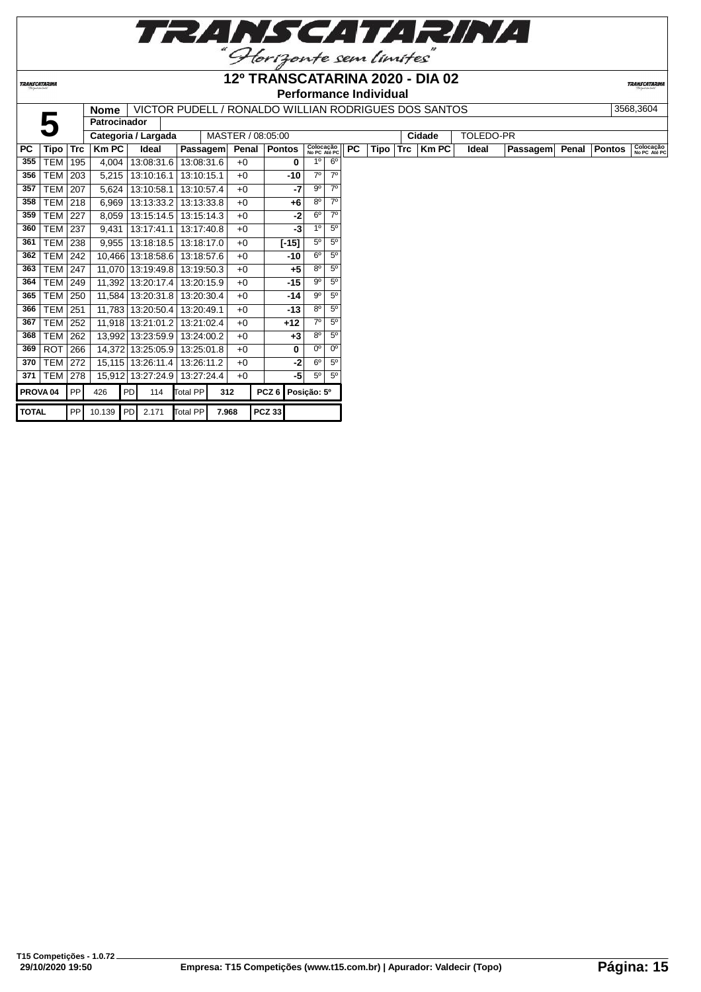

**12º TRANSCATARINA 2020 - DIA 02**

**TRANSCATARINA** 

# **Performance Individual**

**TRANSCATARIN** 

**Nome** | VICTOR PUDELL / RONALDO WILLIAN RODRIGUES DOS SANTOS | 3568,3604

|                     |            |     | <b>Nome</b>              |            |                     |          |            |                   | <u>VIUTUR FUDELL / RUNALDU WILLIAN RUDRIGUES DUS SANTUS</u> |             |                           |                |           |      |            |              |           |                 |       |               | <b>JJUU.JUU4</b>          |
|---------------------|------------|-----|--------------------------|------------|---------------------|----------|------------|-------------------|-------------------------------------------------------------|-------------|---------------------------|----------------|-----------|------|------------|--------------|-----------|-----------------|-------|---------------|---------------------------|
|                     |            |     | <b>Patrocinador</b>      |            |                     |          |            |                   |                                                             |             |                           |                |           |      |            |              |           |                 |       |               |                           |
|                     |            |     | Categoria / Largada      |            |                     |          |            | MASTER / 08:05:00 |                                                             |             |                           |                |           |      |            | Cidade       | TOLEDO-PR |                 |       |               |                           |
| <b>PC</b>           | Tipo       | Trc | Km PC                    |            | Ideal               |          | Passagem   |                   | Penal   Pontos                                              |             | Colocação<br>No PC Até PC |                | <b>PC</b> | Tipo | <b>Trc</b> | <b>Km PC</b> | Ideal     | <b>Passagem</b> | Penal | <b>Pontos</b> | Colocação<br>No PC Até PC |
| 355                 | <b>TEM</b> | 195 | 4,004                    |            | 13:08:31.6          |          | 13:08:31.6 | $+0$              |                                                             | 0           | 1 <sup>0</sup>            | $6^{\circ}$    |           |      |            |              |           |                 |       |               |                           |
| 356                 | <b>TEM</b> | 203 | 5,215                    |            | 13:10:16.1          |          | 13:10:15.1 | $+0$              |                                                             | $-10$       | $7^\circ$                 | 7 <sup>0</sup> |           |      |            |              |           |                 |       |               |                           |
| 357                 | TEM        | 207 | 5,624                    |            | 13:10:58.1          |          | 13:10:57.4 | $+0$              |                                                             | -7          | $9^{\circ}$               | $7^\circ$      |           |      |            |              |           |                 |       |               |                           |
| 358                 | TEM        | 218 | 6,969                    |            | 13:13:33.2          |          | 13:13:33.8 | $+0$              |                                                             | +6          | $8^{\circ}$               | 70             |           |      |            |              |           |                 |       |               |                           |
| 359                 | <b>TEM</b> | 227 | 8,059                    |            | 13:15:14.5          |          | 13:15:14.3 | $+0$              |                                                             | $-2$        | $6^{\circ}$               | 70             |           |      |            |              |           |                 |       |               |                           |
| 360                 | TEM        | 237 | 9,431                    |            | 13:17:41.1          |          | 13:17:40.8 | $+0$              |                                                             | $-3$        | 1 <sup>0</sup>            | $5^{\circ}$    |           |      |            |              |           |                 |       |               |                           |
| 361                 | <b>TEM</b> | 238 | 9,955                    |            | 13:18:18.5          |          | 13:18:17.0 | $+0$              | $[-15]$                                                     |             | $5^{\circ}$               | $5^{\circ}$    |           |      |            |              |           |                 |       |               |                           |
| 362                 | <b>TEM</b> | 242 |                          |            | 10,466 13:18:58.6   |          | 13:18:57.6 | $+0$              |                                                             | $-10$       | 6 <sup>0</sup>            | 5 <sup>0</sup> |           |      |            |              |           |                 |       |               |                           |
| 363                 | <b>TEM</b> | 247 |                          |            | 11,070 13:19:49.8   |          | 13:19:50.3 | $+0$              |                                                             | $+5$        | $8^{\circ}$               | 5 <sup>0</sup> |           |      |            |              |           |                 |       |               |                           |
| 364                 | <b>TEM</b> | 249 |                          |            | 11,392 13:20:17.4   |          | 13:20:15.9 | $+0$              |                                                             | $-15$       | $9^{\circ}$               | 5 <sup>0</sup> |           |      |            |              |           |                 |       |               |                           |
| 365                 | TEM        | 250 |                          |            | 11,584   13:20:31.8 |          | 13:20:30.4 | $+0$              |                                                             | $-14$       | $9^{\circ}$               | 5 <sup>0</sup> |           |      |            |              |           |                 |       |               |                           |
| 366                 | <b>TEM</b> | 251 |                          |            | 11,783 13:20:50.4   |          | 13:20:49.1 | $+0$              |                                                             | $-13$       | $8^{\circ}$               | 5 <sup>0</sup> |           |      |            |              |           |                 |       |               |                           |
| 367                 | <b>TEM</b> | 252 |                          |            | 11,918 13:21:01.2   |          | 13:21:02.4 | $+0$              | $+12$                                                       |             | 7 <sup>0</sup>            | 5 <sup>0</sup> |           |      |            |              |           |                 |       |               |                           |
| 368                 | <b>TEM</b> | 262 |                          |            | 13,992 13:23:59.9   |          | 13:24:00.2 | $+0$              |                                                             | $+3$        | $8^{\circ}$               | 5 <sup>o</sup> |           |      |            |              |           |                 |       |               |                           |
| 369                 | ROT        | 266 |                          |            | 14,372 13:25:05.9   |          | 13:25:01.8 | $+0$              |                                                             | 0           | $0^{\circ}$               | 0 <sup>o</sup> |           |      |            |              |           |                 |       |               |                           |
| 370                 | <b>TEM</b> | 272 |                          |            | 15,115 13:26:11.4   |          | 13:26:11.2 | $+0$              |                                                             | -21         | $6^{\circ}$               | 5 <sup>0</sup> |           |      |            |              |           |                 |       |               |                           |
| 371                 | TEM        | 278 |                          |            | 15,912 13:27:24.9   |          | 13:27:24.4 | $+0$              |                                                             | -5          | $5^{\circ}$               | $5^{\circ}$    |           |      |            |              |           |                 |       |               |                           |
| PROVA <sub>04</sub> |            | PP  | 426                      | <b>PDI</b> | 114                 | Total PP |            | 312               | PCZ <sub>6</sub>                                            | Posição: 5º |                           |                |           |      |            |              |           |                 |       |               |                           |
| <b>TOTAL</b>        |            | PPI | 10.139 PD 2.171 Total PP |            |                     |          |            | 7.968             | <b>PCZ 33</b>                                               |             |                           |                |           |      |            |              |           |                 |       |               |                           |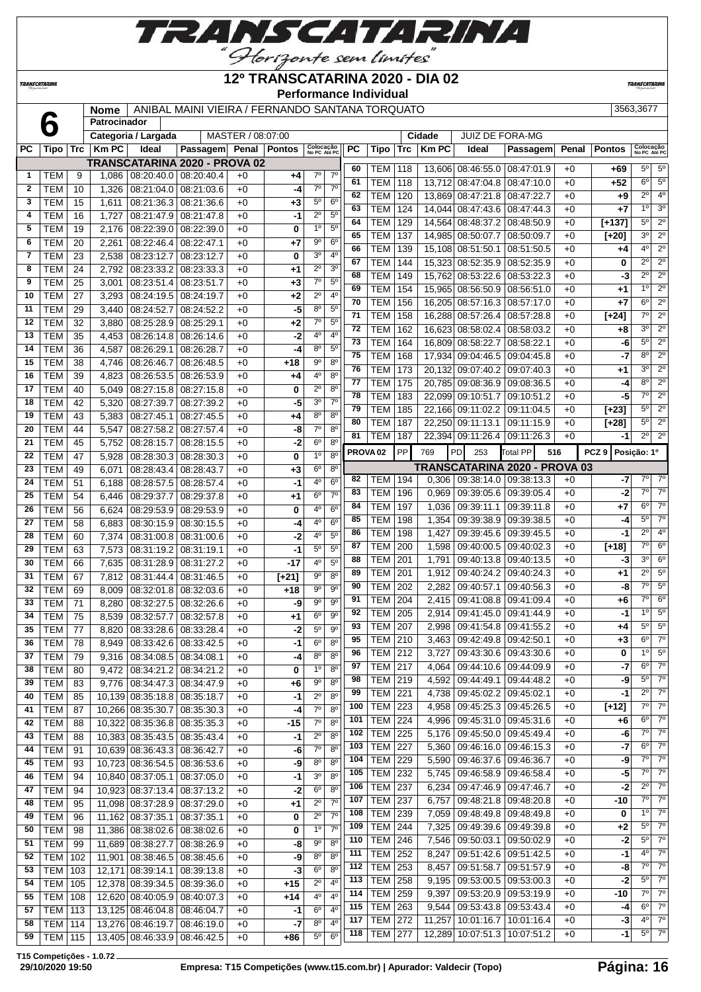

# **12º TRANSCATARINA 2020 - DIA 02**

**TRANSCATARIN** 

| "Ibriquete con lorites       |                          |                       |                |                          |                                                 |                   |                         |                                     |                                  |                 | <b>Performance Individual</b> |         |        |                               |                 |     |       |                  |                           |                        |
|------------------------------|--------------------------|-----------------------|----------------|--------------------------|-------------------------------------------------|-------------------|-------------------------|-------------------------------------|----------------------------------|-----------------|-------------------------------|---------|--------|-------------------------------|-----------------|-----|-------|------------------|---------------------------|------------------------|
|                              |                          |                       | <b>Nome</b>    |                          | ANIBAL MAINI VIEIRA / FERNANDO SANTANA TORQUATO |                   |                         |                                     |                                  |                 |                               |         |        |                               |                 |     |       |                  | 3563,3677                 |                        |
|                              | 6                        |                       | Patrocinador   |                          |                                                 |                   |                         |                                     |                                  |                 |                               |         |        |                               |                 |     |       |                  |                           |                        |
|                              |                          |                       |                | Categoria / Largada      |                                                 | MASTER / 08:07:00 |                         |                                     |                                  |                 |                               |         | Cidade | <b>JUIZ DE FORA-MG</b>        |                 |     |       |                  |                           |                        |
| <b>PC</b>                    | $Tipo$ $Trc$             |                       | <b>KmPC</b>    | Ideal                    | Passagem Penal Pontos                           |                   |                         | Colocação<br>No PC Até PC           |                                  | <b>PC</b>       | Tipo                          | $ $ Trc | Km PC  | Ideal                         | Passagem        |     | Penal | <b>Pontos</b>    | Colocação<br>No PC Até PC |                        |
|                              |                          |                       |                |                          | TRANSCATARINA 2020 - PROVA 02                   |                   |                         |                                     |                                  | 60              | TEM                           | 118     |        | 13,606 08:46:55.0             | 08:47:01.9      |     | $+0$  | $+69$            | $5^{\circ}$               | 5 <sup>0</sup>         |
| 1                            | <b>TEM</b>               | 9                     | 1,086          | 08:20:40.0               | 08:20:40.4                                      | $+0$              | +4                      | $7^\circ$<br>$\overline{7^{\circ}}$ | $7^\circ$<br>$\overline{7^0}$    | 61              | TEM                           | 118     | 13,712 | 08:47:04.8                    | 08:47:10.0      |     | $+0$  | $+52$            | $6^{\circ}$               | $5^{\circ}$            |
| $\overline{2}$               | <b>TEM</b>               | 10                    | 1,326          | 08:21:04.0               | 08:21:03.6                                      | $+0$              | $-4$                    |                                     |                                  | 62              | TEM                           | 120     |        | 13,869 08:47:21.8             | 08:47:22.7      |     | $+0$  | $+9$             | $\overline{2^{\circ}}$    | 4 <sup>0</sup>         |
| 3<br>$\overline{\mathbf{4}}$ | <b>TEM</b>               | 15<br>16              | 1,611          | 08:21:36.3               | 08:21:36.6                                      | $+0$              | $+3$                    | $5^{\circ}$<br>$2^{\circ}$          | 6 <sup>o</sup><br>5 <sup>o</sup> | 63              | TEM                           | 124     | 14,044 | 08:47:43.6                    | 08:47:44.3      |     | $+0$  | $+7$             | 1 <sup>0</sup>            | 3 <sup>0</sup>         |
| 5                            | <b>TEM</b><br><b>TEM</b> | 19                    | 1,727          | 08:21:47.9               | 08:21:47.8                                      | $+0$<br>$+0$      | $-1$                    | 1 <sup>0</sup>                      | 5 <sup>o</sup>                   | 64              | <b>TEM</b>                    | 129     | 14,564 | 08:48:37.2                    | 08:48:50.9      |     | $+0$  | $[+137]$         | $5^{\circ}$               | $\overline{2^{\circ}}$ |
| 6                            |                          | $\overline{20}$       | 2,176          | 08:22:39.0               | 08:22:39.0                                      |                   | $\overline{\mathbf{0}}$ | $9^{\circ}$                         | $6^{\circ}$                      | 65              | <b>TEM</b>                    | 137     |        | 14,985 08:50:07.7             | 08:50:09.7      |     | $+0$  | $[+20]$          | 3 <sup>o</sup>            | $\overline{2^{\circ}}$ |
| $\overline{7}$               | <b>TEM</b>               |                       | 2.261          | 08:22:46.4               | 08:22:47.1                                      | $+0$              | $+7$                    | 3 <sup>o</sup>                      | 4 <sup>0</sup>                   | 66              | <b>TEM</b>                    | 139     | 15,108 | 08:51:50.1                    | 08:51:50.5      |     | $+0$  | $+4$             | 4 <sup>0</sup>            | $\overline{2^{\circ}}$ |
| 8                            | TEM                      | 23                    | 2.538          | 08:23:12.7               | 08:23:12.7                                      | $+0$              | 0                       | $2^{\circ}$                         | 3 <sup>0</sup>                   | 67              | TEM                           | 144     | 15,323 | 08:52:35.9                    | 08:52:35.9      |     | $+0$  | 0                | $2^{\circ}$               | $\overline{2^0}$       |
| 9                            | <b>TEM</b>               | 24<br>$\overline{25}$ | 2.792          | 08:23:33.2               | 08:23:33.3                                      | $+0$<br>$+0$      | +1                      | $7^\circ$                           | 5 <sup>0</sup>                   | 68              | TEM                           | 149     | 15,762 | 08:53:22.6                    | 08:53:22.3      |     | $+0$  | $-3$             | $2^{\circ}$               | $2^{\circ}$            |
| 10                           | <b>TEM</b>               | 27                    | 3,001          | 08:23:51.4               | 08:23:51.7                                      | $+0$              | $+3$                    | $2^{\circ}$                         | 4 <sup>0</sup>                   | 69              | <b>TEM</b>                    | 154     | 15,965 | 08:56:50.9                    | 08:56:51.0      |     | $+0$  | $+1$             | $\overline{1^0}$          | $\overline{2^0}$       |
| 11                           | <b>TEM</b>               | 29                    | 3,293          | 08:24:19.5               | 08:24:19.7                                      |                   | $+2$                    | $8^{\circ}$                         | $5^{\circ}$                      | 70              | <b>TEM</b>                    | 156     |        | 16,205 08:57:16.3             | 08:57:17.0      |     | $+0$  | $+7$             | $\overline{6^0}$          | $\overline{2^{\circ}}$ |
| 12                           | <b>TEM</b><br><b>TEM</b> | 32                    | 3,440<br>3,880 | 08:24:52.7<br>08:25:28.9 | 08:24:52.2<br>08:25:29.1                        | $+0$<br>$+0$      | -5<br>$+2$              | $7^\circ$                           | 5 <sup>0</sup>                   | $\overline{71}$ | <b>TEM</b>                    | 158     | 16,288 | 08:57:26.4                    | 08:57:28.8      |     | $+0$  | $[+24]$          | $\overline{7^{\circ}}$    | $\overline{2^{\circ}}$ |
| 13                           | <b>TEM</b>               | 35                    | 4,453          | 08:26:14.8               | 08:26:14.6                                      | $+0$              | $-2$                    | 4 <sup>0</sup>                      | 4 <sup>0</sup>                   | $\overline{72}$ | <b>TEM</b>                    | 162     |        | 16,623 08:58:02.4             | 08:58:03.2      |     | $+0$  | $+8$             | $\overline{3^0}$          | $\overline{2^0}$       |
| 14                           | <b>TEM</b>               | 36                    |                |                          |                                                 |                   | $-4$                    | $8^{\circ}$                         | 5 <sup>0</sup>                   | 73              | TEM                           | 164     | 16,809 | 08:58:22.7                    | 08:58:22.1      |     | $+0$  | -6               | $5^{\circ}$               | $\overline{2^{\circ}}$ |
| 15                           | <b>TEM</b>               | 38                    | 4,587<br>4,746 | 08:26:29.1<br>08:26:46.7 | 08:26:28.7<br>08:26:48.5                        | $+0$<br>$+0$      | $+18$                   | $9^{\circ}$                         | 8 <sup>o</sup>                   | $\overline{75}$ | <b>TEM</b>                    | 168     | 17,934 | 09:04:46.5                    | 09:04:45.8      |     | $+0$  | $-7$             | $\overline{8^{\circ}}$    | $\overline{2^0}$       |
| 16                           | <b>TEM</b>               | 39                    | 4,823          | 08:26:53.5               | 08:26:53.9                                      | $+0$              | $+4$                    | 4 <sup>0</sup>                      | $8^{\circ}$                      | 76              | TEM                           | 173     | 20.132 | 09:07:40.2                    | 09:07:40.3      |     | $+0$  | $+1$             | 3 <sup>0</sup>            | $\overline{2^0}$       |
| 17                           | TEM                      | 40                    | 5,049          | 08:27:15.8               | 08:27:15.8                                      | $+0$              | 0                       | $2^{\circ}$                         | 8 <sup>o</sup>                   | 77              | <b>TEM</b>                    | 175     |        | 20.785 09:08:36.9             | 09:08:36.5      |     | $+0$  | -4               | $\overline{8^{\circ}}$    | $\overline{2^{\circ}}$ |
| 18                           | <b>TEM</b>               | 42                    | 5,320          | 08:27:39.7               | 08:27:39.2                                      | $+0$              | -5                      | 3 <sup>o</sup>                      | $\overline{7}^{\circ}$           | 78              | <b>TEM</b>                    | 183     |        | 22,099 09:10:51.7             | 09:10:51.2      |     | $+0$  | -5               | $\overline{7^0}$          | $\overline{2^{\circ}}$ |
| 19                           | <b>TEM</b>               | 43                    | 5,383          | 08:27:45.1               | 08:27:45.5                                      | $+0$              | $+4$                    | 8 <sup>o</sup>                      | 8 <sup>o</sup>                   | 79              | <b>TEM</b>                    | 185     |        | 22,166 09:11:02.2             | 09:11:04.5      |     | $+0$  | $[+23]$          | $5^{\circ}$               | $2^{\circ}$            |
| 20                           | <b>TEM</b>               | 44                    | 5.547          | 08:27:58.2               | 08:27:57.4                                      | $+0$              | -8                      | $\overline{7}^{\circ}$              | 8 <sup>o</sup>                   | 80              | TEM                           | 187     |        | 22,250 09:11:13.1             | 09:11:15.9      |     | $+0$  | $[+28]$          | $\overline{5^0}$          | $\overline{2^{\circ}}$ |
| 21                           | <b>TEM</b>               | 45                    | 5.752          | 08:28:15.7               | 08:28:15.5                                      | $+0$              | $-2$                    | 6 <sup>o</sup>                      | 8 <sup>o</sup>                   | 81              | TEM                           | 187     |        | 22,394 09:11:26.4             | 09:11:26.3      |     | $+0$  | $-1$             | $2^{\circ}$               | $\overline{2^{\circ}}$ |
| 22                           | <b>TEM</b>               | 47                    | 5.928          | 08:28:30.3               | 08:28:30.3                                      | $+0$              | 0                       | $\overline{1^0}$                    | $8^{\circ}$                      |                 | PROVA <sub>02</sub>           | PP      | 769    | PD<br>253                     | <b>Total PP</b> | 516 |       | PCZ <sub>9</sub> | Posição: 1º               |                        |
| 23                           | <b>TEM</b>               | 49                    | 6.071          | 08:28:43.4               | 08:28:43.7                                      | $+0$              | $+3$                    | 6 <sup>o</sup>                      | $8^{\circ}$                      |                 |                               |         |        | TRANSCATARINA 2020 - PROVA 03 |                 |     |       |                  |                           |                        |
| 24                           | <b>TEM</b>               | 51                    | 6.188          | 08:28:57.5               | 08:28:57.4                                      | $+0$              | $-1$                    | 4 <sup>0</sup>                      | 6 <sup>0</sup>                   | 82              | TEM                           | 194     | 0,306  | 09:38:14.0                    | 09:38:13.3      |     | $+0$  | -7               | $7^\circ$                 | $\overline{7}^{\circ}$ |
| 25                           | <b>TEM</b>               | 54                    | 6.446          | 08:29:37.7               | 08:29:37.8                                      | $+0$              | $^{+1}$                 | 6 <sup>o</sup>                      | $\overline{7}^{\circ}$           | 83              | <b>TEM</b>                    | 196     | 0,969  | 09:39:05.6                    | 09:39:05.4      |     | $+0$  | $-2$             | $7^\circ$                 | $\overline{7}^{\circ}$ |
| 26                           | <b>TEM</b>               | 56                    | 6.624          | 08:29:53.9               | 08:29:53.9                                      | $+0$              | 0                       | 40                                  | 6 <sup>0</sup>                   | 84              | <b>TEM</b>                    | 197     | 1,036  | 09:39:11.1                    | 09:39:11.8      |     | $+0$  | $+7$             | 6 <sup>o</sup>            | 70                     |
| 27                           | TEM                      | 58                    | 6,883          | 08:30:15.9               | 08:30:15.5                                      | $+0$              | -4                      | 4 <sup>0</sup>                      | 6 <sup>o</sup>                   | 85              | <b>TEM</b>                    | 198     | 1,354  | 09:39:38.9                    | 09:39:38.5      |     | $+0$  | -4               | $5^{\circ}$               | $7^\circ$              |
| 28                           | <b>TEM</b>               | 60                    | 7,374          | 08:31:00.8               | 08:31:00.6                                      | $+0$              | -2                      | 4 <sup>0</sup>                      | 5 <sup>0</sup>                   | 86              | <b>TEM</b>                    | 198     | 1,427  | 09:39:45.6                    | 09:39:45.5      |     | $+0$  | $-1$             | $\overline{2^{\circ}}$    | 4 <sup>o</sup>         |
| 29                           | <b>TEM</b>               | 63                    | 7,573          | 08:31:19.2               | 08:31:19.1                                      | $+0$              | $-1$                    | $5^{\circ}$                         | 5 <sup>0</sup>                   | 87              | <b>TEM</b>                    | 200     | 1,598  | 09:40:00.5                    | 09:40:02.3      |     | $+0$  | $[+18]$          | $\overline{7^0}$          | $6^{\circ}$            |
| 30                           | <b>TEM</b>               | 66                    | 7,635          | 08:31:28.9               | 08:31:27.2                                      | $+0$              | $-17$                   | 4 <sup>0</sup>                      | 5 <sup>o</sup>                   | 88              | TEM                           | 201     | 1,791  | 09:40:13.8                    | 09:40:13.5      |     | $+0$  | -3               | 3 <sup>0</sup>            | $6^{\circ}$            |
| 31                           | <b>TEM</b>               | 67                    | 7,812          | 08:31:44.4               | 08:31:46.5                                      | $+0$              |                         | 90                                  | $8^{\circ}$                      | 89              | <b>TEM</b>                    | 201     | 1,912  | 09:40:24.2                    | 09:40:24.3      |     | $+0$  | $+1$             | $\overline{2^0}$          | $5^{\circ}$            |
| 32                           | <b>TEM</b>               | 69                    | 8,009          | 08:32:01.8               | 08:32:03.6                                      | $+0$              | $[+21]$<br>$+18$        | $9^{\circ}$                         | $\overline{9^0}$                 | 90              | TEM                           | 202     | 2,282  | 09:40:57.1                    | 09:40:56.3      |     | $+0$  | -8               | $7^\circ$                 | 5 <sup>o</sup>         |
| 33                           | <b>TEM</b>               | 71                    | 8,280          | 08:32:27.5               | 08:32:26.6                                      | $+0$              | -9                      | $9^{\circ}$                         | 9 <sup>o</sup>                   | 91              | <b>TEM</b>                    | 204     | 2,415  | 09:41:08.8                    | 09:41:09.4      |     | $+0$  | $+6$             | $\overline{7^\circ}$      | 6 <sup>o</sup>         |
| 34                           | <b>TEM</b>               | 75                    | 8,539          | 08:32:57.7               | 08:32:57.8                                      | $+0$              | +1                      | $6^{\circ}$                         | 9 <sup>o</sup>                   | 92              | <b>TEM</b>                    | 205     | 2,914  | 09:41:45.0   09:41:44.9       |                 |     | $+0$  | $-1$             | 10                        | 5 <sup>0</sup>         |
| 35                           | <b>TEM</b>               | 77                    | 8,820          | 08:33:28.6               | 08:33:28.4                                      | $+0$              | $-2$                    | $5^{\circ}$                         | $9^{\circ}$                      | 93              | <b>TEM</b>                    | 207     | 2,998  | 09:41:54.8                    | 09:41:55.2      |     | $+0$  | $+4$             | 5 <sup>0</sup>            | $5^{\circ}$            |
| 36                           | <b>TEM</b>               | 78                    | 8.949          | 08:33:42.6               | 08:33:42.5                                      | $+0$              | $-1$                    | 6 <sup>o</sup>                      | 8 <sup>o</sup>                   | 95              | TEM                           | 210     | 3,463  | 09:42:49.8                    | 09:42:50.1      |     | $+0$  | $+3$             | 6 <sup>o</sup>            | $\overline{7^{\circ}}$ |
| 37                           | <b>TEM</b>               | 79                    | 9,316          | 08:34:08.5               | 08:34:08.1                                      | $+0$              | -4                      | 8 <sup>o</sup>                      | 8 <sup>0</sup>                   | 96              | TEM                           | 212     | 3,727  | 09:43:30.6                    | 09:43:30.6      |     | $+0$  | 0                | 1 <sup>0</sup>            | $\overline{5^0}$       |
| 38                           | <b>TEM</b>               |                       |                |                          |                                                 |                   | 0                       | 10                                  | $8^{\circ}$                      | 97              | TEM                           | 217     | 4.064  | 09:44:10.6                    | 09:44:09.9      |     | $+0$  | $-7$             | 6 <sup>o</sup>            | 7 <sup>o</sup>         |
|                              |                          | 80                    | 9.472          | 08:34:21.2               | 08:34:21.2                                      | $+0$              |                         |                                     |                                  |                 |                               |         |        |                               |                 |     |       |                  |                           |                        |

| z  | I EM           | 10                | 1,326 | 08:21:04.0   08:21:03.6          |                              | +0   | -4      |                            | $\prime^{\circ}$ | 62                  | TEM            | 120 |       | 13,869 08:47:21.8 08:47:22.7      |                 | $+0$ | +9               | $2^{\circ}$    | 4 <sup>0</sup>   |
|----|----------------|-------------------|-------|----------------------------------|------------------------------|------|---------|----------------------------|------------------|---------------------|----------------|-----|-------|-----------------------------------|-----------------|------|------------------|----------------|------------------|
| 3  | TEM            | 15                | 1,611 |                                  | 08:21:36.3   08:21:36.6      | $+0$ | +3      | $5^{\circ}$                | 6 <sup>o</sup>   | 63                  | TEM            | 124 |       | 14,044 08:47:43.6 08:47:44.3      |                 | $+0$ | +7               | 1 <sup>0</sup> | 3 <sup>0</sup>   |
| 4  | TEM            | 16                | 1,727 |                                  | 08:21:47.9   08:21:47.8      | $+0$ | -1      | $2^{\circ}$                | 5 <sup>0</sup>   | 64                  |                |     |       |                                   |                 |      |                  | $5^{\circ}$    | $2^{\circ}$      |
| 5  | TEM            | 19                | 2,176 | 08:22:39.0   08:22:39.0          |                              | $+0$ | 0       | $1^{\circ}$                | $5^{\circ}$      |                     | TEM            | 129 |       | 14,564 08:48:37.2 08:48:50.9      |                 | $+0$ | $[+137]$         | 3 <sup>o</sup> | $2^{\circ}$      |
| 6  | <b>TEM</b>     | 20                | 2,261 | 08:22:46.4   08:22:47.1          |                              | $+0$ | +7      | $9^{\circ}$                | 6 <sup>o</sup>   | 65                  | TEM            | 137 |       | 14,985 08:50:07.7 08:50:09.7      |                 | $+0$ | $[+20]$          |                |                  |
| 7  | TEM            | 23                | 2,538 | 08:23:12.7                       | 08:23:12.7                   | $+0$ | 0       | 3 <sup>o</sup>             | $4^{\circ}$      | 66                  | TEM            | 139 |       | 15,108 08:51:50.1                 | 08:51:50.5      | $+0$ | +4               | $4^{\circ}$    | $2^{\circ}$      |
| 8  | TEM            | 24                | 2,792 |                                  | $08:23:33.2 \mid 08:23:33.3$ | $+0$ | +1      | $2^{\circ}$                | 3 <sup>0</sup>   | 67                  | TEM            | 144 |       | 15.323 08:52:35.9                 | 08:52:35.9      | $+0$ | 0                | $2^{\circ}$    | $2^{\circ}$      |
| 9  | TEM            | 25                | 3,001 | 08:23:51.4   08:23:51.7          |                              | $+0$ | $+3$    | $7^\circ$                  | $5^{\circ}$      | 68                  | TEM            | 149 |       | 15,762 08:53:22.6                 | 08:53:22.3      | $+0$ | -3               | $2^{\circ}$    | $2^{\circ}$      |
| 10 | <b>TEM</b>     | 27                | 3,293 | 08:24:19.5   08:24:19.7          |                              | $+0$ | +2      | $2^{\circ}$                | $4^{\circ}$      | 69                  | TEM            | 154 |       | 15,965 08:56:50.9 08:56:51.0      |                 | $+0$ | +1               | $1^{\circ}$    | $2^{\circ}$      |
| 11 | <b>TEM</b>     | 29                | 3,440 | 08:24:52.7                       | 08:24:52.2                   | $+0$ | -5      | $8^{\circ}$                | $5^{\circ}$      | 70                  | TEM            | 156 |       | 16,205 08:57:16.3                 | 08:57:17.0      | $+0$ | +7               | 6 <sup>o</sup> | $2^{\circ}$      |
| 12 | <b>TEM</b>     | 32                | 3,880 | 08:25:28.9 08:25:29.1            |                              | $+0$ | +2      | $7^\circ$                  | 5 <sup>o</sup>   | 71                  | TEM            | 158 |       | 16,288 08:57:26.4 08:57:28.8      |                 | $+0$ | $[+24]$          | $7^\circ$      | $2^{\circ}$      |
| 13 | <b>TEM</b>     | 35                | 4,453 |                                  | 08:26:14.8   08:26:14.6      | $+0$ | -2      | 4°                         | $4^{\circ}$      | 72                  | TEM            | 162 |       | 16,623 08:58:02.4 08:58:03.2      |                 | $+0$ | +8               | 3 <sup>o</sup> | $\overline{2^0}$ |
| 14 |                |                   |       |                                  |                              |      |         | 80                         | $5^{\circ}$      | 73                  | TEM            | 164 |       | 16,809 08:58:22.7                 | 08:58:22.1      | $+0$ | -6               | $5^{\circ}$    | $2^{\circ}$      |
|    | TEM            | 36                | 4,587 | 08:26:29.1                       | 08:26:28.7                   | $+0$ | -4      | 90                         |                  | 75                  | TEM            | 168 |       | 17.934 09:04:46.5 09:04:45.8      |                 | $+0$ | -7               | $8^{\circ}$    | $2^{\circ}$      |
| 15 | TEM            | 38                | 4,746 | 08:26:46.7                       | 08:26:48.5                   | $+0$ | +18     |                            | $8^{\circ}$      | 76                  | TEM            | 173 |       | 20,132 09:07:40.2 09:07:40.3      |                 | $+0$ | +1               | 3 <sup>0</sup> | $2^{\circ}$      |
| 16 | TEM            | 39                | 4,823 |                                  | 08:26:53.5   08:26:53.9      | $+0$ | +4      | 4°                         | $8^{\circ}$      | 77                  | TEM            | 175 |       | 20,785 09:08:36.9 09:08:36.5      |                 | $+0$ | $-4$             | $8^{\circ}$    | $\overline{2^0}$ |
| 17 | TEM            | 40                | 5,049 |                                  | 08:27:15.8 08:27:15.8        | $+0$ | 0       | $2^{\circ}$                | 8 <sup>o</sup>   | 78                  | TEM            | 183 |       | 22,099 09:10:51.7                 | 09:10:51.2      | $+0$ | -5               | $7^\circ$      | $2^{\circ}$      |
| 18 | TEM            | 42                | 5,320 | 08:27:39.7                       | 08:27:39.2                   | $+0$ | -5      | 3 <sup>o</sup>             | $7^\circ$        | 79                  | TEM            | 185 |       | 22,166 09:11:02.2 09:11:04.5      |                 | $+0$ | $[+23]$          | $5^{\circ}$    | $2^{\circ}$      |
| 19 | TEM            | 43                | 5,383 | 08:27:45.1                       | 08:27:45.5                   | $+0$ | +4      | $8^{\circ}$                | $8^{\circ}$      | 80                  | TEM            | 187 |       | 22,250 09:11:13.1 09:11:15.9      |                 | $+0$ | [+28]            | $5^{\circ}$    | $2^{\circ}$      |
| 20 | <b>TEM</b>     | 44                | 5,547 | 08:27:58.2                       | 08:27:57.4                   | $+0$ | -8      | $7^\circ$                  | $8^{\circ}$      | 81                  | TEM            | 187 |       | 22,394 09:11:26.4 09:11:26.3      |                 | $+0$ | -1               | $2^{\circ}$    | $2^{\circ}$      |
| 21 | TEM            | 45                | 5,752 | 08:28:15.7                       | 08:28:15.5                   | $+0$ | -2      | $6^{\circ}$                | $8^{\circ}$      |                     |                |     |       |                                   |                 |      | Posição: 1º      |                |                  |
| 22 | TEM            | 47                | 5,928 |                                  | $08:28:30.3 \mid 08:28:30.3$ | $+0$ | 0       | 1 <sup>0</sup>             | 8 <sup>o</sup>   | PROVA <sub>02</sub> |                | PP  | 769   | <b>PD</b><br>253                  | <b>Total PP</b> | 516  | PCZ <sub>9</sub> |                |                  |
| 23 | <b>TEM</b>     | 49                | 6,071 | 08:28:43.4   08:28:43.7          |                              | $+0$ | +3      | $6^{\circ}$                | $8^{\circ}$      |                     |                |     |       | TRANSCATARINA 2020 - PROVA 03     |                 |      |                  |                |                  |
| 24 | <b>TEM</b>     | 51                | 6,188 | 08:28:57.5 08:28:57.4            |                              | $+0$ | -1      | 4º                         | 6 <sup>o</sup>   | 82                  | TEM   194      |     |       | $0,306$   09:38:14.0   09:38:13.3 |                 | $+0$ | -7               | $7^\circ$      | $7^\circ$        |
| 25 | <b>TEM</b>     | 54                | 6,446 | 08:29:37.7                       | 08:29:37.8                   | $+0$ | +1      | $6^{\circ}$                | $7^{\circ}$      | 83                  | TEM            | 196 | 0,969 | 09:39:05.6   09:39:05.4           |                 | $+0$ | -2               | 7°             | $7^\circ$        |
| 26 | TEM            | 56                | 6,624 |                                  | 08:29:53.9 08:29:53.9        | $+0$ | 0       | 4°                         | 6 <sup>o</sup>   | 84                  | TEM            | 197 | 1,036 | 09:39:11.1 09:39:11.8             |                 | $+0$ | +7               | $6^{\circ}$    | $7^\circ$        |
| 27 | TEM            | 58                | 6,883 |                                  | 08:30:15.9   08:30:15.5      | $+0$ | -4      | 4°                         | $6^{\circ}$      | 85                  | TEM            | 198 | 1,354 | 09:39:38.9 09:39:38.5             |                 | $+0$ | -4               | $5^{\circ}$    | $7^\circ$        |
| 28 | TEM            | 60                | 7,374 |                                  | 08:31:00.8   08:31:00.6      | $+0$ | -2      | 4°                         | $5^{\circ}$      | 86                  | TEM            | 198 | 1,427 | 09:39:45.6 09:39:45.5             |                 | $+0$ | -1               | $2^{\circ}$    | $4^{\circ}$      |
| 29 | <b>TEM</b>     | 63                | 7,573 | 08:31:19.2   08:31:19.1          |                              | $+0$ | -1      | $5^{\circ}$                | $5^{\circ}$      | 87                  | TEM            | 200 | 1,598 | 09:40:00.5   09:40:02.3           |                 | $+0$ | $[+18]$          | 7°             | $6^{\circ}$      |
| 30 | <b>TEM</b>     | 66                | 7,635 | 08:31:28.9 08:31:27.2            |                              | $+0$ | -17     | 4°                         | $5^{\circ}$      | 88                  | TEM            | 201 | 1,791 | 09:40:13.8 09:40:13.5             |                 | $+0$ | -3               | $3^{\circ}$    | 6 <sup>o</sup>   |
| 31 | TEM            | 67                | 7,812 |                                  | 08:31:44.4   08:31:46.5      | $+0$ | $[+21]$ | 90                         | 8 <sup>0</sup>   | 89                  | TEM            | 201 | 1,912 | 09:40:24.2 09:40:24.3             |                 | $+0$ | +1               | $2^{\circ}$    | 5 <sup>o</sup>   |
| 32 | <b>TEM</b>     | 69                | 8,009 | 08:32:01.8 08:32:03.6            |                              | $+0$ | +18     | 90                         | $9^{\circ}$      | 90                  | TEM 202        |     | 2,282 | 09:40:57.1                        | 09:40:56.3      | $+0$ | -8               | 7°             | $5^{\circ}$      |
| 33 | TEM            | 71                | 8,280 | 08:32:27.5 08:32:26.6            |                              | $+0$ | -9      | $9^{\circ}$                | $9^{\circ}$      | 91                  | TEM            | 204 | 2,415 | 09:41:08.8                        | 09:41:09.4      | $+0$ | +6               | 7°             | $6^{\circ}$      |
| 34 | <b>TEM</b>     | 75                | 8,539 | 08:32:57.7                       | 08:32:57.8                   | $+0$ | +1      | $6^{\circ}$                | $9^{\circ}$      | 92                  | TEM            | 205 | 2,914 | 09:41:45.0                        | 09:41:44.9      | $+0$ | -1               | $1^{\circ}$    | 5 <sup>0</sup>   |
| 35 | TEM            | 77                | 8,820 |                                  | 08:33:28.6   08:33:28.4      | $+0$ | -2      | $5^{\circ}$                | $9^{\circ}$      | 93                  | TEM            | 207 | 2,998 | 09:41:54.8 09:41:55.2             |                 | $+0$ | +4               | $5^\circ$      | 5 <sup>0</sup>   |
| 36 | TEM            | 78                | 8,949 |                                  | 08:33:42.6   08:33:42.5      | $+0$ | -1      | $6^{\circ}$                | $8^{\circ}$      | 95                  | TEM 210        |     | 3,463 | 09:42:49.8   09:42:50.1           |                 | $+0$ | +3               | 6 <sup>o</sup> | $7^\circ$        |
| 37 | TEM            | 79                | 9,316 | 08:34:08.5   08:34:08.1          |                              | $+0$ | -4      | $8^{\circ}$                | $8^{\circ}$      | 96                  | <b>TEM 212</b> |     | 3,727 | 09:43:30.6 09:43:30.6             |                 | $+0$ | 0                | $1^{\circ}$    | $5^\circ$        |
| 38 | TEM            | 80                | 9,472 | 08:34:21.2                       | 08:34:21.2                   | $+0$ | 0       | 1 <sup>0</sup>             | $8^{\circ}$      | 97                  | TEM            | 217 | 4,064 | 09:44:10.6   09:44:09.9           |                 | $+0$ | -7               | $6^{\circ}$    | $7^\circ$        |
| 39 | <b>TEM</b>     | 83                | 9,776 |                                  | 08:34:47.3   08:34:47.9      | $+0$ | +6      | 90                         | $8^{\circ}$      | 98                  | TEM            | 219 | 4,592 | 09:44:49.1                        | 09:44:48.2      | $+0$ | -9               | $5^{\circ}$    | $7^\circ$        |
| 40 | TEM            | 85                |       | 10,139 08:35:18.8 08:35:18.7     |                              | $+0$ | -1      | $2^{\circ}$                | 8 <sup>0</sup>   | 99                  | TEM            | 221 | 4.738 | 09:45:02.2                        | 09:45:02.1      | $+0$ | -1               | $2^{\circ}$    | $7^\circ$        |
| 41 | TEM            | 87                |       | 10,266 08:35:30.7 08:35:30.3     |                              | $+0$ | -4      | $7^\circ$                  | $8^{\circ}$      | 100                 | <b>TEM 223</b> |     |       | 4,958   09:45:25.3   09:45:26.5   |                 | $+0$ | $[+12]$          | 7°             | $7^\circ$        |
| 42 | TEM            | 88                |       | 10,322 08:35:36.8 08:35:35.3     |                              | +0   | -15     | $7^{\circ}$                | 8 <sup>o</sup>   | 101                 | TEM   224      |     |       | 4,996   09:45:31.0   09:45:31.6   |                 | $+0$ | +6               | $6^{\circ}$    | 7°               |
| 43 | <b>TEM</b>     | 88                |       | 10,383 08:35:43.5 08:35:43.4     |                              | $+0$ | -1      | $2^{\circ}$                | $8^{\circ}$      | 102                 | <b>TEM 225</b> |     |       | 5,176   09:45:50.0   09:45:49.4   |                 | $+0$ | $-6$             | 7°             | $7^\circ$        |
| 44 | <b>TEM</b>     | 91                |       | 10,639 08:36:43.3 08:36:42.7     |                              | +0   | -6      | $7^\circ$                  | $8^{\circ}$      | 103                 | <b>TEM 227</b> |     |       | 5,360   09:46:16.0   09:46:15.3   |                 | $+0$ | $-7$             | $6^{\circ}$    | $7^\circ$        |
| 45 | <b>TEM</b>     |                   |       |                                  |                              |      |         | 8 <sup>o</sup>             | 8 <sup>o</sup>   | 104                 | <b>TEM 229</b> |     |       | 5,590   09:46:37.6   09:46:36.7   |                 | $+0$ | -9               | $7^\circ$      | $7^\circ$        |
|    |                | 93                |       | 10,723 08:36:54.5 08:36:53.6     |                              | $+0$ | -9      | 3 <sup>0</sup>             | 8 <sup>o</sup>   | 105                 | <b>TEM 232</b> |     |       | 5,745   09:46:58.9   09:46:58.4   |                 | $+0$ | $-5$             | $7^{\circ}$    | $7^\circ$        |
| 46 | <b>TEM</b>     | 94                |       | 10,840 08:37:05.1 08:37:05.0     |                              | $+0$ | -1      | $6^{\circ}$                | $8^{\circ}$      | 106                 | <b>TEM 237</b> |     |       | $6,234$   09:47:46.9   09:47:46.7 |                 | $+0$ | -2               | $2^{\circ}$    | $7^\circ$        |
| 47 | <b>TEM</b>     | 94                |       | 10,923 08:37:13.4 08:37:13.2     |                              | +0   | -2      |                            | $7^\circ$        | 107                 | <b>TEM 237</b> |     | 6,757 | 09:48:21.8 09:48:20.8             |                 | $+0$ | -10              | $7^{\circ}$    | $7^\circ$        |
| 48 | <b>TEM</b>     | 95                |       | 11,098 08:37:28.9 08:37:29.0     |                              | $+0$ | +1      | $2^{\circ}$<br>$2^{\circ}$ | 7 <sup>o</sup>   | 108                 | TEM 239        |     | 7.059 | 09:48:49.8 09:48:49.8             |                 | $+0$ | 0                | $1^{\circ}$    | $7^\circ$        |
| 49 | <b>TEM</b>     | 96                |       | 11,162 08:37:35.1 08:37:35.1     |                              | +0   | 0       |                            |                  | 109                 | <b>TEM 244</b> |     |       | 7,325   09:49:39.6   09:49:39.8   |                 | $+0$ | +2               | $5^{\circ}$    | $7^\circ$        |
| 50 | <b>TEM</b>     | 98                |       | 11,386 08:38:02.6 08:38:02.6     |                              | $+0$ | 0       | 1 <sup>0</sup>             | $7^\circ$        | 110                 | <b>TEM 246</b> |     |       | 7,546 09:50:03.1 09:50:02.9       |                 |      | $-2$             | $5^{\circ}$    | $7^\circ$        |
| 51 | <b>TEM</b>     | 99                |       | 11,689 08:38:27.7                | 08:38:26.9                   | +0   | -8      | $9^{\circ}$                | $8^{\circ}$      | 111                 | <b>TEM 252</b> |     |       |                                   |                 | $+0$ |                  | $4^{\circ}$    | $7^\circ$        |
| 52 | <b>TEM</b>     | 102               |       | 11,901   08:38:46.5   08:38:45.6 |                              | +0   | -9      | $8^{\circ}$                | $8^{\circ}$      |                     |                |     | 8,247 | 09:51:42.6 09:51:42.5             |                 | $+0$ | -1               | $7^\circ$      | $7^\circ$        |
| 53 | <b>TEM</b>     | 103               |       | 12,171 08:39:14.1                | 08:39:13.8                   | +0   | -3      | 6 <sup>o</sup>             | 8 <sup>o</sup>   | 112                 | <b>TEM 253</b> |     |       | 8,457   09:51:58.7   09:51:57.9   |                 | $+0$ | -8               |                |                  |
| 54 | <b>TEM</b>     | 105               |       | 12,378 08:39:34.5 08:39:36.0     |                              | +0   | $+15$   | $2^{\circ}$                | $4^{\circ}$      | 113                 | <b>TEM 258</b> |     |       | 9,195   09:53:00.5   09:53:00.3   |                 | $+0$ | $-2$             | $5^{\circ}$    | $7^\circ$        |
| 55 | <b>TEM</b>     | 108               |       | 12,620 08:40:05.9 08:40:07.3     |                              | $+0$ | $+14$   | 40                         | $4^{\circ}$      | 114                 | TEM 259        |     |       | 9,397   09:53:20.9   09:53:19.9   |                 | $+0$ | -10              | $7^\circ$      | $7^\circ$        |
| 57 | <b>TEM</b>     | 113               |       | 13,125 08:46:04.8 08:46:04.7     |                              | +0   | -1      | $6^{\circ}$                | $4^{\circ}$      | 115                 | <b>TEM 263</b> |     |       | $9,544$   09:53:43.8   09:53:43.4 |                 | $+0$ | -4               | $6^{\circ}$    | $7^\circ$        |
| 58 | <b>TEM</b>     | $\frac{114}{114}$ |       | 13,276 08:46:19.7 08:46:19.0     |                              | +0   | $-7$    | $8^{\circ}$                | 4 <sup>0</sup>   | 117                 | <b>TEM 272</b> |     |       | $11,257$ 10:01:16.7               | 10:01:16.4      | $+0$ | $-3$             | $4^{\circ}$    | $7^\circ$        |
| 59 | <b>TEM 115</b> |                   |       | 13,405 08:46:33.9 08:46:42.5     |                              | +0   | +86     | $5^{\circ}$                | 6 <sup>o</sup>   | 118                 | <b>TEM 277</b> |     |       | 12,289 10:07:51.3 10:07:51.2      |                 | $+0$ | $-1$             | $5^{\circ}$    | $7^\circ$        |
|    |                |                   |       |                                  |                              |      |         |                            |                  |                     |                |     |       |                                   |                 |      |                  |                |                  |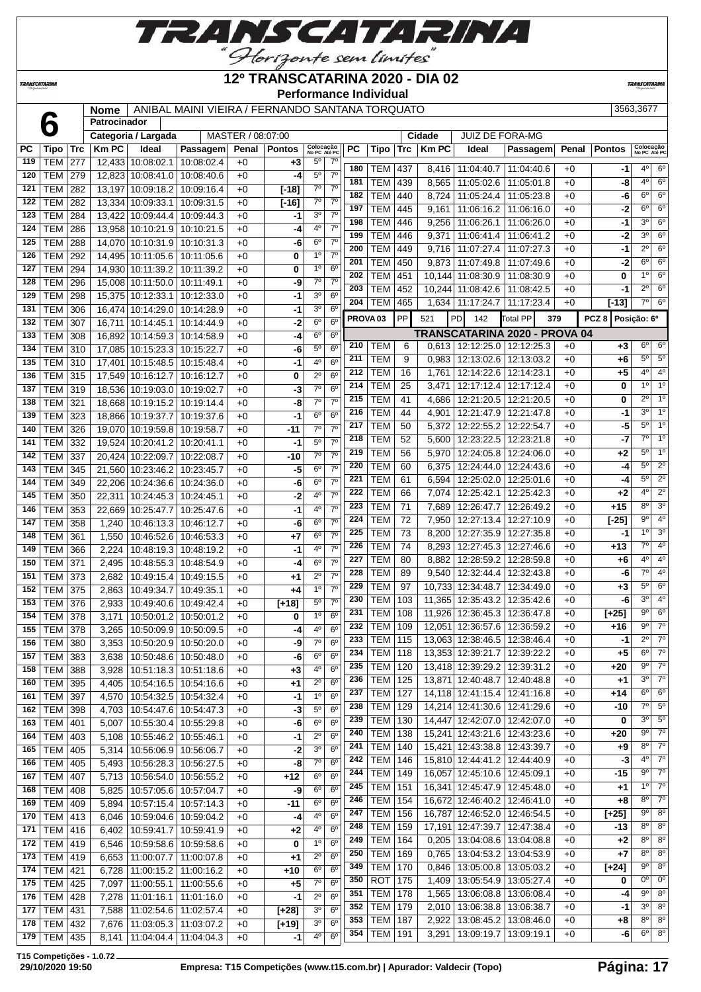

#### **TRANSCATARINA**

#### **12º TRANSCATARINA 2020 - DIA 02 Performance Individual**

**TRANSCATARIN** 

**Nome** ANIBAL MAINI VIEIRA / FERNANDO SANTANA TORQUATO 3563,3677

|           |                 |            | <b>Nome</b>  |                                 | AINIDAL MAINI VIEIRA / FERNANDO SANTANA TORQUATO |                   |               |                           |                |                     |                |             |                                   |                               |       |               | <u> ววบว,วบ77</u>         |                |
|-----------|-----------------|------------|--------------|---------------------------------|--------------------------------------------------|-------------------|---------------|---------------------------|----------------|---------------------|----------------|-------------|-----------------------------------|-------------------------------|-------|---------------|---------------------------|----------------|
|           |                 |            | Patrocinador |                                 |                                                  |                   |               |                           |                |                     |                |             |                                   |                               |       |               |                           |                |
|           |                 |            |              | Categoria / Largada             |                                                  | MASTER / 08:07:00 |               |                           |                |                     |                | Cidade      | <b>JUIZ DE FORA-MG</b>            |                               |       |               |                           |                |
| <b>PC</b> | Tipo            | <b>Trc</b> | <b>Km PC</b> | Ideal                           | Passagem                                         | Penal             | <b>Pontos</b> | Colocação<br>No PC Até PC | <b>PC</b>      | <b>Tipo</b>         |                | $Trc$ Km PC | Ideal                             | Passagem                      | Penal | <b>Pontos</b> | Colocação<br>No PC Até PC |                |
| 119       | <b>TEM</b>      | 277        |              | 12,433 10:08:02.1               | 10:08:02.4                                       | $+0$              | $+3$          | $5^{\circ}$               | $7^\circ$      | 180<br><b>TEM</b>   | 437            |             | 8,416   11:04:40.7   11:04:40.6   |                               | $+0$  | -1            | $4^{\circ}$               | $6^{\circ}$    |
| 120       | <b>TEM</b>      | 279        |              | 12,823 10:08:41.0               | 10:08:40.6                                       | $+0$              | -4            | $5^{\circ}$               | 7 <sup>0</sup> | 181<br><b>TEM</b>   | 439            | 8,565       | 11:05:02.6   11:05:01.8           |                               | $+0$  | -8            | $4^{\circ}$               | $6^{\circ}$    |
| 121       | TEM             | 282        |              | 13,197 10:09:18.2               | 10:09:16.4                                       | $+0$              | $[-18]$       | 7 <sup>o</sup>            | $7^{\circ}$    | 182<br><b>TEM</b>   | 440            | 8,724       |                                   |                               | $+0$  | -6            | $6^{\circ}$               | $6^{\circ}$    |
| 122       | <b>TEM</b>      | 282        |              | 13,334 10:09:33.1               | 10:09:31.5                                       | $+0$              | $[ -16]$      | $7^\circ$                 | 7 <sup>0</sup> |                     |                |             | 11:05:24.4   11:05:23.8           |                               |       |               | $6^{\circ}$               | $6^{\circ}$    |
| 123       | <b>TEM</b>      | 284        |              | 13,422 10:09:44.4 10:09:44.3    |                                                  | $+0$              | -1            | 3 <sup>0</sup>            | 7 <sup>0</sup> | 197<br><b>TEM</b>   | 445            | 9,161       | 11:06:16.2   11:06:16.0           |                               | $+0$  | -2            |                           |                |
| 124       | <b>TEM</b>      | 286        |              | 13,958 10:10:21.9               | 10:10:21.5                                       | $+0$              | -4            | 40                        | 7 <sup>0</sup> | 198<br><b>TEM</b>   | 446            | 9,256       | 11:06:26.1                        | 11:06:26.0                    | $+0$  | -1            | 3 <sup>0</sup>            | $6^{\circ}$    |
| 125       | <b>TEM</b>      | 288        |              | 14,070 10:10:31.9               | 10:10:31.3                                       | $+0$              | -6            | $6^{\circ}$               | $7^\circ$      | 199<br><b>TEM</b>   | 446            | 9,371       | 11:06:41.4   11:06:41.2           |                               | $+0$  | $-2$          | $3^{\circ}$               | $6^{\circ}$    |
| 126       | <b>TEM</b>      | 292        |              | 14,495 10:11:05.6               | 10:11:05.6                                       | $+0$              | 0             | 1 <sup>0</sup>            | $7^{\circ}$    | 200<br><b>TEM</b>   | 449            | 9,716       | 11:07:27.4 11:07:27.3             |                               | $+0$  | -1            | $2^{\circ}$               | $6^{\circ}$    |
| 127       | <b>TEM</b>      | 294        |              | 14,930 10:11:39.2               | 10:11:39.2                                       | $+0$              | 0             | 1 <sup>0</sup>            | 6 <sup>0</sup> | 201<br><b>TEM</b>   | 450            | 9,873       |                                   | 11:07:49.8   11:07:49.6       | $+0$  | $-2$          | $6^{\circ}$               | $6^{\circ}$    |
| 128       | TEM             | 296        |              | 15,008 10:11:50.0               | 10:11:49.1                                       | $+0$              | -9            | $7^\circ$                 | 7 <sup>o</sup> | 202<br><b>TEM</b>   | 451            |             | 10,144 11:08:30.9 11:08:30.9      |                               | $+0$  | 0             | 1 <sup>°</sup>            | $6^{\circ}$    |
| 129       | <b>TEM</b>      | 298        |              | 15,375 10:12:33.1               | 10:12:33.0                                       | $+0$              | -1            | 3 <sup>o</sup>            | 6 <sup>o</sup> | 203<br><b>TEM</b>   | 452            |             | 10,244 11:08:42.6 11:08:42.5      |                               | $+0$  | -1            | $2^{\circ}$               | $6^{\circ}$    |
| 131       |                 |            |              |                                 |                                                  | $+0$              |               | 3 <sup>0</sup>            | 6 <sup>o</sup> | 204<br><b>TEM</b>   | 465            | 1,634       | 11:17:24.7   11:17:23.4           |                               | $+0$  | [-13]         | $7^{\circ}$               | $6^{\circ}$    |
|           | TEM             | 306        |              | 16,474 10:14:29.0               | 10:14:28.9                                       |                   | -1            | 6 <sup>o</sup>            | 6 <sup>o</sup> | PROVA <sub>03</sub> | PP             | 521         | <b>PD</b><br>142                  | Total PP<br>379               |       | PCZ 8         | Posição: 6º               |                |
| 132       | <b>TEM</b>      | 307        |              | 16,711 10:14:45.1               | 10:14:44.9                                       | $+0$              | $-2$          |                           |                |                     |                |             |                                   | TRANSCATARINA 2020 - PROVA 04 |       |               |                           |                |
| 133       | <b>TEM</b>      | 308        |              | 16,892 10:14:59.3 10:14:58.9    |                                                  | $+0$              | $-4$          | 6 <sup>o</sup>            | 6 <sup>o</sup> | <b>TEM</b><br>210   | 6              |             | $0,613$   12:12:25.0   12:12:25.3 |                               | $+0$  | $+3$          | $6^{\circ}$               | $6^{\circ}$    |
| 134       | <b>TEM</b>      | 310        |              | 17,085 10:15:23.3 10:15:22.7    |                                                  | $+0$              | -6            | $5^{\circ}$               | 6 <sup>o</sup> | 211                 |                |             |                                   |                               |       |               | $5^{\circ}$               | 5 <sup>o</sup> |
| 135       | <b>TEM</b>      | 310        |              | 17,401 10:15:48.5 10:15:48.4    |                                                  | $+0$              | $-1$          | 4 <sup>0</sup>            | 6 <sup>o</sup> | <b>TEM</b>          | 9              | 0,983       | 12:13:02.6   12:13:03.2           |                               | $+0$  | +6            |                           |                |
| 136       | TEM             | 315        |              | 17,549 10:16:12.7               | 10:16:12.7                                       | $+0$              | 0             | $2^{\circ}$               | 6 <sup>o</sup> | 212<br><b>TEM</b>   | 16             | 1,761       | 12:14:22.6   12:14:23.1           |                               | $+0$  | +5            | $4^{\circ}$               | $4^{\circ}$    |
| 137       | <b>TEM</b>      | 319        |              | 18,536 10:19:03.0 10:19:02.7    |                                                  | $+0$              | $-3$          | $7^\circ$                 | 6 <sup>o</sup> | 214<br><b>TEM</b>   | 25             | 3,471       |                                   | 12:17:12.4   12:17:12.4       | $+0$  | 0             | 10                        | 1 <sup>0</sup> |
| 138       | TEM             | 321        |              | 18,668 10:19:15.2               | 10:19:14.4                                       | $+0$              | -8            | $7^\circ$                 | $7^\circ$      | 215<br><b>TEM</b>   | 41             | 4,686       |                                   | 12:21:20.5   12:21:20.5       | $+0$  | 0             | $2^{\circ}$               | 1 <sup>0</sup> |
| 139       | <b>TEM</b>      | 323        |              | 18,866 10:19:37.7               | 10:19:37.6                                       | $+0$              | $-1$          | $6^{\circ}$               | 6 <sup>o</sup> | 216<br><b>TEM</b>   | 44             | 4,901       |                                   | 12:21:47.9   12:21:47.8       | $+0$  | -1            | 3 <sup>0</sup>            | 1 <sup>°</sup> |
| 140       | TEM             | 326        |              | 19,070 10:19:59.8               | 10:19:58.7                                       | $+0$              | -11           | $7^\circ$                 | 7 <sup>o</sup> | <b>TEM</b><br>217   | 50             | 5,372       | 12:22:55.2 12:22:54.7             |                               | $+0$  | $-5$          | $5^\circ$                 | 1 <sup>°</sup> |
| 141       | <b>TEM</b>      | 332        |              | 19,524 10:20:41.2               | 10:20:41.1                                       | $+0$              | -1            | 5 <sup>0</sup>            | 7 <sup>0</sup> | <b>TEM</b><br>218   | 52             | 5,600       | 12:23:22.5   12:23:21.8           |                               | $+0$  | $-7$          | $7^\circ$                 | 1 <sup>°</sup> |
| 142       | <b>TEM</b>      | 337        |              | 20,424 10:22:09.7               | 10:22:08.7                                       | $+0$              | -10           | 7 <sup>o</sup>            | 7 <sup>o</sup> | <b>TEM</b><br>219   | 56             | 5,970       |                                   | 12:24:05.8   12:24:06.0       | $+0$  | +2            | 5 <sup>o</sup>            | 1 <sup>0</sup> |
| 143       | <b>TEM</b>      | 345        |              | 21,560 10:23:46.2               | 10:23:45.7                                       | $+0$              | $-5$          | 6 <sup>o</sup>            | $7^\circ$      | 220<br><b>TEM</b>   | 60             | 6,375       |                                   | 12:24:44.0   12:24:43.6       | $+0$  | -4            | 5 <sup>0</sup>            | $2^{\circ}$    |
| 144       | <b>TEM</b>      | 349        |              | 22,206 10:24:36.6 10:24:36.0    |                                                  | $+0$              | -6            | $6^{\circ}$               | $7^\circ$      | 221<br><b>TEM</b>   | 61             | 6,594       |                                   | 12:25:02.0   12:25:01.6       | +0    | -4            | $5^{\circ}$               | $2^{\circ}$    |
| 145       | TEM             | 350        |              | 22,311 10:24:45.3 10:24:45.1    |                                                  | $+0$              | $-2$          | 4°                        | $7^{\circ}$    | 222<br><b>TEM</b>   | 66             | 7,074       |                                   | 12:25:42.1   12:25:42.3       | $+0$  | +2            | $4^{\circ}$               | $2^{\circ}$    |
|           |                 |            |              |                                 |                                                  |                   |               | 4 <sup>0</sup>            | 7 <sup>o</sup> | 223<br><b>TEM</b>   | 71             | 7,689       |                                   | 12:26:47.7   12:26:49.2       | $+0$  | $+15$         | 8 <sup>o</sup>            | 3 <sup>o</sup> |
| 146       | <b>TEM</b>      | 353        |              | 22,669 10:25:47.7               | 10:25:47.6                                       | $+0$              | $-1$          |                           |                | 224<br><b>TEM</b>   | 72             | 7,950       |                                   | 12:27:13.4   12:27:10.9       | $+0$  | $[-25]$       | $9^{\circ}$               | 4 <sup>0</sup> |
| 147       | TEM             | 358        | 1,240        | 10:46:13.3 10:46:12.7           |                                                  | $+0$              | -6            | 6 <sup>o</sup>            | 7 <sup>o</sup> | 225<br><b>TEM</b>   | 73             | 8,200       |                                   | 12:27:35.9   12:27:35.8       | $+0$  | -1            | 10                        | 3 <sup>o</sup> |
| 148       | <b>TEM</b>      | 361        | 1,550        | 10:46:52.6                      | 10:46:53.3                                       | $+0$              | $+7$          | $6^{\circ}$               | $7^{\circ}$    | 226<br><b>TEM</b>   | 74             | 8,293       |                                   | 12:27:45.3   12:27:46.6       | $+0$  | $+13$         | $7^\circ$                 | 4 <sup>o</sup> |
| 149       | TEM             | 366        | 2,224        | 10:48:19.3                      | 10:48:19.2                                       | $+0$              | -1            | 4 <sup>0</sup>            | 7 <sup>o</sup> | 227<br><b>TEM</b>   |                |             |                                   |                               |       |               | 4 <sup>o</sup>            | 4 <sup>o</sup> |
| 150       | <b>TEM</b>      | 371        | 2,495        | 10:48:55.3                      | 10:48:54.9                                       | $+0$              | -4            | 6 <sup>o</sup>            | 7 <sup>o</sup> |                     | 80             | 8,882       |                                   | 12:28:59.2   12:28:59.8       | $+0$  | +6            | 7°                        | 4 <sup>0</sup> |
| 151       | <b>TEM</b>      | 373        | 2,682        |                                 | 10:49:15.4   10:49:15.5                          | $+0$              | +1            | $2^{\circ}$               | 7 <sup>0</sup> | 228<br><b>TEM</b>   | 89             | 9.540       |                                   | 12:32:44.4 12:32:43.8         | $+0$  | -6            |                           |                |
| 152       | TEM             | 375        | 2,863        | 10:49:34.7                      | 10:49:35.1                                       | $+0$              | $+4$          | $1^{\circ}$               | 7 <sup>0</sup> | 229<br><b>TEM</b>   | 97             |             | 10,733 12:34:48.7 12:34:49.0      |                               | $+0$  | +3            | $5^\circ$                 | $6^{\circ}$    |
| 153       | <b>TEM</b>      | 376        | 2,933        | 10:49:40.6                      | 10:49:42.4                                       | $+0$              | $[+18]$       | $5^{\circ}$               | $7^\circ$      | 230<br><b>TEM</b>   | 103            |             | 11,365   12:35:43.2   12:35:42.6  |                               | $+0$  | -6            | $3^\circ$                 | 4 <sup>o</sup> |
| 154       | TEM             | 378        | 3,171        | 10:50:01.2                      | 10:50:01.2                                       | $+0$              | 0             | 1 <sup>0</sup>            | 6 <sup>o</sup> | <b>TEM</b><br>231   | 108            | 11,926      |                                   | 12:36:45.3 12:36:47.8         | $+0$  | $[+25]$       | $9^{\circ}$               | 6 <sup>o</sup> |
| 155       | <b>TEM</b>      | 378        | 3,265        |                                 | 10:50:09.9 10:50:09.5                            | $+0$              | -4            | 4 <sup>0</sup>            | 6 <sup>o</sup> | 232<br><b>TEM</b>   | 109            |             | 12,051 12:36:57.6 12:36:59.2      |                               | $+0$  | $+16$         | $9^{\circ}$               | $7^\circ$      |
|           | 156   TEM   380 |            |              | 3,353   10:50:20.9   10:50:20.0 |                                                  | +0                | -9            | $7^\circ$                 | 6 <sup>o</sup> | 233                 | <b>TEM 115</b> |             | 13,063 12:38:46.5 12:38:46.4      |                               | $+0$  | -1            | $\overline{2^{\circ}}$    | $7^\circ$      |
| 157       | TEM 383         |            | 3,638        | 10:50:48.6   10:50:48.0         |                                                  | $+0$              | -6            | 6 <sup>o</sup>            | 6 <sup>o</sup> | 234<br><b>TEM</b>   | 118            |             | 13,353 12:39:21.7   12:39:22.2    |                               | $+0$  | $+5$          | $6^{\circ}$               | $7^\circ$      |
| 158       | <b>TEM</b>      | 388        | 3,928        | 10:51:18.3 10:51:18.6           |                                                  | $+0$              | +3            | 4º                        | 6 <sup>o</sup> | 235<br><b>TEM</b>   | 120            |             | 13,418 12:39:29.2 12:39:31.2      |                               | $+0$  | $+20$         | $9^{\circ}$               | $7^\circ$      |
| 160       | <b>TEM</b>      | 395        | 4,405        |                                 | 10:54:16.5   10:54:16.6                          | +0                | +1            | $2^{\circ}$               | 6 <sup>o</sup> | 236<br><b>TEM</b>   | 125            |             | 13,871   12:40:48.7   12:40:48.8  |                               | $+0$  | $+1$          | $3^{\circ}$               | $7^\circ$      |
| 161       | <b>TEM</b>      | 397        | 4,570        | 10:54:32.5   10:54:32.4         |                                                  | $+0$              | -1            | 1 <sup>0</sup>            | 6 <sup>o</sup> | 237<br><b>TEM</b>   | 127            |             | 14,118 12:41:15.4 12:41:16.8      |                               | $+0$  | $+14$         | $6^{\circ}$               | $6^{\circ}$    |
| 162       | TEM 398         |            | 4,703        |                                 | 10:54:47.6 10:54:47.3                            | $+0$              | -3            | $5^{\circ}$               | 6 <sup>o</sup> | 238<br><b>TEM</b>   | 129            |             | 14,214 12:41:30.6 12:41:29.6      |                               | $+0$  | -10           | $7^\circ$                 | $5^\circ$      |
| 163       | <b>TEM 401</b>  |            | 5,007        | 10:55:30.4   10:55:29.8         |                                                  | $+0$              | -6            | $6^{\circ}$               | $6^{\circ}$    | <b>TEM</b><br>239   | 130            |             | 14,447 12:42:07.0 12:42:07.0      |                               | $+0$  | 0             | $3^{\circ}$               | $5^{\circ}$    |
|           |                 |            |              | 10:55:46.2 10:55:46.1           |                                                  |                   |               | $2^{\circ}$               | 6 <sup>o</sup> | <b>TEM</b><br>240   | 138            |             | 15,241 12:43:21.6 12:43:23.6      |                               | $+0$  | +20           | $9^{\circ}$               | $7^\circ$      |
| 164       | TEM   403       |            | 5,108        |                                 |                                                  | $+0$              | -1            |                           |                | <b>TEM</b><br>241   | 140            |             | 15,421 12:43:38.8 12:43:39.7      |                               | $+0$  | +9            | 8°                        | $7^\circ$      |
| 165       | <b>TEM 405</b>  |            | 5,314        | 10:56:06.9 10:56:06.7           |                                                  | $+0$              | $-2$          | 3 <sup>o</sup>            | 6 <sup>o</sup> | 242<br><b>TEM</b>   | 146            |             | 15,810 12:44:41.2 12:44:40.9      |                               | $+0$  | $-3$          | $4^{\circ}$               | $7^\circ$      |
| 166       | TEM 405         |            | 5,493        |                                 | 10:56:28.3   10:56:27.5                          | $+0$              | -8            | $7^\circ$                 | 6 <sup>o</sup> | 244<br><b>TEM</b>   | 149            |             |                                   |                               | $+0$  | -15           | $9^{\circ}$               | $7^\circ$      |
| 167       | <b>TEM 407</b>  |            |              | 5,713   10:56:54.0   10:56:55.2 |                                                  | $+0$              | $+12$         | $6^{\circ}$               | $6^{\circ}$    |                     |                |             | 16,057   12:45:10.6   12:45:09.1  |                               |       |               | 1 <sup>0</sup>            | $7^\circ$      |
| 168       | <b>TEM</b>      | 408        | 5,825        |                                 | 10:57:05.6   10:57:04.7                          | +0                | -9            | $6^{\circ}$               | 6 <sup>o</sup> | 245<br>TEM          | 151            |             | 16,341   12:45:47.9   12:45:48.0  |                               | $+0$  | +1            |                           |                |
| 169       | <b>TEM</b>      | 409        | 5,894        |                                 | 10:57:15.4   10:57:14.3                          | $+0$              | $-11$         | $6^{\circ}$               | 6 <sup>o</sup> | 246<br><b>TEM</b>   | 154            |             | 16,672 12:46:40.2 12:46:41.0      |                               | $+0$  | +8            | $8^{\circ}$               | $7^\circ$      |
| 170       | TEM 413         |            | 6,046        |                                 | 10:59:04.6   10:59:04.2                          | $+0$              | -4            | 4 <sup>0</sup>            | 6 <sup>o</sup> | 247<br><b>TEM</b>   | 156            |             | 16,787 12:46:52.0 12:46:54.5      |                               | $+0$  | $[+25]$       | $9^{\circ}$               | $8^{\circ}$    |
| 171       | TEM 416         |            | 6,402        |                                 | 10:59:41.7   10:59:41.9                          | $+0$              | $+2$          | $4^{\circ}$               | 6 <sup>o</sup> | 248<br><b>TEM</b>   | 159            |             | 17,191 12:47:39.7 12:47:38.4      |                               | $+0$  | -13           | $8^{\circ}$               | $8^{\circ}$    |
| 172       | $TEM$ 419       |            | 6,546        | 10:59:58.6   10:59:58.6         |                                                  | $+0$              | 0             | 1 <sup>0</sup>            | $6^{\circ}$    | 249<br><b>TEM</b>   | 164            |             | $0,205$   13:04:08.6   13:04:08.8 |                               | $+0$  | $+2$          | $8^{\circ}$               | $8^{\circ}$    |
| 173       | TEM   419       |            | 6,653        | 11:00:07.7   11:00:07.8         |                                                  | +0                | +1            | $2^{\circ}$               | 6 <sup>o</sup> | 250<br><b>TEM</b>   | 169            | 0,765       |                                   | 13:04:53.2   13:04:53.9       | $+0$  | +7            | $8^{\circ}$               | $8^{\circ}$    |
| 174       | <b>TEM 421</b>  |            | 6,728        | 11:00:15.2   11:00:16.2         |                                                  | $+0$              | $+10$         | 6 <sup>o</sup>            | 6 <sup>o</sup> | <b>TEM</b><br>349   | 170            | 0,846       |                                   | 13:05:00.8   13:05:03.2       | $+0$  | $[+24]$       | 9º                        | $8^{\circ}$    |
| 175       | $TEM$ 425       |            | 7,097        |                                 | 11:00:55.1   11:00:55.6                          | $+0$              | $+5$          | $7^\circ$                 | 6 <sup>o</sup> | <b>ROT</b><br>350   | 175            | 1,409       |                                   | 13:05:54.9   13:05:27.4       | $+0$  | 0             | $0^{\circ}$               | $0^{\circ}$    |
| 176       | TEM 428         |            | 7,278        | 11:01:16.1   11:01:16.0         |                                                  | $+0$              | $-1$          | $2^{\circ}$               | $6^{\circ}$    | 351<br><b>TEM</b>   | 178            | 1,565       |                                   | 13:06:08.8   13:06:08.4       | $+0$  | -4            | $9^{\circ}$               | $8^{\circ}$    |
| 177       | TEM   431       |            | 7,588        | 11:02:54.6   11:02:57.4         |                                                  | $+0$              | $[+28]$       | 3 <sup>o</sup>            | $6^{\circ}$    | 352<br>TEM          | 179            |             | 2,010   13:06:38.8   13:06:38.7   |                               | $+0$  | -1            | $3^{\circ}$               | $8^{\circ}$    |
| 178       | <b>TEM 432</b>  |            | 7,676        | 11:03:05.3   11:03:07.2         |                                                  | $+0$              | $[+19]$       | 3 <sup>o</sup>            | 6 <sup>o</sup> | 353<br><b>TEM</b>   | 187            | 2,922       |                                   | 13:08:45.2   13:08:46.0       | $+0$  | +8            | $8^{\circ}$               | $8^{\circ}$    |
|           |                 |            |              |                                 |                                                  |                   |               | 4 <sup>0</sup>            | 6 <sup>o</sup> | 354<br><b>TEM</b>   | 191            | 3,291       | 13:09:19.7   13:09:19.1           |                               | $+0$  | -6            | $6^{\circ}$               | $8^{\circ}$    |
| 179       | TEM 435         |            |              | 8,141   11:04:04.4   11:04:04.3 |                                                  | $+0$              | -1            |                           |                |                     |                |             |                                   |                               |       |               |                           |                |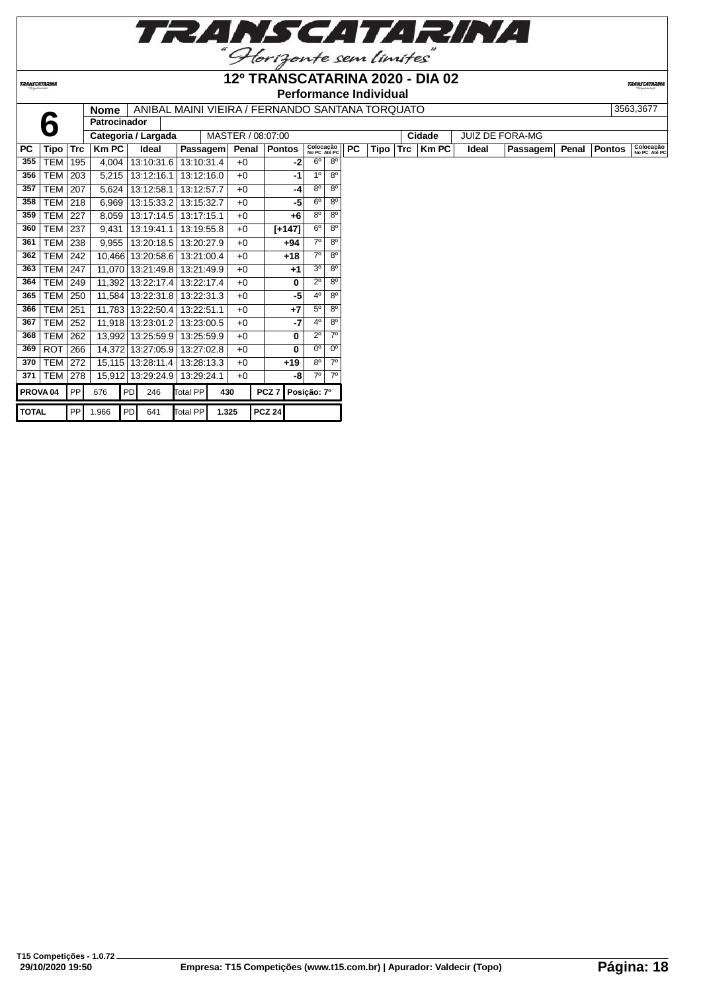

TRANSCATARINA

#### **12º TRANSCATARINA 2020 - DIA 02 Performance Individual**

|              |                                                                                                            | Perionnance individual<br>ANIBAL MAINI VIEIRA / FERNANDO SANTANA TORQUATO<br><b>Nome</b> |                     |    |                   |            |       |                   |               |          |                           |                |           |      |            |              |       |                        |       |               |                           |
|--------------|------------------------------------------------------------------------------------------------------------|------------------------------------------------------------------------------------------|---------------------|----|-------------------|------------|-------|-------------------|---------------|----------|---------------------------|----------------|-----------|------|------------|--------------|-------|------------------------|-------|---------------|---------------------------|
|              |                                                                                                            |                                                                                          |                     |    |                   |            |       |                   |               |          |                           |                |           |      |            |              |       |                        |       |               | 3563.3677                 |
|              | b                                                                                                          |                                                                                          | Patrocinador        |    |                   |            |       |                   |               |          |                           |                |           |      |            |              |       |                        |       |               |                           |
|              |                                                                                                            |                                                                                          | Categoria / Largada |    |                   |            |       | MASTER / 08:07:00 |               |          |                           |                |           |      |            | Cidade       |       | <b>JUIZ DE FORA-MG</b> |       |               |                           |
| PC.          | Tipo                                                                                                       | <b>Trc</b>                                                                               | <b>KmPC</b>         |    | Ideal             | Passagem   |       | Penal             | <b>Pontos</b> |          | Colocação<br>No PC Até PC |                | <b>PC</b> | Tipo | <b>Trc</b> | <b>Km PC</b> | Ideal | <b>Passagem</b>        | Penal | <b>Pontos</b> | Colocação<br>No PC Até PC |
| 355          | <b>TEM</b>                                                                                                 | 195                                                                                      | 4.004               |    | 13:10:31.6        | 13:10:31.4 |       | $+0$              |               | -2       | 6 <sup>o</sup>            | $8^{\circ}$    |           |      |            |              |       |                        |       |               |                           |
| 356          | <b>TEM</b>                                                                                                 | 203                                                                                      | 5,215               |    | 13:12:16.1        | 13:12:16.0 |       | $+0$              |               | $-1$     | 1 <sup>0</sup>            | $8^{\circ}$    |           |      |            |              |       |                        |       |               |                           |
| 357          | <b>TEM</b>                                                                                                 | 207                                                                                      | 5,624               |    | 13:12:58.1        | 13:12:57.7 |       | $+0$              |               | $-4$     | $8^{\circ}$               | $8^{\circ}$    |           |      |            |              |       |                        |       |               |                           |
| 358          | <b>TEM</b>                                                                                                 | 218                                                                                      | 6,969               |    | 13:15:33.2        | 13:15:32.7 |       | $+0$              |               | -5       | 6 <sup>o</sup>            | $8^{\circ}$    |           |      |            |              |       |                        |       |               |                           |
| 359          | <b>TEM</b>                                                                                                 | 227                                                                                      | 8.059               |    | 13:17:14.5        | 13:17:15.1 |       | $+0$              |               | +6       | $8^{\circ}$               | $8^{\circ}$    |           |      |            |              |       |                        |       |               |                           |
| 360          | <b>TEM</b>                                                                                                 | 237                                                                                      | 9.431               |    | 13:19:41.1        | 13:19:55.8 |       | $+0$              |               | $[+147]$ | 6 <sup>o</sup>            | 8 <sup>o</sup> |           |      |            |              |       |                        |       |               |                           |
| 361          | <b>TEM</b>                                                                                                 | 238                                                                                      | 9.955               |    | 13:20:18.5        | 13:20:27.9 |       | $+0$              |               | $+94$    | $7^\circ$                 | $8^{\circ}$    |           |      |            |              |       |                        |       |               |                           |
| 362          | <b>TEM</b>                                                                                                 | 242                                                                                      |                     |    | 10,466 13:20:58.6 | 13:21:00.4 |       | $+0$              |               | $+18$    | 70                        | $8^{\circ}$    |           |      |            |              |       |                        |       |               |                           |
| 363          | <b>TEM</b>                                                                                                 | 247                                                                                      | 11.070              |    | 13:21:49.8        | 13:21:49.9 |       | $+0$              |               | $+1$     | 3 <sup>o</sup>            | $8^{\circ}$    |           |      |            |              |       |                        |       |               |                           |
| 364          | <b>TEM 249</b>                                                                                             |                                                                                          |                     |    | 11,392 13:22:17.4 | 13:22:17.4 |       | $+0$              |               | 0        | $2^{\circ}$               | $8^{\circ}$    |           |      |            |              |       |                        |       |               |                           |
| 365          | <b>TEM</b>                                                                                                 | 250                                                                                      | 11.584              |    | 13:22:31.8        | 13:22:31.3 |       | $+0$              |               | -5       | $4^{\circ}$               | $8^{\circ}$    |           |      |            |              |       |                        |       |               |                           |
| 366          | <b>TEM</b>                                                                                                 | 251                                                                                      |                     |    | 11.783 13:22:50.4 | 13:22:51.1 |       | $+0$              |               | $+7$     | $5^{\circ}$               | $8^{\circ}$    |           |      |            |              |       |                        |       |               |                           |
| 367          | <b>TEM</b>                                                                                                 | 252                                                                                      | 11.918              |    | 13:23:01.2        | 13:23:00.5 |       | $+0$              |               | -7       | $4^{\circ}$               | $8^{\circ}$    |           |      |            |              |       |                        |       |               |                           |
| 368          | <b>TEM</b>                                                                                                 | 262                                                                                      |                     |    | 13,992 13:25:59.9 | 13:25:59.9 |       | $+0$              |               | 0        | $2^{\circ}$               | 70             |           |      |            |              |       |                        |       |               |                           |
| 369          | <b>ROT</b>                                                                                                 | 266                                                                                      |                     |    | 14,372 13:27:05.9 | 13:27:02.8 |       | $+0$              |               | 0        | 0 <sup>o</sup>            | 0 <sup>o</sup> |           |      |            |              |       |                        |       |               |                           |
| 370          | <b>TEM</b>                                                                                                 | 272                                                                                      |                     |    | 15,115 13:28:11.4 | 13:28:13.3 |       | $+0$              |               | $+19$    | $8^{\circ}$               | $7^\circ$      |           |      |            |              |       |                        |       |               |                           |
| 371          | <b>TEM</b>                                                                                                 | 278                                                                                      |                     |    | 15,912 13:29:24.9 | 13:29:24.1 |       | $+0$              |               | -8       | 70                        | $7^\circ$      |           |      |            |              |       |                        |       |               |                           |
|              | <b>PP</b><br>PCZ <sub>7</sub><br>676<br>PD<br>Total PP<br>430<br>PROVA <sub>04</sub><br>246<br>Posição: 7º |                                                                                          |                     |    |                   |            |       |                   |               |          |                           |                |           |      |            |              |       |                        |       |               |                           |
| <b>TOTAL</b> |                                                                                                            | PPI                                                                                      | 1.966               | PD | 641               | Total PP   | 1.325 |                   | <b>PCZ 24</b> |          |                           |                |           |      |            |              |       |                        |       |               |                           |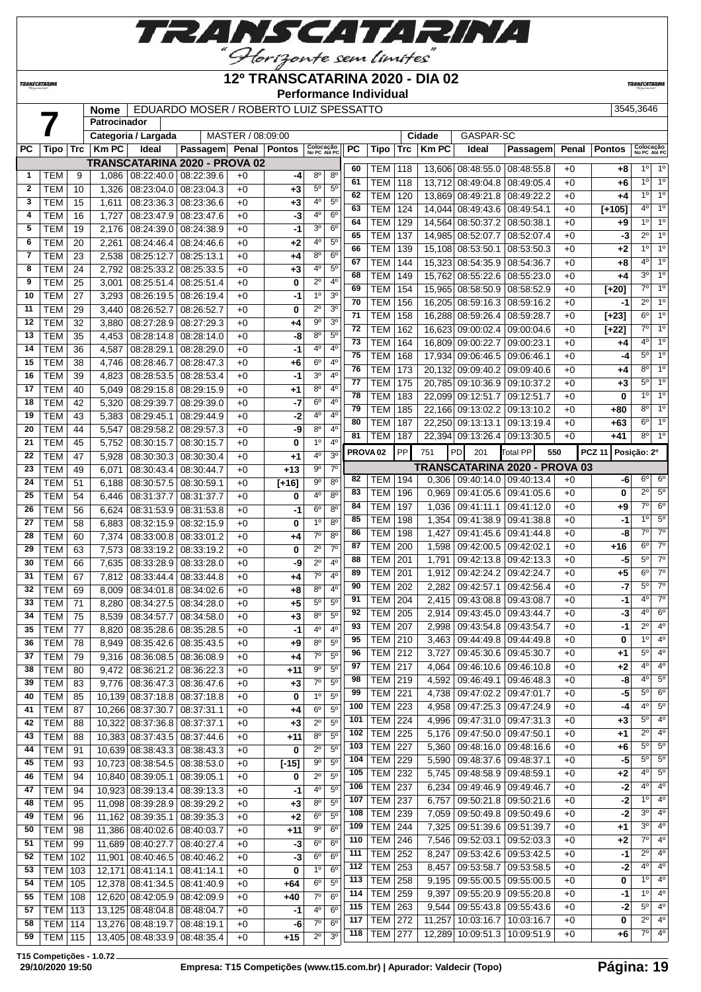

**12º TRANSCATARINA 2020 - DIA 02**

**Performance Individual**

**TRANSCATARIN** 

**TRANSCATARINA** 

# **Nome** EDUARDO MOSER / ROBERTO LUIZ SPESSATTO 3545,3646

|              |                  |     | nome                |                                 | EDUARDO MOSER / ROBERTO LUIZ SPESSATTO |                   |                |                           |                  |                     |                |     |             |                                   |                         |       |               | <b>JJ4J,JU4U</b>          |                         |
|--------------|------------------|-----|---------------------|---------------------------------|----------------------------------------|-------------------|----------------|---------------------------|------------------|---------------------|----------------|-----|-------------|-----------------------------------|-------------------------|-------|---------------|---------------------------|-------------------------|
|              |                  |     | <b>Patrocinador</b> |                                 |                                        |                   |                |                           |                  |                     |                |     |             |                                   |                         |       |               |                           |                         |
|              |                  |     |                     | Categoria / Largada             |                                        | MASTER / 08:09:00 |                |                           |                  |                     |                |     | Cidade      | GASPAR-SC                         |                         |       |               |                           |                         |
| <b>PC</b>    | Tipo             | Trc | <b>Km PC</b>        | Ideal                           | Passagem                               |                   | Penal   Pontos | Colocação<br>No PC Até PC |                  | PC                  | Tipo           | Trc | <b>KmPC</b> | Ideal                             | Passagem                | Penal | <b>Pontos</b> | Colocação<br>No PC Até PC |                         |
|              |                  |     |                     |                                 | TRANSCATARINA 2020 - PROVA 02          |                   |                |                           |                  | 60                  | TEM            |     |             | 13,606 08:48:55.0 08:48:55.8      |                         |       |               | $1^{\circ}$               | $1^{\circ}$             |
| 1            | <b>TEM</b>       | 9   | 1,086               | 08:22:40.0                      | 08:22:39.6                             | $+0$              | -4             | $8^{\circ}$               | 8 <sup>o</sup>   | 61                  | <b>TEM</b>     | 118 |             |                                   | 08:49:05.4              | $+0$  | $+8$          | 1 <sup>0</sup>            | 1 <sup>0</sup>          |
| $\mathbf{2}$ | <b>TEM</b>       | 10  | 1,326               | 08:23:04.0                      | 08:23:04.3                             | $+0$              | $+3$           | $5^{\circ}$               | $\overline{5^0}$ |                     |                | 118 | 13,712      | 08:49:04.8                        |                         | $+0$  | $+6$          | 1 <sup>0</sup>            | 1 <sup>0</sup>          |
| 3            | <b>TEM</b>       | 15  | 1,611               | 08:23:36.3                      | 08:23:36.6                             | $+0$              | $+3$           | 4 <sup>0</sup>            | $5^{\circ}$      | 62                  | <b>TEM</b>     | 120 | 13,869      | 08:49:21.8                        | 08:49:22.2              | $+0$  | +4            | $4^{\circ}$               | 1 <sup>0</sup>          |
| 4            | <b>TEM</b>       | 16  | 1,727               | 08:23:47.9                      | 08:23:47.6                             | $+0$              | $-3$           | 4 <sup>0</sup>            | 6 <sup>o</sup>   | 63                  | <b>TEM</b>     | 124 |             | 14,044 08:49:43.6 08:49:54.1      |                         | $+0$  | $[+105]$      |                           |                         |
| 5            | <b>TEM</b>       | 19  | 2,176               | 08:24:39.0                      | 08:24:38.9                             | $+0$              | $-1$           | 3 <sup>0</sup>            | 6 <sup>o</sup>   | 64                  | <b>TEM</b>     | 129 |             | 14,564 08:50:37.2 08:50:38.1      |                         | $+0$  | $+9$          | 10                        | 1 <sup>0</sup>          |
| 6            | <b>TEM</b>       | 20  | 2,261               | 08:24:46.4                      | 08:24:46.6                             | $+0$              | $+2$           | 4°                        | $5^{\circ}$      | 65                  | <b>TEM</b>     | 137 |             | 14,985 08:52:07.7 08:52:07.4      |                         | $+0$  | -3            | $2^{\circ}$               | 1 <sup>0</sup>          |
| 7            | <b>TEM</b>       | 23  | 2,538               | 08:25:12.7                      | 08:25:13.1                             | $+0$              | $+4$           | $8^{\circ}$               | 6 <sup>o</sup>   | 66                  | <b>TEM</b>     | 139 |             | 15,108 08:53:50.1                 | 08:53:50.3              | $+0$  | $+2$          | 1 <sup>0</sup>            | 1 <sup>0</sup>          |
| 8            | <b>TEM</b>       | 24  | 2,792               | 08:25:33.2                      | 08:25:33.5                             | $+0$              | $+3$           | $4^{\circ}$               | 5 <sup>0</sup>   | 67                  | <b>TEM</b>     | 144 |             | 15,323 08:54:35.9                 | 08:54:36.7              | $+0$  | $+8$          | $4^{\circ}$               | $\overline{1^0}$        |
| 9            | <b>TEM</b>       | 25  | 3,001               | 08:25:51.4                      | 08:25:51.4                             | $+0$              | 0              | $2^{\circ}$               | 4 <sup>0</sup>   | 68                  | <b>TEM</b>     | 149 |             | 15,762 08:55:22.6                 | 08:55:23.0              | $+0$  | $+4$          | 3 <sup>0</sup>            | 1 <sup>0</sup>          |
| 10           | <b>TEM</b>       | 27  | 3,293               | 08:26:19.5                      | 08:26:19.4                             | $+0$              | $-1$           | 1 <sup>0</sup>            | 3 <sup>o</sup>   | 69                  | <b>TEM</b>     | 154 |             | 15,965 08:58:50.9 08:58:52.9      |                         | $+0$  | $[+20]$       | $7^\circ$                 | 1 <sup>0</sup>          |
| 11           | <b>TEM</b>       |     |                     |                                 |                                        | $+0$              |                | $2^{\circ}$               | 3 <sup>0</sup>   | 70                  | <b>TEM</b>     | 156 | 16,205      | 08:59:16.3                        | 08:59:16.2              | $+0$  | $-1$          | $2^{\circ}$               | 1 <sup>0</sup>          |
|              |                  | 29  | 3,440               | 08:26:52.7                      | 08:26:52.7                             |                   | 0              | 9 <sup>o</sup>            | 3 <sup>0</sup>   | 71                  | <b>TEM</b>     | 158 |             | 16,288 08:59:26.4                 | 08:59:28.7              | $+0$  | $[+23]$       | 6°                        | 1 <sup>0</sup>          |
| 12           | <b>TEM</b>       | 32  | 3,880               | 08:27:28.9                      | 08:27:29.3                             | $+0$              | +4             |                           |                  | 72                  | <b>TEM</b>     | 162 |             | 16,623 09:00:02.4                 | 09:00:04.6              | $+0$  | $[+22]$       | $7^\circ$                 | $\overline{1^0}$        |
| 13           | <b>TEM</b>       | 35  | 4,453               | 08:28:14.8                      | 08:28:14.0                             | $+0$              | $-8$           | 8 <sup>o</sup>            | 5 <sup>0</sup>   | 73                  | <b>TEM</b>     | 164 |             | 16,809 09:00:22.7                 | 09:00:23.1              | $+0$  | +4            | 4 <sup>0</sup>            | 1 <sup>0</sup>          |
| 14           | <b>TEM</b>       | 36  | 4,587               | 08:28:29.1                      | 08:28:29.0                             | $+0$              | $-1$           | 4 <sup>0</sup>            | 4 <sup>0</sup>   | 75                  | <b>TEM</b>     | 168 |             | 17,934 09:06:46.5 09:06:46.1      |                         | $+0$  | -4            | $5^{\circ}$               | $\overline{1^0}$        |
| 15           | <b>TEM</b>       | 38  | 4,746               | 08:28:46.7                      | 08:28:47.3                             | $+0$              | +6             | $6^{\circ}$               | $4^{\circ}$      | 76                  | <b>TEM</b>     | 173 |             | 20,132 09:09:40.2 09:09:40.6      |                         | $+0$  | $+4$          | $8^{\circ}$               | 1 <sup>0</sup>          |
| 16           | <b>TEM</b>       | 39  | 4,823               | 08:28:53.5                      | 08:28:53.4                             | $+0$              | $-1$           | 3 <sup>0</sup>            | $4^{\circ}$      | 77                  | <b>TEM</b>     | 175 |             | 20,785 09:10:36.9 09:10:37.2      |                         | $+0$  | $+3$          | 5°                        | 1 <sup>0</sup>          |
| 17           | <b>TEM</b>       | 40  | 5,049               | 08:29:15.8                      | 08:29:15.9                             | $+0$              | +1             | 8 <sup>o</sup>            | 4 <sup>0</sup>   | 78                  | <b>TEM</b>     | 183 | 22.099      | 09:12:51.7                        | 09:12:51.7              | $+0$  | 0             | 10                        | $\overline{1^0}$        |
| 18           | <b>TEM</b>       | 42  | 5,320               | 08:29:39.7                      | 08:29:39.0                             | $+0$              | $-7$           | 6 <sup>o</sup>            | 4 <sup>0</sup>   | 79                  | <b>TEM</b>     | 185 |             | 22,166 09:13:02.2 09:13:10.2      |                         | $+0$  | $+80$         | $8^{\circ}$               | 1 <sup>0</sup>          |
| 19           | <b>TEM</b>       | 43  | 5,383               | 08:29:45.1                      | 08:29:44.9                             | $+0$              | $-2$           | $4^{\circ}$               | $4^{\circ}$      | 80                  | <b>TEM</b>     | 187 |             | 22,250 09:13:13.1                 | 09:13:19.4              | $+0$  | $+63$         | $6^{\circ}$               | 1 <sup>0</sup>          |
| 20           | <b>TEM</b>       | 44  | 5,547               | 08:29:58.2                      | 08:29:57.3                             | $+0$              | -9             | 8 <sup>o</sup>            | 4 <sup>0</sup>   |                     |                |     |             |                                   |                         |       |               | 8 <sup>o</sup>            | 1 <sup>0</sup>          |
| 21           | <b>TEM</b>       | 45  | 5,752               | 08:30:15.7                      | 08:30:15.7                             | $+0$              | 0              | 1 <sup>0</sup>            | 4 <sup>0</sup>   | 81                  | <b>TEM</b>     | 187 |             | 22,394 09:13:26.4                 | 09:13:30.5              | $+0$  | $+41$         |                           |                         |
| 22           | <b>TEM</b>       | 47  | 5,928               | 08:30:30.3                      | 08:30:30.4                             | $+0$              | $+1$           | 4 <sup>0</sup>            | 3 <sup>o</sup>   | PROVA <sub>02</sub> |                | PP  | 751         | <b>PD</b><br>201                  | <b>Total PP</b><br>550  |       | <b>PCZ 11</b> | Posição: 2º               |                         |
| 23           | <b>TEM</b>       | 49  | 6,071               | 08:30:43.4                      | 08:30:44.7                             | $+0$              | $+13$          | $9^{\circ}$               | 7 <sup>0</sup>   |                     |                |     |             | TRANSCATARINA 2020 - PROVA 03     |                         |       |               |                           |                         |
| 24           | <b>TEM</b>       | 51  | 6,188               | 08:30:57.5                      | 08:30:59.1                             | $+0$              | $[+16]$        | $9^{\circ}$               | $8^{\circ}$      | 82                  | TEM            | 194 |             | $0,306$   09:40:14.0   09:40:13.4 |                         | $+0$  | -6            | $6^{\circ}$               | 6 <sup>o</sup>          |
| 25           | <b>TEM</b>       | 54  | 6,446               | 08:31:37.7                      | 08:31:37.7                             | $+0$              | 0              | 4°                        | 8 <sup>o</sup>   | 83                  | <b>TEM</b>     | 196 | 0,969       | 09:41:05.6 09:41:05.6             |                         | $+0$  | 0             | $\overline{2^0}$          | $5^\circ$               |
| 26           | <b>TEM</b>       | 56  | 6,624               | 08:31:53.9                      | 08:31:53.8                             | $+0$              | $-1$           | $6^{\circ}$               | 8 <sup>0</sup>   | 84                  | <b>TEM</b>     | 197 | 1,036       | 09:41:11.1                        | 09:41:12.0              | $+0$  | $+9$          | $7^\circ$                 | 6 <sup>o</sup>          |
| 27           | <b>TEM</b>       | 58  | 6,883               | 08:32:15.9                      | 08:32:15.9                             | $+0$              | 0              | 1 <sup>0</sup>            | 8 <sup>o</sup>   | 85                  | <b>TEM</b>     | 198 | 1,354       | 09:41:38.9 09:41:38.8             |                         | $+0$  | -1            | 10                        | 5 <sup>0</sup>          |
| 28           | <b>TEM</b>       | 60  | 7,374               | 08:33:00.8                      | 08:33:01.2                             | $+0$              | +4             | $7^\circ$                 | 8 <sup>0</sup>   | 86                  | <b>TEM</b>     | 198 | 1,427       | 09:41:45.6 09:41:44.8             |                         | $+0$  | -8            | $7^\circ$                 | $\overline{7^0}$        |
| 29           |                  | 63  |                     |                                 |                                        | $+0$              |                | $2^{\circ}$               | 7 <sup>0</sup>   | 87                  | <b>TEM</b>     | 200 | 1,598       | 09:42:00.5 09:42:02.1             |                         | $+0$  | $+16$         | $6^{\circ}$               | $\overline{7^0}$        |
|              | <b>TEM</b>       |     | 7,573               | 08:33:19.2                      | 08:33:19.2                             |                   | 0              | $\overline{2^0}$          | 4 <sup>0</sup>   | 88                  | <b>TEM</b>     | 201 | 1,791       | 09:42:13.8                        | 09:42:13.3              | $+0$  | $-5$          | 5 <sup>0</sup>            | $7^\circ$               |
| 30           | <b>TEM</b>       | 66  | 7,635               | 08:33:28.9                      | 08:33:28.0                             | $+0$              | -9             |                           |                  | 89                  | <b>TEM</b>     | 201 | 1,912       | 09:42:24.2                        | 09:42:24.7              | $+0$  | $+5$          | $6^{\circ}$               | $\overline{7^0}$        |
| 31           | <b>TEM</b>       | 67  | 7,812               | 08:33:44.4                      | 08:33:44.8                             | $+0$              | +4             | 7 <sup>o</sup>            | 4 <sup>0</sup>   | 90                  | TEM            | 202 | 2,282       | 09:42:57.1                        | 09:42:56.4              | $+0$  | $-7$          | $5^{\circ}$               | $\overline{7^0}$        |
| 32           | <b>TEM</b>       | 69  | 8,009               | 08:34:01.8                      | 08:34:02.6                             | $+0$              | $+8$           | $8^{\circ}$               | 4 <sup>0</sup>   | 91                  | <b>TEM</b>     | 204 | 2,415       | 09:43:08.8 09:43:08.7             |                         | $+0$  | -1            | 4 <sup>0</sup>            | $\overline{7^0}$        |
| 33           | <b>TEM</b>       | 71  | 8,280               | 08:34:27.5                      | 08:34:28.0                             | $+0$              | $+5$           | $5^{\circ}$               | 5 <sup>0</sup>   | 92                  | <b>TEM</b>     | 205 | 2,914       | 09:43:45.0                        | 09:43:44.7              | $+0$  | -3            | 4 <sup>0</sup>            | 6 <sup>o</sup>          |
| 34           | <b>TEM</b>       | 75  | 8,539               | 08:34:57.7                      | 08:34:58.0                             | $+0$              | $+3$           | $8^{\circ}$               | $5^{\circ}$      |                     |                |     |             |                                   |                         |       |               | $2^{\circ}$               | 4 <sup>0</sup>          |
| 35           | <b>TEM</b>       | 77  | 8,820               | 08:35:28.6                      | 08:35:28.5                             | $+0$              | $-1$           | 4 <sup>0</sup>            | 4 <sup>0</sup>   | 93                  | <b>TEM</b>     | 207 | 2,998       | 09:43:54.8 09:43:54.7             |                         | $+0$  | $-1$          |                           | $10^{9}$ 4 <sup>0</sup> |
| 36           | TEM              | 78  |                     | 8,949   08:35:42.6   08:35:43.5 |                                        | $+0$              | +9             | $8^{\circ}$               | $5^{\circ}$      | 95                  | <b>TEM</b> 210 |     |             | 3,463 09:44:49.8 09:44:49.8       |                         | $+0$  | 0             |                           |                         |
| 37           | <b>TEM</b>       | 79  | 9,316               | 08:36:08.5                      | 08:36:08.9                             | $+0$              | $+4$           | $7^\circ$                 | $5^{\circ}$      | 96                  | <b>TEM 212</b> |     |             | 3,727   09:45:30.6   09:45:30.7   |                         | $+0$  | $+1$          | 5°                        | $4^{\circ}$             |
| 38           | <b>TEM</b>       | 80  | 9,472               |                                 | 08:36:21.2 08:36:22.3                  | $+0$              | +11            | 90                        | 5 <sup>0</sup>   | 97                  | <b>TEM 217</b> |     | 4,064       | 09:46:10.6 09:46:10.8             |                         | $+0$  | $+2$          | 40                        | $4^{\circ}$             |
| 39           | <b>TEM</b>       | 83  | 9,776               |                                 | 08:36:47.3 08:36:47.6                  | $+0$              | $+3$           | $7^{\circ}$               | $5^{\circ}$      | 98                  | <b>TEM 219</b> |     | 4,592       |                                   | 09:46:49.1 09:46:48.3   | $+0$  | -8            | 40                        | $5^{\circ}$             |
| 40           | <b>TEM</b>       | 85  |                     | 10,139 08:37:18.8 08:37:18.8    |                                        | $+0$              | 0              | 1 <sup>0</sup>            | 5 <sup>0</sup>   | 99                  | <b>TEM 221</b> |     | 4,738       | 09:47:02.2 09:47:01.7             |                         | $+0$  | -5            | $5^{\circ}$               | 6 <sup>o</sup>          |
| 41           | <b>TEM</b>       | 87  |                     | 10,266 08:37:30.7 08:37:31.1    |                                        | $+0$              | +4             | 6 <sup>o</sup>            | 5 <sup>0</sup>   | 100                 | <b>TEM</b>     | 223 | 4,958       |                                   | 09:47:25.3 09:47:24.9   | $+0$  | -4            | 40                        | 5 <sup>0</sup>          |
| 42           | <b>TEM</b>       | 88  |                     | 10,322 08:37:36.8 08:37:37.1    |                                        | $+0$              | $+3$           | $2^{\circ}$               | $5^{\circ}$      | 101                 | <b>TEM 224</b> |     | 4,996       | 09:47:31.0 09:47:31.3             |                         | $+0$  | $+3$          | 5°                        | $4^{\circ}$             |
| 43           | <b>TEM</b>       | 88  |                     | 10,383 08:37:43.5 08:37:44.6    |                                        | $+0$              | $+11$          | $8^{\circ}$               | $5^{\circ}$      | 102                 | TEM            | 225 | 5,176       | 09:47:50.0 09:47:50.1             |                         | $+0$  | +1            | $2^{\circ}$               | $4^{\circ}$             |
| 44           | TEM              | 91  |                     | 10,639 08:38:43.3               | 08:38:43.3                             | +0                | 0              | $2^{\circ}$               | $5^{\circ}$      | 103                 | <b>TEM</b>     | 227 | 5,360       | 09:48:16.0 09:48:16.6             |                         | $+0$  | +6            | $5^{\circ}$               | $5^{\circ}$             |
| 45           | TEM              | 93  |                     | 10,723 08:38:54.5 08:38:53.0    |                                        | $+0$              | $[-15]$        | 9 <sup>o</sup>            | 5 <sup>0</sup>   | 104                 | <b>TEM 229</b> |     | 5,590       | 09:48:37.6 09:48:37.1             |                         | $+0$  | -5            | $5^{\circ}$               | $5^{\circ}$             |
| 46           | <b>TEM</b>       | 94  |                     | 10,840 08:39:05.1               | 08:39:05.1                             | $+0$              | 0              | $2^{\circ}$               | $5^{\circ}$      | 105                 | <b>TEM 232</b> |     | 5,745       | 09:48:58.9   09:48:59.1           |                         | $+0$  | $+2$          | 40                        | $5^{\circ}$             |
| 47           | <b>TEM</b>       | 94  |                     | 10,923 08:39:13.4               | 08:39:13.3                             | +0                | -1             | 40                        | $5^{\circ}$      | 106                 | <b>TEM 237</b> |     | 6,234       | 09:49:46.9 09:49:46.7             |                         | $+0$  | $-2$          | $4^{\circ}$               | $4^{\circ}$             |
| 48           | <b>TEM</b>       | 95  |                     | 11,098 08:39:28.9 08:39:29.2    |                                        | +0                |                | 8 <sup>o</sup>            | $5^{\circ}$      | 107                 | TEM            | 237 | 6,757       | 09:50:21.8 09:50:21.6             |                         | $+0$  | $-2$          | $1^{\circ}$               | $4^{\circ}$             |
| 49           |                  |     |                     |                                 |                                        |                   | $+3$<br>$+2$   | 6 <sup>o</sup>            | 5 <sup>0</sup>   | 108                 | <b>TEM</b>     | 239 | 7,059       | 09:50:49.8 09:50:49.6             |                         | $+0$  | $-2$          | $3^{\circ}$               | 4 <sup>0</sup>          |
|              | <b>TEM</b>       | 96  |                     | 11,162 08:39:35.1               | 08:39:35.3                             | $+0$              |                |                           |                  | 109                 | <b>TEM</b>     | 244 | 7,325       |                                   | 09:51:39.6 09:51:39.7   | $+0$  | +1            | 30                        | 4 <sup>0</sup>          |
| 50           | <b>TEM</b>       | 98  |                     | 11,386 08:40:02.6 08:40:03.7    |                                        | $+0$              | $+11$          | $9^{\circ}$               | 6 <sup>o</sup>   | 110                 | <b>TEM 246</b> |     | 7,546       | 09:52:03.1 09:52:03.3             |                         | $+0$  | $+2$          | 7°                        | $4^{\circ}$             |
| 51           | <b>TEM</b>       | 99  |                     | 11,689 08:40:27.7 08:40:27.4    |                                        | $+0$              | $-3$           | $6^{\circ}$               | 6 <sup>o</sup>   | 111                 | TEM            | 252 | 8,247       |                                   | 09:53:42.6 09:53:42.5   | $+0$  | -1            | $2^{\circ}$               | $4^{\circ}$             |
| 52           | <b>TEM   102</b> |     |                     | 11,901 08:40:46.5 08:40:46.2    |                                        | $+0$              | -3             | $6^{\circ}$               | 6 <sup>o</sup>   | 112                 | <b>TEM</b>     | 253 |             |                                   |                         |       |               | $4^{\circ}$               | $4^{\circ}$             |
| 53           | <b>TEM</b>       | 103 |                     | 12,171 08:41:14.1               | 08:41:14.1                             | $+0$              | 0              | 1 <sup>0</sup>            | 6 <sup>o</sup>   |                     |                |     | 8,457       |                                   | 09:53:58.7 09:53:58.5   | $+0$  | -2            | 1 <sup>0</sup>            | 4 <sup>0</sup>          |
| 54           | <b>TEM   105</b> |     |                     | 12,378 08:41:34.5 08:41:40.9    |                                        | $+0$              | +64            | 6 <sup>o</sup>            | 5 <sup>0</sup>   | 113                 | <b>TEM 258</b> |     | 9,195       | 09:55:00.5 09:55:00.5             |                         | $+0$  | 0             | 10                        |                         |
| 55           | <b>TEM   108</b> |     |                     | 12,620 08:42:05.9 08:42:09.9    |                                        | $+0$              | +40            | $7^\circ$                 | 6 <sup>o</sup>   | 114                 | TEM            | 259 | 9,397       |                                   | 09:55:20.9   09:55:20.8 | $+0$  | -1            |                           | $4^{\circ}$             |
| 57           | <b>TEM 113</b>   |     |                     | 13,125 08:48:04.8 08:48:04.7    |                                        | $+0$              | -1             | 40                        | 6 <sup>o</sup>   | 115                 | <b>TEM 263</b> |     | 9,544       | $09:55:43.8$ 09:55:43.6           |                         | $+0$  | -2            | $5^{\circ}$               | $4^{\circ}$             |
| 58           | <b>TEM 114</b>   |     |                     | 13,276 08:48:19.7               | 08:48:19.1                             | $+0$              | -6             | $7^\circ$                 | $6^{\circ}$      | 117                 | <b>TEM 272</b> |     | 11,257      | 10:03:16.7                        | 10:03:16.7              | $+0$  | 0             | $2^{\circ}$               | $4^{\circ}$             |
| 59           | <b>TEM 115</b>   |     |                     | 13,405 08:48:33.9 08:48:35.4    |                                        | $+0$              | $+15$          | $2^{\circ}$               | 3 <sup>0</sup>   | 118                 | <b>TEM 277</b> |     |             | 12,289 10:09:51.3                 | 10:09:51.9              | $+0$  | +6            | 7°                        | $4^{\circ}$             |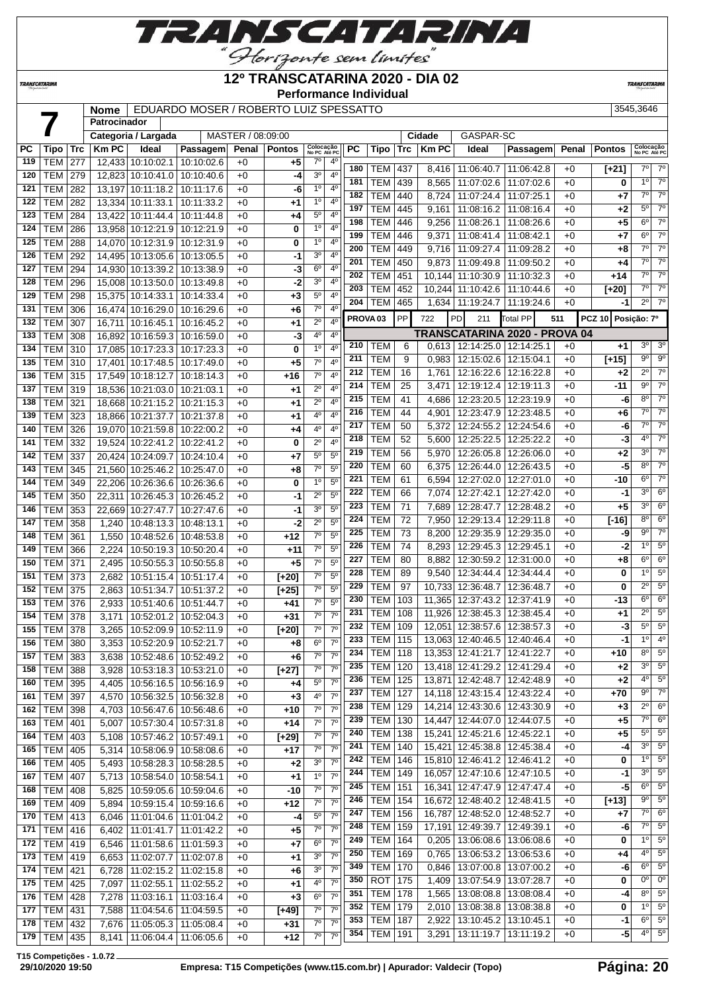

### **12º TRANSCATARINA 2020 - DIA 02**

**Performance Individual**

**TRANSCATARIN** 

 **Patrocinador**

**TRANSCATARINA** 

# **Nome** EDUARDO MOSER / ROBERTO LUIZ SPESSATTO 3545,3646

|           |                 |            |              | Categoria / Largada             |            | MASTER / 08:09:00 |               |                           |                |                     |                |                  | Cidade    | GASPAR-SC                       |                                  |       |                    |                           |                        |
|-----------|-----------------|------------|--------------|---------------------------------|------------|-------------------|---------------|---------------------------|----------------|---------------------|----------------|------------------|-----------|---------------------------------|----------------------------------|-------|--------------------|---------------------------|------------------------|
| <b>PC</b> | Tipo            | <b>Trc</b> | <b>Km PC</b> | Ideal                           | Passagem   | Penal             | <b>Pontos</b> | Colocação                 |                | PC                  | Tipo           | Trc              | $ $ Km PC | Ideal                           | Passagem                         | Penal | <b>Pontos</b>      | Colocação<br>No PC Até PC |                        |
| 119       | TEM             | 277        |              | 12,433 10:10:02.1               | 10:10:02.6 | $+0$              | +5            | No PC Até PC<br>$7^\circ$ | $4^{\circ}$    |                     |                |                  |           |                                 |                                  |       |                    |                           |                        |
| 120       | TEM             | 279        |              | 12,823 10:10:41.0               | 10:10:40.6 | $+0$              | -4            | 3 <sup>0</sup>            | $4^{\circ}$    | 180                 | TEM            | 437              | 8,416     | 11:06:40.7                      | 11:06:42.8                       | $+0$  | [+21]              | 7º                        | $7^\circ$              |
| 121       | TEM             | 282        |              | 13,197 10:11:18.2               | 10:11:17.6 | $+0$              | -6            | $1^{\circ}$               | 4º             | 181                 | TEM            | 439              | 8,565     |                                 | 11:07:02.6   11:07:02.6          | $+0$  | 0                  | 1 <sup>0</sup>            | $7^\circ$              |
|           |                 |            |              |                                 |            |                   |               |                           |                | 182                 | <b>TEM</b>     | 440              | 8,724     | 11:07:24.4                      | 11:07:25.1                       | $+0$  | $+7$               | $7^\circ$                 | $7^\circ$              |
| 122       | <b>TEM</b>      | 282        |              | 13,334 10:11:33.1               | 10:11:33.2 | $+0$              | +1            | 1 <sup>0</sup>            | 4°             | 197                 | <b>TEM</b>     | 445              | 9,161     | 11:08:16.2                      | 11:08:16.4                       | $+0$  | $+2$               | $5^{\circ}$               | $\overline{7^{\circ}}$ |
| 123       | TEM             | 284        |              | 13,422 10:11:44.4               | 10:11:44.8 | $+0$              | +4            | $5^{\rm o}$               | 4 <sup>0</sup> | 198                 | <b>TEM</b>     | 446              | 9,256     | 11:08:26.1                      | 11:08:26.6                       | $+0$  | $+5$               | $6^{\circ}$               | $7^\circ$              |
| 124       | <b>TEM</b>      | 286        |              | 13,958 10:12:21.9               | 10:12:21.9 | $+0$              | 0             | 1 <sup>0</sup>            | 4°             | 199                 | <b>TEM</b>     | 446              | 9,371     | 11:08:41.4                      | 11:08:42.1                       | $+0$  | $+7$               | $6^{\circ}$               | $\overline{7^{\circ}}$ |
| 125       | <b>TEM</b>      | 288        |              | 14,070 10:12:31.9               | 10:12:31.9 | $+0$              | 0             | 1 <sup>0</sup>            | 4°             | 200                 | <b>TEM</b>     | 449              | 9,716     | 11:09:27.4                      | 11:09:28.2                       | $+0$  | +8                 | $7^{\circ}$               | $7^\circ$              |
| 126       | TEM             | 292        |              | 14,495 10:13:05.6               | 10:13:05.5 | $+0$              | -1            | 30                        | 4°             | 201                 | <b>TEM</b>     | 450              |           |                                 |                                  | $+0$  |                    | 7°                        | $7^\circ$              |
| 127       | TEM             | 294        |              | 14,930 10:13:39.2               | 10:13:38.9 | $+0$              | -3            | $6^{\circ}$               | 4 <sup>0</sup> |                     |                |                  | 9,873     | 11:09:49.8                      | 11:09:50.2                       |       | +4                 | $7^\circ$                 | $\overline{7^{\circ}}$ |
| 128       | <b>TEM</b>      | 296        |              | 15,008 10:13:50.0               | 10:13:49.8 | $+0$              | -2            | 3 <sup>o</sup>            | 4 <sup>0</sup> | 202                 | <b>TEM</b>     | 451              |           | 10,144 11:10:30.9               | 11:10:32.3                       | $+0$  | +14                |                           |                        |
| 129       | TEM             | 298        |              | 15,375 10:14:33.1               | 10:14:33.4 | $+0$              | $+3$          | $5^{\circ}$               | $4^{\circ}$    | 203                 | <b>TEM</b>     | 452              |           | 10,244 11:10:42.6               | 11:10:44.6                       | $+0$  | $[+20]$            | 7°                        | $7^\circ$              |
| 131       | TEM             | 306        |              | 16,474 10:16:29.0               | 10:16:29.6 | $+0$              | +6            | $7^\circ$                 | 4°             | 204                 | TEM            | 465              | 1,634     |                                 | 11:19:24.7   11:19:24.6          | $+0$  | $-1$               | $2^{\circ}$               | $7^\circ$              |
| 132       | TEM             | 307        | 16,711       | 10:16:45.1                      | 10:16:45.2 | $+0$              | +1            | $2^{\circ}$               | 4°             | PROVA <sub>03</sub> |                | PP               | 722       | PD<br>211                       | Total PP                         | 511   | PCZ 10 Posicão: 7º |                           |                        |
| 133       | <b>TEM</b>      | 308        |              | 16,892 10:16:59.3               | 10:16:59.0 | $+0$              | -3            | $4^{\circ}$               | $4^{\circ}$    |                     |                |                  |           |                                 | TRANSCATARINA 2020 - PROVA 04    |       |                    |                           |                        |
| 134       |                 |            |              |                                 |            |                   |               | 1 <sup>0</sup>            | $4^{\circ}$    | 210                 | TEM            | 6                |           | 0,613   12:14:25.0   12:14:25.1 |                                  | $+0$  | +1                 | 3 <sup>o</sup>            | 3 <sup>o</sup>         |
|           | TEM             | 310        |              | 17,085 10:17:23.3               | 10:17:23.3 | $+0$              | 0             |                           |                | 211                 | <b>TEM</b>     | 9                | 0.983     |                                 | 12:15:02.6   12:15:04.1          | $+0$  | $[+15]$            | $9^{\circ}$               | $9^{\circ}$            |
| 135       | TEM             | 310        |              | 17,401 10:17:48.5               | 10:17:49.0 | $+0$              | +5            | $7^{\circ}$               | $4^{\circ}$    | 212                 | <b>TEM</b>     | 16               | 1,761     |                                 | 12:16:22.6   12:16:22.8          | $+0$  | $+2$               | $2^{\circ}$               | $7^\circ$              |
| 136       | TEM             | 315        |              | 17,549 10:18:12.7               | 10:18:14.3 | $+0$              | +16           | $7^\circ$                 | 4 <sup>0</sup> | 214                 | <b>TEM</b>     |                  |           |                                 |                                  |       |                    | $9^{\circ}$               | $\overline{7^{\circ}}$ |
| 137       | TEM 319         |            |              | 18,536 10:21:03.0               | 10:21:03.1 | $+0$              | +1            | $2^{\circ}$               | 4 <sup>0</sup> |                     |                | 25               | 3,471     | 12:19:12.4                      | 12:19:11.3                       | $+0$  | -11                | $8^{\circ}$               | $\overline{7^0}$       |
| 138       | <b>TEM</b>      | 321        |              | 18,668 10:21:15.2               | 10:21:15.3 | $+0$              | +1            | $2^{\circ}$               | 4 <sup>0</sup> | 215                 | <b>TEM</b>     | 41               | 4,686     |                                 | 12:23:20.5 12:23:19.9            | $+0$  | -6                 |                           |                        |
| 139       | <b>TEM</b>      | 323        |              | 18,866 10:21:37.7               | 10:21:37.8 | $+0$              | +1            | $4^{\circ}$               | 4 <sup>0</sup> | 216                 | <b>TEM</b>     | 44               | 4,901     | 12:23:47.9                      | 12:23:48.5                       | $+0$  | +6                 | $7^\circ$                 | $\overline{7^{\circ}}$ |
| 140       | TEM             | 326        |              | 19,070 10:21:59.8               | 10:22:00.2 | $+0$              | +4            | 4°                        | 4 <sup>0</sup> | 217                 | <b>TEM</b>     | 50               | 5,372     |                                 | 12:24:55.2 12:24:54.6            | $+0$  | -6                 | $7^\circ$                 | $\overline{7^0}$       |
| 141       | TEM             | 332        |              | 19,524 10:22:41.2               | 10:22:41.2 | $+0$              | 0             | $2^{\circ}$               | $4^{\circ}$    | 218                 | <b>TEM</b>     | 52               | 5,600     | 12:25:22.5                      | 12:25:22.2                       | $+0$  | -3                 | $4^{\circ}$               | $7^\circ$              |
| 142       | <b>TEM</b>      | 337        |              | 20,424 10:24:09.7               | 10:24:10.4 | $+0$              | +7            | $5^{\circ}$               | $5^{\circ}$    | 219                 | <b>TEM</b>     | 56               | 5,970     | 12:26:05.8                      | 12:26:06.0                       | $+0$  | $+2$               | $3^{\circ}$               | $7^\circ$              |
| 143       | TEM             | 345        |              | 21,560 10:25:46.2               | 10:25:47.0 | $+0$              | +8            | $7^\circ$                 | $5^{\circ}$    | 220                 | <b>TEM</b>     | 60               | 6,375     |                                 | 12:26:44.0 12:26:43.5            | $+0$  | -5                 | $8^{\circ}$               | $\overline{7^0}$       |
| 144       | TEM             | 349        |              | 22,206 10:26:36.6               | 10:26:36.6 | $+0$              | 0             | 1 <sup>0</sup>            | $5^{\circ}$    | 221                 | <b>TEM</b>     | 61               | 6,594     |                                 | 12:27:02.0   12:27:01.0          | $+0$  | -10                | $6^{\circ}$               | $7^\circ$              |
| 145       | <b>TEM</b>      | 350        | 22,311       | 10:26:45.3                      | 10:26:45.2 | $+0$              | -1            | $2^{\circ}$               | 5 <sup>o</sup> | 222                 | <b>TEM</b>     | 66               | 7,074     |                                 | 12:27:42.1   12:27:42.0          | $+0$  | -1                 | $\overline{3^0}$          | $6^{\circ}$            |
|           |                 |            |              |                                 |            |                   |               | 3 <sup>o</sup>            | $5^{\circ}$    | 223                 | <b>TEM</b>     | 71               | 7,689     | 12:28:47.7                      | 12:28:48.2                       | $+0$  | $+5$               | 3 <sup>0</sup>            | 6 <sup>o</sup>         |
| 146       | <b>TEM</b>      | 353        |              | 22,669 10:27:47.7               | 10:27:47.6 | $+0$              | -1            | $2^{\circ}$               | 5 <sup>0</sup> | 224                 | <b>TEM</b>     | 72               | 7,950     | 12:29:13.4                      | 12:29:11.8                       | $+0$  | $[-16]$            | $8^{\circ}$               | 6 <sup>o</sup>         |
| 147       | <b>TEM</b>      | 358        | 1,240        | 10:48:13.3                      | 10:48:13.1 | $+0$              | -2            |                           |                | 225                 | TEM            | 73               | 8,200     | 12:29:35.9                      | 12:29:35.0                       | $+0$  | -9                 | $9^{\circ}$               | $7^\circ$              |
| 148       | TEM             | 361        | 1,550        | 10:48:52.6                      | 10:48:53.8 | $+0$              | $+12$         | $7^\circ$                 | 5 <sup>o</sup> | 226                 | <b>TEM</b>     | 74               | 8,293     |                                 | 12:29:45.3   12:29:45.1          | $+0$  | -2                 | 1°                        | $\overline{5^0}$       |
| 149       | TEM             | 366        | 2,224        | 10:50:19.3 10:50:20.4           |            | $+0$              | $+11$         | $7^\circ$                 | $5^{\circ}$    | 227                 | <b>TEM</b>     |                  |           |                                 |                                  |       |                    | $6^{\circ}$               | 6 <sup>o</sup>         |
| 150       | TEM             | 371        | 2,495        | 10:50:55.3                      | 10:50:55.8 | $+0$              | $+5$          | $7^\circ$                 | $5^{\circ}$    |                     |                | 80               | 8,882     | 12:30:59.2                      | 12:31:00.0                       | $+0$  | +8                 |                           |                        |
| 151       | TEM             | 373        | 2,682        | 10:51:15.4                      | 10:51:17.4 | $+0$              | $[+20]$       | $7^\circ$                 | $5^{\circ}$    | 228                 | <b>TEM</b>     | 89               | 9,540     | 12:34:44.4                      | 12:34:44.4                       | $+0$  | 0                  | 10                        | $5^{\circ}$            |
| 152       | TEM             | 375        | 2,863        | 10:51:34.7                      | 10:51:37.2 | +0                | $[+25]$       | $7^{\circ}$               | $5^{\circ}$    | 229                 | <b>TEM</b>     | 97               | 10,733    |                                 | 12:36:48.7   12:36:48.7          | $+0$  | 0                  | $\overline{2^{\circ}}$    | $5^{\circ}$            |
| 153       | TEM             | 376        | 2,933        | 10:51:40.6                      | 10:51:44.7 | $+0$              | $+41$         | $7^\circ$                 | $5^{\circ}$    | 230                 | TEM            | 103              | 11,365    |                                 | 12:37:43.2 12:37:41.9            | $+0$  | $-13$              | $6^{\circ}$               | 6 <sup>o</sup>         |
| 154       | TEM             | 378        | 3,171        | 10:52:01.2                      | 10:52:04.3 | +0                | +31           | $7^\circ$                 | $7^\circ$      | 231                 | TEM            | 108              | 11,926    |                                 | 12:38:45.3   12:38:45.4          | $+0$  | +1                 | $2^{\circ}$               | 5 <sup>o</sup>         |
| 155       | <b>TEM</b>      | 378        | 3,265        | 10:52:09.9                      | 10:52:11.9 | $+0$              | $[+20]$       | $7^\circ$                 | $7^\circ$      | 232                 | <b>TEM</b>     | 109              | 12,051    | 12:38:57.6                      | 12:38:57.3                       | $+0$  | -3                 | $5^{\circ}$               | 5 <sup>o</sup>         |
|           | 156   TEM   380 |            |              | 3,353   10:52:20.9   10:52:21.7 |            | $+0$              | +8            | 6 <sup>o</sup>            | 7 <sup>o</sup> | 233                 | <b>TEM</b>     | 115              |           |                                 | 13,063 12:40:46.5 12:40:46.4     | $+0$  | $-1$               | 10                        | 4 <sup>0</sup>         |
|           | 157 TEM 383     |            |              | 3,638 10:52:48.6 10:52:49.2     |            | $+0$              | $+6$          | $7^\circ$                 | $7^\circ$      | 234                 | <b>TEM</b>     | $\overline{118}$ |           |                                 | 13,353 12:41:21.7 12:41:22.7     | $+0$  | $+10$              | $8^{\circ}$               | $5^{\circ}$            |
| 158       | <b>TEM 388</b>  |            |              | 3,928   10:53:18.3   10:53:21.0 |            | $+0$              | $[+27]$       | $7^\circ$                 | $7^{\circ}$    | 235                 | TEM   120      |                  |           |                                 | 13,418 12:41:29.2 12:41:29.4     | $+0$  | $+2$               | 30                        | $5^{\circ}$            |
| 160       | TEM 395         |            |              | 10:56:16.5   10:56:16.9         |            |                   |               | $5^{\circ}$               | $7^{\circ}$    | 236                 | <b>TEM</b>     | 125              |           |                                 | 13,871   12:42:48.7   12:42:48.9 | $+0$  | +2                 | $4^{\circ}$               | $5^{\circ}$            |
|           |                 |            | 4,405        |                                 |            | +0                | +4            |                           | 7 <sup>o</sup> | 237                 | <b>TEM</b>     | 127              |           |                                 | 14,118   12:43:15.4   12:43:22.4 | $+0$  | +70                | $9^{\circ}$               | $7^\circ$              |
| 161       | <b>TEM 397</b>  |            |              | 4,570   10:56:32.5   10:56:32.8 |            | +0                | $+3$          | 4°                        |                | 238                 | <b>TEM</b>     | 129              |           |                                 | 14,214 12:43:30.6 12:43:30.9     | $+0$  | $+3$               | $2^{\circ}$               | $6^{\circ}$            |
| 162       | TEM   398       |            |              | 4,703   10:56:47.6   10:56:48.6 |            | $+0$              | $+10$         | $7^\circ$                 | $7^\circ$      | 239                 | <b>TEM 130</b> |                  |           |                                 | 14,447 12:44:07.0 12:44:07.5     | $+0$  | $+5$               | $7^\circ$                 | 6 <sup>o</sup>         |
| 163       | TEM   401       |            | 5,007        | 10:57:30.4   10:57:31.8         |            | $+0$              | $+14$         | $7^\circ$                 | $7^{\circ}$    |                     |                |                  |           |                                 |                                  |       |                    | $5^{\circ}$               | $5^{\circ}$            |
| 164       | <b>TEM 403</b>  |            | 5,108        | 10:57:46.2 10:57:49.1           |            | $+0$              | $[+29]$       | $7^\circ$                 | $7^{\circ}$    | 240                 | <b>TEM 138</b> |                  |           |                                 | 15,241 12:45:21.6 12:45:22.1     | $+0$  | +5                 |                           |                        |
| 165       | <b>TEM 405</b>  |            | 5,314        | 10:58:06.9 10:58:08.6           |            | +0                | $+17$         | $7^{\circ}$               | $7^{\circ}$    | 241                 | <b>TEM</b>     | 140              |           |                                 | 15,421   12:45:38.8   12:45:38.4 | $+0$  | -4                 | $3^{\circ}$               | $5^{\circ}$            |
|           | 166   TEM   405 |            | 5,493        | 10:58:28.3 10:58:28.5           |            | $+0$              | $+2$          | 3 <sup>o</sup>            | $7^\circ$      | 242                 | <b>TEM</b>     | 146              |           |                                 | 15,810 12:46:41.2 12:46:41.2     | $+0$  | 0                  | $1^{\circ}$               | 5 <sup>o</sup>         |
| 167       | $TEM$ 407       |            |              | 5,713   10:58:54.0   10:58:54.1 |            | $+0$              | $+1$          | 1 <sup>o</sup>            | $7^\circ$      | 244                 | <b>TEM</b>     | 149              |           |                                 | 16,057 12:47:10.6 12:47:10.5     | $+0$  | -1                 | $3^{\circ}$               | $5^{\circ}$            |
| 168       | <b>TEM 408</b>  |            |              | 5,825   10:59:05.6   10:59:04.6 |            | $+0$              | $-10$         | $7^\circ$                 | $7^\circ$      | 245                 | TEM            | 151              |           |                                 | 16,341 12:47:47.9 12:47:47.4     | $+0$  | $-5$               | $6^{\circ}$               | $5^{\circ}$            |
| 169       | TEM   409       |            |              | 5,894   10:59:15.4   10:59:16.6 |            | +0                | +12           | $7^\circ$                 | $7^{\circ}$    | 246                 | <b>TEM</b>     | 154              |           |                                 | 16,672 12:48:40.2 12:48:41.5     | $+0$  | $[+13]$            | $9^{\circ}$               | $5^{\circ}$            |
| 170       | <b>TEM 413</b>  |            |              | 6,046   11:01:04.6   11:01:04.2 |            | $+0$              | -4            | $5^{\circ}$               | $7^{\circ}$    | 247                 | <b>TEM</b>     | 156              |           |                                 | 16,787 12:48:52.0 12:48:52.7     | $+0$  | +7                 | $7^{\circ}$               | $6^{\circ}$            |
| 171       | TEM   416       |            | 6,402        | 11:01:41.7   11:01:42.2         |            | $+0$              | +5            | $7^\circ$                 | $7^\circ$      | 248                 | TEM            | 159              |           | 17,191 12:49:39.7 12:49:39.1    |                                  | $+0$  | -6                 | $7^\circ$                 | $5^\circ$              |
| 172       | TEM   419       |            |              | 6,546   11:01:58.6   11:01:59.3 |            | $+0$              | +7            | $6^{\circ}$               | $7^\circ$      | 249                 | <b>TEM</b>     | 164              | 0,205     |                                 | 13:06:08.6   13:06:08.6          | $+0$  | 0                  | 1 <sup>°</sup>            | $5^{\circ}$            |
| 173       |                 |            |              |                                 |            |                   |               | 30                        | $7^\circ$      | 250                 | <b>TEM 169</b> |                  | 0,765     |                                 | 13:06:53.2   13:06:53.6          | $+0$  | +4                 | $4^{\circ}$               | $5^{\circ}$            |
|           | <b>TEM 419</b>  |            | 6,653        | 11:02:07.7                      | 11:02:07.8 | $+0$              | +1            |                           |                | 349                 | TEM            | 170              | 0,846     |                                 | 13:07:00.8   13:07:00.2          | $+0$  | -6                 | $6^{\circ}$               | $5^{\circ}$            |
| 174       | <b>TEM 421</b>  |            | 6,728        | 11:02:15.2                      | 11:02:15.8 | +0                | +6            | 3 <sup>o</sup>            | $7^{\circ}$    | 350                 | ROT            | 175              | 1,409     |                                 | 13:07:54.9   13:07:28.7          | $+0$  | 0                  | 0 <sup>o</sup>            | $0^{\circ}$            |
| 175       | TEM 425         |            | 7,097        | 11:02:55.1                      | 11:02:55.2 | $+0$              | +1            | 4 <sup>0</sup>            | 7 <sup>o</sup> | 351                 | <b>TEM</b>     |                  |           |                                 | 13:08:08.8   13:08:08.4          | $+0$  | $-4$               | $8^{\circ}$               | $5^{\circ}$            |
| 176       | TEM   428       |            |              | 7,278   11:03:16.1   11:03:16.4 |            | $+0$              | $+3$          | $6^{\circ}$               | $7^\circ$      |                     |                | 178              | 1,565     |                                 |                                  |       |                    | $1^{\circ}$               | $5^{\circ}$            |
| 177       | TEM   431       |            |              | 7,588   11:04:54.6   11:04:59.5 |            | $+0$              | $[+49]$       | $7^\circ$                 | $7^\circ$      | 352                 | <b>TEM</b>     | 179              | 2,010     |                                 | 13:08:38.8   13:08:38.8          | $+0$  | 0                  |                           |                        |
| 178       | TEM 432         |            |              | 7,676   11:05:05.3   11:05:08.4 |            | +0                | +31           | $7^\circ$                 | $7^\circ$      | 353                 | TEM            | 187              | 2,922     |                                 | 13:10:45.2   13:10:45.1          | $+0$  | -1                 | $6^{\circ}$               | $5^{\circ}$            |
| 179       | $TEM$ 435       |            |              | 8,141   11:06:04.4   11:06:05.6 |            | $+0$              | $+12$         | $7^\circ$                 | $7^\circ$      | 354                 | <b>TEM 191</b> |                  | 3,291     |                                 | 13:11:19.7   13:11:19.2          | $+0$  | $-5$               | $4^{\circ}$               | $5^{\circ}$            |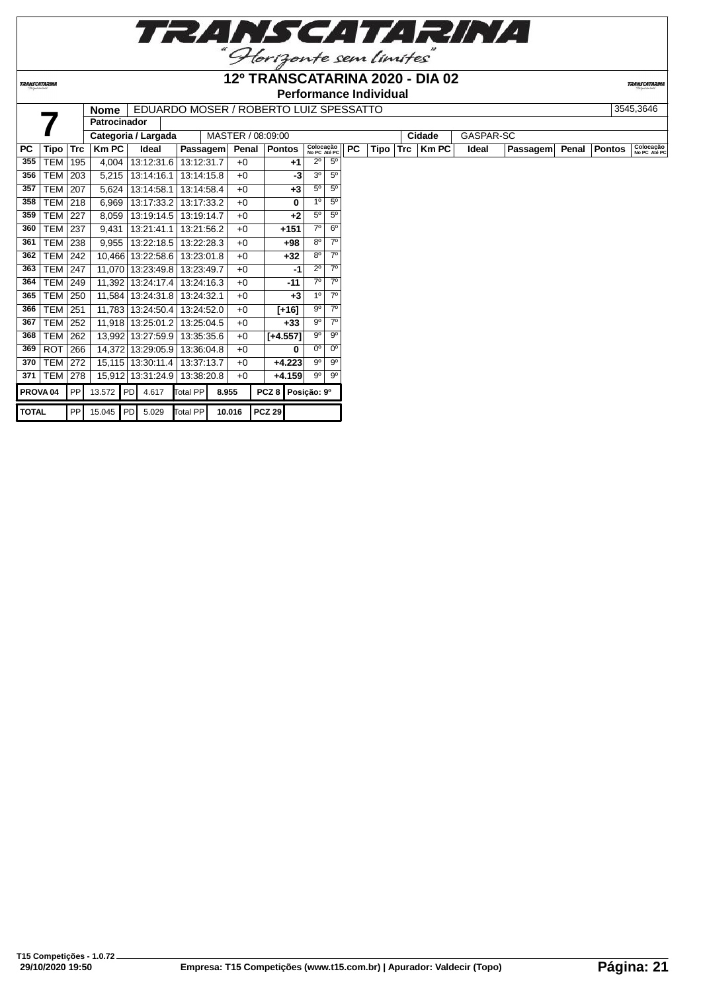

# **12º TRANSCATARINA 2020 - DIA 02**

**Performance Individual**

**TRANSCATARIN**  $\boxed{\textbf{Name}} \begin{tabular}{|c|c|c|c|c|} \hline \textbf{None} & \textbf{EDUARDO MOSER} \end{tabular} \hline \textbf{ROBERTO}} \hline \textbf{13545,3646} \hline \end{tabular}$ 

|                     |            |            | <b>Nome</b>         |                          |            |       |                   | EDUARDO MOSER / ROBERTO LUIZ SPESSALTO |                           |                |           |          |              |           |          |       |        | <b>JJ4J,JU4U</b>          |
|---------------------|------------|------------|---------------------|--------------------------|------------|-------|-------------------|----------------------------------------|---------------------------|----------------|-----------|----------|--------------|-----------|----------|-------|--------|---------------------------|
|                     |            |            | <b>Patrocinador</b> |                          |            |       |                   |                                        |                           |                |           |          |              |           |          |       |        |                           |
|                     |            |            |                     | Categoria / Largada      |            |       | MASTER / 08:09:00 |                                        |                           |                |           |          | Cidade       | GASPAR-SC |          |       |        |                           |
| PC.                 | Tipo       | <b>Trc</b> | <b>Km PC</b>        | Ideal                    | Passagem   |       | Penal             | Pontos                                 | Colocação<br>No PC Até PC |                | <b>PC</b> | Tipo Trc | <b>Km PC</b> | Ideal     | Passagem | Penal | Pontos | Colocação<br>No PC Até PC |
| 355                 | TEM        | 195        | 4,004               | 13:12:31.6               | 13:12:31.7 |       | $+0$              | $+1$                                   | $2^{\circ}$               | 5 <sup>0</sup> |           |          |              |           |          |       |        |                           |
| 356                 | TEM        | 203        | 5,215               | 13:14:16.1               | 13:14:15.8 |       | $+0$              | -3                                     | 3 <sup>o</sup>            | $5^{\circ}$    |           |          |              |           |          |       |        |                           |
| 357                 | TEM        | 207        | 5,624               | 13:14:58.1               | 13:14:58.4 |       | $+0$              | $+3$                                   | $5^{\circ}$               | $5^{\circ}$    |           |          |              |           |          |       |        |                           |
| 358                 | <b>TEM</b> | 218        | 6,969               | 13:17:33.2               | 13:17:33.2 |       | $+0$              | $\bf{0}$                               | 1 <sup>0</sup>            | $5^{\circ}$    |           |          |              |           |          |       |        |                           |
| 359                 | <b>TEM</b> | 227        | 8,059               | 13:19:14.5               | 13:19:14.7 |       | $+0$              | $+2$                                   | $5^{\circ}$               | 5 <sup>0</sup> |           |          |              |           |          |       |        |                           |
| 360                 | <b>TEM</b> | 237        | 9,431               | 13:21:41.1               | 13:21:56.2 |       | $+0$              | +151                                   | $7^\circ$                 | 6 <sup>o</sup> |           |          |              |           |          |       |        |                           |
| 361                 | TEM        | 238        | 9.955               | 13:22:18.5               | 13:22:28.3 |       | $+0$              | +98                                    | $8^{\circ}$               | $7^\circ$      |           |          |              |           |          |       |        |                           |
| 362                 | TEM        | 242        | 10.466              | 13:22:58.6               | 13:23:01.8 |       | $+0$              | $+32$                                  | $8^{\circ}$               | $7^\circ$      |           |          |              |           |          |       |        |                           |
| 363                 | TEM        | 247        | 11,070              | 13:23:49.8               | 13:23:49.7 |       | $+0$              | -1                                     | $2^{\circ}$               | $7^\circ$      |           |          |              |           |          |       |        |                           |
| 364                 | <b>TEM</b> | 249        | 11,392              | 13:24:17.4               | 13:24:16.3 |       | $+0$              | $-11$                                  | $7^\circ$                 | $7^\circ$      |           |          |              |           |          |       |        |                           |
| 365                 | TEM        | 250        | 11,584              | 13:24:31.8               | 13:24:32.1 |       | $+0$              | $+3$                                   | 1 <sup>0</sup>            | $7^\circ$      |           |          |              |           |          |       |        |                           |
| 366                 | <b>TEM</b> | 251        | 11,783              | 13:24:50.4               | 13:24:52.0 |       | $+0$              | $[+16]$                                | $9^{\circ}$               | $7^\circ$      |           |          |              |           |          |       |        |                           |
| 367                 | TEM        | 252        | 11,918              | 13:25:01.2               | 13:25:04.5 |       | $+0$              | $+33$                                  | $9^{\circ}$               | $7^\circ$      |           |          |              |           |          |       |        |                           |
| 368                 | TEM        | 262        |                     | 13,992 13:27:59.9        | 13:35:35.6 |       | $+0$              | $[+4.557]$                             | $9^{\circ}$               | 90             |           |          |              |           |          |       |        |                           |
| 369                 | <b>ROT</b> | 266        | 14,372              | 13:29:05.9               | 13:36:04.8 |       | $+0$              | 0                                      | $0^{\circ}$               | $0^{\circ}$    |           |          |              |           |          |       |        |                           |
| 370                 | TEM        | 272        |                     | 15,115 13:30:11.4        | 13:37:13.7 |       | $+0$              | $+4.223$                               | $9^{\circ}$               | 9 <sup>0</sup> |           |          |              |           |          |       |        |                           |
| 371                 | <b>TEM</b> | 278        | 15,912              | 13:31:24.9               | 13:38:20.8 |       | $+0$              | $+4.159$                               | $9^{\circ}$               | 90             |           |          |              |           |          |       |        |                           |
| PROVA <sub>04</sub> |            | PP         |                     | 13.572 PD 4.617          | Total PP   | 8.955 |                   | PCZ 8 Posição: 9º                      |                           |                |           |          |              |           |          |       |        |                           |
| <b>TOTAL</b>        |            | PP         |                     | 15.045 PD 5.029 Total PP |            |       | 10.016            | $PCZ$ 29                               |                           |                |           |          |              |           |          |       |        |                           |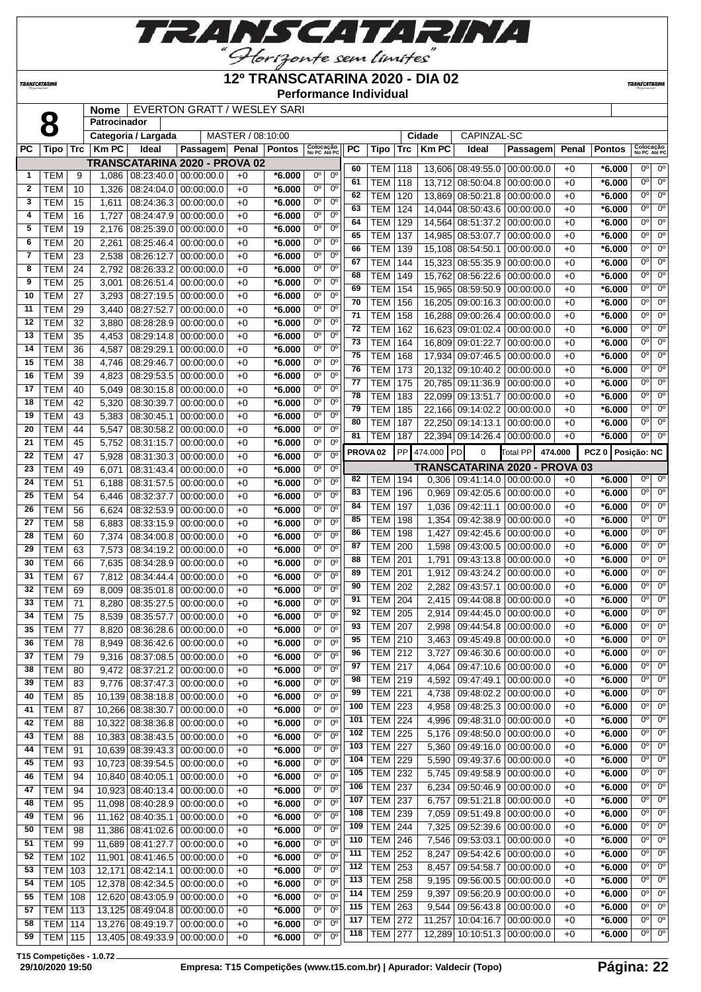*TRANSCATARINA* 

**12º TRANSCATARINA 2020 - DIA 02**

**Performance Individual**

**TRANSCATARIN** 

|              | O              |                 | <b>Nome</b>  |                                  | EVERTON GRATT / WESLEY SARI   |                   |          |                           |                        |                     |                |            |              |                                 |                               |       |                   |                                          |
|--------------|----------------|-----------------|--------------|----------------------------------|-------------------------------|-------------------|----------|---------------------------|------------------------|---------------------|----------------|------------|--------------|---------------------------------|-------------------------------|-------|-------------------|------------------------------------------|
|              |                |                 | Patrocinador |                                  |                               |                   |          |                           |                        |                     |                |            |              |                                 |                               |       |                   |                                          |
|              |                |                 |              | Categoria / Largada              |                               | MASTER / 08:10:00 |          |                           |                        |                     |                |            | Cidade       | CAPINZAL-SC                     |                               |       |                   |                                          |
| PC           | Tipo           | Trc             | <b>Km PC</b> | Ideal                            | Passagem Penal Pontos         |                   |          | Colocação<br>No PC Até PC |                        | PC                  | Tipo           | <b>Trc</b> | <b>Km PC</b> | Ideal                           | Passagem                      | Penal | <b>Pontos</b>     | Colocação<br>No PC Até PC                |
|              |                |                 |              |                                  | TRANSCATARINA 2020 - PROVA 02 |                   |          |                           |                        | 60                  | TEM            | 118        |              | 13,606 08:49:55.0               | 00:00:00.0                    | $+0$  | $*6.000$          | $0^{\circ}$<br>$0^{\circ}$               |
| 1            | TEM            | 9               | 1,086        | 08:23:40.0 00:00:00.0            |                               | $+0$              | $*6.000$ | $0^{\circ}$               | $0^{\circ}$            | 61                  | <b>TEM</b>     | 118        |              | 13,712 08:50:04.8               | 00:00:00.0                    | $+0$  | $*6.000$          | $0^{\circ}$<br>$0^{\circ}$               |
| $\mathbf{2}$ | TEM            | 10              | 1,326        | 08:24:04.0                       | 00:00:00.0                    | $+0$              | *6.000   | $0^{\circ}$               | $0^{\circ}$            | 62                  | <b>TEM</b>     | 120        |              | 13,869 08:50:21.8               | 00:00:00.0                    | $+0$  | $*6.000$          | $0^{\circ}$<br>0°                        |
| 3            | <b>TEM</b>     | 15              | 1,611        | 08:24:36.3 00:00:00.0            |                               | $+0$              | *6.000   | $0^{\circ}$               | $0^{\circ}$            | 63                  | <b>TEM</b>     | 124        |              | 14,044 08:50:43.6               | 00:00:00.0                    | $+0$  | $*6.000$          | $0^{\circ}$<br>0°                        |
| 4            | <b>TEM</b>     | 16              | 1,727        | 08:24:47.9 00:00:00.0            |                               | $+0$              | *6.000   | $0^{\circ}$               | $0^{\circ}$            | 64                  | <b>TEM</b>     |            |              | 14,564 08:51:37.2               | 00:00:00.0                    |       |                   | $0^{\circ}$<br>$\overline{0^{\circ}}$    |
| 5            | <b>TEM</b>     | 19              | 2,176        | 08:25:39.0                       | 00:00:00.0                    | $+0$              | $*6.000$ | $0^{\circ}$               | $0^{\circ}$            | 65                  |                | 129        |              | 14.985 08:53:07.7               |                               | $+0$  | $*6.000$          | $\overline{0^{\circ}}$<br>$0^{\circ}$    |
| 6            | <b>TEM</b>     | 20              | 2,261        | 08:25:46.4                       | 00:00:00.0                    | $+0$              | $*6.000$ | $0^{\circ}$               | $0^{\circ}$            |                     | <b>TEM</b>     | 137        |              |                                 | 00:00:00.0                    | $+0$  | $*6.000$          | 0 <sup>o</sup><br>$0^{\circ}$            |
| 7            | <b>TEM</b>     | 23              | 2,538        | 08:26:12.7                       | 00:00:00.0                    | $+0$              | *6.000   | $0^{\circ}$               | $0^{\circ}$            | 66                  | <b>TEM</b>     | 139        |              | 15,108 08:54:50.1               | 00:00:00.0                    | $+0$  | $*6.000$          |                                          |
| 8            | <b>TEM</b>     | 24              | 2,792        | 08:26:33.2                       | 00:00:00.0                    | $+0$              | *6.000   | 0°                        | $0^{\circ}$            | 67                  | <b>TEM</b>     | 144        |              | 15,323 08:55:35.9               | 00:00:00.0                    | $+0$  | $*6.000$          | $0^{\circ}$<br>0°                        |
| 9            | <b>TEM</b>     | 25              | 3,001        | 08:26:51.4                       | 00:00:00.0                    | $+0$              | $*6.000$ | $0^{\circ}$               | $0^{\circ}$            | 68                  | <b>TEM</b>     | 149        |              | 15,762 08:56:22.6               | 00:00:00.0                    | $+0$  | $*6.000$          | $\overline{0^{\circ}}$<br>0°             |
| 10           | <b>TEM</b>     | 27              | 3,293        | 08:27:19.5                       | 00:00:00.0                    | $+0$              | *6.000   | $0^{\rm o}$               | $0^{\circ}$            | 69                  | <b>TEM</b>     | 154        |              | 15,965 08:59:50.9               | 00:00:00.0                    | $+0$  | $*6.000$          | $\overline{0^{\circ}}$<br>$0^{\circ}$    |
| 11           | <b>TEM</b>     | 29              | 3,440        | 08:27:52.7                       | 00:00:00.0                    | $+0$              | *6.000   | $0^{\circ}$               | $0^{\circ}$            | 70                  | <b>TEM</b>     | 156        |              | 16,205 09:00:16.3               | 00:00:00.0                    | $+0$  | $*6.000$          | $0^{\circ}$<br>$0^{\circ}$               |
| 12           | <b>TEM</b>     | $\overline{32}$ | 3,880        | 08:28:28.9                       | 00:00:00.0                    | $+0$              | *6.000   | $0^{\circ}$               | $0^{\circ}$            | 71                  | <b>TEM</b>     | 158        |              | 16,288 09:00:26.4               | 00:00:00.0                    | $+0$  | $*6.000$          | 0°<br>$0^{\circ}$                        |
| 13           | <b>TEM</b>     | 35              | 4,453        | 08:29:14.8                       | 00:00:00.0                    | $+0$              | *6.000   | $0^{\circ}$               | $0^{\circ}$            | 72                  | <b>TEM</b>     | 162        |              | 16,623 09:01:02.4               | 00:00:00.0                    | $+0$  | $*6.000$          | $\overline{0^{\circ}}$<br>0°             |
| 14           | <b>TEM</b>     | 36              | 4,587        | 08:29:29.1                       | 00:00:00.0                    | $+0$              | $*6.000$ | $0^{\circ}$               | $0^{\circ}$            | 73                  | <b>TEM</b>     | 164        |              | 16,809 09:01:22.7               | 00:00:00.0                    | $+0$  | $*6.000$          | $\overline{0^{\circ}}$<br>$0^{\circ}$    |
| 15           | <b>TEM</b>     | 38              |              |                                  |                               | $+0$              | $*6.000$ | 0 <sup>o</sup>            | $0^{\circ}$            | 75                  | <b>TEM</b>     | 168        |              | 17,934 09:07:46.5               | 00:00:00.0                    | $+0$  | $*6.000$          | $\overline{0^{\circ}}$<br>0 <sup>o</sup> |
|              |                |                 | 4,746        | 08:29:46.7                       | 00:00:00.0                    |                   |          | $0^{\circ}$               | $0^{\circ}$            | 76                  | <b>TEM</b>     | 173        |              | 20,132 09:10:40.2               | 00:00:00.0                    | $+0$  | $*6.000$          | $0^{\circ}$<br>$0^{\circ}$               |
| 16           | <b>TEM</b>     | 39              | 4,823        | 08:29:53.5                       | 00:00:00.0                    | $+0$              | *6.000   |                           |                        | 77                  | <b>TEM</b>     | 175        |              | 20.785 09:11:36.9               | 00:00:00.0                    | $+0$  | $*6.000$          | $0^{\circ}$<br>0°                        |
| 17           | <b>TEM</b>     | 40              | 5,049        | 08:30:15.8                       | 00:00:00.0                    | $+0$              | *6.000   | $0^{\circ}$               | $0^{\circ}$            | 78                  | <b>TEM</b>     | 183        |              | 22,099 09:13:51.7               | 00:00:00.0                    | $+0$  | $*6.000$          | $0^{\circ}$<br>0°                        |
| 18           | <b>TEM</b>     | 42              | 5,320        | 08:30:39.7                       | 00:00:00.0                    | $+0$              | *6.000   | $0^{\circ}$               | $0^{\circ}$            | 79                  | <b>TEM</b>     | 185        |              | 22,166 09:14:02.2               | 00:00:00.0                    | $+0$  | $*6.000$          | $0^{\circ}$<br>$0^{\circ}$               |
| 19           | <b>TEM</b>     | 43              | 5,383        | 08:30:45.1                       | 00:00:00.0                    | $+0$              | *6.000   | $0^{\circ}$               | $0^{\circ}$            | 80                  | <b>TEM</b>     | 187        |              | 22,250 09:14:13.1               | 00:00:00.0                    | $+0$  | $*6.000$          | $0^{\circ}$<br>0 <sup>o</sup>            |
| 20           | <b>TEM</b>     | 44              | 5,547        | 08:30:58.2                       | 00:00:00.0                    | $+0$              | *6.000   | $0^{\rm o}$               | $0^{\circ}$            | 81                  | TEM            | 187        |              | 22,394 09:14:26.4 00:00:00.0    |                               | $+0$  | $*6.000$          | $0^{\circ}$<br>0°                        |
| 21           | <b>TEM</b>     | 45              | 5,752        | 08:31:15.7                       | 00:00:00.0                    | $+0$              | *6.000   | $0^{\circ}$               | 0 <sup>o</sup>         |                     |                | PP         |              |                                 |                               |       |                   |                                          |
| 22           | <b>TEM</b>     | 47              | 5,928        | 08:31:30.3 00:00:00.0            |                               | $+0$              | *6.000   | $0^{\circ}$               | $0^{\circ}$            | PROVA <sub>02</sub> |                |            | 474.000 PD   | $\Omega$                        | <b>Total PP</b><br>474.000    |       | PCZ 0 Posição: NC |                                          |
| 23           | <b>TEM</b>     | 49              | 6,071        | 08:31:43.4                       | 00:00:00.0                    | $+0$              | $*6.000$ | $0^{\circ}$               | $0^{\circ}$            |                     |                |            |              |                                 | TRANSCATARINA 2020 - PROVA 03 |       |                   |                                          |
| 24           | <b>TEM</b>     | 51              | 6,188        | 08:31:57.5                       | 00:00:00.0                    | $+0$              | $*6.000$ | $0^{\circ}$               | $0^{\circ}$            | 82                  | TEM            | 194        | 0,306        |                                 | 09:41:14.0 00:00:00.0         | $+0$  | $*6.000$          | 0 <sup>o</sup><br>$0^{\circ}$            |
| 25           | <b>TEM</b>     | 54              | 6,446        | 08:32:37.7                       | 00:00:00.0                    | $+0$              | *6.000   | $0^{\circ}$               | $0^{\circ}$            | 83                  | <b>TEM</b>     | 196        | 0,969        | 09:42:05.6 00:00:00.0           |                               | $+0$  | $*6.000$          | $\overline{0^{\circ}}$<br>$0^{\circ}$    |
| 26           | <b>TEM</b>     | 56              | 6,624        | 08:32:53.9 00:00:00.0            |                               | $+0$              | *6.000   | 0°                        | $0^{\circ}$            | 84                  | <b>TEM</b>     | 197        | 1,036        | 09:42:11.1                      | 00:00:00.0                    | $+0$  | $*6.000$          | $0^{\circ}$<br>$0^{\circ}$               |
| 27           | <b>TEM</b>     | 58              | 6,883        | 08:33:15.9                       | 00:00:00.0                    | $+0$              | *6.000   | $0^{\circ}$               | $0^{\circ}$            | 85                  | <b>TEM</b>     | 198        | 1,354        | 09:42:38.9                      | 00:00:00.0                    | $+0$  | $*6.000$          | $0^{\circ}$<br>0°                        |
| 28           | <b>TEM</b>     | 60              | 7,374        | 08:34:00.8                       | 00:00:00.0                    | $+0$              | *6.000   | 0 <sup>o</sup>            | $0^{\circ}$            | 86                  | <b>TEM</b>     | 198        | 1,427        | 09:42:45.6                      | 00:00:00.0                    | $+0$  | $*6.000$          | $0^{\circ}$<br>$0^{\circ}$               |
| 29           | <b>TEM</b>     | 63              | 7,573        | 08:34:19.2                       | 00:00:00.0                    | $+0$              | *6.000   | $0^{\circ}$               | 0 <sup>o</sup>         | 87                  | <b>TEM</b>     | 200        | 1,598        | 09:43:00.5                      | 00:00:00.0                    | $+0$  | $*6.000$          | $\overline{0^{\circ}}$<br>$0^{\circ}$    |
| 30           | <b>TEM</b>     | 66              | 7,635        | 08:34:28.9                       | 00:00:00.0                    | $+0$              | *6.000   | $0^{\circ}$               | $0^{\circ}$            | 88                  | <b>TEM</b>     | 201        | 1,791        | 09:43:13.8                      | 00:00:00.0                    | $+0$  | $*6.000$          | $0^{\circ}$<br>$0^{\circ}$               |
| 31           | <b>TEM</b>     | 67              | 7,812        | 08:34:44.4                       | 00:00:00.0                    | $+0$              | *6.000   | $0^{\circ}$               | 0 <sup>o</sup>         | 89                  | <b>TEM</b>     | 201        | 1,912        | 09:43:24.2                      | 00:00:00.0                    | $+0$  | $*6.000$          | $0^{\circ}$<br>0°                        |
| 32           | <b>TEM</b>     | 69              | 8,009        | 08:35:01.8                       | 00:00:00.0                    | $+0$              | $*6.000$ | $0^{\circ}$               | 0 <sup>o</sup>         | 90                  | <b>TEM</b>     | 202        | 2,282        | 09:43:57.1                      | 00:00:00.0                    | $+0$  | $*6.000$          | $0^{\circ}$<br>0°                        |
| 33           | <b>TEM</b>     | 71              | 8,280        | 08:35:27.5                       | 00:00:00.0                    | $+0$              | *6.000   | 0 <sup>o</sup>            | 0 <sup>o</sup>         | 91                  | <b>TEM</b>     | 204        | 2,415        | 09:44:08.8                      | 00:00:00.0                    | $+0$  | $*6.000$          | $\overline{0^{\circ}}$<br>$0^{\circ}$    |
| 34           | <b>TEM</b>     | 75              | 8,539        | 08:35:57.7                       | 00:00:00.0                    | $+0$              | *6.000   | $0^{\circ}$               | $0^{\circ}$            | 92                  | TEM            | 205        | 2,914        | 09:44:45.0                      | 00:00:00.0                    | $+0$  | $*6.000$          | $0^{\circ}$<br>$0^{\circ}$               |
| 35           | <b>TEM</b>     | 77              | 8,820        | 08:36:28.6 00:00:00.0            |                               | $+0$              | $*6.000$ | $0^{\circ}$               | 0 <sup>o</sup>         | 93                  | <b>TEM</b>     | 207        | 2.998        | 09.44.54.8 00.00.00.0           |                               | $+0$  | $*6.000$          | 0°<br>$0^{\circ}$                        |
| 36           |                |                 |              |                                  |                               |                   | $*6.000$ | $0^{\circ}$               | $0^{\circ}$            | 95                  | <b>TEM 210</b> |            |              | 3,463   09:45:49.8   00:00:00.0 |                               | $+0$  | $*6.000$          | 0°<br>$0^{\circ}$                        |
|              | TEM            | 78              | 8,949        | 08:36:42.6   00:00:00.0          |                               | $+0$              |          | $0^{\circ}$               | $0^{\circ}$            | 96                  | <b>TEM</b>     | 212        | 3,727        | 09:46:30.6                      | 00:00:00.0                    | $+0$  | $*6.000$          | 0°<br>0°                                 |
| 37           | <b>TEM</b>     | 79              | 9,316        | $08:37:08.5 \mid 00:00:00.0$     |                               | $+0$              | $*6.000$ |                           |                        | 97                  | $TEM$ 217      |            | 4,064        | 09:47:10.6                      | 00:00:00.0                    | $+0$  | $*6.000$          | $0^{\circ}$<br>$0^{\circ}$               |
| 38           | <b>TEM</b>     | 80              | 9,472        | 08:37:21.2 00:00:00.0            |                               | $+0$              | $*6.000$ | $0^{\circ}$               | $\overline{0^{\circ}}$ | 98                  | <b>TEM</b>     | 219        | 4,592        | 09:47:49.1                      | 00:00:00.0                    | $+0$  | $*6.000$          | $0^{\circ}$<br>$0^{\circ}$               |
| 39           | <b>TEM</b>     | 83              |              | $9,776$ $08:37:47.3$ 00:00:00.0  |                               | $+0$              | $*6.000$ | $0^{\circ}$               | $0^{\circ}$            | 99                  | <b>TEM</b>     | 221        | 4,738        | 09:48:02.2                      | 00:00:00.0                    | $+0$  | $*6.000$          | $0^{\circ}$<br>$0^{\circ}$               |
| 40           | <b>TEM</b>     | 85              |              | 10,139 08:38:18.8 00:00:00.0     |                               | $+0$              | $*6.000$ | $0^{\circ}$               | $0^{\circ}$            | 100                 | <b>TEM</b>     | 223        | 4,958        |                                 | 00:00:00.0                    |       | *6.000            | 0°<br>$0^{\circ}$                        |
| 41           | <b>TEM</b>     | 87              |              | 10,266 08:38:30.7 00:00:00.0     |                               | $+0$              | $*6.000$ | $0^{\circ}$               | $0^{\circ}$            |                     |                |            |              | 09:48:25.3                      |                               | $+0$  |                   | 0°<br>$0^{\circ}$                        |
| 42           | <b>TEM</b>     | 88              | 10,322       | 08:38:36.8 00:00:00.0            |                               | $+0$              | $*6.000$ | $0^{\circ}$               | $\overline{0^{\circ}}$ | 101                 | <b>TEM</b>     | 224        | 4,996        | 09:48:31.0                      | 00:00:00.0                    | $+0$  | $*6.000$          | $0^{\circ}$<br>$0^{\circ}$               |
| 43           | <b>TEM</b>     | 88              |              | 10,383 08:38:43.5 00:00:00.0     |                               | $+0$              | $*6.000$ | $0^{\circ}$               | $0^{\circ}$            | 102                 | <b>TEM</b>     | 225        | 5,176        | 09:48:50.0 00:00:00.0           |                               | $+0$  | $*6.000$          |                                          |
| 44           | <b>TEM</b>     | 91              |              | 10,639 08:39:43.3 00:00:00.0     |                               | $+0$              | $*6.000$ | $0^{\circ}$               | $0^{\circ}$            | 103                 | <b>TEM</b>     | 227        | 5,360        | 09:49:16.0 00:00:00.0           |                               | $+0$  | $*6.000$          | $0^{\circ}$<br>$0^{\circ}$               |
| 45           | <b>TEM</b>     | 93              |              | 10,723 08:39:54.5 00:00:00.0     |                               | $+0$              | $*6.000$ | 0 <sup>o</sup>            | $0^{\circ}$            | 104                 | <b>TEM</b>     | 229        | 5,590        | 09:49:37.6                      | 00:00:00.0                    | $+0$  | $*6.000$          | $0^{\circ}$<br>$0^{\circ}$               |
| 46           | <b>TEM</b>     | 94              |              | 10,840 08:40:05.1 00:00:00.0     |                               | $+0$              | $*6.000$ | $0^{\circ}$               | $0^{\circ}$            | 105                 | <b>TEM</b>     | 232        | 5,745        | 09:49:58.9                      | 00:00:00.0                    | $+0$  | $*6.000$          | $0^{\circ}$<br>$0^{\circ}$               |
| 47           | <b>TEM</b>     | 94              |              | 10,923 08:40:13.4 00:00:00.0     |                               | $+0$              | $*6.000$ | $0^{\circ}$               | $0^{\circ}$            | 106                 | <b>TEM</b>     | 237        | 6,234        | 09:50:46.9                      | 00:00:00.0                    | $+0$  | $*6.000$          | $0^{\circ}$<br>$0^{\circ}$               |
| 48           | <b>TEM</b>     | 95              |              | 11,098   08:40:28.9   00:00:00.0 |                               | $+0$              | $*6.000$ | $0^{\circ}$               | $0^{\circ}$            | 107                 | <b>TEM</b>     | 237        | 6,757        | 09:51:21.8                      | 00:00:00.0                    | $+0$  | $*6.000$          | $0^{\circ}$<br>$0^{\circ}$               |
| 49           | <b>TEM</b>     | 96              |              | 11,162 08:40:35.1 00:00:00.0     |                               | $+0$              | $*6.000$ | $0^{\circ}$               | $0^{\circ}$            | 108                 | <b>TEM</b>     | 239        | 7,059        | 09:51:49.8 00:00:00.0           |                               | $+0$  | $*6.000$          | $0^{\circ}$<br>$0^{\circ}$               |
| 50           | <b>TEM</b>     | 98              |              | 11,386   08:41:02.6   00:00:00.0 |                               | $+0$              | $*6.000$ | $0^{\circ}$               | $0^{\circ}$            | 109                 | <b>TEM</b>     | 244        | 7,325        | 09:52:39.6                      | 00:00:00.0                    | $+0$  | $*6.000$          | 0°<br>$0^{\circ}$                        |
| 51           | <b>TEM</b>     | 99              |              | 11,689 08:41:27.7                | 00:00:00.0                    | $+0$              | $*6.000$ | $0^{\circ}$               | $0^{\circ}$            | 110                 | <b>TEM</b>     | 246        | 7,546        | 09:53:03.1                      | 00:00:00.0                    | $+0$  | $*6.000$          | 0°<br>$0^{\circ}$                        |
| 52           | TEM            | 102             |              | 11,901   08:41:46.5   00:00:00.0 |                               | $+0$              | $*6.000$ | $0^{\circ}$               | $0^{\circ}$            | 111                 | <b>TEM</b>     | 252        | 8,247        |                                 | 09:54:42.6 00:00:00.0         | $+0$  | $*6.000$          | $0^{\circ}$<br>$0^{\circ}$               |
| 53           | TEM            | 103             |              | 12,171 08:42:14.1                | 00:00:00.0                    | $+0$              | $*6.000$ | 0°                        | $0^{\circ}$            | 112                 | <b>TEM</b>     | 253        | 8,457        | 09:54:58.7 00:00:00.0           |                               | $+0$  | $*6.000$          | 0°<br>$0^{\circ}$                        |
| 54           | <b>TEM</b>     | 105             |              | 12,378 08:42:34.5                | 00:00:00.0                    | $+0$              | $*6.000$ | 0°                        | $0^{\circ}$            | 113                 | <b>TEM</b>     | 258        | 9,195        | 09:56:00.5 00:00:00.0           |                               | $+0$  | $*6.000$          | $0^{\circ}$<br>$0^{\circ}$               |
| 55           | <b>TEM</b>     | 108             |              | 12,620 08:43:05.9                | 00:00:00.0                    | $+0$              | $*6.000$ | 0°                        | $0^{\circ}$            | 114                 | <b>TEM</b>     | 259        | 9,397        | 09:56:20.9                      | 00:00:00.0                    | $+0$  | $*6.000$          | 0°<br>$0^{\circ}$                        |
| 57           | TEM            | 113             |              | 13,125 08:49:04.8 00:00:00.0     |                               | $+0$              | $*6.000$ | 0 <sup>o</sup>            | $0^{\circ}$            | 115                 | <b>TEM</b>     | 263        | 9,544        | 09:56:43.8                      | 00:00:00.0                    | $+0$  | $*6.000$          | $0^{\circ}$<br>$0^{\circ}$               |
| 58           | <b>TEM 114</b> |                 |              |                                  |                               |                   |          | $0^{\circ}$               | $0^{\circ}$            | 117                 | <b>TEM</b>     | 272        | 11,257       | 10:04:16.7                      | 00:00:00.0                    | $+0$  | $*6.000$          | 0°<br>$0^{\circ}$                        |
|              |                |                 |              | 13,276 08:49:19.7 00:00:00.0     |                               | $+0$              | $*6.000$ |                           | $0^{\circ}$            | 118                 | <b>TEM</b>     | 277        |              | 12,289 10:10:51.3 00:00:00.0    |                               | $+0$  | $*6.000$          | $0^{\circ}$<br>$0^{\circ}$               |
| 59           | <b>TEM 115</b> |                 |              | 13,405 08:49:33.9 00:00:00.0     |                               | $+0$              | $*6.000$ | 0°                        |                        |                     |                |            |              |                                 |                               |       |                   |                                          |

**T15 Competições - 1.0.72**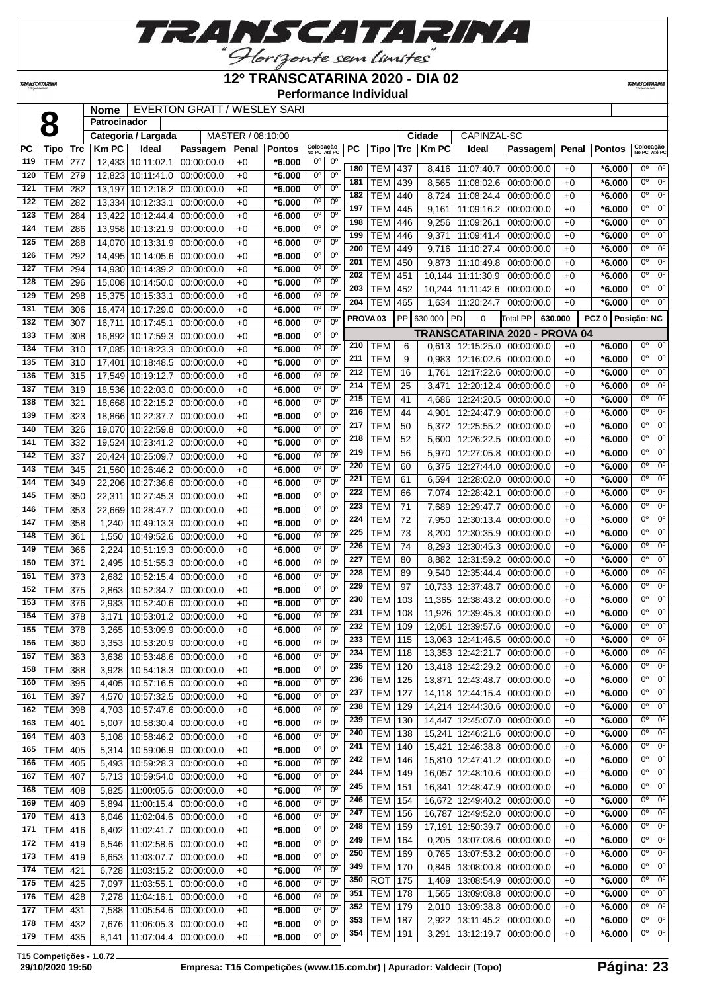**RANSCATARINA** 

"Horizonte sem limites"

# **12º TRANSCATARINA 2020 - DIA 02**

**Performance Individual**

**TRANSCATARIN** 

|            |                              |     | <b>Nome</b>  |                         | EVERTON GRATT / WESLEY SARI     |                   |                      |                           |                            |                     |             |            |              |                              |                               |       |                     |                           |                        |
|------------|------------------------------|-----|--------------|-------------------------|---------------------------------|-------------------|----------------------|---------------------------|----------------------------|---------------------|-------------|------------|--------------|------------------------------|-------------------------------|-------|---------------------|---------------------------|------------------------|
|            | 8                            |     | Patrocinador |                         |                                 |                   |                      |                           |                            |                     |             |            |              |                              |                               |       |                     |                           |                        |
|            |                              |     |              | Categoria / Largada     |                                 | MASTER / 08:10:00 |                      |                           |                            |                     |             |            | Cidade       | CAPINZAL-SC                  |                               |       |                     |                           |                        |
| PC         | Tipo                         | Trc | <b>KmPC</b>  | Ideal                   | Passagem                        | Penal             | <b>Pontos</b>        | Colocação<br>No PC Até PC |                            | PC                  | <b>Tipo</b> | <b>Trc</b> | <b>Km PC</b> | Ideal                        | Passagem                      | Penal | <b>Pontos</b>       | Colocação<br>No PC Até PC |                        |
| 119        | TEM                          | 277 |              | 12,433 10:11:02.1       | 00:00:00.0                      | $+0$              | *6.000               | $0^{\circ}$               | $0^{\circ}$                | 180                 | <b>TEM</b>  | 437        | 8,416        | 11:07:40.7                   | 00:00:00.0                    | $+0$  | *6.000              | $0^{\circ}$               | $0^{\circ}$            |
| 120        | <b>TEM</b>                   | 279 |              | 12,823 10:11:41.0       | 00:00:00.0                      | $+0$              | $*6.000$             | $0^{\circ}$               | $0^{\circ}$                | 181                 | <b>TEM</b>  | 439        | 8,565        | 11:08:02.6                   | 00:00:00.0                    | $+0$  | *6.000              | $0^{\circ}$               | $0^{\circ}$            |
| 121        | <b>TEM</b>                   | 282 |              | 13,197 10:12:18.2       | 00:00:00.0                      | $+0$              | $*6.000$             | $0^{\circ}$               | $0^{\circ}$                | 182                 | <b>TEM</b>  | 440        | 8,724        | 11:08:24.4                   | 00:00:00.0                    | $+0$  | *6.000              | 0°                        | $0^{\circ}$            |
| 122        | <b>TEM</b>                   | 282 |              | 13,334 10:12:33.1       | 00:00:00.0                      | $+0$              | *6.000               | $0^{\circ}$               | $0^{\circ}$                | 197                 | <b>TEM</b>  | 445        |              |                              |                               | $+0$  |                     | 0 <sup>o</sup>            | $0^{\circ}$            |
| 123        | <b>TEM</b>                   | 284 |              | 13,422 10:12:44.4       | 00:00:00.0                      | $+0$              | *6.000               | 0°                        | $0^{\circ}$                |                     |             |            | 9,161        | 11:09:16.2                   | 00:00:00.0                    |       | *6.000              | $0^{\circ}$               | $0^{\circ}$            |
| 124        | <b>TEM</b>                   | 286 |              | 13,958 10:13:21.9       | 00:00:00.0                      | $+0$              | $*6.000$             | $0^{\circ}$               | 0 <sup>o</sup>             | 198<br>199          | <b>TEM</b>  | 446        | 9,256        | 11:09:26.1                   | 00:00:00.0<br>00:00:00.0      | $+0$  | $*6.000$            | 0 <sup>o</sup>            | $\overline{0^{\circ}}$ |
| 125        | <b>TEM</b>                   | 288 |              | 14,070 10:13:31.9       | 00:00:00.0                      | $+0$              | $*6.000$             | 0°                        | 0°                         |                     | <b>TEM</b>  | 446        | 9,371        | 11:09:41.4                   |                               | $+0$  | $*6.000$            | 0°                        | 0 <sup>o</sup>         |
| 126        | <b>TEM</b>                   | 292 |              | 14,495 10:14:05.6       | 00:00:00.0                      | $+0$              | *6.000               | $0^{\circ}$               | $0^{\circ}$                | 200                 | <b>TEM</b>  | 449        | 9,716        | 11:10:27.4                   | 00:00:00.0                    | $+0$  | *6.000              | 0 <sup>o</sup>            | 0 <sup>o</sup>         |
| 127        | <b>TEM</b>                   | 294 |              | 14,930 10:14:39.2       | 00:00:00.0                      | $+0$              | *6.000               | $0^{\circ}$               | $0^{\circ}$                | 201                 | <b>TEM</b>  | 450        | 9,873        | 11:10:49.8                   | 00:00:00.0                    | $+0$  | *6.000              | $0^{\circ}$               | $0^{\circ}$            |
| 128        | TEM                          | 296 |              | 15,008 10:14:50.0       | 00:00:00.0                      | $+0$              | *6.000               | $0^{\circ}$               | $0^{\circ}$                | 202<br>203          | <b>TEM</b>  | 451        | 10,144       | 11:11:30.9                   | 00:00:00.0                    | $+0$  | *6.000              | 0°                        | $0^{\circ}$            |
| 129        | <b>TEM</b>                   | 298 |              | 15,375 10:15:33.1       | 00:00:00.0                      | $+0$              | *6.000               | $0^{\circ}$               | $0^{\circ}$                |                     | <b>TEM</b>  | 452        |              | 10,244 11:11:42.6            | 00:00:00.0                    | $+0$  | *6.000              | 0 <sup>o</sup>            | 0 <sup>o</sup>         |
| 131        | <b>TEM</b>                   | 306 |              | 16,474 10:17:29.0       | 00:00:00.0                      | $+0$              | $*6.000$             | $0^{\circ}$               | 0 <sup>o</sup>             | 204                 | <b>TEM</b>  | 465        |              | 1,634 11:20:24.7             | 00:00:00.0                    | $+0$  | *6.000              |                           |                        |
| 132        | <b>TEM</b>                   | 307 |              | 16,711 10:17:45.1       | 00:00:00.0                      | $+0$              | *6.000               | 0 <sup>o</sup>            | 0°                         | PROVA <sub>03</sub> |             |            | PP 630.000   | <b>PD</b><br>0               | Total PP<br>630.000           |       | PCZ 0   Posição: NC |                           |                        |
| 133        | <b>TEM</b>                   | 308 |              | 16,892 10:17:59.3       | 00:00:00.0                      | $+0$              | *6.000               | 0 <sup>o</sup>            | 0 <sup>o</sup>             |                     |             |            |              |                              | TRANSCATARINA 2020 - PROVA 04 |       |                     |                           |                        |
| 134        | <b>TEM</b>                   | 310 |              | 17,085 10:18:23.3       | 00:00:00.0                      | $+0$              | $*6.000$             | 0 <sup>o</sup>            | $0^{\circ}$                | 210                 | <b>TEM</b>  | 6          |              | $0,613$   12:15:25.0         | 00:00:00.0                    | $+0$  | *6.000              | $0^{\circ}$               | $0^{\circ}$            |
| 135        | TEM                          | 310 | 17,401       | 10:18:48.5              | 00:00:00.0                      | $+0$              | $*6.000$             | $0^{\circ}$               | 0 <sup>o</sup>             | 211                 | <b>TEM</b>  | 9          | 0,983        | 12:16:02.6                   | 00:00:00.0                    | $+0$  | *6.000              | $0^{\circ}$               | $0^{\circ}$            |
| 136        | <b>TEM</b>                   | 315 |              | 17,549 10:19:12.7       | 00:00:00.0                      | $+0$              | *6.000               | 0°                        | $0^{\circ}$                | 212                 | <b>TEM</b>  | 16         | 1,761        | 12:17:22.6                   | 00:00:00.0                    | $+0$  | *6.000              | $\overline{0^{\circ}}$    | $0^{\circ}$            |
| 137        | <b>TEM</b>                   | 319 |              | 18,536 10:22:03.0       | 00:00:00.0                      | $+0$              | *6.000               | $0^{\circ}$               | 0 <sup>o</sup>             | 214                 | <b>TEM</b>  | 25         | 3,471        | 12:20:12.4                   | 00:00:00.0                    | $+0$  | *6.000              | 0°                        | $0^{\circ}$            |
| 138        | TEM                          | 321 | 18,668       | 10:22:15.2              | 00:00:00.0                      | $+0$              | *6.000               | $0^{\circ}$               | $0^{\circ}$                | 215                 | <b>TEM</b>  | 41         | 4,686        | 12:24:20.5                   | 00:00:00.0                    | $+0$  | $*6.000$            | $0^{\circ}$               | $0^{\circ}$            |
| 139        | <b>TEM</b>                   | 323 |              | 18,866 10:22:37.7       | 00:00:00.0                      | $+0$              | $*6.000$             | 0 <sup>o</sup>            | $0^{\circ}$                | 216                 | <b>TEM</b>  | 44         | 4,901        | 12:24:47.9                   | 00:00:00.0                    | $+0$  | $*6.000$            | 0°                        | $0^{\circ}$            |
| 140        | TEM                          | 326 |              | 19,070 10:22:59.8       | 00:00:00.0                      | $+0$              | *6.000               | 0 <sup>o</sup>            | 0 <sup>o</sup>             | 217                 | <b>TEM</b>  | 50         | 5,372        | 12:25:55.2                   | 00:00:00.0                    | $+0$  | $*6.000$            | $0^{\circ}$               | $0^{\circ}$            |
| 141        | <b>TEM</b>                   | 332 |              | 19,524 10:23:41.2       | 00:00:00.0                      | $+0$              | *6.000               | 0 <sup>o</sup>            | 0 <sup>o</sup>             | 218                 | <b>TEM</b>  | 52         | 5,600        | 12:26:22.5                   | 00:00:00.0                    | $+0$  | *6.000              | 0°                        | $0^{\circ}$            |
| 142        | <b>TEM</b>                   | 337 |              | 20,424 10:25:09.7       | 00:00:00.0                      | $+0$              | *6.000               | $0^{\circ}$               | 0°                         | 219                 | <b>TEM</b>  | 56         | 5,970        | 12:27:05.8                   | 00:00:00.0                    | $+0$  | *6.000              | 0°                        | $0^{\circ}$            |
| 143        | <b>TEM</b>                   | 345 |              | 21,560 10:26:46.2       | 00:00:00.0                      | $+0$              | $*6.000$             | 0 <sup>o</sup>            | 0°                         | 220                 | <b>TEM</b>  | 60         | 6,375        | 12:27:44.0                   | 00:00:00.0                    | $+0$  | *6.000              | 0°                        | $0^{\circ}$            |
| 144        | <b>TEM</b>                   | 349 |              | 22,206 10:27:36.6       | 00:00:00.0                      | $+0$              | $*6.000$             | 0 <sup>o</sup>            | 0 <sup>o</sup>             | 221                 | <b>TEM</b>  | 61         | 6,594        | 12:28:02.0                   | 00:00:00.0                    | $+0$  | *6.000              | $0^{\circ}$               | $0^{\circ}$            |
| 145        | TEM                          | 350 | 22,311       | 10:27:45.3              | 00:00:00.0                      | $+0$              | *6.000               | $0^{\circ}$               | 0 <sup>o</sup>             | 222                 | <b>TEM</b>  | 66         | 7,074        | 12:28:42.1                   | 00:00:00.0                    | $+0$  | *6.000              | $0^{\circ}$               | $0^{\circ}$            |
| 146        | <b>TEM</b>                   | 353 |              | 22,669 10:28:47.7       | 00:00:00.0                      | $+0$              | $*6.000$             | $0^{\circ}$               | $0^{\circ}$                | 223                 | <b>TEM</b>  | 71         | 7,689        | 12:29:47.7                   | 00:00:00.0                    | $+0$  | *6.000              | 0°                        | $0^{\circ}$            |
| 147        | <b>TEM</b>                   | 358 | 1,240        | 10:49:13.3              | 00:00:00.0                      | $+0$              | *6.000               | $0^{\circ}$               | 0 <sup>o</sup>             | 224                 | <b>TEM</b>  | 72         | 7,950        | 12:30:13.4                   | 00:00:00.0                    | $+0$  | *6.000              | $0^{\circ}$               | $0^{\circ}$            |
| 148        | <b>TEM</b>                   | 361 | 1,550        | 10:49:52.6              | 00:00:00.0                      | $+0$              | *6.000               | 0 <sup>o</sup>            | $0^{\circ}$                | 225                 | <b>TEM</b>  | 73         | 8,200        | 12:30:35.9                   | 00:00:00.0                    | $+0$  | $*6.000$            | $0^{\circ}$               | $0^{\circ}$            |
| 149        | TEM                          | 366 | 2,224        | 10:51:19.3              | 00:00:00.0                      | $+0$              | *6.000               | $0^{\circ}$               | 0 <sup>o</sup>             | 226                 | <b>TEM</b>  | 74         | 8,293        | 12:30:45.3                   | 00:00:00.0                    | $+0$  | *6.000              | $0^{\circ}$               | $0^{\circ}$            |
| 150        | <b>TEM</b>                   | 371 | 2,495        | 10:51:55.3              | 00:00:00.0                      | $+0$              | $*6.000$             | $0^{\circ}$               | 0°                         | 227                 | <b>TEM</b>  | 80         | 8,882        | 12:31:59.2                   | 00:00:00.0                    | $+0$  | *6.000              | $0^{\circ}$               | $0^{\circ}$            |
| 151        | <b>TEM</b>                   | 373 | 2,682        | 10:52:15.4              | 00:00:00.0                      | $+0$              | *6.000               | $0^{\circ}$               | 0°                         | 228                 | <b>TEM</b>  | 89         | 9,540        | 12:35:44.4                   | 00:00:00.0                    | $+0$  | *6.000              | $0^{\circ}$               | $0^{\circ}$            |
| 152        | <b>TEM</b>                   | 375 | 2,863        | 10:52:34.7              | 00:00:00.0                      | $+0$              | $*6.000$             | 0 <sup>o</sup>            | 0 <sup>o</sup>             | 229                 | <b>TEM</b>  | 97         | 10,733       | 12:37:48.7                   | 00:00:00.0                    | $+0$  | *6.000              | 0°                        | $0^{\circ}$            |
| 153        | <b>TEM</b>                   | 376 | 2,933        | 10:52:40.6              | 00:00:00.0                      | $+0$              | $*6.000$             | $0^{\circ}$               | 0 <sup>o</sup>             | 230                 | <b>TEM</b>  | 103        | 11,365       | 12:38:43.2                   | 00:00:00.0                    | $+0$  | *6.000              | $0^{\circ}$               | $0^{\circ}$            |
| 154        | TEM                          | 378 | 3,171        | 10:53:01.2              | 00:00:00.0                      | $+0$              | $*6.000$             | 0 <sup>o</sup>            | $0^{\circ}$                | 231                 | <b>TEM</b>  | 108        | 11,926       | 12:39:45.3                   | 00:00:00.0                    | $+0$  | *6.000              | $0^{\circ}$               | $0^{\circ}$            |
| 155        | TEM 378                      |     |              |                         | 3,265   10:53:09.9   00:00:00.0 | $+0$              | $*6.000$             | $0^{\circ}$               | 0 <sup>o</sup>             | 232                 | <b>TEM</b>  | 109        |              | 12,051 12:39:57.6            | 00:00:00.0                    | $+0$  | $*6.000$            | $0^{\circ}$               | 0 <sup>o</sup>         |
| 156        | TEM   380                    |     | 3,353        | 10:53:20.9   00:00:00.0 |                                 | $+0$              | $*6.000$             | $0^{\circ}$               | $0^{\circ}$                |                     | 233 TEM     | 115        |              | 13,063 12:41:46.5 00:00:00.0 |                               | $+0$  | $*6.000$            | $0^{\circ}$               | $0^{\circ}$            |
| 157        | <b>TEM 383</b>               |     | 3,638        | 10:53:48.6              | 00:00:00.0                      | $+0$              | $*6.000$             | $0^{\circ}$               | 0 <sup>o</sup>             | 234                 | <b>TEM</b>  | 118        |              | 13,353 12:42:21.7            | 00:00:00.0                    | $+0$  | $*6.000$            | 0°                        | $0^{\circ}$            |
| 158        | <b>TEM 388</b>               |     | 3,928        | 10:54:18.3 00:00:00.0   |                                 | $+0$              | $*6.000$             | 0 <sup>o</sup>            | $0^{\circ}$                | 235                 | <b>TEM</b>  | 120        |              | 13,418 12:42:29.2            | 00:00:00.0                    | $+0$  | $*6.000$            | 0°                        | $0^{\circ}$            |
| 160        | <b>TEM 395</b>               |     | 4,405        | 10:57:16.5 00:00:00.0   |                                 | $+0$              | $*6.000$             | $0^{\circ}$               | 0°                         | 236                 | <b>TEM</b>  | 125        | 13,871       | 12:43:48.7                   | 00:00:00.0                    | $+0$  | $*6.000$            | 0°                        | $0^{\circ}$            |
| 161        | <b>TEM 397</b>               |     | 4,570        | 10:57:32.5 00:00:00.0   |                                 | $+0$              | $*6.000$             | $0^{\circ}$               | $0^{\circ}$                | 237                 | <b>TEM</b>  | 127        |              | 14,118 12:44:15.4            | 00:00:00.0                    | $+0$  | $*6.000$            | $0^{\circ}$               | $0^{\circ}$            |
| 162        | <b>TEM 398</b>               |     | 4,703        | 10:57:47.6 00:00:00.0   |                                 | $+0$              | $*6.000$             | $0^{\circ}$               | $0^{\circ}$                | 238                 | <b>TEM</b>  | 129        |              | 14,214 12:44:30.6            | 00:00:00.0                    | $+0$  | $*6.000$            | $0^{\circ}$               | $0^{\circ}$            |
| 163        | <b>TEM 401</b>               |     | 5,007        | 10:58:30.4              | 00:00:00.0                      | $+0$              | $*6.000$             | $0^{\circ}$               | $0^{\circ}$                | 239                 | <b>TEM</b>  | 130        | 14,447       | 12:45:07.0                   | 00:00:00.0                    | $+0$  | $*6.000$            | $0^{\circ}$               | $0^{\circ}$            |
| 164        | <b>TEM 403</b>               |     | 5,108        | 10:58:46.2              | 00:00:00.0                      | $+0$              | $*6.000$             | $0^{\circ}$               | $0^{\circ}$                | 240                 | <b>TEM</b>  | 138        | 15,241       | 12:46:21.6                   | 00:00:00.0                    | $+0$  | $*6.000$            | $0^{\circ}$               | $0^{\circ}$            |
| 165        | <b>TEM 405</b>               |     | 5,314        | 10:59:06.9 00:00:00.0   |                                 | $+0$              | $*6.000$             | $0^{\circ}$               | $0^{\circ}$                | 241                 | TEM         | 140        | 15,421       | 12:46:38.8                   | 00:00:00.0                    | $+0$  | $*6.000$            | $0^{\circ}$               | $0^{\circ}$            |
| 166        | <b>TEM</b>                   | 405 | 5,493        | 10:59:28.3              | 00:00:00.0                      | $+0$              | $*6.000$             | $0^{\circ}$               | $0^{\circ}$                | 242                 | <b>TEM</b>  | 146        |              | 15,810 12:47:41.2            | 00:00:00.0                    | $+0$  | $*6.000$            | $0^{\circ}$               | $0^{\circ}$            |
| 167        | <b>TEM</b>                   | 407 | 5,713        |                         | 10:59:54.0 00:00:00.0           | $+0$              | $*6.000$             | 0 <sup>o</sup>            | $0^{\circ}$                | 244                 | <b>TEM</b>  | 149        |              | 16,057 12:48:10.6            | 00:00:00.0                    | $+0$  | $*6.000$            | 0°                        | $0^{\circ}$            |
|            |                              |     |              |                         |                                 |                   |                      | $0^{\circ}$               | $0^{\circ}$                | 245                 | <b>TEM</b>  | 151        | 16,341       | 12:48:47.9                   | 00:00:00.0                    | $+0$  | $*6.000$            | 0°                        | $0^{\circ}$            |
| 168<br>169 | <b>TEM</b><br><b>TEM 409</b> | 408 | 5,825        | 11:00:05.6              | 00:00:00.0                      | $+0$<br>$+0$      | $*6.000$<br>$*6.000$ | $0^{\circ}$               | 0°                         | 246                 | <b>TEM</b>  | 154        |              | 16,672 12:49:40.2            | 00:00:00.0                    | $+0$  | $*6.000$            | $0^{\circ}$               | $0^{\circ}$            |
| 170        |                              |     | 5,894        | 11:00:15.4              | 00:00:00.0                      |                   |                      | $0^{\circ}$               | $0^{\circ}$                | 247                 | <b>TEM</b>  | 156        | 16,787       | 12:49:52.0                   | 00:00:00.0                    | $+0$  | $*6.000$            | $0^{\circ}$               | 0 <sup>o</sup>         |
| 171        | <b>TEM 413</b>               |     | 6,046        | 11:02:04.6              | 00:00:00.0                      | $+0$              | $*6.000$<br>$*6.000$ | $0^{\circ}$               | $0^{\circ}$                | 248                 | <b>TEM</b>  | 159        |              | 17,191 12:50:39.7            | 00:00:00.0                    | $+0$  | $*6.000$            | $0^{\circ}$               | $0^{\circ}$            |
|            | TEM   416                    |     | 6,402        | 11:02:41.7              | 00:00:00.0                      | $+0$              |                      | $0^{\circ}$               | $0^{\circ}$                | 249                 | <b>TEM</b>  | 164        | 0,205        | 13:07:08.6                   | 00:00:00.0                    | $+0$  | $*6.000$            | $0^{\circ}$               | $0^{\circ}$            |
| 172        | <b>TEM 419</b>               |     | 6,546        | 11:02:58.6              | 00:00:00.0                      | $+0$              | $*6.000$             |                           | $0^{\circ}$                | 250                 | <b>TEM</b>  | 169        | 0,765        | 13:07:53.2                   | 00:00:00.0                    | $+0$  | $*6.000$            | $0^{\circ}$               | $0^{\circ}$            |
| 173        | <b>TEM 419</b>               |     | 6,653        | 11:03:07.7              | 00:00:00.0                      | $+0$              | $*6.000$             | $0^{\circ}$               |                            | 349                 | TEM         | 170        | 0,846        | 13:08:00.8                   | 00:00:00.0                    | $+0$  | $*6.000$            | $0^{\circ}$               | $0^{\circ}$            |
| 174        | <b>TEM 421</b>               |     | 6,728        | 11:03:15.2              | 00:00:00.0                      | $+0$              | $*6.000$             | $0^{\circ}$               | $0^{\circ}$<br>$0^{\circ}$ | 350                 | <b>ROT</b>  | 175        |              | 1,409   13:08:54.9           | 00:00:00.0                    | $+0$  | $*6.000$            | $0^{\circ}$               | $0^{\circ}$            |
| 175        | <b>TEM</b>                   | 425 | 7,097        | 11:03:55.1              | 00:00:00.0                      | $+0$              | $*6.000$             | $0^{\circ}$               |                            | 351                 | <b>TEM</b>  | 178        | 1,565        | 13:09:08.8                   | 00:00:00.0                    | $+0$  | $*6.000$            | $0^{\circ}$               | $0^{\circ}$            |
| 176        | <b>TEM</b>                   | 428 | 7,278        | 11:04:16.1              | 00:00:00.0                      | $+0$              | $*6.000$             | $0^{\circ}$               | $0^{\circ}$                | 352                 | <b>TEM</b>  | 179        | 2,010        | 13:09:38.8                   | 00:00:00.0                    | $+0$  | $*6.000$            | $0^{\circ}$               | $0^{\circ}$            |
| 177        | <b>TEM</b>                   | 431 | 7,588        | 11:05:54.6              | 00:00:00.0                      | $+0$              | $*6.000$             | $0^{\circ}$               | $0^{\circ}$                | 353                 | <b>TEM</b>  | 187        | 2,922        | 13:11:45.2                   | 00:00:00.0                    | $+0$  | $*6.000$            | 0°                        | $0^{\circ}$            |
| 178        | <b>TEM 432</b>               |     | 7,676        | 11:06:05.3              | 00:00:00.0                      | $+0$              | $*6.000$             | $0^{\circ}$               | 0°                         |                     | 354 TEM     | 191        | 3,291        | 13:12:19.7                   | 00:00:00.0                    | $+0$  | $*6.000$            | $0^{\circ}$               | $0^{\circ}$            |
| 179        | TEM 435                      |     | 8,141        | $11:07:04.4$ 00:00:00.0 |                                 | $+0$              | $*6.000$             | $0^{\circ}$               | 0°                         |                     |             |            |              |                              |                               |       |                     |                           |                        |

**T15 Competições - 1.0.72**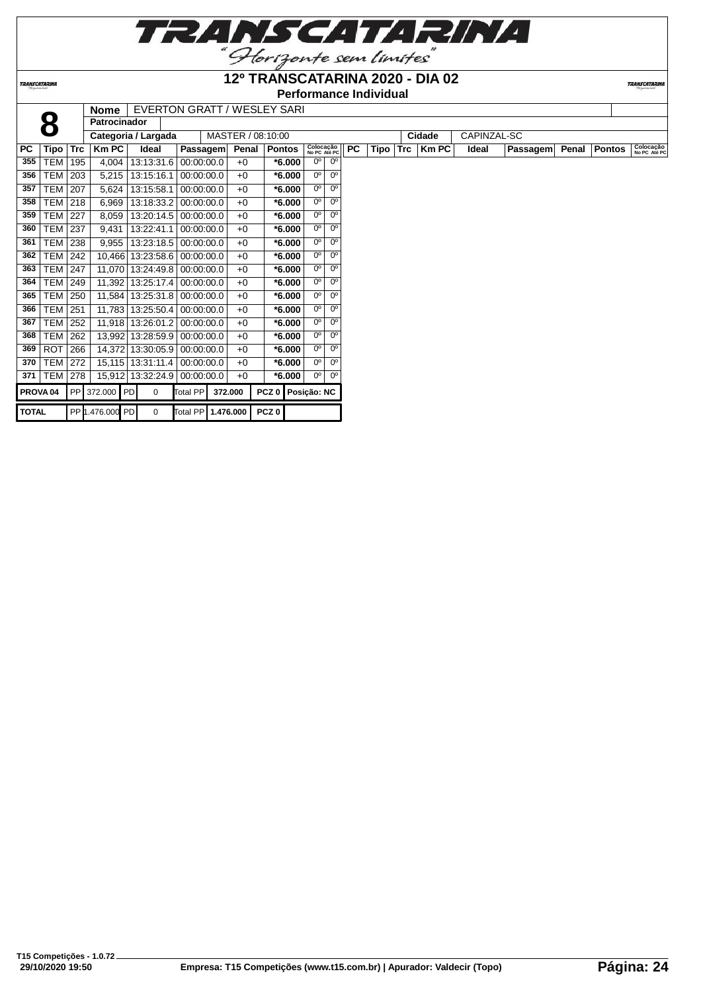

**TRANSCATARIN** 

|           | <i><b>TRANSCATARINA</b></i> |            |                     | Performance Individual |                             |                   |               |                           |             |           |      |            |        |             |          |       |               |                           |
|-----------|-----------------------------|------------|---------------------|------------------------|-----------------------------|-------------------|---------------|---------------------------|-------------|-----------|------|------------|--------|-------------|----------|-------|---------------|---------------------------|
|           |                             |            | <b>Nome</b>         |                        | EVERTON GRATT / WESLEY SARI |                   |               |                           |             |           |      |            |        |             |          |       |               |                           |
|           | 8                           |            | <b>Patrocinador</b> |                        |                             |                   |               |                           |             |           |      |            |        |             |          |       |               |                           |
|           |                             |            |                     | Categoria / Largada    |                             | MASTER / 08:10:00 |               |                           |             |           |      |            | Cidade | CAPINZAL-SC |          |       |               |                           |
| <b>PC</b> | Tipo                        | <b>Trc</b> | Km PC               | Ideal                  | Passagem                    | Penal             | <b>Pontos</b> | Colocação<br>No PC Até PC |             | <b>PC</b> | Tipo | <b>Trc</b> | Km PC  | Ideal       | Passagem | Penal | <b>Pontos</b> | Colocação<br>No PC Até PC |
| 355       | TEM                         | 195        | 4.004               | 13:13:31.6             | 00:00:00.0                  | $+0$              | $*6.000$      | 0 <sup>o</sup>            | $0^{\circ}$ |           |      |            |        |             |          |       |               |                           |
| 356       | TEM                         | 203        | 5,215               | 13:15:16.1             | 00:00:00.0                  | $+0$              | $*6.000$      | 0°                        | $0^{\circ}$ |           |      |            |        |             |          |       |               |                           |
| 357       | TEM l                       | 207        | 5,624               | 13:15:58.1             | 00:00:00.0                  | $+0$              | $*6.000$      | 0 <sup>o</sup>            | $0^{\circ}$ |           |      |            |        |             |          |       |               |                           |
| 358       | TEM l                       | 218        | 6,969               | 13:18:33.2             | 00:00:00.0                  | $+0$              | $*6.000$      | $0^{\circ}$               | $0^{\circ}$ |           |      |            |        |             |          |       |               |                           |
| 359       | TEM                         | 227        | 8,059               | 13:20:14.5             | 00:00:00.0                  | $+0$              | $*6.000$      | $0^{\circ}$               | $0^{\circ}$ |           |      |            |        |             |          |       |               |                           |
| 360       | TEM                         | 237        | 9.431               | 13:22:41.1             | 00:00:00.0                  | $+0$              | *6.000        | $0^{\circ}$               | $0^{\circ}$ |           |      |            |        |             |          |       |               |                           |
| 361       | TEM                         | 238        | 9.955               | 13:23:18.5             | 00:00:00.0                  | $+0$              | $*6.000$      | $0^{\circ}$               | $0^{\circ}$ |           |      |            |        |             |          |       |               |                           |
| 362       | TEM                         | 242        |                     | 10.466 13:23:58.6      | 00:00:00.0                  | $+0$              | $*6.000$      | 0°                        | $0^{\circ}$ |           |      |            |        |             |          |       |               |                           |
| 363       | TEM                         | 247        | 11.070              | 13:24:49.8             | 00:00:00.0                  | $+0$              | *6.000        | $0^{\circ}$               | $0^{\circ}$ |           |      |            |        |             |          |       |               |                           |
| 364       | TEM                         | 249        |                     | 11.392 13:25:17.4      | 00:00:00.0                  | $+0$              | $*6.000$      | 0°                        | $0^{\circ}$ |           |      |            |        |             |          |       |               |                           |
| 365       | TEM                         | 250        |                     | 11.584 13:25:31.8      | 00:00:00.0                  | $+0$              | *6.000        | 0°                        | $0^{\circ}$ |           |      |            |        |             |          |       |               |                           |
| 366       | TEM l                       | 251        |                     | 11,783 13:25:50.4      | 00:00:00.0                  | $+0$              | $*6.000$      | $0^{\circ}$               | $0^{\circ}$ |           |      |            |        |             |          |       |               |                           |

 TEM 252 11,918 13:26:01.2 00:00:00.0 +0 **\*6.000** 0º 0º TEM 262 13,992 13:28:59.9 00:00:00.0 +0 **\*6.000** 0º 0º ROT 266 14,372 13:30:05.9 00:00:00.0 +0 **\*6.000** 0º 0º TEM 272 15,115 13:31:11.4 00:00:00.0 +0 **\*6.000** 0º 0º TEM 278 15,912 13:32:24.9 00:00:00.0 +0 **\*6.000** 0º 0º **PROVA 04** PP 372.000 PD 0 Total PP **372.000 PCZ 0 Posição: NC**

**TOTAL** PP 1.476.000 PD 0 Total PP **1.476.000 PCZ 0**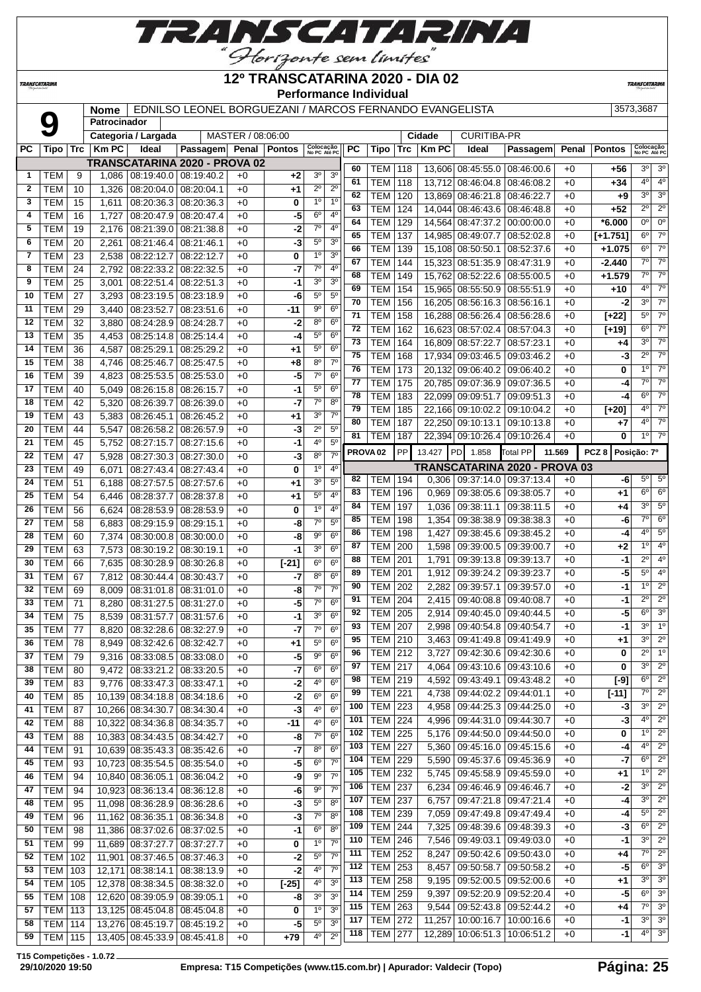

TRANSCATARINA

#### **12º TRANSCATARINA 2020 - DIA 02 Performance Individual**

**TRANSCATARIN** 

# **Nome** EDNILSO LEONEL BORGUEZANI / MARCOS FERNANDO EVANGELISTA 3573,3687

|           | $\mathbf{O}$     |     | <b>Nome</b><br>Patrocinador |                         | EDIVILSO LEONEL DONGUEZANI / MANCOS FENNANDO EVANGELISTA |                   |              |                           |                |           |                     |     |             |                                   |                               |        |               | აა <i>i</i> ა,ასთ                          |
|-----------|------------------|-----|-----------------------------|-------------------------|----------------------------------------------------------|-------------------|--------------|---------------------------|----------------|-----------|---------------------|-----|-------------|-----------------------------------|-------------------------------|--------|---------------|--------------------------------------------|
|           |                  |     |                             |                         |                                                          |                   |              |                           |                |           |                     |     |             |                                   |                               |        |               |                                            |
|           |                  |     |                             | Categoria / Largada     |                                                          | MASTER / 08:06:00 |              |                           |                |           |                     |     | Cidade      | <b>CURITIBA-PR</b>                |                               |        |               |                                            |
| <b>PC</b> |                  |     | Tipo Trc   Km PC            | Ideal                   | Passagem                                                 |                   | Penal Pontos | Colocação<br>No PC Até PC |                | <b>PC</b> | Tipo                | Trc | <b>KmPC</b> | Ideal                             | Passagem                      | Penal  | <b>Pontos</b> | Colocação<br>No PC Até PC                  |
|           |                  |     |                             |                         | TRANSCATARINA 2020 - PROVA 02                            |                   |              |                           |                | 60        | TEM                 | 118 |             | 13,606 08:45:55.0 08:46:00.6      |                               | $+0$   | +56           | 30<br>3 <sup>o</sup>                       |
| 1         | <b>TEM</b>       | 9   | 1,086                       | 08:19:40.0              | 08:19:40.2                                               | $+0$              | +2           | 3 <sup>o</sup>            | 3 <sup>o</sup> | 61        | <b>TEM</b>          | 118 |             | 13,712 08:46:04.8                 | 08:46:08.2                    | $+0$   | $+34$         | $4^{\circ}$<br>4 <sup>o</sup>              |
| 2         | <b>TEM</b>       | 10  | 1,326                       | 08:20:04.0              | 08:20:04.1                                               | $+0$              | +1           | $2^{\circ}$               | $2^{\circ}$    | 62        | <b>TEM</b>          | 120 | 13,869      | 08:46:21.8                        | 08:46:22.7                    | $+0$   | +9            | 3 <sup>0</sup><br>3 <sup>o</sup>           |
| 3         | <b>TEM</b>       | 15  | 1,611                       | 08:20:36.3              | 08:20:36.3                                               | $+0$              | 0            | 1 <sup>0</sup>            | 1 <sup>0</sup> | 63        | <b>TEM</b>          | 124 |             | 14,044 08:46:43.6                 | 08:46:48.8                    | $+0$   | $+52$         | $\overline{2^{\circ}}$<br>$\overline{2^0}$ |
| 4         | <b>TEM</b>       | 16  | 1,727                       | 08:20:47.9              | 08:20:47.4                                               | $+0$              | $-5$         | 6 <sup>o</sup>            | 4 <sup>0</sup> | 64        | TEM                 | 129 | 14,564      | 08:47:37.2 00:00:00.0             |                               | $+0$   | $*6.000$      | $0^{\circ}$<br>$0^{\circ}$                 |
| 5         | <b>TEM</b>       | 19  | 2,176                       | 08:21:39.0              | 08:21:38.8                                               | $+0$              | $-2$         | $7^\circ$                 | $4^{\circ}$    | 65        | <b>TEM</b>          | 137 |             | 14.985 08:49:07.7 08:52:02.8      |                               | $+0$   | $[+1.751]$    | $6^{\circ}$<br>$7^\circ$                   |
| 6         | <b>TEM</b>       | 20  | 2,261                       | 08:21:46.4              | 08:21:46.1                                               | $+0$              | $-3$         | $5^{\circ}$               | 3 <sup>o</sup> | 66        | <b>TEM</b>          |     |             | 15,108 08:50:50.1                 |                               | $+0$   |               | $6^{\circ}$<br>$7^\circ$                   |
| 7         | <b>TEM</b>       | 23  | 2,538                       | 08:22:12.7              | 08:22:12.7                                               | $+0$              | 0            | 1 <sup>0</sup>            | 3 <sup>o</sup> | 67        |                     | 139 |             |                                   | 08:52:37.6                    |        | $+1.075$      | 7°1<br>$\overline{7^0}$                    |
| 8         | <b>TEM</b>       | 24  | 2,792                       | 08:22:33.2              | 08:22:32.5                                               | $+0$              | -7           | $7^\circ$                 | 4 <sup>0</sup> |           | <b>TEM</b>          | 144 |             | 15,323 08:51:35.9                 | 08:47:31.9                    | $+0$   | $-2.440$      |                                            |
| 9         | <b>TEM</b>       | 25  | 3,001                       | 08:22:51.4              | 08:22:51.3                                               | $+0$              | -1           | 3 <sup>o</sup>            | 3 <sup>o</sup> | 68        | <b>TEM</b>          | 149 |             | 15,762 08:52:22.6                 | 08:55:00.5                    | $+0$   | $+1.579$      | $7^\circ$<br>$7^\circ$                     |
| 10        | <b>TEM</b>       | 27  | 3,293                       | 08:23:19.5              | 08:23:18.9                                               | $+0$              | -6           | $5^{\circ}$               | $5^{\circ}$    | 69        | <b>TEM</b>          | 154 |             | 15,965 08:55:50.9 08:55:51.9      |                               | $+0$   | +10           | 4 <sup>0</sup><br>$7^\circ$                |
| 11        | <b>TEM</b>       | 29  | 3,440                       | 08:23:52.7              | 08:23:51.6                                               | $+0$              | -11          | $9^{\circ}$               | 6 <sup>o</sup> | 70        | <b>TEM</b>          | 156 |             | 16,205 08:56:16.3                 | 08:56:16.1                    | $+0$   | $-2$          | 3 <sup>0</sup><br>$7^\circ$                |
| 12        | <b>TEM</b>       | 32  | 3,880                       | 08:24:28.9              | 08:24:28.7                                               | $+0$              | $-2$         | $8^{\circ}$               | 6 <sup>o</sup> | 71        | <b>TEM</b>          | 158 |             | 16,288 08:56:26.4                 | 08:56:28.6                    | $+0$   | $[+22]$       | $7^\circ$<br>$5^{\circ}$                   |
| 13        | <b>TEM</b>       | 35  | 4,453                       | 08:25:14.8              | 08:25:14.4                                               | $+0$              | $-4$         | $5^{\circ}$               | 6 <sup>o</sup> | 72        | <b>TEM</b>          | 162 |             | 16,623 08:57:02.4                 | 08:57:04.3                    | $+0$   | $[+19]$       | $7^\circ$<br>$6^{\circ}$                   |
| 14        | <b>TEM</b>       | 36  | 4,587                       | 08:25:29.1              | 08:25:29.2                                               | $+0$              | $+1$         | $5^{\circ}$               | $6^{\circ}$    | 73        | <b>TEM</b>          | 164 |             | 16,809 08:57:22.7                 | 08:57:23.1                    | $+0$   | +4            | 3 <sup>o</sup><br>$7^\circ$                |
| 15        | <b>TEM</b>       | 38  | 4,746                       | 08:25:46.7              | 08:25:47.5                                               | $+0$              | +8           | $8^{\circ}$               | $7^{\circ}$    | 75        | <b>TEM</b>          | 168 |             | 17,934 09:03:46.5 09:03:46.2      |                               | $+0$   | $-3$          | $\overline{2^{\circ}}$<br>$7^\circ$        |
| 16        | <b>TEM</b>       | 39  |                             |                         |                                                          |                   | $-5$         | $7^{\circ}$               | 6 <sup>o</sup> | 76        | <b>TEM</b>          | 173 |             | 20,132 09:06:40.2 09:06:40.2      |                               | $+0$   | 0             | $\overline{7^0}$<br>1 <sup>0</sup>         |
|           |                  |     | 4,823                       | 08:25:53.5              | 08:25:53.0                                               | $+0$              |              | $5^{\circ}$               | 6 <sup>o</sup> | 77        | <b>TEM</b>          | 175 | 20,785      | 09:07:36.9                        | 09:07:36.5                    | $+0$   | -4            | $7^\circ$<br>$7^\circ$                     |
| 17        | <b>TEM</b>       | 40  | 5,049                       | 08:26:15.8              | 08:26:15.7                                               | $+0$              | $-1$         |                           |                | 78        | <b>TEM</b>          | 183 |             | 22,099 09:09:51.7                 | 09:09:51.3                    | $+0$   | $-4$          | $7^\circ$<br>$6^{\circ}$                   |
| 18        | <b>TEM</b>       | 42  | 5,320                       | 08:26:39.7              | 08:26:39.0                                               | $+0$              | -7           | $7^\circ$                 | 8 <sup>o</sup> | 79        | <b>TEM</b>          | 185 |             | 22,166 09:10:02.2 09:10:04.2      |                               | $+0$   | $[+20]$       | 4 <sup>°</sup><br>$7^\circ$                |
| 19        | <b>TEM</b>       | 43  | 5,383                       | 08:26:45.1              | 08:26:45.2                                               | $+0$              | +1           | 3 <sup>o</sup>            | 7 <sup>0</sup> | 80        | <b>TEM</b>          | 187 |             | 22,250 09:10:13.1                 | 09:10:13.8                    | $+0$   | $+7$          | 4 <sup>0</sup><br>$7^\circ$                |
| 20        | <b>TEM</b>       | 44  | 5,547                       | 08:26:58.2              | 08:26:57.9                                               | $+0$              | -3           | $2^{\circ}$               | 5 <sup>0</sup> | 81        | TEM                 | 187 |             | 22,394 09:10:26.4                 | 09:10:26.4                    | $+0$   | 0             | 10<br>$7^\circ$                            |
| 21        | <b>TEM</b>       | 45  | 5,752                       | 08:27:15.7              | 08:27:15.6                                               | $+0$              | -1           | 40                        | 5 <sup>0</sup> |           | PROVA <sub>02</sub> | PP  | 13.427      | PD<br>1.858                       | <b>Total PP</b>               | 11.569 | PCZ8          | Posição: 7º                                |
| 22        | <b>TEM</b>       | 47  | 5,928                       | 08:27:30.3              | 08:27:30.0                                               | $+0$              | -3           | 8 <sup>o</sup>            | 7 <sup>0</sup> |           |                     |     |             |                                   |                               |        |               |                                            |
| 23        | <b>TEM</b>       | 49  | 6,071                       | 08:27:43.4              | 08:27:43.4                                               | $+0$              | 0            | 1 <sup>0</sup>            | $4^{\circ}$    |           |                     |     |             |                                   | TRANSCATARINA 2020 - PROVA 03 |        |               |                                            |
| 24        | <b>TEM</b>       | 51  | 6,188                       | 08:27:57.5              | 08:27:57.6                                               | $+0$              | +1           | 3 <sup>0</sup>            | $5^{\circ}$    | 82        | TEM                 | 194 |             | $0,306$   09:37:14.0   09:37:13.4 |                               | $+0$   | -6            | 5 <sup>0</sup><br>$5^{\circ}$              |
| 25        | <b>TEM</b>       | 54  | 6,446                       | 08:28:37.7              | 08:28:37.8                                               | $+0$              | $+1$         | $5^{\circ}$               | 4 <sup>0</sup> | 83        | <b>TEM</b>          | 196 | 0,969       | 09:38:05.6                        | 09:38:05.7                    | $+0$   | +1            | $6^{\circ}$<br>$6^{\circ}$                 |
| 26        | <b>TEM</b>       | 56  | 6,624                       | 08:28:53.9              | 08:28:53.9                                               | $+0$              | 0            | 1 <sup>0</sup>            | 4 <sup>0</sup> | 84        | <b>TEM</b>          | 197 | 1,036       | 09:38:11.1                        | 09:38:11.5                    | $+0$   | +4            | $3^{\circ}$<br>$5^{\circ}$                 |
| 27        | <b>TEM</b>       | 58  | 6,883                       | 08:29:15.9              | 08:29:15.1                                               | $+0$              | -8           | $7^\circ$                 | $5^{\circ}$    | 85        | <b>TEM</b>          | 198 | 1,354       |                                   | 09:38:38.9 09:38:38.3         | $+0$   | -6            | $7^{\circ}$<br>$6^{\circ}$                 |
| 28        | <b>TEM</b>       | 60  | 7,374                       | 08:30:00.8              | 08:30:00.0                                               | $+0$              | -8           | $9^{\circ}$               | $6^{\circ}$    | 86        | <b>TEM</b>          | 198 | 1,427       |                                   | 09:38:45.6 09:38:45.2         | $+0$   | -4            | 4 <sup>0</sup><br>$5^{\circ}$              |
| 29        | <b>TEM</b>       | 63  | 7,573                       | 08:30:19.2              | 08:30:19.1                                               | $+0$              | -1           | 3 <sup>0</sup>            | 6 <sup>o</sup> | 87        | <b>TEM</b>          | 200 | 1,598       | 09:39:00.5 09:39:00.7             |                               | $+0$   | +2            | 1 <sup>0</sup><br>4 <sup>0</sup>           |
| 30        | <b>TEM</b>       | 66  | 7,635                       | 08:30:28.9              | 08:30:26.8                                               | $+0$              | $[-21]$      | $6^{\circ}$               | $6^{\circ}$    | 88        | <b>TEM</b>          | 201 | 1,791       | 09:39:13.8                        | 09:39:13.7                    | $+0$   | $-1$          | $2^{\circ}$<br>4 <sup>o</sup>              |
| 31        | <b>TEM</b>       | 67  | 7,812                       | 08:30:44.4              | 08:30:43.7                                               | $+0$              | -7           | 8 <sup>0</sup>            | 6 <sup>o</sup> | 89        | <b>TEM</b>          | 201 | 1,912       | 09:39:24.2                        | 09:39:23.7                    | $+0$   | $-5$          | $5^{\circ}$<br>4 <sup>o</sup>              |
| 32        | <b>TEM</b>       | 69  | 8,009                       | 08:31:01.8              | 08:31:01.0                                               | $+0$              | -8           | $7^\circ$                 | $7^{\circ}$    | 90        | TEM                 | 202 | 2,282       | 09:39:57.1                        | 09:39:57.0                    | $+0$   | -1            | 1 <sup>0</sup><br>$\overline{2^{\circ}}$   |
| 33        | <b>TEM</b>       | 71  | 8,280                       | 08:31:27.5              | 08:31:27.0                                               | $+0$              | $-5$         | $7^\circ$                 | 6 <sup>o</sup> | 91        | <b>TEM</b>          | 204 | 2,415       | 09:40:08.8                        | 09:40:08.7                    | $+0$   | $-1$          | $2^{\circ}$<br>$\overline{2^0}$            |
| 34        | <b>TEM</b>       | 75  | 8,539                       | 08:31:57.7              | 08:31:57.6                                               | $+0$              | -1           | 3 <sup>o</sup>            | 6 <sup>o</sup> | 92        | <b>TEM</b>          | 205 | 2,914       | 09:40:45.0                        | 09:40:44.5                    | $+0$   | -5            | $6^{\circ}$<br>3 <sup>0</sup>              |
| 35        | <b>TEM</b>       | 77  | 8,820                       | 08:32:28.6              | 08:32:27.9                                               | $+0$              | $-7$         | $7^\circ$                 | 6 <sup>o</sup> | 93        | <b>TEM 207</b>      |     | 2,998       | 09:40:54.8 09:40:54.7             |                               | $+0$   | -1            | $3^{\circ}$<br>1 <sup>o</sup>              |
| 36        |                  |     |                             |                         |                                                          |                   |              | $5^{\circ}$               | 6 <sup>o</sup> | 95        | <b>TEM</b> 210      |     |             | 3,463 09:41:49.8 09:41:49.9       |                               | $+0$   | $+1$          | $3^0$ $2^0$                                |
| 37        | TEM              | 78  | 8,949                       | 08:32:42.6   08:32:42.7 |                                                          | +0                | +1           | $9^{\circ}$               | $6^{\circ}$    | 96        | <b>TEM 212</b>      |     | 3,727       |                                   | 09:42:30.6   09:42:30.6       | $+0$   | 0             | $2^{\circ}$<br>$1^{\circ}$                 |
|           | <b>TEM</b>       | 79  | 9,316                       | 08:33:08.5              | 08:33:08.0                                               | $+0$              | $-5$         |                           |                | 97        | <b>TEM 217</b>      |     | 4,064       |                                   | 09:43:10.6 09:43:10.6         | $+0$   | 0             | 3 <sup>0</sup><br>$2^{\circ}$              |
| 38        | <b>TEM</b>       | 80  | 9,472                       | 08:33:21.2              | 08:33:20.5                                               | $+0$              | $-7$         | 6 <sup>o</sup>            | $6^{\circ}$    | 98        | <b>TEM 219</b>      |     | 4,592       | 09:43:49.1                        | 09:43:48.2                    | $+0$   | $[-9]$        | $6^{\circ}$<br>$2^{\circ}$                 |
| 39        | <b>TEM</b>       | 83  | 9,776                       | 08:33:47.3              | 08:33:47.1                                               | $+0$              | -2           | 40                        | $6^{\circ}$    | 99        | <b>TEM 221</b>      |     | 4,738       | 09:44:02.2                        | 09:44:01.1                    | $+0$   | $[-11]$       | $7^\circ$<br>$\overline{2^0}$              |
| 40        | <b>TEM</b>       | 85  |                             | 10,139 08:34:18.8       | 08:34:18.6                                               | +0                | $-2$         | $6^{\circ}$               | 6 <sup>o</sup> | 100       | <b>TEM</b>          | 223 | 4,958       | 09:44:25.3                        | 09:44:25.0                    | $+0$   | -3            | 3 <sup>o</sup><br>$2^{\circ}$              |
| 41        | <b>TEM</b>       | 87  |                             | 10,266 08:34:30.7       | 08:34:30.4                                               | $+0$              | $-3$         | 4°                        | 6 <sup>o</sup> |           | <b>TEM 224</b>      |     |             |                                   |                               |        | $-3$          | $4^{\circ}$<br>$2^{\circ}$                 |
| 42        | <b>TEM</b>       | 88  | 10,322                      | 08:34:36.8              | 08:34:35.7                                               | $+0$              | $-11$        | 40                        | 6 <sup>o</sup> | 101       |                     |     | 4,996       |                                   | 09:44:31.0   09:44:30.7       | $+0$   |               | 1 <sup>°</sup><br>$2^{\circ}$              |
| 43        | <b>TEM</b>       | 88  |                             | 10,383 08:34:43.5       | 08:34:42.7                                               | $+0$              | -8           | $7^{\circ}$               | 6 <sup>o</sup> | 102       | <b>TEM</b>          | 225 | 5,176       |                                   | 09:44:50.0 09:44:50.0         | $+0$   | 0             |                                            |
| 44        | <b>TEM</b>       | 91  |                             | 10,639 08:35:43.3       | 08:35:42.6                                               | $+0$              | $-7$         | 8 <sup>o</sup>            | 6 <sup>o</sup> | 103       | <b>TEM 227</b>      |     | 5,360       |                                   | 09:45:16.0 09:45:15.6         | $+0$   | -4            | $2^{\circ}$<br>$4^{\circ}$                 |
| 45        | <b>TEM</b>       | 93  |                             | 10,723 08:35:54.5       | 08:35:54.0                                               | $+0$              | -5           | 6 <sup>o</sup>            | 7 <sup>0</sup> | 104       | <b>TEM 229</b>      |     | 5,590       |                                   | 09:45:37.6 09:45:36.9         | $+0$   | $-7$          | $6^{\circ}$<br>$2^{\circ}$                 |
| 46        | <b>TEM</b>       | 94  |                             | 10,840 08:36:05.1       | 08:36:04.2                                               | $+0$              | -9           | $9^{\circ}$               | $7^\circ$      | 105       | <b>TEM 232</b>      |     | 5,745       |                                   | 09:45:58.9 09:45:59.0         | $+0$   | $+1$          | $1^{\circ}$<br>$2^{\circ}$                 |
| 47        | <b>TEM</b>       | 94  |                             | 10,923 08:36:13.4       | 08:36:12.8                                               | $+0$              | -6           | 9 <sup>o</sup>            | $7^{\circ}$    | 106       | <b>TEM 237</b>      |     | 6,234       |                                   | 09:46:46.9 09:46:46.7         | $+0$   | $-2$          | 3 <sup>0</sup><br>$2^{\circ}$              |
| 48        | <b>TEM</b>       | 95  | 11,098                      | 08:36:28.9              | 08:36:28.6                                               | $+0$              | -3           | $5^{\circ}$               | $8^{\circ}$    | 107       | <b>TEM 237</b>      |     | 6,757       |                                   | 09:47:21.8 09:47:21.4         | $+0$   | -4            | 3 <sup>0</sup><br>$2^{\circ}$              |
| 49        | <b>TEM</b>       | 96  |                             | 11,162 08:36:35.1       | 08:36:34.8                                               | +0                | -3           | $7^\circ$                 | $8^{\circ}$    | 108       | <b>TEM 239</b>      |     | 7,059       | 09:47:49.8                        | 09:47:49.4                    | $+0$   | $-4$          | $\overline{2^0}$<br>$5^{\circ}$            |
| 50        | <b>TEM</b>       | 98  |                             | 11,386 08:37:02.6       | 08:37:02.5                                               | $+0$              | $-1$         | $6^{\circ}$               | 8 <sup>o</sup> | 109       | <b>TEM</b>          | 244 | 7,325       |                                   | 09:48:39.6 09:48:39.3         | $+0$   | $-3$          | $6^{\circ}$<br>$2^{\circ}$                 |
| 51        | <b>TEM</b>       | 99  |                             | 11,689 08:37:27.7       | 08:37:27.7                                               | $+0$              | 0            | 1 <sup>0</sup>            | $7^\circ$      | 110       | <b>TEM 246</b>      |     | 7,546       |                                   | 09:49:03.1 09:49:03.0         | $+0$   | $-1$          | $3^{\circ}$<br>$2^{\circ}$                 |
| 52        | TEM              | 102 | 11,901                      | 08:37:46.5              | 08:37:46.3                                               | $+0$              | $-2$         | $5^{\circ}$               | 7 <sup>0</sup> | 111       | <b>TEM</b>          | 252 | 8,247       |                                   | 09:50:42.6 09:50:43.0         | $+0$   | +4            | $7^\circ$<br>$2^{\circ}$                   |
| 53        | <b>TEM</b>       | 103 |                             | 12,171 08:38:14.1       | 08:38:13.9                                               | $+0$              | $-2$         | 40                        | $7^\circ$      | 112       | <b>TEM 253</b>      |     | 8,457       |                                   | 09:50:58.7 09:50:58.2         | $+0$   | -5            | $6^{\circ}$<br>3 <sup>o</sup>              |
| 54        | <b>TEM</b>       | 105 |                             | 12,378 08:38:34.5       | 08:38:32.0                                               | $+0$              | $[-25]$      | 4 <sup>0</sup>            | 3 <sup>o</sup> | 113       | <b>TEM 258</b>      |     | 9,195       |                                   | 09:52:00.5 09:52:00.6         | $+0$   | +1            | $3^{\circ}$<br>3 <sup>o</sup>              |
| 55        | TEM              | 108 |                             | 12,620 08:39:05.9       | 08:39:05.1                                               | $+0$              | -8           | 3 <sup>0</sup>            | 3 <sup>o</sup> | 114       | <b>TEM 259</b>      |     | 9,397       |                                   | 09:52:20.9 09:52:20.4         | $+0$   | $-5$          | $6^{\circ}$<br>3 <sup>o</sup>              |
| 57        | <b>TEM 113</b>   |     | 13,125                      | 08:45:04.8              | 08:45:04.8                                               | $+0$              | 0            | 1 <sup>0</sup>            | 3 <sup>o</sup> | 115       | <b>TEM 263</b>      |     | 9,544       |                                   | 09:52:43.8 09:52:44.2         | $+0$   | +4            | $7^\circ$<br>3 <sup>o</sup>                |
|           |                  |     |                             |                         |                                                          |                   |              | $5^{\circ}$               | 3 <sup>o</sup> | 117       | <b>TEM 272</b>      |     | 11,257      | 10:00:16.7                        | 10:00:16.6                    | $+0$   | $-1$          | $3^{\circ}$<br>3 <sup>o</sup>              |
| 58        | <b>TEM   114</b> |     | 13,276                      | 08:45:19.7              | 08:45:19.2                                               | $+0$              | -5           |                           |                | 118       | <b>TEM 277</b>      |     |             | 12,289 10:06:51.3                 | 10:06:51.2                    | $+0$   | -1            | $4^{\circ}$<br>3 <sup>o</sup>              |
| 59        | <b>TEM 115</b>   |     |                             | 13,405 08:45:33.9       | 08:45:41.8                                               | $+0$              | $+79$        | 4 <sup>0</sup>            | $2^{\circ}$    |           |                     |     |             |                                   |                               |        |               |                                            |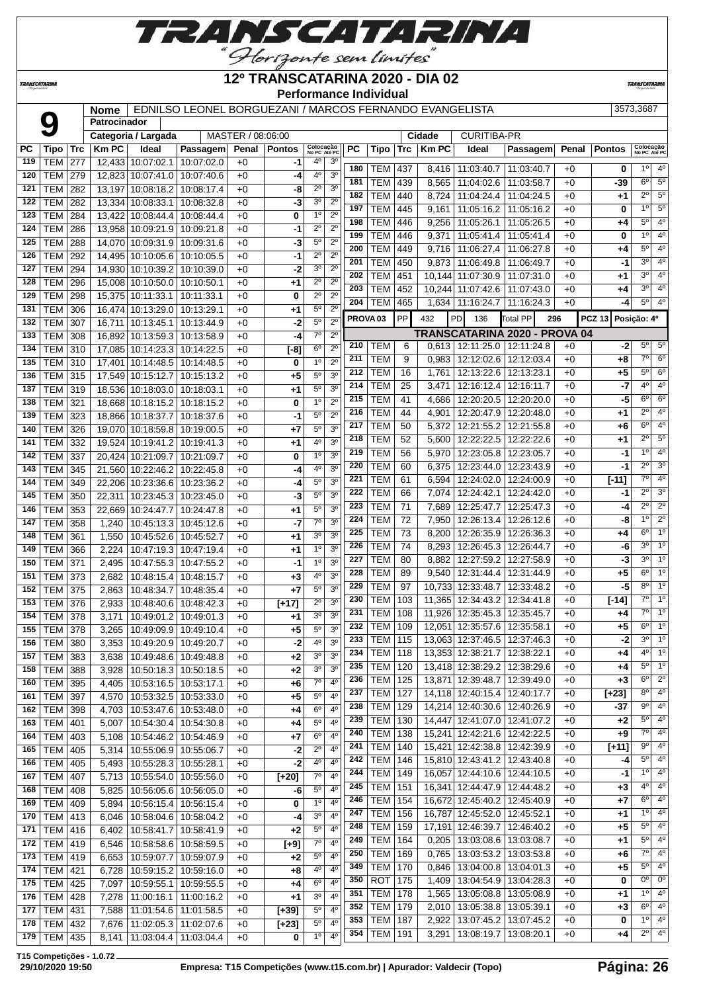

**TRANSCATARINA** 

#### **12º TRANSCATARINA 2020 - DIA 02 Performance Individual**

**TRANSCATARIN** 

**Nome** EDNILSO LEONEL BORGUEZANI / MARCOS FERNANDO EVANGELISTA 3573,3687

| MASTER / 08:06:00<br><b>CURITIBA-PR</b><br>Cidade<br>Categoria / Largada<br>Colocação<br>No PC Até PC<br>Colocação<br>No PC Até PC<br><b>PC</b><br><b>Km PC</b><br>Ideal<br>PC<br><b>Km PC</b><br>Penal<br><b>Pontos</b><br><b>Tipo</b><br>Trc<br>Passagem<br>Penal<br><b>Pontos</b><br>Tipo<br>Trc<br>Ideal<br>Passagem<br><b>TEM</b><br>277<br>10:07:02.1<br>$+0$<br>$4^{\circ}$<br>3 <sup>o</sup><br>119<br>12.433<br>10:07:02.0<br>-1<br>$4^{\circ}$<br>180<br>$1^{\circ}$<br>TEM<br>437<br>11:03:40.7<br>11:03:40.7<br>0<br>8,416<br>$+0$<br>4 <sup>0</sup><br>3 <sup>o</sup><br>279<br>$+0$<br>120<br><b>TEM</b><br>12,823<br>10:07:41.0<br>10:07:40.6<br>-4<br>$6^{\circ}$<br>$5^{\circ}$<br>181<br><b>TEM</b><br>439<br>$+0$<br>8,565<br>11:04:02.6<br>11:03:58.7<br>-39<br>$2^{\circ}$<br>3 <sup>o</sup><br>121<br><b>TEM</b><br>282<br>10:08:17.4<br>$+0$<br>13,197<br>10:08:18.2<br>-8<br>$2^{\circ}$<br>$5^{\circ}$<br>182<br><b>TEM</b><br>440<br>8,724<br>11:04:24.4<br>11:04:24.5<br>$+0$<br>+1<br><b>TEM</b><br>$+0$<br>3 <sup>o</sup><br>$2^{\circ}$<br>122<br>282<br>13,334<br>10:08:33.1<br>10:08:32.8<br>-3<br>$1^{\circ}$<br>5 <sup>0</sup><br>197<br><b>TEM</b><br>445<br>11:05:16.2<br>11:05:16.2<br>$+0$<br>0<br>9,161<br>$2^{\circ}$<br><b>TEM</b><br>10:08:44.4<br>$+0$<br>0<br>$1^{\circ}$<br>123<br>284<br>13,422<br>10:08:44.4<br>$5^{\circ}$<br>4 <sup>0</sup><br>198<br><b>TEM</b><br>446<br>9,256<br>11:05:26.1<br>11:05:26.5<br>$+0$<br>+4<br>$2^{\circ}$<br>$2^{\circ}$<br><b>TEM</b><br>124<br>286<br>13,958<br>10:09:21.9<br>10:09:21.8<br>$+0$<br>-1<br>1 <sup>0</sup><br>4 <sup>0</sup><br>199<br><b>TEM</b><br>446<br>11:05:41.4<br>9,371<br>11:05:41.4<br>$+0$<br>0<br>$5^{\circ}$<br>$2^{\circ}$<br><b>TEM</b><br>$+0$<br>-3<br>125<br>288<br>14,070<br>10:09:31.9<br>10:09:31.6<br>$5^{\circ}$<br>$4^{\circ}$<br>200<br><b>TEM</b><br>449<br>9,716<br>11:06:27.4<br>11:06:27.8<br>$+0$<br>+4<br>$2^{\circ}$<br>$2^{\circ}$<br><b>TEM</b><br>$+0$<br>$-1$<br>126<br>292<br>10:10:05.6<br>10:10:05.5<br>14,495<br>3 <sup>0</sup><br>4 <sup>0</sup><br>201<br><b>TEM</b><br>450<br>$+0$<br>9,873<br>11:06:49.8<br>11:06:49.7<br>-1<br>$2^{\circ}$<br><b>TEM</b><br>$+0$<br>3 <sup>o</sup><br>294<br>14,930<br>10:10:39.2<br>10:10:39.0<br>-2<br>127<br>$3^{\circ}$<br>4 <sup>0</sup><br>202<br><b>TEM</b><br>451<br>11:07:30.9<br>11:07:31.0<br>$+0$<br>10,144<br>+1<br>$2^{\circ}$<br>$2^{\circ}$<br><b>TEM</b><br>296<br>$+0$<br>128<br>15,008<br>10:10:50.0<br>10:10:50.1<br>+1<br>$3^{\circ}$<br>4 <sup>0</sup><br>203<br><b>TEM</b><br>452<br>10,244 11:07:42.6<br>11:07:43.0<br>$+0$<br>+4<br>$\overline{2^0}$<br>$\overline{2^0}$<br><b>TEM</b><br>298<br>129<br>15,375<br>10:11:33.1<br>10:11:33.1<br>$+0$<br>0<br>$5^{\circ}$<br>204<br>4 <sup>0</sup><br><b>TEM</b><br>465<br>1,634   11:16:24.7<br>$+0$<br>11:16:24.3<br>-4<br>$2^{\circ}$<br>$5^{\circ}$<br>131<br><b>TEM</b><br>306<br>$+0$<br>16,474<br>10:13:29.0<br>10:13:29.1<br>+1<br>PP<br>PROVA <sub>03</sub><br>PD<br><b>Total PP</b><br><b>PCZ 13</b><br>432<br>136<br>296<br>Posição: 4º<br>$5^{\circ}$<br>$+0$<br>$2^{\circ}$<br><b>TEM</b><br>-2<br>132<br>307<br>16,711<br>10:13:45.1<br>10:13:44.9<br>TRANSCATARINA 2020 - PROVA 04<br>$7^\circ$<br>$2^{\circ}$<br><b>TEM</b><br>$+0$<br>133<br>308<br>16,892<br>10:13:59.3<br>10:13:58.9<br>-4<br>$5^{\circ}$<br>$5^{\circ}$<br>210<br>TEM<br>$0,613$   12:11:25.0  <br>12:11:24.8<br>$+0$<br>6<br>-2<br>6 <sup>o</sup><br>$2^{\circ}$<br>134<br><b>TEM</b><br>10:14:23.3<br>$[-8]$<br>310<br>17.085<br>10:14:22.5<br>$+0$<br>$\overline{7^{\circ}}$<br>6 <sup>o</sup><br>211<br><b>TEM</b><br>9<br>0,983<br>12:12:02.6   12:12:03.4<br>$+0$<br>+8<br>1 <sup>0</sup><br>$2^{\circ}$<br>$+0$<br>0<br>135<br>TEM<br>310<br>17,401<br>10:14:48.5<br>10:14:48.5<br>$5^\circ$<br>6 <sup>o</sup><br>212<br><b>TEM</b><br>16<br>1,761<br>12:13:22.6 12:13:23.1<br>$+0$<br>$+5$<br>$5^{\circ}$<br>3 <sup>o</sup><br>$+0$<br>136<br><b>TEM</b><br>315<br>17,549<br>10:15:12.7<br>10:15:13.2<br>+5<br>$4^{\circ}$<br>4 <sup>0</sup><br><b>TEM</b><br>214<br>25<br>$-7$<br>12:16:12.4<br>12:16:11.7<br>$+0$<br>3,471<br>5 <sup>o</sup><br>3 <sup>o</sup><br>$+0$<br>TEM<br>319<br>18,536<br>10:18:03.0<br>10:18:03.1<br>+1<br>137<br>$6^{\circ}$<br>6 <sup>o</sup><br>215<br><b>TEM</b><br>-5<br>41<br>12:20:20.5<br>12:20:20.0<br>$+0$<br>4,686<br>1 <sup>0</sup><br>$2^{\circ}$<br><b>TEM</b><br>321<br>$+0$<br>138<br>18,668<br>10:18:15.2<br>10:18:15.2<br>0<br>$2^{\circ}$<br>4 <sup>0</sup><br><b>TEM</b><br>216<br>44<br>12:20:47.9<br>12:20:48.0<br>4,901<br>$+0$<br>$+1$<br>5 <sup>o</sup><br>$2^{\circ}$<br><b>TEM</b><br>323<br>$+0$<br>139<br>18.866<br>10:18:37.7<br>10:18:37.6<br>-1<br>$6^{\circ}$<br>$4^{\circ}$<br>217<br><b>TEM</b><br>50<br>12:21:55.2<br>$+6$<br>5,372<br>12:21:55.8<br>$+0$<br>$5^{\circ}$<br>3 <sup>o</sup><br>326<br>$+0$<br>140<br>TEM<br>19.070<br>10:18:59.8<br>+7<br>10:19:00.5<br>$2^{\circ}$<br>5 <sup>0</sup><br>218<br><b>TEM</b><br>52<br>12:22:22.5<br>12:22:22.6<br>$+0$<br>+1<br>5,600<br>3 <sup>o</sup><br><b>TEM</b><br>$+0$<br>4°<br>141<br>332<br>19,524<br>10:19:41.2<br>10:19:41.3<br>+1<br>10<br>4 <sup>0</sup><br><b>TEM</b><br>56<br>219<br>12:23:05.8<br>12:23:05.7<br>$+0$<br>5,970<br>-1<br>1 <sup>0</sup><br>3 <sup>o</sup><br><b>TEM</b><br>$+0$<br>0<br>142<br>337<br>10:21:09.7<br>10:21:09.7<br>20,424<br>$2^{\circ}$<br>3 <sup>o</sup><br><b>TEM</b><br>220<br>60<br>12:23:44.0   12:23:43.9<br>$+0$<br>6,375<br>-1<br>$4^{\circ}$<br>3 <sup>o</sup><br><b>TEM</b><br>10:22:46.2<br>10:22:45.8<br>$+0$<br>143<br>345<br>21,560<br>-4<br>$7^\circ$<br>4 <sup>0</sup><br>221<br><b>TEM</b><br>61<br>6,594<br>12:24:02.0   12:24:00.9<br>$+0$<br>$[-11]$<br>$5^{\circ}$<br>3 <sup>o</sup><br><b>TEM</b><br>$+0$<br>144<br>349<br>10:23:36.6<br>10:23:36.2<br>-4<br>22,206<br>$2^{\circ}$<br>222<br>3 <sup>o</sup><br><b>TEM</b><br>66<br>12:24:42.1<br>7,074<br>12:24:42.0<br>$+0$<br>-1<br>3 <sup>o</sup><br>$+0$<br>$5^{\circ}$<br>145<br><b>TEM</b><br>350<br>22,311<br>10:23:45.3<br>10:23:45.0<br>-3<br>$2^{\circ}$<br><b>TEM</b><br>71<br>223<br>7,689<br>12:25:47.7<br>12:25:47.3<br>$+0$<br>-4<br>$5^{\circ}$<br><b>TEM</b><br>353<br>$+0$<br>3 <sup>o</sup><br>146<br>22,669<br>10:24:47.7<br>10:24:47.8<br>+1<br>10<br>$\overline{2^0}$<br><b>TEM</b><br>224<br>72<br>12:26:13.4<br>12:26:12.6<br>$+0$<br>-8<br>7,950<br>$7^\circ$<br>3 <sup>o</sup><br><b>TEM</b><br>358<br>$+0$<br>147<br>1,240<br>10:45:13.3<br>10:45:12.6<br>-7<br>6 <sup>o</sup><br>225<br><b>TEM</b><br>73<br>12:26:35.9<br>12:26:36.3<br>8,200<br>$+0$<br>+4<br>3 <sup>0</sup><br>3 <sup>0</sup><br>148<br><b>TEM</b><br>361<br>1,550<br>10:45:52.6<br>10:45:52.7<br>$+0$<br>+1<br>$3^{\circ}$<br>226<br><b>TEM</b><br>74<br>12:26:45.3<br>12:26:44.7<br>$+0$<br>-6<br>8,293<br>1 <sup>0</sup><br>3 <sup>o</sup><br>$+0$<br>149<br>TEM<br>366<br>2,224<br>10:47:19.3<br>10:47:19.4<br>+1<br>$3^{\circ}$<br><b>TEM</b><br>227<br>80<br>12:27:59.2<br>12:27:58.9<br>$+0$<br>-3<br>8,882<br>1 <sup>0</sup><br>3 <sup>0</sup><br><b>TEM</b><br>371<br>10:47:55.3<br>10:47:55.2<br>$+0$<br>150<br>2,495<br>-1<br>$6^{\circ}$<br>1 <sup>0</sup><br>228<br><b>TEM</b><br>12:31:44.9<br>89<br>9,540<br>12:31:44.4<br>$+0$<br>+5<br>$4^{\circ}$<br>3 <sup>o</sup><br><b>TEM</b><br>373<br>10:48:15.7<br>$+0$<br>$+3$<br>151<br>2,682<br>10:48:15.4<br>1 <sup>0</sup><br><b>TEM</b><br>$8^{\circ}$<br>229<br>97<br>-5<br>10,733<br>12:33:48.7<br>12:33:48.2<br>$+0$<br>$5^{\circ}$<br>3 <sup>o</sup><br><b>TEM</b><br>$+0$<br>$+7$<br>152<br>375<br>2,863<br>10:48:34.7<br>10:48:35.4<br>$7^\circ$<br>1 <sup>0</sup><br>230<br><b>TEM</b><br>103<br>11,365<br>12:34:43.2<br>12:34:41.8<br>$+0$<br>$[-14]$<br>$2^{\circ}$<br>3 <sup>0</sup><br>$\sqrt{[+17]}$<br>153<br>TEM<br>376<br>2,933<br>10:48:40.6<br>10:48:42.3<br>$+0$<br>$7^{\circ}$<br>1 <sup>0</sup><br>231<br><b>TEM</b><br>108<br>11,926 12:35:45.3 12:35:45.7<br>$+0$<br>+4<br>3 <sup>o</sup><br>3 <sup>o</sup><br>154<br>$+0$<br>TEM<br>378<br>3,171<br>10:49:01.2<br>10:49:01.3<br>+1<br>$6^{\circ}$<br>1 <sup>0</sup><br>232<br><b>TEM</b><br>109<br>12,051<br>12:35:57.6<br>12:35:58.1<br>$+0$<br>+5<br>$5^{\circ}$<br>3 <sup>o</sup><br>$+0$<br>$+5$<br>155<br>TEM<br>378<br>3,265<br>10:49:09.9<br>10:49:10.4<br>$3^{\circ}$<br>1 <sup>0</sup><br>233<br><b>TEM</b><br>$-2$<br>115<br>13,063 12:37:46.5 12:37:46.3<br>$+0$<br>40<br>3 <sup>0</sup><br>TEM<br>3,353<br>$+0$<br>$-2$<br>156<br>380<br>10:49:20.9<br>10:49:20.7<br>$4^{\circ}$<br>1 <sup>0</sup><br>13,353 12:38:21.7 12:38:22.1<br>234<br>TEM  <br>+4<br>118<br>$+0$<br>3 <sup>o</sup><br>3 <sup>0</sup><br>157<br>TEM 383<br>10:49:48.6   10:49:48.8<br>$+2$<br>3,638<br>$+0$<br>$5^{\circ}$<br>1 <sup>o</sup><br>235<br><b>TEM</b><br>120<br>13,418 12:38:29.2 12:38:29.6<br>$+0$<br>+4<br>3 <sup>o</sup><br>3 <sup>o</sup><br>158<br><b>TEM 388</b><br>10:50:18.3 10:50:18.5<br>$+0$<br>$+2$<br>3,928<br>$6^{\circ}$<br>$2^{\circ}$<br><b>TEM</b><br>236<br>125<br>13,871 12:39:48.7 12:39:49.0<br>$+3$<br>$+0$<br>$7^\circ$<br><b>TEM 395</b><br>10:53:16.5   10:53:17.1<br>$+0$<br>$4^{\circ}$<br>160<br>$+6$<br>4,405<br>$8^{\circ}$<br>237<br><b>TEM</b><br>127<br>14,118 12:40:15.4 12:40:17.7<br>$+0$<br>$[+23]$<br>$4^{\rm o}$<br>$5^{\circ}$<br><b>TEM 397</b><br>10:53:32.5<br>10:53:33.0<br>$+0$<br>$+5$<br>161<br>4,570<br>$9^{\circ}$<br>$4^{\circ}$<br><b>TEM</b><br>238<br>129<br>14,214 12:40:30.6 12:40:26.9<br>$+0$<br>-37<br>6 <sup>o</sup><br>4 <sup>0</sup><br><b>TEM 398</b><br>10:53:47.6 10:53:48.0<br>$+0$<br>$+4$<br>162<br>4,703<br>$5^{\circ}$<br>4 <sup>o</sup><br><b>TEM</b><br>239<br>130<br>14,447 12:41:07.0 12:41:07.2<br>$+0$<br>$+2$<br>$5^{\circ}$<br>4 <sup>0</sup><br><b>TEM 401</b><br>163<br>10:54:30.4<br>10:54:30.8<br>$+4$<br>5,007<br>$+0$<br>$7^\circ$<br>$4^{\circ}$<br>240<br><b>TEM</b><br>138<br>15,241 12:42:21.6 12:42:22.5<br>$+0$<br>+9<br>4 <sup>0</sup><br>$6^{\circ}$<br>164<br>TEM   403<br>10:54:46.2<br>10:54:46.9<br>$+0$<br>$+7$<br>5,108<br>$9^{\circ}$<br>$4^{\circ}$<br><b>TEM</b><br>241<br>140<br>15,421 12:42:38.8 12:42:39.9<br>$[+11]$<br>$+0$<br>$2^{\circ}$<br>$4^{\circ}$<br>165<br><b>TEM 405</b><br>10:55:06.9<br>10:55:06.7<br>$+0$<br>-2<br>5,314<br>$5^{\circ}$<br>$4^{\circ}$<br>242<br><b>TEM</b><br>146<br>15,810 12:43:41.2 12:43:40.8<br>$+0$<br>-4<br>4°<br>$4^{\circ}$<br>TEM<br>405<br>10:55:28.3<br>$+0$<br>$-2$<br>166<br>5,493<br>10:55:28.1<br>$1^{\circ}$<br>4 <sup>0</sup><br>244<br><b>TEM</b><br>149<br>16,057 12:44:10.6 12:44:10.5<br>$+0$<br>-1<br>$7^\circ$<br>4 <sup>0</sup><br><b>TEM 407</b><br>5,713<br>10:55:54.0   10:55:56.0<br>$+0$<br>$[+20]$<br>167<br>4 <sup>o</sup><br>$4^{\circ}$<br><b>TEM</b><br>245<br>151<br>16,341 12:44:47.9 12:44:48.2<br>$+0$<br>$+3$<br>$5^{\circ}$<br>$4^{\rm o}$<br><b>TEM 408</b><br>10:56:05.6 10:56:05.0<br>$+0$<br>-6<br>168<br>5,825<br>$6^{\circ}$<br>$4^{\circ}$<br><b>TEM</b><br>246<br>154<br>16,672 12:45:40.2 12:45:40.9<br>$+7$<br>$+0$<br>$1^{\circ}$<br>$4^{\rm o}$<br>0<br>169<br><b>TEM 409</b><br>5,894<br>10:56:15.4 10:56:15.4<br>$+0$<br>$1^{\circ}$<br>$4^{\circ}$<br>247<br><b>TEM</b><br>156<br>16,787 12:45:52.0 12:45:52.1<br>$+0$<br>$+1$<br>3 <sup>o</sup><br>4 <sup>0</sup><br><b>TEM 413</b><br>$+0$<br>-4<br>170<br>6,046<br>10:58:04.6<br>10:58:04.2<br>$5^{\circ}$<br>$4^{\circ}$<br>248<br><b>TEM</b><br>159<br>17,191 12:46:39.7 12:46:40.2<br>$+0$<br>$+5$<br>$5^{\circ}$<br>4 <sup>0</sup><br>$+2$<br><b>TEM 416</b><br>10:58:41.7<br>10:58:41.9<br>171<br>6,402<br>$+0$<br>$5^{\circ}$<br>4 <sup>o</sup><br>249<br><b>TEM</b><br>164<br>$0,205$   13:03:08.6   13:03:08.7<br>$+0$<br>$+1$<br>$7^\circ$<br>4 <sup>0</sup><br>172<br><b>TEM 419</b><br>10:58:58.6   10:58:59.5<br>$[+9]$<br>6,546<br>$+0$<br>$7^\circ$<br>$4^{\circ}$<br>250<br><b>TEM</b><br>169<br>0,765   13:03:53.2   13:03:53.8<br>$+0$<br>+6<br>$5^{\circ}$<br>$4^{\circ}$<br>173<br><b>TEM 419</b><br>10:59:07.7<br>10:59:07.9<br>$+0$<br>$+2$<br>6,653<br>$5^{\circ}$<br>$4^{\circ}$<br>349<br>170<br>TEM<br>$0,846$   13:04:00.8   13:04:01.3<br>$+0$<br>+5<br>4°<br>$4^{\circ}$<br>174<br><b>TEM 421</b><br>10:59:15.2   10:59:16.0<br>6,728<br>$+0$<br>+8<br>0 <sup>o</sup><br>$0^{\circ}$<br>350<br><b>ROT</b><br>175<br>1,409   13:04:54.9   13:04:28.3<br>$+0$<br>0<br>6 <sup>o</sup><br>$4^{\circ}$<br><b>TEM 425</b><br>175<br>7,097<br>10:59:55.1<br>10:59:55.5<br>$+0$<br>+4<br>$1^{\circ}$<br>$4^{\circ}$<br><b>TEM</b><br>351<br>178<br>1,565   13:05:08.8   13:05:08.9<br>$+0$<br>$+1$<br>3 <sup>o</sup><br>$4^{\rm o}$<br>$TEM$ 428<br>7,278<br>11:00:16.1<br>11:00:16.2<br>$+0$<br>+1<br>176<br>4 <sup>o</sup><br>$6^{\circ}$<br>352<br><b>TEM</b><br>179<br>2,010   13:05:38.8   13:05:39.1<br>$+0$<br>$+3$<br>$5^{\circ}$<br>$4^{\circ}$<br><b>TEM 431</b><br>7,588<br>11:01:54.6   11:01:58.5<br>$[+39]$<br>177<br>$+0$<br>$1^{\circ}$<br>$4^{\circ}$<br>353<br><b>TEM</b><br>187<br>13:07:45.2   13:07:45.2<br>0<br>2,922<br>$+0$<br>$5^{\circ}$<br><b>TEM 432</b><br>11:02:05.3<br>$4^{\circ}$<br>178<br>7,676<br>11:02:07.6<br>$+0$<br>$[+23]$<br>$2^{\circ}$<br>$4^{\circ}$<br><b>TEM</b><br>191<br>354<br>3,291   13:08:19.7   13:08:20.1<br>$+0$<br>+4<br>1 <sup>0</sup><br>4 <sup>0</sup><br>TEM 435<br>11:03:04.4<br>11:03:04.4<br>179<br>8,141<br>$+0$<br>0 |  | Patrocinador |  |  |  |  |  |  |  |                |
|----------------------------------------------------------------------------------------------------------------------------------------------------------------------------------------------------------------------------------------------------------------------------------------------------------------------------------------------------------------------------------------------------------------------------------------------------------------------------------------------------------------------------------------------------------------------------------------------------------------------------------------------------------------------------------------------------------------------------------------------------------------------------------------------------------------------------------------------------------------------------------------------------------------------------------------------------------------------------------------------------------------------------------------------------------------------------------------------------------------------------------------------------------------------------------------------------------------------------------------------------------------------------------------------------------------------------------------------------------------------------------------------------------------------------------------------------------------------------------------------------------------------------------------------------------------------------------------------------------------------------------------------------------------------------------------------------------------------------------------------------------------------------------------------------------------------------------------------------------------------------------------------------------------------------------------------------------------------------------------------------------------------------------------------------------------------------------------------------------------------------------------------------------------------------------------------------------------------------------------------------------------------------------------------------------------------------------------------------------------------------------------------------------------------------------------------------------------------------------------------------------------------------------------------------------------------------------------------------------------------------------------------------------------------------------------------------------------------------------------------------------------------------------------------------------------------------------------------------------------------------------------------------------------------------------------------------------------------------------------------------------------------------------------------------------------------------------------------------------------------------------------------------------------------------------------------------------------------------------------------------------------------------------------------------------------------------------------------------------------------------------------------------------------------------------------------------------------------------------------------------------------------------------------------------------------------------------------------------------------------------------------------------------------------------------------------------------------------------------------------------------------------------------------------------------------------------------------------------------------------------------------------------------------------------------------------------------------------------------------------------------------------------------------------------------------------------------------------------------------------------------------------------------------------------------------------------------------------------------------------------------------------------------------------------------------------------------------------------------------------------------------------------------------------------------------------------------------------------------------------------------------------------------------------------------------------------------------------------------------------------------------------------------------------------------------------------------------------------------------------------------------------------------------------------------------------------------------------------------------------------------------------------------------------------------------------------------------------------------------------------------------------------------------------------------------------------------------------------------------------------------------------------------------------------------------------------------------------------------------------------------------------------------------------------------------------------------------------------------------------------------------------------------------------------------------------------------------------------------------------------------------------------------------------------------------------------------------------------------------------------------------------------------------------------------------------------------------------------------------------------------------------------------------------------------------------------------------------------------------------------------------------------------------------------------------------------------------------------------------------------------------------------------------------------------------------------------------------------------------------------------------------------------------------------------------------------------------------------------------------------------------------------------------------------------------------------------------------------------------------------------------------------------------------------------------------------------------------------------------------------------------------------------------------------------------------------------------------------------------------------------------------------------------------------------------------------------------------------------------------------------------------------------------------------------------------------------------------------------------------------------------------------------------------------------------------------------------------------------------------------------------------------------------------------------------------------------------------------------------------------------------------------------------------------------------------------------------------------------------------------------------------------------------------------------------------------------------------------------------------------------------------------------------------------------------------------------------------------------------------------------------------------------------------------------------------------------------------------------------------------------------------------------------------------------------------------------------------------------------------------------------------------------------------------------------------------------------------------------------------------------------------------------------------------------------------------------------------------------------------------------------------------------------------------------------------------------------------------------------------------------------------------------------------------------------------------------------------------------------------------------------------------------------------------------------------------------------------------------------------------------------------------------------------------------------------------------------------------------------------------------------------------------------------------------------------------------------------------------------------------------------------------------------------------------------------------------------------------------------------------------------------------------------------------------------------------------------------------------------------------------------------------------------------------------------------------------------------------------------------------------------------------------------------------------------------------------------------------------------------------------------------------------------------------------------------------------------------------------------------------------------------------------------------------------------------------------------------------------------------------------------------------------------------------------------------------------------------------------------------------------------------------------------------------------------------------------------------------------------------------------------------------------------------------------------------------------------------------------------------------------------------------------------------------------------------------------------------------------------------------------------------------------------------------------------------------------------------------------------------------------------------------------------------------------------------------------------------------------------------------------------------------------------------------------------------------------------------------------------------------------------------------------------------------------------------------------------------------------------------------------------------------------------------------------------------------------------------------------------------------------------------------------------------------------------------------------------------------------------------------------------------------------------------------------------------------------------------------------------------------------------------------------------------------------------------------------------------------------------------------------------------------------------------------------------------------------------------------------------------------------------------------------------------------------------------------------------------------------------------------------------------------------------------------------------------------------------------------------------------------------------------------------------------------------------------------------------------------------------------------------------------------------------------------------------------------------------------------------------------------------------------------------------------------------------------------------------------------------------------------------------------------------------------------------------------------------------------------------------------------------------------------------------------------------------------------------------------------------------------------------------------------------------------------------------------------------------------------------------------------------------------------------------------------------------------------------------------------------------------------------------------------------------------------------------------------------------------------------------------------------------------------------------------------------------------------------------------------------------------------------------------------------------------------------------------------------------------------------------------------------------------------------------------------------------------------------------------------------------------------------------------------------------------------------------------------------------------------------------------------------------------------------------------------------------------------------------------------------------------------------------------------------------------------------------------------------------------------------------------------------------------------------------------------------------------------------------------------------------------------------------------------------------------------------------------------------------------------------------------------------------------------------------------------------------------------------------------------------------------------------------------------------------------------------------------------------------------------------|--|--------------|--|--|--|--|--|--|--|----------------|
|                                                                                                                                                                                                                                                                                                                                                                                                                                                                                                                                                                                                                                                                                                                                                                                                                                                                                                                                                                                                                                                                                                                                                                                                                                                                                                                                                                                                                                                                                                                                                                                                                                                                                                                                                                                                                                                                                                                                                                                                                                                                                                                                                                                                                                                                                                                                                                                                                                                                                                                                                                                                                                                                                                                                                                                                                                                                                                                                                                                                                                                                                                                                                                                                                                                                                                                                                                                                                                                                                                                                                                                                                                                                                                                                                                                                                                                                                                                                                                                                                                                                                                                                                                                                                                                                                                                                                                                                                                                                                                                                                                                                                                                                                                                                                                                                                                                                                                                                                                                                                                                                                                                                                                                                                                                                                                                                                                                                                                                                                                                                                                                                                                                                                                                                                                                                                                                                                                                                                                                                                                                                                                                                                                                                                                                                                                                                                                                                                                                                                                                                                                                                                                                                                                                                                                                                                                                                                                                                                                                                                                                                                                                                                                                                                                                                                                                                                                                                                                                                                                                                                                                                                                                                                                                                                                                                                                                                                                                                                                                                                                                                                                                                                                                                                                                                                                                                                                                                                                                                                                                                                                                                                                                                                                                                                                                                                                                                                                                                                                                                                                                                                                                                                                                                                                                                                                                                                                                                                                                                                                                                                                                                                                                                                                                                                                                                                                                                                                                                                                                                                                                                                                                                                                                                                                                                                                                                                                                                                                                                                                                                                                                                                                                                                                                                                                                                                                                                                                                                                                                                                                                                                                                                                                                                                                                                                                                                                                                                                                                                                                                                                                                                                                                                                                                                                                                                                                                                                                                                                                                                                                                                                                                                                                                                                                                                                                                                                                                                                                                                                                                                                                                                                                                                                                                                                                                                                                                                                                                                                                                                                                                                                                                                                                                                                                                                                                                                                                                                                                                                                  |  |              |  |  |  |  |  |  |  |                |
|                                                                                                                                                                                                                                                                                                                                                                                                                                                                                                                                                                                                                                                                                                                                                                                                                                                                                                                                                                                                                                                                                                                                                                                                                                                                                                                                                                                                                                                                                                                                                                                                                                                                                                                                                                                                                                                                                                                                                                                                                                                                                                                                                                                                                                                                                                                                                                                                                                                                                                                                                                                                                                                                                                                                                                                                                                                                                                                                                                                                                                                                                                                                                                                                                                                                                                                                                                                                                                                                                                                                                                                                                                                                                                                                                                                                                                                                                                                                                                                                                                                                                                                                                                                                                                                                                                                                                                                                                                                                                                                                                                                                                                                                                                                                                                                                                                                                                                                                                                                                                                                                                                                                                                                                                                                                                                                                                                                                                                                                                                                                                                                                                                                                                                                                                                                                                                                                                                                                                                                                                                                                                                                                                                                                                                                                                                                                                                                                                                                                                                                                                                                                                                                                                                                                                                                                                                                                                                                                                                                                                                                                                                                                                                                                                                                                                                                                                                                                                                                                                                                                                                                                                                                                                                                                                                                                                                                                                                                                                                                                                                                                                                                                                                                                                                                                                                                                                                                                                                                                                                                                                                                                                                                                                                                                                                                                                                                                                                                                                                                                                                                                                                                                                                                                                                                                                                                                                                                                                                                                                                                                                                                                                                                                                                                                                                                                                                                                                                                                                                                                                                                                                                                                                                                                                                                                                                                                                                                                                                                                                                                                                                                                                                                                                                                                                                                                                                                                                                                                                                                                                                                                                                                                                                                                                                                                                                                                                                                                                                                                                                                                                                                                                                                                                                                                                                                                                                                                                                                                                                                                                                                                                                                                                                                                                                                                                                                                                                                                                                                                                                                                                                                                                                                                                                                                                                                                                                                                                                                                                                                                                                                                                                                                                                                                                                                                                                                                                                                                                                                                                  |  |              |  |  |  |  |  |  |  |                |
|                                                                                                                                                                                                                                                                                                                                                                                                                                                                                                                                                                                                                                                                                                                                                                                                                                                                                                                                                                                                                                                                                                                                                                                                                                                                                                                                                                                                                                                                                                                                                                                                                                                                                                                                                                                                                                                                                                                                                                                                                                                                                                                                                                                                                                                                                                                                                                                                                                                                                                                                                                                                                                                                                                                                                                                                                                                                                                                                                                                                                                                                                                                                                                                                                                                                                                                                                                                                                                                                                                                                                                                                                                                                                                                                                                                                                                                                                                                                                                                                                                                                                                                                                                                                                                                                                                                                                                                                                                                                                                                                                                                                                                                                                                                                                                                                                                                                                                                                                                                                                                                                                                                                                                                                                                                                                                                                                                                                                                                                                                                                                                                                                                                                                                                                                                                                                                                                                                                                                                                                                                                                                                                                                                                                                                                                                                                                                                                                                                                                                                                                                                                                                                                                                                                                                                                                                                                                                                                                                                                                                                                                                                                                                                                                                                                                                                                                                                                                                                                                                                                                                                                                                                                                                                                                                                                                                                                                                                                                                                                                                                                                                                                                                                                                                                                                                                                                                                                                                                                                                                                                                                                                                                                                                                                                                                                                                                                                                                                                                                                                                                                                                                                                                                                                                                                                                                                                                                                                                                                                                                                                                                                                                                                                                                                                                                                                                                                                                                                                                                                                                                                                                                                                                                                                                                                                                                                                                                                                                                                                                                                                                                                                                                                                                                                                                                                                                                                                                                                                                                                                                                                                                                                                                                                                                                                                                                                                                                                                                                                                                                                                                                                                                                                                                                                                                                                                                                                                                                                                                                                                                                                                                                                                                                                                                                                                                                                                                                                                                                                                                                                                                                                                                                                                                                                                                                                                                                                                                                                                                                                                                                                                                                                                                                                                                                                                                                                                                                                                                                                                                  |  |              |  |  |  |  |  |  |  |                |
|                                                                                                                                                                                                                                                                                                                                                                                                                                                                                                                                                                                                                                                                                                                                                                                                                                                                                                                                                                                                                                                                                                                                                                                                                                                                                                                                                                                                                                                                                                                                                                                                                                                                                                                                                                                                                                                                                                                                                                                                                                                                                                                                                                                                                                                                                                                                                                                                                                                                                                                                                                                                                                                                                                                                                                                                                                                                                                                                                                                                                                                                                                                                                                                                                                                                                                                                                                                                                                                                                                                                                                                                                                                                                                                                                                                                                                                                                                                                                                                                                                                                                                                                                                                                                                                                                                                                                                                                                                                                                                                                                                                                                                                                                                                                                                                                                                                                                                                                                                                                                                                                                                                                                                                                                                                                                                                                                                                                                                                                                                                                                                                                                                                                                                                                                                                                                                                                                                                                                                                                                                                                                                                                                                                                                                                                                                                                                                                                                                                                                                                                                                                                                                                                                                                                                                                                                                                                                                                                                                                                                                                                                                                                                                                                                                                                                                                                                                                                                                                                                                                                                                                                                                                                                                                                                                                                                                                                                                                                                                                                                                                                                                                                                                                                                                                                                                                                                                                                                                                                                                                                                                                                                                                                                                                                                                                                                                                                                                                                                                                                                                                                                                                                                                                                                                                                                                                                                                                                                                                                                                                                                                                                                                                                                                                                                                                                                                                                                                                                                                                                                                                                                                                                                                                                                                                                                                                                                                                                                                                                                                                                                                                                                                                                                                                                                                                                                                                                                                                                                                                                                                                                                                                                                                                                                                                                                                                                                                                                                                                                                                                                                                                                                                                                                                                                                                                                                                                                                                                                                                                                                                                                                                                                                                                                                                                                                                                                                                                                                                                                                                                                                                                                                                                                                                                                                                                                                                                                                                                                                                                                                                                                                                                                                                                                                                                                                                                                                                                                                                                                                  |  |              |  |  |  |  |  |  |  |                |
|                                                                                                                                                                                                                                                                                                                                                                                                                                                                                                                                                                                                                                                                                                                                                                                                                                                                                                                                                                                                                                                                                                                                                                                                                                                                                                                                                                                                                                                                                                                                                                                                                                                                                                                                                                                                                                                                                                                                                                                                                                                                                                                                                                                                                                                                                                                                                                                                                                                                                                                                                                                                                                                                                                                                                                                                                                                                                                                                                                                                                                                                                                                                                                                                                                                                                                                                                                                                                                                                                                                                                                                                                                                                                                                                                                                                                                                                                                                                                                                                                                                                                                                                                                                                                                                                                                                                                                                                                                                                                                                                                                                                                                                                                                                                                                                                                                                                                                                                                                                                                                                                                                                                                                                                                                                                                                                                                                                                                                                                                                                                                                                                                                                                                                                                                                                                                                                                                                                                                                                                                                                                                                                                                                                                                                                                                                                                                                                                                                                                                                                                                                                                                                                                                                                                                                                                                                                                                                                                                                                                                                                                                                                                                                                                                                                                                                                                                                                                                                                                                                                                                                                                                                                                                                                                                                                                                                                                                                                                                                                                                                                                                                                                                                                                                                                                                                                                                                                                                                                                                                                                                                                                                                                                                                                                                                                                                                                                                                                                                                                                                                                                                                                                                                                                                                                                                                                                                                                                                                                                                                                                                                                                                                                                                                                                                                                                                                                                                                                                                                                                                                                                                                                                                                                                                                                                                                                                                                                                                                                                                                                                                                                                                                                                                                                                                                                                                                                                                                                                                                                                                                                                                                                                                                                                                                                                                                                                                                                                                                                                                                                                                                                                                                                                                                                                                                                                                                                                                                                                                                                                                                                                                                                                                                                                                                                                                                                                                                                                                                                                                                                                                                                                                                                                                                                                                                                                                                                                                                                                                                                                                                                                                                                                                                                                                                                                                                                                                                                                                                                                                  |  |              |  |  |  |  |  |  |  |                |
|                                                                                                                                                                                                                                                                                                                                                                                                                                                                                                                                                                                                                                                                                                                                                                                                                                                                                                                                                                                                                                                                                                                                                                                                                                                                                                                                                                                                                                                                                                                                                                                                                                                                                                                                                                                                                                                                                                                                                                                                                                                                                                                                                                                                                                                                                                                                                                                                                                                                                                                                                                                                                                                                                                                                                                                                                                                                                                                                                                                                                                                                                                                                                                                                                                                                                                                                                                                                                                                                                                                                                                                                                                                                                                                                                                                                                                                                                                                                                                                                                                                                                                                                                                                                                                                                                                                                                                                                                                                                                                                                                                                                                                                                                                                                                                                                                                                                                                                                                                                                                                                                                                                                                                                                                                                                                                                                                                                                                                                                                                                                                                                                                                                                                                                                                                                                                                                                                                                                                                                                                                                                                                                                                                                                                                                                                                                                                                                                                                                                                                                                                                                                                                                                                                                                                                                                                                                                                                                                                                                                                                                                                                                                                                                                                                                                                                                                                                                                                                                                                                                                                                                                                                                                                                                                                                                                                                                                                                                                                                                                                                                                                                                                                                                                                                                                                                                                                                                                                                                                                                                                                                                                                                                                                                                                                                                                                                                                                                                                                                                                                                                                                                                                                                                                                                                                                                                                                                                                                                                                                                                                                                                                                                                                                                                                                                                                                                                                                                                                                                                                                                                                                                                                                                                                                                                                                                                                                                                                                                                                                                                                                                                                                                                                                                                                                                                                                                                                                                                                                                                                                                                                                                                                                                                                                                                                                                                                                                                                                                                                                                                                                                                                                                                                                                                                                                                                                                                                                                                                                                                                                                                                                                                                                                                                                                                                                                                                                                                                                                                                                                                                                                                                                                                                                                                                                                                                                                                                                                                                                                                                                                                                                                                                                                                                                                                                                                                                                                                                                                                                                  |  |              |  |  |  |  |  |  |  |                |
|                                                                                                                                                                                                                                                                                                                                                                                                                                                                                                                                                                                                                                                                                                                                                                                                                                                                                                                                                                                                                                                                                                                                                                                                                                                                                                                                                                                                                                                                                                                                                                                                                                                                                                                                                                                                                                                                                                                                                                                                                                                                                                                                                                                                                                                                                                                                                                                                                                                                                                                                                                                                                                                                                                                                                                                                                                                                                                                                                                                                                                                                                                                                                                                                                                                                                                                                                                                                                                                                                                                                                                                                                                                                                                                                                                                                                                                                                                                                                                                                                                                                                                                                                                                                                                                                                                                                                                                                                                                                                                                                                                                                                                                                                                                                                                                                                                                                                                                                                                                                                                                                                                                                                                                                                                                                                                                                                                                                                                                                                                                                                                                                                                                                                                                                                                                                                                                                                                                                                                                                                                                                                                                                                                                                                                                                                                                                                                                                                                                                                                                                                                                                                                                                                                                                                                                                                                                                                                                                                                                                                                                                                                                                                                                                                                                                                                                                                                                                                                                                                                                                                                                                                                                                                                                                                                                                                                                                                                                                                                                                                                                                                                                                                                                                                                                                                                                                                                                                                                                                                                                                                                                                                                                                                                                                                                                                                                                                                                                                                                                                                                                                                                                                                                                                                                                                                                                                                                                                                                                                                                                                                                                                                                                                                                                                                                                                                                                                                                                                                                                                                                                                                                                                                                                                                                                                                                                                                                                                                                                                                                                                                                                                                                                                                                                                                                                                                                                                                                                                                                                                                                                                                                                                                                                                                                                                                                                                                                                                                                                                                                                                                                                                                                                                                                                                                                                                                                                                                                                                                                                                                                                                                                                                                                                                                                                                                                                                                                                                                                                                                                                                                                                                                                                                                                                                                                                                                                                                                                                                                                                                                                                                                                                                                                                                                                                                                                                                                                                                                                                                                  |  |              |  |  |  |  |  |  |  |                |
|                                                                                                                                                                                                                                                                                                                                                                                                                                                                                                                                                                                                                                                                                                                                                                                                                                                                                                                                                                                                                                                                                                                                                                                                                                                                                                                                                                                                                                                                                                                                                                                                                                                                                                                                                                                                                                                                                                                                                                                                                                                                                                                                                                                                                                                                                                                                                                                                                                                                                                                                                                                                                                                                                                                                                                                                                                                                                                                                                                                                                                                                                                                                                                                                                                                                                                                                                                                                                                                                                                                                                                                                                                                                                                                                                                                                                                                                                                                                                                                                                                                                                                                                                                                                                                                                                                                                                                                                                                                                                                                                                                                                                                                                                                                                                                                                                                                                                                                                                                                                                                                                                                                                                                                                                                                                                                                                                                                                                                                                                                                                                                                                                                                                                                                                                                                                                                                                                                                                                                                                                                                                                                                                                                                                                                                                                                                                                                                                                                                                                                                                                                                                                                                                                                                                                                                                                                                                                                                                                                                                                                                                                                                                                                                                                                                                                                                                                                                                                                                                                                                                                                                                                                                                                                                                                                                                                                                                                                                                                                                                                                                                                                                                                                                                                                                                                                                                                                                                                                                                                                                                                                                                                                                                                                                                                                                                                                                                                                                                                                                                                                                                                                                                                                                                                                                                                                                                                                                                                                                                                                                                                                                                                                                                                                                                                                                                                                                                                                                                                                                                                                                                                                                                                                                                                                                                                                                                                                                                                                                                                                                                                                                                                                                                                                                                                                                                                                                                                                                                                                                                                                                                                                                                                                                                                                                                                                                                                                                                                                                                                                                                                                                                                                                                                                                                                                                                                                                                                                                                                                                                                                                                                                                                                                                                                                                                                                                                                                                                                                                                                                                                                                                                                                                                                                                                                                                                                                                                                                                                                                                                                                                                                                                                                                                                                                                                                                                                                                                                                                                                                  |  |              |  |  |  |  |  |  |  |                |
|                                                                                                                                                                                                                                                                                                                                                                                                                                                                                                                                                                                                                                                                                                                                                                                                                                                                                                                                                                                                                                                                                                                                                                                                                                                                                                                                                                                                                                                                                                                                                                                                                                                                                                                                                                                                                                                                                                                                                                                                                                                                                                                                                                                                                                                                                                                                                                                                                                                                                                                                                                                                                                                                                                                                                                                                                                                                                                                                                                                                                                                                                                                                                                                                                                                                                                                                                                                                                                                                                                                                                                                                                                                                                                                                                                                                                                                                                                                                                                                                                                                                                                                                                                                                                                                                                                                                                                                                                                                                                                                                                                                                                                                                                                                                                                                                                                                                                                                                                                                                                                                                                                                                                                                                                                                                                                                                                                                                                                                                                                                                                                                                                                                                                                                                                                                                                                                                                                                                                                                                                                                                                                                                                                                                                                                                                                                                                                                                                                                                                                                                                                                                                                                                                                                                                                                                                                                                                                                                                                                                                                                                                                                                                                                                                                                                                                                                                                                                                                                                                                                                                                                                                                                                                                                                                                                                                                                                                                                                                                                                                                                                                                                                                                                                                                                                                                                                                                                                                                                                                                                                                                                                                                                                                                                                                                                                                                                                                                                                                                                                                                                                                                                                                                                                                                                                                                                                                                                                                                                                                                                                                                                                                                                                                                                                                                                                                                                                                                                                                                                                                                                                                                                                                                                                                                                                                                                                                                                                                                                                                                                                                                                                                                                                                                                                                                                                                                                                                                                                                                                                                                                                                                                                                                                                                                                                                                                                                                                                                                                                                                                                                                                                                                                                                                                                                                                                                                                                                                                                                                                                                                                                                                                                                                                                                                                                                                                                                                                                                                                                                                                                                                                                                                                                                                                                                                                                                                                                                                                                                                                                                                                                                                                                                                                                                                                                                                                                                                                                                                                                                  |  |              |  |  |  |  |  |  |  |                |
|                                                                                                                                                                                                                                                                                                                                                                                                                                                                                                                                                                                                                                                                                                                                                                                                                                                                                                                                                                                                                                                                                                                                                                                                                                                                                                                                                                                                                                                                                                                                                                                                                                                                                                                                                                                                                                                                                                                                                                                                                                                                                                                                                                                                                                                                                                                                                                                                                                                                                                                                                                                                                                                                                                                                                                                                                                                                                                                                                                                                                                                                                                                                                                                                                                                                                                                                                                                                                                                                                                                                                                                                                                                                                                                                                                                                                                                                                                                                                                                                                                                                                                                                                                                                                                                                                                                                                                                                                                                                                                                                                                                                                                                                                                                                                                                                                                                                                                                                                                                                                                                                                                                                                                                                                                                                                                                                                                                                                                                                                                                                                                                                                                                                                                                                                                                                                                                                                                                                                                                                                                                                                                                                                                                                                                                                                                                                                                                                                                                                                                                                                                                                                                                                                                                                                                                                                                                                                                                                                                                                                                                                                                                                                                                                                                                                                                                                                                                                                                                                                                                                                                                                                                                                                                                                                                                                                                                                                                                                                                                                                                                                                                                                                                                                                                                                                                                                                                                                                                                                                                                                                                                                                                                                                                                                                                                                                                                                                                                                                                                                                                                                                                                                                                                                                                                                                                                                                                                                                                                                                                                                                                                                                                                                                                                                                                                                                                                                                                                                                                                                                                                                                                                                                                                                                                                                                                                                                                                                                                                                                                                                                                                                                                                                                                                                                                                                                                                                                                                                                                                                                                                                                                                                                                                                                                                                                                                                                                                                                                                                                                                                                                                                                                                                                                                                                                                                                                                                                                                                                                                                                                                                                                                                                                                                                                                                                                                                                                                                                                                                                                                                                                                                                                                                                                                                                                                                                                                                                                                                                                                                                                                                                                                                                                                                                                                                                                                                                                                                                                                                                  |  |              |  |  |  |  |  |  |  |                |
|                                                                                                                                                                                                                                                                                                                                                                                                                                                                                                                                                                                                                                                                                                                                                                                                                                                                                                                                                                                                                                                                                                                                                                                                                                                                                                                                                                                                                                                                                                                                                                                                                                                                                                                                                                                                                                                                                                                                                                                                                                                                                                                                                                                                                                                                                                                                                                                                                                                                                                                                                                                                                                                                                                                                                                                                                                                                                                                                                                                                                                                                                                                                                                                                                                                                                                                                                                                                                                                                                                                                                                                                                                                                                                                                                                                                                                                                                                                                                                                                                                                                                                                                                                                                                                                                                                                                                                                                                                                                                                                                                                                                                                                                                                                                                                                                                                                                                                                                                                                                                                                                                                                                                                                                                                                                                                                                                                                                                                                                                                                                                                                                                                                                                                                                                                                                                                                                                                                                                                                                                                                                                                                                                                                                                                                                                                                                                                                                                                                                                                                                                                                                                                                                                                                                                                                                                                                                                                                                                                                                                                                                                                                                                                                                                                                                                                                                                                                                                                                                                                                                                                                                                                                                                                                                                                                                                                                                                                                                                                                                                                                                                                                                                                                                                                                                                                                                                                                                                                                                                                                                                                                                                                                                                                                                                                                                                                                                                                                                                                                                                                                                                                                                                                                                                                                                                                                                                                                                                                                                                                                                                                                                                                                                                                                                                                                                                                                                                                                                                                                                                                                                                                                                                                                                                                                                                                                                                                                                                                                                                                                                                                                                                                                                                                                                                                                                                                                                                                                                                                                                                                                                                                                                                                                                                                                                                                                                                                                                                                                                                                                                                                                                                                                                                                                                                                                                                                                                                                                                                                                                                                                                                                                                                                                                                                                                                                                                                                                                                                                                                                                                                                                                                                                                                                                                                                                                                                                                                                                                                                                                                                                                                                                                                                                                                                                                                                                                                                                                                                                                                  |  |              |  |  |  |  |  |  |  |                |
|                                                                                                                                                                                                                                                                                                                                                                                                                                                                                                                                                                                                                                                                                                                                                                                                                                                                                                                                                                                                                                                                                                                                                                                                                                                                                                                                                                                                                                                                                                                                                                                                                                                                                                                                                                                                                                                                                                                                                                                                                                                                                                                                                                                                                                                                                                                                                                                                                                                                                                                                                                                                                                                                                                                                                                                                                                                                                                                                                                                                                                                                                                                                                                                                                                                                                                                                                                                                                                                                                                                                                                                                                                                                                                                                                                                                                                                                                                                                                                                                                                                                                                                                                                                                                                                                                                                                                                                                                                                                                                                                                                                                                                                                                                                                                                                                                                                                                                                                                                                                                                                                                                                                                                                                                                                                                                                                                                                                                                                                                                                                                                                                                                                                                                                                                                                                                                                                                                                                                                                                                                                                                                                                                                                                                                                                                                                                                                                                                                                                                                                                                                                                                                                                                                                                                                                                                                                                                                                                                                                                                                                                                                                                                                                                                                                                                                                                                                                                                                                                                                                                                                                                                                                                                                                                                                                                                                                                                                                                                                                                                                                                                                                                                                                                                                                                                                                                                                                                                                                                                                                                                                                                                                                                                                                                                                                                                                                                                                                                                                                                                                                                                                                                                                                                                                                                                                                                                                                                                                                                                                                                                                                                                                                                                                                                                                                                                                                                                                                                                                                                                                                                                                                                                                                                                                                                                                                                                                                                                                                                                                                                                                                                                                                                                                                                                                                                                                                                                                                                                                                                                                                                                                                                                                                                                                                                                                                                                                                                                                                                                                                                                                                                                                                                                                                                                                                                                                                                                                                                                                                                                                                                                                                                                                                                                                                                                                                                                                                                                                                                                                                                                                                                                                                                                                                                                                                                                                                                                                                                                                                                                                                                                                                                                                                                                                                                                                                                                                                                                                                                                  |  |              |  |  |  |  |  |  |  |                |
|                                                                                                                                                                                                                                                                                                                                                                                                                                                                                                                                                                                                                                                                                                                                                                                                                                                                                                                                                                                                                                                                                                                                                                                                                                                                                                                                                                                                                                                                                                                                                                                                                                                                                                                                                                                                                                                                                                                                                                                                                                                                                                                                                                                                                                                                                                                                                                                                                                                                                                                                                                                                                                                                                                                                                                                                                                                                                                                                                                                                                                                                                                                                                                                                                                                                                                                                                                                                                                                                                                                                                                                                                                                                                                                                                                                                                                                                                                                                                                                                                                                                                                                                                                                                                                                                                                                                                                                                                                                                                                                                                                                                                                                                                                                                                                                                                                                                                                                                                                                                                                                                                                                                                                                                                                                                                                                                                                                                                                                                                                                                                                                                                                                                                                                                                                                                                                                                                                                                                                                                                                                                                                                                                                                                                                                                                                                                                                                                                                                                                                                                                                                                                                                                                                                                                                                                                                                                                                                                                                                                                                                                                                                                                                                                                                                                                                                                                                                                                                                                                                                                                                                                                                                                                                                                                                                                                                                                                                                                                                                                                                                                                                                                                                                                                                                                                                                                                                                                                                                                                                                                                                                                                                                                                                                                                                                                                                                                                                                                                                                                                                                                                                                                                                                                                                                                                                                                                                                                                                                                                                                                                                                                                                                                                                                                                                                                                                                                                                                                                                                                                                                                                                                                                                                                                                                                                                                                                                                                                                                                                                                                                                                                                                                                                                                                                                                                                                                                                                                                                                                                                                                                                                                                                                                                                                                                                                                                                                                                                                                                                                                                                                                                                                                                                                                                                                                                                                                                                                                                                                                                                                                                                                                                                                                                                                                                                                                                                                                                                                                                                                                                                                                                                                                                                                                                                                                                                                                                                                                                                                                                                                                                                                                                                                                                                                                                                                                                                                                                                                                                                  |  |              |  |  |  |  |  |  |  |                |
|                                                                                                                                                                                                                                                                                                                                                                                                                                                                                                                                                                                                                                                                                                                                                                                                                                                                                                                                                                                                                                                                                                                                                                                                                                                                                                                                                                                                                                                                                                                                                                                                                                                                                                                                                                                                                                                                                                                                                                                                                                                                                                                                                                                                                                                                                                                                                                                                                                                                                                                                                                                                                                                                                                                                                                                                                                                                                                                                                                                                                                                                                                                                                                                                                                                                                                                                                                                                                                                                                                                                                                                                                                                                                                                                                                                                                                                                                                                                                                                                                                                                                                                                                                                                                                                                                                                                                                                                                                                                                                                                                                                                                                                                                                                                                                                                                                                                                                                                                                                                                                                                                                                                                                                                                                                                                                                                                                                                                                                                                                                                                                                                                                                                                                                                                                                                                                                                                                                                                                                                                                                                                                                                                                                                                                                                                                                                                                                                                                                                                                                                                                                                                                                                                                                                                                                                                                                                                                                                                                                                                                                                                                                                                                                                                                                                                                                                                                                                                                                                                                                                                                                                                                                                                                                                                                                                                                                                                                                                                                                                                                                                                                                                                                                                                                                                                                                                                                                                                                                                                                                                                                                                                                                                                                                                                                                                                                                                                                                                                                                                                                                                                                                                                                                                                                                                                                                                                                                                                                                                                                                                                                                                                                                                                                                                                                                                                                                                                                                                                                                                                                                                                                                                                                                                                                                                                                                                                                                                                                                                                                                                                                                                                                                                                                                                                                                                                                                                                                                                                                                                                                                                                                                                                                                                                                                                                                                                                                                                                                                                                                                                                                                                                                                                                                                                                                                                                                                                                                                                                                                                                                                                                                                                                                                                                                                                                                                                                                                                                                                                                                                                                                                                                                                                                                                                                                                                                                                                                                                                                                                                                                                                                                                                                                                                                                                                                                                                                                                                                                                                                  |  |              |  |  |  |  |  |  |  |                |
|                                                                                                                                                                                                                                                                                                                                                                                                                                                                                                                                                                                                                                                                                                                                                                                                                                                                                                                                                                                                                                                                                                                                                                                                                                                                                                                                                                                                                                                                                                                                                                                                                                                                                                                                                                                                                                                                                                                                                                                                                                                                                                                                                                                                                                                                                                                                                                                                                                                                                                                                                                                                                                                                                                                                                                                                                                                                                                                                                                                                                                                                                                                                                                                                                                                                                                                                                                                                                                                                                                                                                                                                                                                                                                                                                                                                                                                                                                                                                                                                                                                                                                                                                                                                                                                                                                                                                                                                                                                                                                                                                                                                                                                                                                                                                                                                                                                                                                                                                                                                                                                                                                                                                                                                                                                                                                                                                                                                                                                                                                                                                                                                                                                                                                                                                                                                                                                                                                                                                                                                                                                                                                                                                                                                                                                                                                                                                                                                                                                                                                                                                                                                                                                                                                                                                                                                                                                                                                                                                                                                                                                                                                                                                                                                                                                                                                                                                                                                                                                                                                                                                                                                                                                                                                                                                                                                                                                                                                                                                                                                                                                                                                                                                                                                                                                                                                                                                                                                                                                                                                                                                                                                                                                                                                                                                                                                                                                                                                                                                                                                                                                                                                                                                                                                                                                                                                                                                                                                                                                                                                                                                                                                                                                                                                                                                                                                                                                                                                                                                                                                                                                                                                                                                                                                                                                                                                                                                                                                                                                                                                                                                                                                                                                                                                                                                                                                                                                                                                                                                                                                                                                                                                                                                                                                                                                                                                                                                                                                                                                                                                                                                                                                                                                                                                                                                                                                                                                                                                                                                                                                                                                                                                                                                                                                                                                                                                                                                                                                                                                                                                                                                                                                                                                                                                                                                                                                                                                                                                                                                                                                                                                                                                                                                                                                                                                                                                                                                                                                                                                                                  |  |              |  |  |  |  |  |  |  |                |
|                                                                                                                                                                                                                                                                                                                                                                                                                                                                                                                                                                                                                                                                                                                                                                                                                                                                                                                                                                                                                                                                                                                                                                                                                                                                                                                                                                                                                                                                                                                                                                                                                                                                                                                                                                                                                                                                                                                                                                                                                                                                                                                                                                                                                                                                                                                                                                                                                                                                                                                                                                                                                                                                                                                                                                                                                                                                                                                                                                                                                                                                                                                                                                                                                                                                                                                                                                                                                                                                                                                                                                                                                                                                                                                                                                                                                                                                                                                                                                                                                                                                                                                                                                                                                                                                                                                                                                                                                                                                                                                                                                                                                                                                                                                                                                                                                                                                                                                                                                                                                                                                                                                                                                                                                                                                                                                                                                                                                                                                                                                                                                                                                                                                                                                                                                                                                                                                                                                                                                                                                                                                                                                                                                                                                                                                                                                                                                                                                                                                                                                                                                                                                                                                                                                                                                                                                                                                                                                                                                                                                                                                                                                                                                                                                                                                                                                                                                                                                                                                                                                                                                                                                                                                                                                                                                                                                                                                                                                                                                                                                                                                                                                                                                                                                                                                                                                                                                                                                                                                                                                                                                                                                                                                                                                                                                                                                                                                                                                                                                                                                                                                                                                                                                                                                                                                                                                                                                                                                                                                                                                                                                                                                                                                                                                                                                                                                                                                                                                                                                                                                                                                                                                                                                                                                                                                                                                                                                                                                                                                                                                                                                                                                                                                                                                                                                                                                                                                                                                                                                                                                                                                                                                                                                                                                                                                                                                                                                                                                                                                                                                                                                                                                                                                                                                                                                                                                                                                                                                                                                                                                                                                                                                                                                                                                                                                                                                                                                                                                                                                                                                                                                                                                                                                                                                                                                                                                                                                                                                                                                                                                                                                                                                                                                                                                                                                                                                                                                                                                                                                                  |  |              |  |  |  |  |  |  |  |                |
|                                                                                                                                                                                                                                                                                                                                                                                                                                                                                                                                                                                                                                                                                                                                                                                                                                                                                                                                                                                                                                                                                                                                                                                                                                                                                                                                                                                                                                                                                                                                                                                                                                                                                                                                                                                                                                                                                                                                                                                                                                                                                                                                                                                                                                                                                                                                                                                                                                                                                                                                                                                                                                                                                                                                                                                                                                                                                                                                                                                                                                                                                                                                                                                                                                                                                                                                                                                                                                                                                                                                                                                                                                                                                                                                                                                                                                                                                                                                                                                                                                                                                                                                                                                                                                                                                                                                                                                                                                                                                                                                                                                                                                                                                                                                                                                                                                                                                                                                                                                                                                                                                                                                                                                                                                                                                                                                                                                                                                                                                                                                                                                                                                                                                                                                                                                                                                                                                                                                                                                                                                                                                                                                                                                                                                                                                                                                                                                                                                                                                                                                                                                                                                                                                                                                                                                                                                                                                                                                                                                                                                                                                                                                                                                                                                                                                                                                                                                                                                                                                                                                                                                                                                                                                                                                                                                                                                                                                                                                                                                                                                                                                                                                                                                                                                                                                                                                                                                                                                                                                                                                                                                                                                                                                                                                                                                                                                                                                                                                                                                                                                                                                                                                                                                                                                                                                                                                                                                                                                                                                                                                                                                                                                                                                                                                                                                                                                                                                                                                                                                                                                                                                                                                                                                                                                                                                                                                                                                                                                                                                                                                                                                                                                                                                                                                                                                                                                                                                                                                                                                                                                                                                                                                                                                                                                                                                                                                                                                                                                                                                                                                                                                                                                                                                                                                                                                                                                                                                                                                                                                                                                                                                                                                                                                                                                                                                                                                                                                                                                                                                                                                                                                                                                                                                                                                                                                                                                                                                                                                                                                                                                                                                                                                                                                                                                                                                                                                                                                                                                                                                  |  |              |  |  |  |  |  |  |  |                |
|                                                                                                                                                                                                                                                                                                                                                                                                                                                                                                                                                                                                                                                                                                                                                                                                                                                                                                                                                                                                                                                                                                                                                                                                                                                                                                                                                                                                                                                                                                                                                                                                                                                                                                                                                                                                                                                                                                                                                                                                                                                                                                                                                                                                                                                                                                                                                                                                                                                                                                                                                                                                                                                                                                                                                                                                                                                                                                                                                                                                                                                                                                                                                                                                                                                                                                                                                                                                                                                                                                                                                                                                                                                                                                                                                                                                                                                                                                                                                                                                                                                                                                                                                                                                                                                                                                                                                                                                                                                                                                                                                                                                                                                                                                                                                                                                                                                                                                                                                                                                                                                                                                                                                                                                                                                                                                                                                                                                                                                                                                                                                                                                                                                                                                                                                                                                                                                                                                                                                                                                                                                                                                                                                                                                                                                                                                                                                                                                                                                                                                                                                                                                                                                                                                                                                                                                                                                                                                                                                                                                                                                                                                                                                                                                                                                                                                                                                                                                                                                                                                                                                                                                                                                                                                                                                                                                                                                                                                                                                                                                                                                                                                                                                                                                                                                                                                                                                                                                                                                                                                                                                                                                                                                                                                                                                                                                                                                                                                                                                                                                                                                                                                                                                                                                                                                                                                                                                                                                                                                                                                                                                                                                                                                                                                                                                                                                                                                                                                                                                                                                                                                                                                                                                                                                                                                                                                                                                                                                                                                                                                                                                                                                                                                                                                                                                                                                                                                                                                                                                                                                                                                                                                                                                                                                                                                                                                                                                                                                                                                                                                                                                                                                                                                                                                                                                                                                                                                                                                                                                                                                                                                                                                                                                                                                                                                                                                                                                                                                                                                                                                                                                                                                                                                                                                                                                                                                                                                                                                                                                                                                                                                                                                                                                                                                                                                                                                                                                                                                                                                                                  |  |              |  |  |  |  |  |  |  |                |
|                                                                                                                                                                                                                                                                                                                                                                                                                                                                                                                                                                                                                                                                                                                                                                                                                                                                                                                                                                                                                                                                                                                                                                                                                                                                                                                                                                                                                                                                                                                                                                                                                                                                                                                                                                                                                                                                                                                                                                                                                                                                                                                                                                                                                                                                                                                                                                                                                                                                                                                                                                                                                                                                                                                                                                                                                                                                                                                                                                                                                                                                                                                                                                                                                                                                                                                                                                                                                                                                                                                                                                                                                                                                                                                                                                                                                                                                                                                                                                                                                                                                                                                                                                                                                                                                                                                                                                                                                                                                                                                                                                                                                                                                                                                                                                                                                                                                                                                                                                                                                                                                                                                                                                                                                                                                                                                                                                                                                                                                                                                                                                                                                                                                                                                                                                                                                                                                                                                                                                                                                                                                                                                                                                                                                                                                                                                                                                                                                                                                                                                                                                                                                                                                                                                                                                                                                                                                                                                                                                                                                                                                                                                                                                                                                                                                                                                                                                                                                                                                                                                                                                                                                                                                                                                                                                                                                                                                                                                                                                                                                                                                                                                                                                                                                                                                                                                                                                                                                                                                                                                                                                                                                                                                                                                                                                                                                                                                                                                                                                                                                                                                                                                                                                                                                                                                                                                                                                                                                                                                                                                                                                                                                                                                                                                                                                                                                                                                                                                                                                                                                                                                                                                                                                                                                                                                                                                                                                                                                                                                                                                                                                                                                                                                                                                                                                                                                                                                                                                                                                                                                                                                                                                                                                                                                                                                                                                                                                                                                                                                                                                                                                                                                                                                                                                                                                                                                                                                                                                                                                                                                                                                                                                                                                                                                                                                                                                                                                                                                                                                                                                                                                                                                                                                                                                                                                                                                                                                                                                                                                                                                                                                                                                                                                                                                                                                                                                                                                                                                                                                                  |  |              |  |  |  |  |  |  |  |                |
|                                                                                                                                                                                                                                                                                                                                                                                                                                                                                                                                                                                                                                                                                                                                                                                                                                                                                                                                                                                                                                                                                                                                                                                                                                                                                                                                                                                                                                                                                                                                                                                                                                                                                                                                                                                                                                                                                                                                                                                                                                                                                                                                                                                                                                                                                                                                                                                                                                                                                                                                                                                                                                                                                                                                                                                                                                                                                                                                                                                                                                                                                                                                                                                                                                                                                                                                                                                                                                                                                                                                                                                                                                                                                                                                                                                                                                                                                                                                                                                                                                                                                                                                                                                                                                                                                                                                                                                                                                                                                                                                                                                                                                                                                                                                                                                                                                                                                                                                                                                                                                                                                                                                                                                                                                                                                                                                                                                                                                                                                                                                                                                                                                                                                                                                                                                                                                                                                                                                                                                                                                                                                                                                                                                                                                                                                                                                                                                                                                                                                                                                                                                                                                                                                                                                                                                                                                                                                                                                                                                                                                                                                                                                                                                                                                                                                                                                                                                                                                                                                                                                                                                                                                                                                                                                                                                                                                                                                                                                                                                                                                                                                                                                                                                                                                                                                                                                                                                                                                                                                                                                                                                                                                                                                                                                                                                                                                                                                                                                                                                                                                                                                                                                                                                                                                                                                                                                                                                                                                                                                                                                                                                                                                                                                                                                                                                                                                                                                                                                                                                                                                                                                                                                                                                                                                                                                                                                                                                                                                                                                                                                                                                                                                                                                                                                                                                                                                                                                                                                                                                                                                                                                                                                                                                                                                                                                                                                                                                                                                                                                                                                                                                                                                                                                                                                                                                                                                                                                                                                                                                                                                                                                                                                                                                                                                                                                                                                                                                                                                                                                                                                                                                                                                                                                                                                                                                                                                                                                                                                                                                                                                                                                                                                                                                                                                                                                                                                                                                                                                                                                  |  |              |  |  |  |  |  |  |  |                |
|                                                                                                                                                                                                                                                                                                                                                                                                                                                                                                                                                                                                                                                                                                                                                                                                                                                                                                                                                                                                                                                                                                                                                                                                                                                                                                                                                                                                                                                                                                                                                                                                                                                                                                                                                                                                                                                                                                                                                                                                                                                                                                                                                                                                                                                                                                                                                                                                                                                                                                                                                                                                                                                                                                                                                                                                                                                                                                                                                                                                                                                                                                                                                                                                                                                                                                                                                                                                                                                                                                                                                                                                                                                                                                                                                                                                                                                                                                                                                                                                                                                                                                                                                                                                                                                                                                                                                                                                                                                                                                                                                                                                                                                                                                                                                                                                                                                                                                                                                                                                                                                                                                                                                                                                                                                                                                                                                                                                                                                                                                                                                                                                                                                                                                                                                                                                                                                                                                                                                                                                                                                                                                                                                                                                                                                                                                                                                                                                                                                                                                                                                                                                                                                                                                                                                                                                                                                                                                                                                                                                                                                                                                                                                                                                                                                                                                                                                                                                                                                                                                                                                                                                                                                                                                                                                                                                                                                                                                                                                                                                                                                                                                                                                                                                                                                                                                                                                                                                                                                                                                                                                                                                                                                                                                                                                                                                                                                                                                                                                                                                                                                                                                                                                                                                                                                                                                                                                                                                                                                                                                                                                                                                                                                                                                                                                                                                                                                                                                                                                                                                                                                                                                                                                                                                                                                                                                                                                                                                                                                                                                                                                                                                                                                                                                                                                                                                                                                                                                                                                                                                                                                                                                                                                                                                                                                                                                                                                                                                                                                                                                                                                                                                                                                                                                                                                                                                                                                                                                                                                                                                                                                                                                                                                                                                                                                                                                                                                                                                                                                                                                                                                                                                                                                                                                                                                                                                                                                                                                                                                                                                                                                                                                                                                                                                                                                                                                                                                                                                                                                                                  |  |              |  |  |  |  |  |  |  |                |
|                                                                                                                                                                                                                                                                                                                                                                                                                                                                                                                                                                                                                                                                                                                                                                                                                                                                                                                                                                                                                                                                                                                                                                                                                                                                                                                                                                                                                                                                                                                                                                                                                                                                                                                                                                                                                                                                                                                                                                                                                                                                                                                                                                                                                                                                                                                                                                                                                                                                                                                                                                                                                                                                                                                                                                                                                                                                                                                                                                                                                                                                                                                                                                                                                                                                                                                                                                                                                                                                                                                                                                                                                                                                                                                                                                                                                                                                                                                                                                                                                                                                                                                                                                                                                                                                                                                                                                                                                                                                                                                                                                                                                                                                                                                                                                                                                                                                                                                                                                                                                                                                                                                                                                                                                                                                                                                                                                                                                                                                                                                                                                                                                                                                                                                                                                                                                                                                                                                                                                                                                                                                                                                                                                                                                                                                                                                                                                                                                                                                                                                                                                                                                                                                                                                                                                                                                                                                                                                                                                                                                                                                                                                                                                                                                                                                                                                                                                                                                                                                                                                                                                                                                                                                                                                                                                                                                                                                                                                                                                                                                                                                                                                                                                                                                                                                                                                                                                                                                                                                                                                                                                                                                                                                                                                                                                                                                                                                                                                                                                                                                                                                                                                                                                                                                                                                                                                                                                                                                                                                                                                                                                                                                                                                                                                                                                                                                                                                                                                                                                                                                                                                                                                                                                                                                                                                                                                                                                                                                                                                                                                                                                                                                                                                                                                                                                                                                                                                                                                                                                                                                                                                                                                                                                                                                                                                                                                                                                                                                                                                                                                                                                                                                                                                                                                                                                                                                                                                                                                                                                                                                                                                                                                                                                                                                                                                                                                                                                                                                                                                                                                                                                                                                                                                                                                                                                                                                                                                                                                                                                                                                                                                                                                                                                                                                                                                                                                                                                                                                                                                                  |  |              |  |  |  |  |  |  |  |                |
|                                                                                                                                                                                                                                                                                                                                                                                                                                                                                                                                                                                                                                                                                                                                                                                                                                                                                                                                                                                                                                                                                                                                                                                                                                                                                                                                                                                                                                                                                                                                                                                                                                                                                                                                                                                                                                                                                                                                                                                                                                                                                                                                                                                                                                                                                                                                                                                                                                                                                                                                                                                                                                                                                                                                                                                                                                                                                                                                                                                                                                                                                                                                                                                                                                                                                                                                                                                                                                                                                                                                                                                                                                                                                                                                                                                                                                                                                                                                                                                                                                                                                                                                                                                                                                                                                                                                                                                                                                                                                                                                                                                                                                                                                                                                                                                                                                                                                                                                                                                                                                                                                                                                                                                                                                                                                                                                                                                                                                                                                                                                                                                                                                                                                                                                                                                                                                                                                                                                                                                                                                                                                                                                                                                                                                                                                                                                                                                                                                                                                                                                                                                                                                                                                                                                                                                                                                                                                                                                                                                                                                                                                                                                                                                                                                                                                                                                                                                                                                                                                                                                                                                                                                                                                                                                                                                                                                                                                                                                                                                                                                                                                                                                                                                                                                                                                                                                                                                                                                                                                                                                                                                                                                                                                                                                                                                                                                                                                                                                                                                                                                                                                                                                                                                                                                                                                                                                                                                                                                                                                                                                                                                                                                                                                                                                                                                                                                                                                                                                                                                                                                                                                                                                                                                                                                                                                                                                                                                                                                                                                                                                                                                                                                                                                                                                                                                                                                                                                                                                                                                                                                                                                                                                                                                                                                                                                                                                                                                                                                                                                                                                                                                                                                                                                                                                                                                                                                                                                                                                                                                                                                                                                                                                                                                                                                                                                                                                                                                                                                                                                                                                                                                                                                                                                                                                                                                                                                                                                                                                                                                                                                                                                                                                                                                                                                                                                                                                                                                                                                                                                  |  |              |  |  |  |  |  |  |  |                |
|                                                                                                                                                                                                                                                                                                                                                                                                                                                                                                                                                                                                                                                                                                                                                                                                                                                                                                                                                                                                                                                                                                                                                                                                                                                                                                                                                                                                                                                                                                                                                                                                                                                                                                                                                                                                                                                                                                                                                                                                                                                                                                                                                                                                                                                                                                                                                                                                                                                                                                                                                                                                                                                                                                                                                                                                                                                                                                                                                                                                                                                                                                                                                                                                                                                                                                                                                                                                                                                                                                                                                                                                                                                                                                                                                                                                                                                                                                                                                                                                                                                                                                                                                                                                                                                                                                                                                                                                                                                                                                                                                                                                                                                                                                                                                                                                                                                                                                                                                                                                                                                                                                                                                                                                                                                                                                                                                                                                                                                                                                                                                                                                                                                                                                                                                                                                                                                                                                                                                                                                                                                                                                                                                                                                                                                                                                                                                                                                                                                                                                                                                                                                                                                                                                                                                                                                                                                                                                                                                                                                                                                                                                                                                                                                                                                                                                                                                                                                                                                                                                                                                                                                                                                                                                                                                                                                                                                                                                                                                                                                                                                                                                                                                                                                                                                                                                                                                                                                                                                                                                                                                                                                                                                                                                                                                                                                                                                                                                                                                                                                                                                                                                                                                                                                                                                                                                                                                                                                                                                                                                                                                                                                                                                                                                                                                                                                                                                                                                                                                                                                                                                                                                                                                                                                                                                                                                                                                                                                                                                                                                                                                                                                                                                                                                                                                                                                                                                                                                                                                                                                                                                                                                                                                                                                                                                                                                                                                                                                                                                                                                                                                                                                                                                                                                                                                                                                                                                                                                                                                                                                                                                                                                                                                                                                                                                                                                                                                                                                                                                                                                                                                                                                                                                                                                                                                                                                                                                                                                                                                                                                                                                                                                                                                                                                                                                                                                                                                                                                                                                                                  |  |              |  |  |  |  |  |  |  |                |
|                                                                                                                                                                                                                                                                                                                                                                                                                                                                                                                                                                                                                                                                                                                                                                                                                                                                                                                                                                                                                                                                                                                                                                                                                                                                                                                                                                                                                                                                                                                                                                                                                                                                                                                                                                                                                                                                                                                                                                                                                                                                                                                                                                                                                                                                                                                                                                                                                                                                                                                                                                                                                                                                                                                                                                                                                                                                                                                                                                                                                                                                                                                                                                                                                                                                                                                                                                                                                                                                                                                                                                                                                                                                                                                                                                                                                                                                                                                                                                                                                                                                                                                                                                                                                                                                                                                                                                                                                                                                                                                                                                                                                                                                                                                                                                                                                                                                                                                                                                                                                                                                                                                                                                                                                                                                                                                                                                                                                                                                                                                                                                                                                                                                                                                                                                                                                                                                                                                                                                                                                                                                                                                                                                                                                                                                                                                                                                                                                                                                                                                                                                                                                                                                                                                                                                                                                                                                                                                                                                                                                                                                                                                                                                                                                                                                                                                                                                                                                                                                                                                                                                                                                                                                                                                                                                                                                                                                                                                                                                                                                                                                                                                                                                                                                                                                                                                                                                                                                                                                                                                                                                                                                                                                                                                                                                                                                                                                                                                                                                                                                                                                                                                                                                                                                                                                                                                                                                                                                                                                                                                                                                                                                                                                                                                                                                                                                                                                                                                                                                                                                                                                                                                                                                                                                                                                                                                                                                                                                                                                                                                                                                                                                                                                                                                                                                                                                                                                                                                                                                                                                                                                                                                                                                                                                                                                                                                                                                                                                                                                                                                                                                                                                                                                                                                                                                                                                                                                                                                                                                                                                                                                                                                                                                                                                                                                                                                                                                                                                                                                                                                                                                                                                                                                                                                                                                                                                                                                                                                                                                                                                                                                                                                                                                                                                                                                                                                                                                                                                                                                                  |  |              |  |  |  |  |  |  |  |                |
|                                                                                                                                                                                                                                                                                                                                                                                                                                                                                                                                                                                                                                                                                                                                                                                                                                                                                                                                                                                                                                                                                                                                                                                                                                                                                                                                                                                                                                                                                                                                                                                                                                                                                                                                                                                                                                                                                                                                                                                                                                                                                                                                                                                                                                                                                                                                                                                                                                                                                                                                                                                                                                                                                                                                                                                                                                                                                                                                                                                                                                                                                                                                                                                                                                                                                                                                                                                                                                                                                                                                                                                                                                                                                                                                                                                                                                                                                                                                                                                                                                                                                                                                                                                                                                                                                                                                                                                                                                                                                                                                                                                                                                                                                                                                                                                                                                                                                                                                                                                                                                                                                                                                                                                                                                                                                                                                                                                                                                                                                                                                                                                                                                                                                                                                                                                                                                                                                                                                                                                                                                                                                                                                                                                                                                                                                                                                                                                                                                                                                                                                                                                                                                                                                                                                                                                                                                                                                                                                                                                                                                                                                                                                                                                                                                                                                                                                                                                                                                                                                                                                                                                                                                                                                                                                                                                                                                                                                                                                                                                                                                                                                                                                                                                                                                                                                                                                                                                                                                                                                                                                                                                                                                                                                                                                                                                                                                                                                                                                                                                                                                                                                                                                                                                                                                                                                                                                                                                                                                                                                                                                                                                                                                                                                                                                                                                                                                                                                                                                                                                                                                                                                                                                                                                                                                                                                                                                                                                                                                                                                                                                                                                                                                                                                                                                                                                                                                                                                                                                                                                                                                                                                                                                                                                                                                                                                                                                                                                                                                                                                                                                                                                                                                                                                                                                                                                                                                                                                                                                                                                                                                                                                                                                                                                                                                                                                                                                                                                                                                                                                                                                                                                                                                                                                                                                                                                                                                                                                                                                                                                                                                                                                                                                                                                                                                                                                                                                                                                                                                                                                  |  |              |  |  |  |  |  |  |  |                |
|                                                                                                                                                                                                                                                                                                                                                                                                                                                                                                                                                                                                                                                                                                                                                                                                                                                                                                                                                                                                                                                                                                                                                                                                                                                                                                                                                                                                                                                                                                                                                                                                                                                                                                                                                                                                                                                                                                                                                                                                                                                                                                                                                                                                                                                                                                                                                                                                                                                                                                                                                                                                                                                                                                                                                                                                                                                                                                                                                                                                                                                                                                                                                                                                                                                                                                                                                                                                                                                                                                                                                                                                                                                                                                                                                                                                                                                                                                                                                                                                                                                                                                                                                                                                                                                                                                                                                                                                                                                                                                                                                                                                                                                                                                                                                                                                                                                                                                                                                                                                                                                                                                                                                                                                                                                                                                                                                                                                                                                                                                                                                                                                                                                                                                                                                                                                                                                                                                                                                                                                                                                                                                                                                                                                                                                                                                                                                                                                                                                                                                                                                                                                                                                                                                                                                                                                                                                                                                                                                                                                                                                                                                                                                                                                                                                                                                                                                                                                                                                                                                                                                                                                                                                                                                                                                                                                                                                                                                                                                                                                                                                                                                                                                                                                                                                                                                                                                                                                                                                                                                                                                                                                                                                                                                                                                                                                                                                                                                                                                                                                                                                                                                                                                                                                                                                                                                                                                                                                                                                                                                                                                                                                                                                                                                                                                                                                                                                                                                                                                                                                                                                                                                                                                                                                                                                                                                                                                                                                                                                                                                                                                                                                                                                                                                                                                                                                                                                                                                                                                                                                                                                                                                                                                                                                                                                                                                                                                                                                                                                                                                                                                                                                                                                                                                                                                                                                                                                                                                                                                                                                                                                                                                                                                                                                                                                                                                                                                                                                                                                                                                                                                                                                                                                                                                                                                                                                                                                                                                                                                                                                                                                                                                                                                                                                                                                                                                                                                                                                                                                                                  |  |              |  |  |  |  |  |  |  |                |
|                                                                                                                                                                                                                                                                                                                                                                                                                                                                                                                                                                                                                                                                                                                                                                                                                                                                                                                                                                                                                                                                                                                                                                                                                                                                                                                                                                                                                                                                                                                                                                                                                                                                                                                                                                                                                                                                                                                                                                                                                                                                                                                                                                                                                                                                                                                                                                                                                                                                                                                                                                                                                                                                                                                                                                                                                                                                                                                                                                                                                                                                                                                                                                                                                                                                                                                                                                                                                                                                                                                                                                                                                                                                                                                                                                                                                                                                                                                                                                                                                                                                                                                                                                                                                                                                                                                                                                                                                                                                                                                                                                                                                                                                                                                                                                                                                                                                                                                                                                                                                                                                                                                                                                                                                                                                                                                                                                                                                                                                                                                                                                                                                                                                                                                                                                                                                                                                                                                                                                                                                                                                                                                                                                                                                                                                                                                                                                                                                                                                                                                                                                                                                                                                                                                                                                                                                                                                                                                                                                                                                                                                                                                                                                                                                                                                                                                                                                                                                                                                                                                                                                                                                                                                                                                                                                                                                                                                                                                                                                                                                                                                                                                                                                                                                                                                                                                                                                                                                                                                                                                                                                                                                                                                                                                                                                                                                                                                                                                                                                                                                                                                                                                                                                                                                                                                                                                                                                                                                                                                                                                                                                                                                                                                                                                                                                                                                                                                                                                                                                                                                                                                                                                                                                                                                                                                                                                                                                                                                                                                                                                                                                                                                                                                                                                                                                                                                                                                                                                                                                                                                                                                                                                                                                                                                                                                                                                                                                                                                                                                                                                                                                                                                                                                                                                                                                                                                                                                                                                                                                                                                                                                                                                                                                                                                                                                                                                                                                                                                                                                                                                                                                                                                                                                                                                                                                                                                                                                                                                                                                                                                                                                                                                                                                                                                                                                                                                                                                                                                                                                                  |  |              |  |  |  |  |  |  |  |                |
|                                                                                                                                                                                                                                                                                                                                                                                                                                                                                                                                                                                                                                                                                                                                                                                                                                                                                                                                                                                                                                                                                                                                                                                                                                                                                                                                                                                                                                                                                                                                                                                                                                                                                                                                                                                                                                                                                                                                                                                                                                                                                                                                                                                                                                                                                                                                                                                                                                                                                                                                                                                                                                                                                                                                                                                                                                                                                                                                                                                                                                                                                                                                                                                                                                                                                                                                                                                                                                                                                                                                                                                                                                                                                                                                                                                                                                                                                                                                                                                                                                                                                                                                                                                                                                                                                                                                                                                                                                                                                                                                                                                                                                                                                                                                                                                                                                                                                                                                                                                                                                                                                                                                                                                                                                                                                                                                                                                                                                                                                                                                                                                                                                                                                                                                                                                                                                                                                                                                                                                                                                                                                                                                                                                                                                                                                                                                                                                                                                                                                                                                                                                                                                                                                                                                                                                                                                                                                                                                                                                                                                                                                                                                                                                                                                                                                                                                                                                                                                                                                                                                                                                                                                                                                                                                                                                                                                                                                                                                                                                                                                                                                                                                                                                                                                                                                                                                                                                                                                                                                                                                                                                                                                                                                                                                                                                                                                                                                                                                                                                                                                                                                                                                                                                                                                                                                                                                                                                                                                                                                                                                                                                                                                                                                                                                                                                                                                                                                                                                                                                                                                                                                                                                                                                                                                                                                                                                                                                                                                                                                                                                                                                                                                                                                                                                                                                                                                                                                                                                                                                                                                                                                                                                                                                                                                                                                                                                                                                                                                                                                                                                                                                                                                                                                                                                                                                                                                                                                                                                                                                                                                                                                                                                                                                                                                                                                                                                                                                                                                                                                                                                                                                                                                                                                                                                                                                                                                                                                                                                                                                                                                                                                                                                                                                                                                                                                                                                                                                                                                                                                  |  |              |  |  |  |  |  |  |  | $2^{\circ}$    |
|                                                                                                                                                                                                                                                                                                                                                                                                                                                                                                                                                                                                                                                                                                                                                                                                                                                                                                                                                                                                                                                                                                                                                                                                                                                                                                                                                                                                                                                                                                                                                                                                                                                                                                                                                                                                                                                                                                                                                                                                                                                                                                                                                                                                                                                                                                                                                                                                                                                                                                                                                                                                                                                                                                                                                                                                                                                                                                                                                                                                                                                                                                                                                                                                                                                                                                                                                                                                                                                                                                                                                                                                                                                                                                                                                                                                                                                                                                                                                                                                                                                                                                                                                                                                                                                                                                                                                                                                                                                                                                                                                                                                                                                                                                                                                                                                                                                                                                                                                                                                                                                                                                                                                                                                                                                                                                                                                                                                                                                                                                                                                                                                                                                                                                                                                                                                                                                                                                                                                                                                                                                                                                                                                                                                                                                                                                                                                                                                                                                                                                                                                                                                                                                                                                                                                                                                                                                                                                                                                                                                                                                                                                                                                                                                                                                                                                                                                                                                                                                                                                                                                                                                                                                                                                                                                                                                                                                                                                                                                                                                                                                                                                                                                                                                                                                                                                                                                                                                                                                                                                                                                                                                                                                                                                                                                                                                                                                                                                                                                                                                                                                                                                                                                                                                                                                                                                                                                                                                                                                                                                                                                                                                                                                                                                                                                                                                                                                                                                                                                                                                                                                                                                                                                                                                                                                                                                                                                                                                                                                                                                                                                                                                                                                                                                                                                                                                                                                                                                                                                                                                                                                                                                                                                                                                                                                                                                                                                                                                                                                                                                                                                                                                                                                                                                                                                                                                                                                                                                                                                                                                                                                                                                                                                                                                                                                                                                                                                                                                                                                                                                                                                                                                                                                                                                                                                                                                                                                                                                                                                                                                                                                                                                                                                                                                                                                                                                                                                                                                                                                                                  |  |              |  |  |  |  |  |  |  |                |
|                                                                                                                                                                                                                                                                                                                                                                                                                                                                                                                                                                                                                                                                                                                                                                                                                                                                                                                                                                                                                                                                                                                                                                                                                                                                                                                                                                                                                                                                                                                                                                                                                                                                                                                                                                                                                                                                                                                                                                                                                                                                                                                                                                                                                                                                                                                                                                                                                                                                                                                                                                                                                                                                                                                                                                                                                                                                                                                                                                                                                                                                                                                                                                                                                                                                                                                                                                                                                                                                                                                                                                                                                                                                                                                                                                                                                                                                                                                                                                                                                                                                                                                                                                                                                                                                                                                                                                                                                                                                                                                                                                                                                                                                                                                                                                                                                                                                                                                                                                                                                                                                                                                                                                                                                                                                                                                                                                                                                                                                                                                                                                                                                                                                                                                                                                                                                                                                                                                                                                                                                                                                                                                                                                                                                                                                                                                                                                                                                                                                                                                                                                                                                                                                                                                                                                                                                                                                                                                                                                                                                                                                                                                                                                                                                                                                                                                                                                                                                                                                                                                                                                                                                                                                                                                                                                                                                                                                                                                                                                                                                                                                                                                                                                                                                                                                                                                                                                                                                                                                                                                                                                                                                                                                                                                                                                                                                                                                                                                                                                                                                                                                                                                                                                                                                                                                                                                                                                                                                                                                                                                                                                                                                                                                                                                                                                                                                                                                                                                                                                                                                                                                                                                                                                                                                                                                                                                                                                                                                                                                                                                                                                                                                                                                                                                                                                                                                                                                                                                                                                                                                                                                                                                                                                                                                                                                                                                                                                                                                                                                                                                                                                                                                                                                                                                                                                                                                                                                                                                                                                                                                                                                                                                                                                                                                                                                                                                                                                                                                                                                                                                                                                                                                                                                                                                                                                                                                                                                                                                                                                                                                                                                                                                                                                                                                                                                                                                                                                                                                                                                                  |  |              |  |  |  |  |  |  |  | 10             |
|                                                                                                                                                                                                                                                                                                                                                                                                                                                                                                                                                                                                                                                                                                                                                                                                                                                                                                                                                                                                                                                                                                                                                                                                                                                                                                                                                                                                                                                                                                                                                                                                                                                                                                                                                                                                                                                                                                                                                                                                                                                                                                                                                                                                                                                                                                                                                                                                                                                                                                                                                                                                                                                                                                                                                                                                                                                                                                                                                                                                                                                                                                                                                                                                                                                                                                                                                                                                                                                                                                                                                                                                                                                                                                                                                                                                                                                                                                                                                                                                                                                                                                                                                                                                                                                                                                                                                                                                                                                                                                                                                                                                                                                                                                                                                                                                                                                                                                                                                                                                                                                                                                                                                                                                                                                                                                                                                                                                                                                                                                                                                                                                                                                                                                                                                                                                                                                                                                                                                                                                                                                                                                                                                                                                                                                                                                                                                                                                                                                                                                                                                                                                                                                                                                                                                                                                                                                                                                                                                                                                                                                                                                                                                                                                                                                                                                                                                                                                                                                                                                                                                                                                                                                                                                                                                                                                                                                                                                                                                                                                                                                                                                                                                                                                                                                                                                                                                                                                                                                                                                                                                                                                                                                                                                                                                                                                                                                                                                                                                                                                                                                                                                                                                                                                                                                                                                                                                                                                                                                                                                                                                                                                                                                                                                                                                                                                                                                                                                                                                                                                                                                                                                                                                                                                                                                                                                                                                                                                                                                                                                                                                                                                                                                                                                                                                                                                                                                                                                                                                                                                                                                                                                                                                                                                                                                                                                                                                                                                                                                                                                                                                                                                                                                                                                                                                                                                                                                                                                                                                                                                                                                                                                                                                                                                                                                                                                                                                                                                                                                                                                                                                                                                                                                                                                                                                                                                                                                                                                                                                                                                                                                                                                                                                                                                                                                                                                                                                                                                                                                                                  |  |              |  |  |  |  |  |  |  | 1 <sup>0</sup> |
|                                                                                                                                                                                                                                                                                                                                                                                                                                                                                                                                                                                                                                                                                                                                                                                                                                                                                                                                                                                                                                                                                                                                                                                                                                                                                                                                                                                                                                                                                                                                                                                                                                                                                                                                                                                                                                                                                                                                                                                                                                                                                                                                                                                                                                                                                                                                                                                                                                                                                                                                                                                                                                                                                                                                                                                                                                                                                                                                                                                                                                                                                                                                                                                                                                                                                                                                                                                                                                                                                                                                                                                                                                                                                                                                                                                                                                                                                                                                                                                                                                                                                                                                                                                                                                                                                                                                                                                                                                                                                                                                                                                                                                                                                                                                                                                                                                                                                                                                                                                                                                                                                                                                                                                                                                                                                                                                                                                                                                                                                                                                                                                                                                                                                                                                                                                                                                                                                                                                                                                                                                                                                                                                                                                                                                                                                                                                                                                                                                                                                                                                                                                                                                                                                                                                                                                                                                                                                                                                                                                                                                                                                                                                                                                                                                                                                                                                                                                                                                                                                                                                                                                                                                                                                                                                                                                                                                                                                                                                                                                                                                                                                                                                                                                                                                                                                                                                                                                                                                                                                                                                                                                                                                                                                                                                                                                                                                                                                                                                                                                                                                                                                                                                                                                                                                                                                                                                                                                                                                                                                                                                                                                                                                                                                                                                                                                                                                                                                                                                                                                                                                                                                                                                                                                                                                                                                                                                                                                                                                                                                                                                                                                                                                                                                                                                                                                                                                                                                                                                                                                                                                                                                                                                                                                                                                                                                                                                                                                                                                                                                                                                                                                                                                                                                                                                                                                                                                                                                                                                                                                                                                                                                                                                                                                                                                                                                                                                                                                                                                                                                                                                                                                                                                                                                                                                                                                                                                                                                                                                                                                                                                                                                                                                                                                                                                                                                                                                                                                                                                                                                  |  |              |  |  |  |  |  |  |  | 1 <sup>0</sup> |
|                                                                                                                                                                                                                                                                                                                                                                                                                                                                                                                                                                                                                                                                                                                                                                                                                                                                                                                                                                                                                                                                                                                                                                                                                                                                                                                                                                                                                                                                                                                                                                                                                                                                                                                                                                                                                                                                                                                                                                                                                                                                                                                                                                                                                                                                                                                                                                                                                                                                                                                                                                                                                                                                                                                                                                                                                                                                                                                                                                                                                                                                                                                                                                                                                                                                                                                                                                                                                                                                                                                                                                                                                                                                                                                                                                                                                                                                                                                                                                                                                                                                                                                                                                                                                                                                                                                                                                                                                                                                                                                                                                                                                                                                                                                                                                                                                                                                                                                                                                                                                                                                                                                                                                                                                                                                                                                                                                                                                                                                                                                                                                                                                                                                                                                                                                                                                                                                                                                                                                                                                                                                                                                                                                                                                                                                                                                                                                                                                                                                                                                                                                                                                                                                                                                                                                                                                                                                                                                                                                                                                                                                                                                                                                                                                                                                                                                                                                                                                                                                                                                                                                                                                                                                                                                                                                                                                                                                                                                                                                                                                                                                                                                                                                                                                                                                                                                                                                                                                                                                                                                                                                                                                                                                                                                                                                                                                                                                                                                                                                                                                                                                                                                                                                                                                                                                                                                                                                                                                                                                                                                                                                                                                                                                                                                                                                                                                                                                                                                                                                                                                                                                                                                                                                                                                                                                                                                                                                                                                                                                                                                                                                                                                                                                                                                                                                                                                                                                                                                                                                                                                                                                                                                                                                                                                                                                                                                                                                                                                                                                                                                                                                                                                                                                                                                                                                                                                                                                                                                                                                                                                                                                                                                                                                                                                                                                                                                                                                                                                                                                                                                                                                                                                                                                                                                                                                                                                                                                                                                                                                                                                                                                                                                                                                                                                                                                                                                                                                                                                                                                                  |  |              |  |  |  |  |  |  |  |                |
|                                                                                                                                                                                                                                                                                                                                                                                                                                                                                                                                                                                                                                                                                                                                                                                                                                                                                                                                                                                                                                                                                                                                                                                                                                                                                                                                                                                                                                                                                                                                                                                                                                                                                                                                                                                                                                                                                                                                                                                                                                                                                                                                                                                                                                                                                                                                                                                                                                                                                                                                                                                                                                                                                                                                                                                                                                                                                                                                                                                                                                                                                                                                                                                                                                                                                                                                                                                                                                                                                                                                                                                                                                                                                                                                                                                                                                                                                                                                                                                                                                                                                                                                                                                                                                                                                                                                                                                                                                                                                                                                                                                                                                                                                                                                                                                                                                                                                                                                                                                                                                                                                                                                                                                                                                                                                                                                                                                                                                                                                                                                                                                                                                                                                                                                                                                                                                                                                                                                                                                                                                                                                                                                                                                                                                                                                                                                                                                                                                                                                                                                                                                                                                                                                                                                                                                                                                                                                                                                                                                                                                                                                                                                                                                                                                                                                                                                                                                                                                                                                                                                                                                                                                                                                                                                                                                                                                                                                                                                                                                                                                                                                                                                                                                                                                                                                                                                                                                                                                                                                                                                                                                                                                                                                                                                                                                                                                                                                                                                                                                                                                                                                                                                                                                                                                                                                                                                                                                                                                                                                                                                                                                                                                                                                                                                                                                                                                                                                                                                                                                                                                                                                                                                                                                                                                                                                                                                                                                                                                                                                                                                                                                                                                                                                                                                                                                                                                                                                                                                                                                                                                                                                                                                                                                                                                                                                                                                                                                                                                                                                                                                                                                                                                                                                                                                                                                                                                                                                                                                                                                                                                                                                                                                                                                                                                                                                                                                                                                                                                                                                                                                                                                                                                                                                                                                                                                                                                                                                                                                                                                                                                                                                                                                                                                                                                                                                                                                                                                                                                                                                  |  |              |  |  |  |  |  |  |  |                |
|                                                                                                                                                                                                                                                                                                                                                                                                                                                                                                                                                                                                                                                                                                                                                                                                                                                                                                                                                                                                                                                                                                                                                                                                                                                                                                                                                                                                                                                                                                                                                                                                                                                                                                                                                                                                                                                                                                                                                                                                                                                                                                                                                                                                                                                                                                                                                                                                                                                                                                                                                                                                                                                                                                                                                                                                                                                                                                                                                                                                                                                                                                                                                                                                                                                                                                                                                                                                                                                                                                                                                                                                                                                                                                                                                                                                                                                                                                                                                                                                                                                                                                                                                                                                                                                                                                                                                                                                                                                                                                                                                                                                                                                                                                                                                                                                                                                                                                                                                                                                                                                                                                                                                                                                                                                                                                                                                                                                                                                                                                                                                                                                                                                                                                                                                                                                                                                                                                                                                                                                                                                                                                                                                                                                                                                                                                                                                                                                                                                                                                                                                                                                                                                                                                                                                                                                                                                                                                                                                                                                                                                                                                                                                                                                                                                                                                                                                                                                                                                                                                                                                                                                                                                                                                                                                                                                                                                                                                                                                                                                                                                                                                                                                                                                                                                                                                                                                                                                                                                                                                                                                                                                                                                                                                                                                                                                                                                                                                                                                                                                                                                                                                                                                                                                                                                                                                                                                                                                                                                                                                                                                                                                                                                                                                                                                                                                                                                                                                                                                                                                                                                                                                                                                                                                                                                                                                                                                                                                                                                                                                                                                                                                                                                                                                                                                                                                                                                                                                                                                                                                                                                                                                                                                                                                                                                                                                                                                                                                                                                                                                                                                                                                                                                                                                                                                                                                                                                                                                                                                                                                                                                                                                                                                                                                                                                                                                                                                                                                                                                                                                                                                                                                                                                                                                                                                                                                                                                                                                                                                                                                                                                                                                                                                                                                                                                                                                                                                                                                                                                                                  |  |              |  |  |  |  |  |  |  |                |
|                                                                                                                                                                                                                                                                                                                                                                                                                                                                                                                                                                                                                                                                                                                                                                                                                                                                                                                                                                                                                                                                                                                                                                                                                                                                                                                                                                                                                                                                                                                                                                                                                                                                                                                                                                                                                                                                                                                                                                                                                                                                                                                                                                                                                                                                                                                                                                                                                                                                                                                                                                                                                                                                                                                                                                                                                                                                                                                                                                                                                                                                                                                                                                                                                                                                                                                                                                                                                                                                                                                                                                                                                                                                                                                                                                                                                                                                                                                                                                                                                                                                                                                                                                                                                                                                                                                                                                                                                                                                                                                                                                                                                                                                                                                                                                                                                                                                                                                                                                                                                                                                                                                                                                                                                                                                                                                                                                                                                                                                                                                                                                                                                                                                                                                                                                                                                                                                                                                                                                                                                                                                                                                                                                                                                                                                                                                                                                                                                                                                                                                                                                                                                                                                                                                                                                                                                                                                                                                                                                                                                                                                                                                                                                                                                                                                                                                                                                                                                                                                                                                                                                                                                                                                                                                                                                                                                                                                                                                                                                                                                                                                                                                                                                                                                                                                                                                                                                                                                                                                                                                                                                                                                                                                                                                                                                                                                                                                                                                                                                                                                                                                                                                                                                                                                                                                                                                                                                                                                                                                                                                                                                                                                                                                                                                                                                                                                                                                                                                                                                                                                                                                                                                                                                                                                                                                                                                                                                                                                                                                                                                                                                                                                                                                                                                                                                                                                                                                                                                                                                                                                                                                                                                                                                                                                                                                                                                                                                                                                                                                                                                                                                                                                                                                                                                                                                                                                                                                                                                                                                                                                                                                                                                                                                                                                                                                                                                                                                                                                                                                                                                                                                                                                                                                                                                                                                                                                                                                                                                                                                                                                                                                                                                                                                                                                                                                                                                                                                                                                                                                                  |  |              |  |  |  |  |  |  |  |                |
|                                                                                                                                                                                                                                                                                                                                                                                                                                                                                                                                                                                                                                                                                                                                                                                                                                                                                                                                                                                                                                                                                                                                                                                                                                                                                                                                                                                                                                                                                                                                                                                                                                                                                                                                                                                                                                                                                                                                                                                                                                                                                                                                                                                                                                                                                                                                                                                                                                                                                                                                                                                                                                                                                                                                                                                                                                                                                                                                                                                                                                                                                                                                                                                                                                                                                                                                                                                                                                                                                                                                                                                                                                                                                                                                                                                                                                                                                                                                                                                                                                                                                                                                                                                                                                                                                                                                                                                                                                                                                                                                                                                                                                                                                                                                                                                                                                                                                                                                                                                                                                                                                                                                                                                                                                                                                                                                                                                                                                                                                                                                                                                                                                                                                                                                                                                                                                                                                                                                                                                                                                                                                                                                                                                                                                                                                                                                                                                                                                                                                                                                                                                                                                                                                                                                                                                                                                                                                                                                                                                                                                                                                                                                                                                                                                                                                                                                                                                                                                                                                                                                                                                                                                                                                                                                                                                                                                                                                                                                                                                                                                                                                                                                                                                                                                                                                                                                                                                                                                                                                                                                                                                                                                                                                                                                                                                                                                                                                                                                                                                                                                                                                                                                                                                                                                                                                                                                                                                                                                                                                                                                                                                                                                                                                                                                                                                                                                                                                                                                                                                                                                                                                                                                                                                                                                                                                                                                                                                                                                                                                                                                                                                                                                                                                                                                                                                                                                                                                                                                                                                                                                                                                                                                                                                                                                                                                                                                                                                                                                                                                                                                                                                                                                                                                                                                                                                                                                                                                                                                                                                                                                                                                                                                                                                                                                                                                                                                                                                                                                                                                                                                                                                                                                                                                                                                                                                                                                                                                                                                                                                                                                                                                                                                                                                                                                                                                                                                                                                                                                                                                  |  |              |  |  |  |  |  |  |  |                |
|                                                                                                                                                                                                                                                                                                                                                                                                                                                                                                                                                                                                                                                                                                                                                                                                                                                                                                                                                                                                                                                                                                                                                                                                                                                                                                                                                                                                                                                                                                                                                                                                                                                                                                                                                                                                                                                                                                                                                                                                                                                                                                                                                                                                                                                                                                                                                                                                                                                                                                                                                                                                                                                                                                                                                                                                                                                                                                                                                                                                                                                                                                                                                                                                                                                                                                                                                                                                                                                                                                                                                                                                                                                                                                                                                                                                                                                                                                                                                                                                                                                                                                                                                                                                                                                                                                                                                                                                                                                                                                                                                                                                                                                                                                                                                                                                                                                                                                                                                                                                                                                                                                                                                                                                                                                                                                                                                                                                                                                                                                                                                                                                                                                                                                                                                                                                                                                                                                                                                                                                                                                                                                                                                                                                                                                                                                                                                                                                                                                                                                                                                                                                                                                                                                                                                                                                                                                                                                                                                                                                                                                                                                                                                                                                                                                                                                                                                                                                                                                                                                                                                                                                                                                                                                                                                                                                                                                                                                                                                                                                                                                                                                                                                                                                                                                                                                                                                                                                                                                                                                                                                                                                                                                                                                                                                                                                                                                                                                                                                                                                                                                                                                                                                                                                                                                                                                                                                                                                                                                                                                                                                                                                                                                                                                                                                                                                                                                                                                                                                                                                                                                                                                                                                                                                                                                                                                                                                                                                                                                                                                                                                                                                                                                                                                                                                                                                                                                                                                                                                                                                                                                                                                                                                                                                                                                                                                                                                                                                                                                                                                                                                                                                                                                                                                                                                                                                                                                                                                                                                                                                                                                                                                                                                                                                                                                                                                                                                                                                                                                                                                                                                                                                                                                                                                                                                                                                                                                                                                                                                                                                                                                                                                                                                                                                                                                                                                                                                                                                                                                                                  |  |              |  |  |  |  |  |  |  |                |
|                                                                                                                                                                                                                                                                                                                                                                                                                                                                                                                                                                                                                                                                                                                                                                                                                                                                                                                                                                                                                                                                                                                                                                                                                                                                                                                                                                                                                                                                                                                                                                                                                                                                                                                                                                                                                                                                                                                                                                                                                                                                                                                                                                                                                                                                                                                                                                                                                                                                                                                                                                                                                                                                                                                                                                                                                                                                                                                                                                                                                                                                                                                                                                                                                                                                                                                                                                                                                                                                                                                                                                                                                                                                                                                                                                                                                                                                                                                                                                                                                                                                                                                                                                                                                                                                                                                                                                                                                                                                                                                                                                                                                                                                                                                                                                                                                                                                                                                                                                                                                                                                                                                                                                                                                                                                                                                                                                                                                                                                                                                                                                                                                                                                                                                                                                                                                                                                                                                                                                                                                                                                                                                                                                                                                                                                                                                                                                                                                                                                                                                                                                                                                                                                                                                                                                                                                                                                                                                                                                                                                                                                                                                                                                                                                                                                                                                                                                                                                                                                                                                                                                                                                                                                                                                                                                                                                                                                                                                                                                                                                                                                                                                                                                                                                                                                                                                                                                                                                                                                                                                                                                                                                                                                                                                                                                                                                                                                                                                                                                                                                                                                                                                                                                                                                                                                                                                                                                                                                                                                                                                                                                                                                                                                                                                                                                                                                                                                                                                                                                                                                                                                                                                                                                                                                                                                                                                                                                                                                                                                                                                                                                                                                                                                                                                                                                                                                                                                                                                                                                                                                                                                                                                                                                                                                                                                                                                                                                                                                                                                                                                                                                                                                                                                                                                                                                                                                                                                                                                                                                                                                                                                                                                                                                                                                                                                                                                                                                                                                                                                                                                                                                                                                                                                                                                                                                                                                                                                                                                                                                                                                                                                                                                                                                                                                                                                                                                                                                                                                                                                                  |  |              |  |  |  |  |  |  |  |                |
|                                                                                                                                                                                                                                                                                                                                                                                                                                                                                                                                                                                                                                                                                                                                                                                                                                                                                                                                                                                                                                                                                                                                                                                                                                                                                                                                                                                                                                                                                                                                                                                                                                                                                                                                                                                                                                                                                                                                                                                                                                                                                                                                                                                                                                                                                                                                                                                                                                                                                                                                                                                                                                                                                                                                                                                                                                                                                                                                                                                                                                                                                                                                                                                                                                                                                                                                                                                                                                                                                                                                                                                                                                                                                                                                                                                                                                                                                                                                                                                                                                                                                                                                                                                                                                                                                                                                                                                                                                                                                                                                                                                                                                                                                                                                                                                                                                                                                                                                                                                                                                                                                                                                                                                                                                                                                                                                                                                                                                                                                                                                                                                                                                                                                                                                                                                                                                                                                                                                                                                                                                                                                                                                                                                                                                                                                                                                                                                                                                                                                                                                                                                                                                                                                                                                                                                                                                                                                                                                                                                                                                                                                                                                                                                                                                                                                                                                                                                                                                                                                                                                                                                                                                                                                                                                                                                                                                                                                                                                                                                                                                                                                                                                                                                                                                                                                                                                                                                                                                                                                                                                                                                                                                                                                                                                                                                                                                                                                                                                                                                                                                                                                                                                                                                                                                                                                                                                                                                                                                                                                                                                                                                                                                                                                                                                                                                                                                                                                                                                                                                                                                                                                                                                                                                                                                                                                                                                                                                                                                                                                                                                                                                                                                                                                                                                                                                                                                                                                                                                                                                                                                                                                                                                                                                                                                                                                                                                                                                                                                                                                                                                                                                                                                                                                                                                                                                                                                                                                                                                                                                                                                                                                                                                                                                                                                                                                                                                                                                                                                                                                                                                                                                                                                                                                                                                                                                                                                                                                                                                                                                                                                                                                                                                                                                                                                                                                                                                                                                                                                                                                  |  |              |  |  |  |  |  |  |  |                |
|                                                                                                                                                                                                                                                                                                                                                                                                                                                                                                                                                                                                                                                                                                                                                                                                                                                                                                                                                                                                                                                                                                                                                                                                                                                                                                                                                                                                                                                                                                                                                                                                                                                                                                                                                                                                                                                                                                                                                                                                                                                                                                                                                                                                                                                                                                                                                                                                                                                                                                                                                                                                                                                                                                                                                                                                                                                                                                                                                                                                                                                                                                                                                                                                                                                                                                                                                                                                                                                                                                                                                                                                                                                                                                                                                                                                                                                                                                                                                                                                                                                                                                                                                                                                                                                                                                                                                                                                                                                                                                                                                                                                                                                                                                                                                                                                                                                                                                                                                                                                                                                                                                                                                                                                                                                                                                                                                                                                                                                                                                                                                                                                                                                                                                                                                                                                                                                                                                                                                                                                                                                                                                                                                                                                                                                                                                                                                                                                                                                                                                                                                                                                                                                                                                                                                                                                                                                                                                                                                                                                                                                                                                                                                                                                                                                                                                                                                                                                                                                                                                                                                                                                                                                                                                                                                                                                                                                                                                                                                                                                                                                                                                                                                                                                                                                                                                                                                                                                                                                                                                                                                                                                                                                                                                                                                                                                                                                                                                                                                                                                                                                                                                                                                                                                                                                                                                                                                                                                                                                                                                                                                                                                                                                                                                                                                                                                                                                                                                                                                                                                                                                                                                                                                                                                                                                                                                                                                                                                                                                                                                                                                                                                                                                                                                                                                                                                                                                                                                                                                                                                                                                                                                                                                                                                                                                                                                                                                                                                                                                                                                                                                                                                                                                                                                                                                                                                                                                                                                                                                                                                                                                                                                                                                                                                                                                                                                                                                                                                                                                                                                                                                                                                                                                                                                                                                                                                                                                                                                                                                                                                                                                                                                                                                                                                                                                                                                                                                                                                                                                                                  |  |              |  |  |  |  |  |  |  |                |
|                                                                                                                                                                                                                                                                                                                                                                                                                                                                                                                                                                                                                                                                                                                                                                                                                                                                                                                                                                                                                                                                                                                                                                                                                                                                                                                                                                                                                                                                                                                                                                                                                                                                                                                                                                                                                                                                                                                                                                                                                                                                                                                                                                                                                                                                                                                                                                                                                                                                                                                                                                                                                                                                                                                                                                                                                                                                                                                                                                                                                                                                                                                                                                                                                                                                                                                                                                                                                                                                                                                                                                                                                                                                                                                                                                                                                                                                                                                                                                                                                                                                                                                                                                                                                                                                                                                                                                                                                                                                                                                                                                                                                                                                                                                                                                                                                                                                                                                                                                                                                                                                                                                                                                                                                                                                                                                                                                                                                                                                                                                                                                                                                                                                                                                                                                                                                                                                                                                                                                                                                                                                                                                                                                                                                                                                                                                                                                                                                                                                                                                                                                                                                                                                                                                                                                                                                                                                                                                                                                                                                                                                                                                                                                                                                                                                                                                                                                                                                                                                                                                                                                                                                                                                                                                                                                                                                                                                                                                                                                                                                                                                                                                                                                                                                                                                                                                                                                                                                                                                                                                                                                                                                                                                                                                                                                                                                                                                                                                                                                                                                                                                                                                                                                                                                                                                                                                                                                                                                                                                                                                                                                                                                                                                                                                                                                                                                                                                                                                                                                                                                                                                                                                                                                                                                                                                                                                                                                                                                                                                                                                                                                                                                                                                                                                                                                                                                                                                                                                                                                                                                                                                                                                                                                                                                                                                                                                                                                                                                                                                                                                                                                                                                                                                                                                                                                                                                                                                                                                                                                                                                                                                                                                                                                                                                                                                                                                                                                                                                                                                                                                                                                                                                                                                                                                                                                                                                                                                                                                                                                                                                                                                                                                                                                                                                                                                                                                                                                                                                                                                                  |  |              |  |  |  |  |  |  |  | $4^{\circ}$    |
|                                                                                                                                                                                                                                                                                                                                                                                                                                                                                                                                                                                                                                                                                                                                                                                                                                                                                                                                                                                                                                                                                                                                                                                                                                                                                                                                                                                                                                                                                                                                                                                                                                                                                                                                                                                                                                                                                                                                                                                                                                                                                                                                                                                                                                                                                                                                                                                                                                                                                                                                                                                                                                                                                                                                                                                                                                                                                                                                                                                                                                                                                                                                                                                                                                                                                                                                                                                                                                                                                                                                                                                                                                                                                                                                                                                                                                                                                                                                                                                                                                                                                                                                                                                                                                                                                                                                                                                                                                                                                                                                                                                                                                                                                                                                                                                                                                                                                                                                                                                                                                                                                                                                                                                                                                                                                                                                                                                                                                                                                                                                                                                                                                                                                                                                                                                                                                                                                                                                                                                                                                                                                                                                                                                                                                                                                                                                                                                                                                                                                                                                                                                                                                                                                                                                                                                                                                                                                                                                                                                                                                                                                                                                                                                                                                                                                                                                                                                                                                                                                                                                                                                                                                                                                                                                                                                                                                                                                                                                                                                                                                                                                                                                                                                                                                                                                                                                                                                                                                                                                                                                                                                                                                                                                                                                                                                                                                                                                                                                                                                                                                                                                                                                                                                                                                                                                                                                                                                                                                                                                                                                                                                                                                                                                                                                                                                                                                                                                                                                                                                                                                                                                                                                                                                                                                                                                                                                                                                                                                                                                                                                                                                                                                                                                                                                                                                                                                                                                                                                                                                                                                                                                                                                                                                                                                                                                                                                                                                                                                                                                                                                                                                                                                                                                                                                                                                                                                                                                                                                                                                                                                                                                                                                                                                                                                                                                                                                                                                                                                                                                                                                                                                                                                                                                                                                                                                                                                                                                                                                                                                                                                                                                                                                                                                                                                                                                                                                                                                                                                                                                  |  |              |  |  |  |  |  |  |  |                |
|                                                                                                                                                                                                                                                                                                                                                                                                                                                                                                                                                                                                                                                                                                                                                                                                                                                                                                                                                                                                                                                                                                                                                                                                                                                                                                                                                                                                                                                                                                                                                                                                                                                                                                                                                                                                                                                                                                                                                                                                                                                                                                                                                                                                                                                                                                                                                                                                                                                                                                                                                                                                                                                                                                                                                                                                                                                                                                                                                                                                                                                                                                                                                                                                                                                                                                                                                                                                                                                                                                                                                                                                                                                                                                                                                                                                                                                                                                                                                                                                                                                                                                                                                                                                                                                                                                                                                                                                                                                                                                                                                                                                                                                                                                                                                                                                                                                                                                                                                                                                                                                                                                                                                                                                                                                                                                                                                                                                                                                                                                                                                                                                                                                                                                                                                                                                                                                                                                                                                                                                                                                                                                                                                                                                                                                                                                                                                                                                                                                                                                                                                                                                                                                                                                                                                                                                                                                                                                                                                                                                                                                                                                                                                                                                                                                                                                                                                                                                                                                                                                                                                                                                                                                                                                                                                                                                                                                                                                                                                                                                                                                                                                                                                                                                                                                                                                                                                                                                                                                                                                                                                                                                                                                                                                                                                                                                                                                                                                                                                                                                                                                                                                                                                                                                                                                                                                                                                                                                                                                                                                                                                                                                                                                                                                                                                                                                                                                                                                                                                                                                                                                                                                                                                                                                                                                                                                                                                                                                                                                                                                                                                                                                                                                                                                                                                                                                                                                                                                                                                                                                                                                                                                                                                                                                                                                                                                                                                                                                                                                                                                                                                                                                                                                                                                                                                                                                                                                                                                                                                                                                                                                                                                                                                                                                                                                                                                                                                                                                                                                                                                                                                                                                                                                                                                                                                                                                                                                                                                                                                                                                                                                                                                                                                                                                                                                                                                                                                                                                                                                                                  |  |              |  |  |  |  |  |  |  |                |
|                                                                                                                                                                                                                                                                                                                                                                                                                                                                                                                                                                                                                                                                                                                                                                                                                                                                                                                                                                                                                                                                                                                                                                                                                                                                                                                                                                                                                                                                                                                                                                                                                                                                                                                                                                                                                                                                                                                                                                                                                                                                                                                                                                                                                                                                                                                                                                                                                                                                                                                                                                                                                                                                                                                                                                                                                                                                                                                                                                                                                                                                                                                                                                                                                                                                                                                                                                                                                                                                                                                                                                                                                                                                                                                                                                                                                                                                                                                                                                                                                                                                                                                                                                                                                                                                                                                                                                                                                                                                                                                                                                                                                                                                                                                                                                                                                                                                                                                                                                                                                                                                                                                                                                                                                                                                                                                                                                                                                                                                                                                                                                                                                                                                                                                                                                                                                                                                                                                                                                                                                                                                                                                                                                                                                                                                                                                                                                                                                                                                                                                                                                                                                                                                                                                                                                                                                                                                                                                                                                                                                                                                                                                                                                                                                                                                                                                                                                                                                                                                                                                                                                                                                                                                                                                                                                                                                                                                                                                                                                                                                                                                                                                                                                                                                                                                                                                                                                                                                                                                                                                                                                                                                                                                                                                                                                                                                                                                                                                                                                                                                                                                                                                                                                                                                                                                                                                                                                                                                                                                                                                                                                                                                                                                                                                                                                                                                                                                                                                                                                                                                                                                                                                                                                                                                                                                                                                                                                                                                                                                                                                                                                                                                                                                                                                                                                                                                                                                                                                                                                                                                                                                                                                                                                                                                                                                                                                                                                                                                                                                                                                                                                                                                                                                                                                                                                                                                                                                                                                                                                                                                                                                                                                                                                                                                                                                                                                                                                                                                                                                                                                                                                                                                                                                                                                                                                                                                                                                                                                                                                                                                                                                                                                                                                                                                                                                                                                                                                                                                                                                                  |  |              |  |  |  |  |  |  |  |                |
|                                                                                                                                                                                                                                                                                                                                                                                                                                                                                                                                                                                                                                                                                                                                                                                                                                                                                                                                                                                                                                                                                                                                                                                                                                                                                                                                                                                                                                                                                                                                                                                                                                                                                                                                                                                                                                                                                                                                                                                                                                                                                                                                                                                                                                                                                                                                                                                                                                                                                                                                                                                                                                                                                                                                                                                                                                                                                                                                                                                                                                                                                                                                                                                                                                                                                                                                                                                                                                                                                                                                                                                                                                                                                                                                                                                                                                                                                                                                                                                                                                                                                                                                                                                                                                                                                                                                                                                                                                                                                                                                                                                                                                                                                                                                                                                                                                                                                                                                                                                                                                                                                                                                                                                                                                                                                                                                                                                                                                                                                                                                                                                                                                                                                                                                                                                                                                                                                                                                                                                                                                                                                                                                                                                                                                                                                                                                                                                                                                                                                                                                                                                                                                                                                                                                                                                                                                                                                                                                                                                                                                                                                                                                                                                                                                                                                                                                                                                                                                                                                                                                                                                                                                                                                                                                                                                                                                                                                                                                                                                                                                                                                                                                                                                                                                                                                                                                                                                                                                                                                                                                                                                                                                                                                                                                                                                                                                                                                                                                                                                                                                                                                                                                                                                                                                                                                                                                                                                                                                                                                                                                                                                                                                                                                                                                                                                                                                                                                                                                                                                                                                                                                                                                                                                                                                                                                                                                                                                                                                                                                                                                                                                                                                                                                                                                                                                                                                                                                                                                                                                                                                                                                                                                                                                                                                                                                                                                                                                                                                                                                                                                                                                                                                                                                                                                                                                                                                                                                                                                                                                                                                                                                                                                                                                                                                                                                                                                                                                                                                                                                                                                                                                                                                                                                                                                                                                                                                                                                                                                                                                                                                                                                                                                                                                                                                                                                                                                                                                                                                                                                  |  |              |  |  |  |  |  |  |  |                |
|                                                                                                                                                                                                                                                                                                                                                                                                                                                                                                                                                                                                                                                                                                                                                                                                                                                                                                                                                                                                                                                                                                                                                                                                                                                                                                                                                                                                                                                                                                                                                                                                                                                                                                                                                                                                                                                                                                                                                                                                                                                                                                                                                                                                                                                                                                                                                                                                                                                                                                                                                                                                                                                                                                                                                                                                                                                                                                                                                                                                                                                                                                                                                                                                                                                                                                                                                                                                                                                                                                                                                                                                                                                                                                                                                                                                                                                                                                                                                                                                                                                                                                                                                                                                                                                                                                                                                                                                                                                                                                                                                                                                                                                                                                                                                                                                                                                                                                                                                                                                                                                                                                                                                                                                                                                                                                                                                                                                                                                                                                                                                                                                                                                                                                                                                                                                                                                                                                                                                                                                                                                                                                                                                                                                                                                                                                                                                                                                                                                                                                                                                                                                                                                                                                                                                                                                                                                                                                                                                                                                                                                                                                                                                                                                                                                                                                                                                                                                                                                                                                                                                                                                                                                                                                                                                                                                                                                                                                                                                                                                                                                                                                                                                                                                                                                                                                                                                                                                                                                                                                                                                                                                                                                                                                                                                                                                                                                                                                                                                                                                                                                                                                                                                                                                                                                                                                                                                                                                                                                                                                                                                                                                                                                                                                                                                                                                                                                                                                                                                                                                                                                                                                                                                                                                                                                                                                                                                                                                                                                                                                                                                                                                                                                                                                                                                                                                                                                                                                                                                                                                                                                                                                                                                                                                                                                                                                                                                                                                                                                                                                                                                                                                                                                                                                                                                                                                                                                                                                                                                                                                                                                                                                                                                                                                                                                                                                                                                                                                                                                                                                                                                                                                                                                                                                                                                                                                                                                                                                                                                                                                                                                                                                                                                                                                                                                                                                                                                                                                                                                                                  |  |              |  |  |  |  |  |  |  |                |
|                                                                                                                                                                                                                                                                                                                                                                                                                                                                                                                                                                                                                                                                                                                                                                                                                                                                                                                                                                                                                                                                                                                                                                                                                                                                                                                                                                                                                                                                                                                                                                                                                                                                                                                                                                                                                                                                                                                                                                                                                                                                                                                                                                                                                                                                                                                                                                                                                                                                                                                                                                                                                                                                                                                                                                                                                                                                                                                                                                                                                                                                                                                                                                                                                                                                                                                                                                                                                                                                                                                                                                                                                                                                                                                                                                                                                                                                                                                                                                                                                                                                                                                                                                                                                                                                                                                                                                                                                                                                                                                                                                                                                                                                                                                                                                                                                                                                                                                                                                                                                                                                                                                                                                                                                                                                                                                                                                                                                                                                                                                                                                                                                                                                                                                                                                                                                                                                                                                                                                                                                                                                                                                                                                                                                                                                                                                                                                                                                                                                                                                                                                                                                                                                                                                                                                                                                                                                                                                                                                                                                                                                                                                                                                                                                                                                                                                                                                                                                                                                                                                                                                                                                                                                                                                                                                                                                                                                                                                                                                                                                                                                                                                                                                                                                                                                                                                                                                                                                                                                                                                                                                                                                                                                                                                                                                                                                                                                                                                                                                                                                                                                                                                                                                                                                                                                                                                                                                                                                                                                                                                                                                                                                                                                                                                                                                                                                                                                                                                                                                                                                                                                                                                                                                                                                                                                                                                                                                                                                                                                                                                                                                                                                                                                                                                                                                                                                                                                                                                                                                                                                                                                                                                                                                                                                                                                                                                                                                                                                                                                                                                                                                                                                                                                                                                                                                                                                                                                                                                                                                                                                                                                                                                                                                                                                                                                                                                                                                                                                                                                                                                                                                                                                                                                                                                                                                                                                                                                                                                                                                                                                                                                                                                                                                                                                                                                                                                                                                                                                                                                                  |  |              |  |  |  |  |  |  |  |                |
|                                                                                                                                                                                                                                                                                                                                                                                                                                                                                                                                                                                                                                                                                                                                                                                                                                                                                                                                                                                                                                                                                                                                                                                                                                                                                                                                                                                                                                                                                                                                                                                                                                                                                                                                                                                                                                                                                                                                                                                                                                                                                                                                                                                                                                                                                                                                                                                                                                                                                                                                                                                                                                                                                                                                                                                                                                                                                                                                                                                                                                                                                                                                                                                                                                                                                                                                                                                                                                                                                                                                                                                                                                                                                                                                                                                                                                                                                                                                                                                                                                                                                                                                                                                                                                                                                                                                                                                                                                                                                                                                                                                                                                                                                                                                                                                                                                                                                                                                                                                                                                                                                                                                                                                                                                                                                                                                                                                                                                                                                                                                                                                                                                                                                                                                                                                                                                                                                                                                                                                                                                                                                                                                                                                                                                                                                                                                                                                                                                                                                                                                                                                                                                                                                                                                                                                                                                                                                                                                                                                                                                                                                                                                                                                                                                                                                                                                                                                                                                                                                                                                                                                                                                                                                                                                                                                                                                                                                                                                                                                                                                                                                                                                                                                                                                                                                                                                                                                                                                                                                                                                                                                                                                                                                                                                                                                                                                                                                                                                                                                                                                                                                                                                                                                                                                                                                                                                                                                                                                                                                                                                                                                                                                                                                                                                                                                                                                                                                                                                                                                                                                                                                                                                                                                                                                                                                                                                                                                                                                                                                                                                                                                                                                                                                                                                                                                                                                                                                                                                                                                                                                                                                                                                                                                                                                                                                                                                                                                                                                                                                                                                                                                                                                                                                                                                                                                                                                                                                                                                                                                                                                                                                                                                                                                                                                                                                                                                                                                                                                                                                                                                                                                                                                                                                                                                                                                                                                                                                                                                                                                                                                                                                                                                                                                                                                                                                                                                                                                                                                                                                  |  |              |  |  |  |  |  |  |  |                |
|                                                                                                                                                                                                                                                                                                                                                                                                                                                                                                                                                                                                                                                                                                                                                                                                                                                                                                                                                                                                                                                                                                                                                                                                                                                                                                                                                                                                                                                                                                                                                                                                                                                                                                                                                                                                                                                                                                                                                                                                                                                                                                                                                                                                                                                                                                                                                                                                                                                                                                                                                                                                                                                                                                                                                                                                                                                                                                                                                                                                                                                                                                                                                                                                                                                                                                                                                                                                                                                                                                                                                                                                                                                                                                                                                                                                                                                                                                                                                                                                                                                                                                                                                                                                                                                                                                                                                                                                                                                                                                                                                                                                                                                                                                                                                                                                                                                                                                                                                                                                                                                                                                                                                                                                                                                                                                                                                                                                                                                                                                                                                                                                                                                                                                                                                                                                                                                                                                                                                                                                                                                                                                                                                                                                                                                                                                                                                                                                                                                                                                                                                                                                                                                                                                                                                                                                                                                                                                                                                                                                                                                                                                                                                                                                                                                                                                                                                                                                                                                                                                                                                                                                                                                                                                                                                                                                                                                                                                                                                                                                                                                                                                                                                                                                                                                                                                                                                                                                                                                                                                                                                                                                                                                                                                                                                                                                                                                                                                                                                                                                                                                                                                                                                                                                                                                                                                                                                                                                                                                                                                                                                                                                                                                                                                                                                                                                                                                                                                                                                                                                                                                                                                                                                                                                                                                                                                                                                                                                                                                                                                                                                                                                                                                                                                                                                                                                                                                                                                                                                                                                                                                                                                                                                                                                                                                                                                                                                                                                                                                                                                                                                                                                                                                                                                                                                                                                                                                                                                                                                                                                                                                                                                                                                                                                                                                                                                                                                                                                                                                                                                                                                                                                                                                                                                                                                                                                                                                                                                                                                                                                                                                                                                                                                                                                                                                                                                                                                                                                                                                                                  |  |              |  |  |  |  |  |  |  |                |
|                                                                                                                                                                                                                                                                                                                                                                                                                                                                                                                                                                                                                                                                                                                                                                                                                                                                                                                                                                                                                                                                                                                                                                                                                                                                                                                                                                                                                                                                                                                                                                                                                                                                                                                                                                                                                                                                                                                                                                                                                                                                                                                                                                                                                                                                                                                                                                                                                                                                                                                                                                                                                                                                                                                                                                                                                                                                                                                                                                                                                                                                                                                                                                                                                                                                                                                                                                                                                                                                                                                                                                                                                                                                                                                                                                                                                                                                                                                                                                                                                                                                                                                                                                                                                                                                                                                                                                                                                                                                                                                                                                                                                                                                                                                                                                                                                                                                                                                                                                                                                                                                                                                                                                                                                                                                                                                                                                                                                                                                                                                                                                                                                                                                                                                                                                                                                                                                                                                                                                                                                                                                                                                                                                                                                                                                                                                                                                                                                                                                                                                                                                                                                                                                                                                                                                                                                                                                                                                                                                                                                                                                                                                                                                                                                                                                                                                                                                                                                                                                                                                                                                                                                                                                                                                                                                                                                                                                                                                                                                                                                                                                                                                                                                                                                                                                                                                                                                                                                                                                                                                                                                                                                                                                                                                                                                                                                                                                                                                                                                                                                                                                                                                                                                                                                                                                                                                                                                                                                                                                                                                                                                                                                                                                                                                                                                                                                                                                                                                                                                                                                                                                                                                                                                                                                                                                                                                                                                                                                                                                                                                                                                                                                                                                                                                                                                                                                                                                                                                                                                                                                                                                                                                                                                                                                                                                                                                                                                                                                                                                                                                                                                                                                                                                                                                                                                                                                                                                                                                                                                                                                                                                                                                                                                                                                                                                                                                                                                                                                                                                                                                                                                                                                                                                                                                                                                                                                                                                                                                                                                                                                                                                                                                                                                                                                                                                                                                                                                                                                                                                                  |  |              |  |  |  |  |  |  |  |                |
|                                                                                                                                                                                                                                                                                                                                                                                                                                                                                                                                                                                                                                                                                                                                                                                                                                                                                                                                                                                                                                                                                                                                                                                                                                                                                                                                                                                                                                                                                                                                                                                                                                                                                                                                                                                                                                                                                                                                                                                                                                                                                                                                                                                                                                                                                                                                                                                                                                                                                                                                                                                                                                                                                                                                                                                                                                                                                                                                                                                                                                                                                                                                                                                                                                                                                                                                                                                                                                                                                                                                                                                                                                                                                                                                                                                                                                                                                                                                                                                                                                                                                                                                                                                                                                                                                                                                                                                                                                                                                                                                                                                                                                                                                                                                                                                                                                                                                                                                                                                                                                                                                                                                                                                                                                                                                                                                                                                                                                                                                                                                                                                                                                                                                                                                                                                                                                                                                                                                                                                                                                                                                                                                                                                                                                                                                                                                                                                                                                                                                                                                                                                                                                                                                                                                                                                                                                                                                                                                                                                                                                                                                                                                                                                                                                                                                                                                                                                                                                                                                                                                                                                                                                                                                                                                                                                                                                                                                                                                                                                                                                                                                                                                                                                                                                                                                                                                                                                                                                                                                                                                                                                                                                                                                                                                                                                                                                                                                                                                                                                                                                                                                                                                                                                                                                                                                                                                                                                                                                                                                                                                                                                                                                                                                                                                                                                                                                                                                                                                                                                                                                                                                                                                                                                                                                                                                                                                                                                                                                                                                                                                                                                                                                                                                                                                                                                                                                                                                                                                                                                                                                                                                                                                                                                                                                                                                                                                                                                                                                                                                                                                                                                                                                                                                                                                                                                                                                                                                                                                                                                                                                                                                                                                                                                                                                                                                                                                                                                                                                                                                                                                                                                                                                                                                                                                                                                                                                                                                                                                                                                                                                                                                                                                                                                                                                                                                                                                                                                                                                                                                  |  |              |  |  |  |  |  |  |  |                |
|                                                                                                                                                                                                                                                                                                                                                                                                                                                                                                                                                                                                                                                                                                                                                                                                                                                                                                                                                                                                                                                                                                                                                                                                                                                                                                                                                                                                                                                                                                                                                                                                                                                                                                                                                                                                                                                                                                                                                                                                                                                                                                                                                                                                                                                                                                                                                                                                                                                                                                                                                                                                                                                                                                                                                                                                                                                                                                                                                                                                                                                                                                                                                                                                                                                                                                                                                                                                                                                                                                                                                                                                                                                                                                                                                                                                                                                                                                                                                                                                                                                                                                                                                                                                                                                                                                                                                                                                                                                                                                                                                                                                                                                                                                                                                                                                                                                                                                                                                                                                                                                                                                                                                                                                                                                                                                                                                                                                                                                                                                                                                                                                                                                                                                                                                                                                                                                                                                                                                                                                                                                                                                                                                                                                                                                                                                                                                                                                                                                                                                                                                                                                                                                                                                                                                                                                                                                                                                                                                                                                                                                                                                                                                                                                                                                                                                                                                                                                                                                                                                                                                                                                                                                                                                                                                                                                                                                                                                                                                                                                                                                                                                                                                                                                                                                                                                                                                                                                                                                                                                                                                                                                                                                                                                                                                                                                                                                                                                                                                                                                                                                                                                                                                                                                                                                                                                                                                                                                                                                                                                                                                                                                                                                                                                                                                                                                                                                                                                                                                                                                                                                                                                                                                                                                                                                                                                                                                                                                                                                                                                                                                                                                                                                                                                                                                                                                                                                                                                                                                                                                                                                                                                                                                                                                                                                                                                                                                                                                                                                                                                                                                                                                                                                                                                                                                                                                                                                                                                                                                                                                                                                                                                                                                                                                                                                                                                                                                                                                                                                                                                                                                                                                                                                                                                                                                                                                                                                                                                                                                                                                                                                                                                                                                                                                                                                                                                                                                                                                                                                                                  |  |              |  |  |  |  |  |  |  |                |
|                                                                                                                                                                                                                                                                                                                                                                                                                                                                                                                                                                                                                                                                                                                                                                                                                                                                                                                                                                                                                                                                                                                                                                                                                                                                                                                                                                                                                                                                                                                                                                                                                                                                                                                                                                                                                                                                                                                                                                                                                                                                                                                                                                                                                                                                                                                                                                                                                                                                                                                                                                                                                                                                                                                                                                                                                                                                                                                                                                                                                                                                                                                                                                                                                                                                                                                                                                                                                                                                                                                                                                                                                                                                                                                                                                                                                                                                                                                                                                                                                                                                                                                                                                                                                                                                                                                                                                                                                                                                                                                                                                                                                                                                                                                                                                                                                                                                                                                                                                                                                                                                                                                                                                                                                                                                                                                                                                                                                                                                                                                                                                                                                                                                                                                                                                                                                                                                                                                                                                                                                                                                                                                                                                                                                                                                                                                                                                                                                                                                                                                                                                                                                                                                                                                                                                                                                                                                                                                                                                                                                                                                                                                                                                                                                                                                                                                                                                                                                                                                                                                                                                                                                                                                                                                                                                                                                                                                                                                                                                                                                                                                                                                                                                                                                                                                                                                                                                                                                                                                                                                                                                                                                                                                                                                                                                                                                                                                                                                                                                                                                                                                                                                                                                                                                                                                                                                                                                                                                                                                                                                                                                                                                                                                                                                                                                                                                                                                                                                                                                                                                                                                                                                                                                                                                                                                                                                                                                                                                                                                                                                                                                                                                                                                                                                                                                                                                                                                                                                                                                                                                                                                                                                                                                                                                                                                                                                                                                                                                                                                                                                                                                                                                                                                                                                                                                                                                                                                                                                                                                                                                                                                                                                                                                                                                                                                                                                                                                                                                                                                                                                                                                                                                                                                                                                                                                                                                                                                                                                                                                                                                                                                                                                                                                                                                                                                                                                                                                                                                                                                                  |  |              |  |  |  |  |  |  |  |                |
|                                                                                                                                                                                                                                                                                                                                                                                                                                                                                                                                                                                                                                                                                                                                                                                                                                                                                                                                                                                                                                                                                                                                                                                                                                                                                                                                                                                                                                                                                                                                                                                                                                                                                                                                                                                                                                                                                                                                                                                                                                                                                                                                                                                                                                                                                                                                                                                                                                                                                                                                                                                                                                                                                                                                                                                                                                                                                                                                                                                                                                                                                                                                                                                                                                                                                                                                                                                                                                                                                                                                                                                                                                                                                                                                                                                                                                                                                                                                                                                                                                                                                                                                                                                                                                                                                                                                                                                                                                                                                                                                                                                                                                                                                                                                                                                                                                                                                                                                                                                                                                                                                                                                                                                                                                                                                                                                                                                                                                                                                                                                                                                                                                                                                                                                                                                                                                                                                                                                                                                                                                                                                                                                                                                                                                                                                                                                                                                                                                                                                                                                                                                                                                                                                                                                                                                                                                                                                                                                                                                                                                                                                                                                                                                                                                                                                                                                                                                                                                                                                                                                                                                                                                                                                                                                                                                                                                                                                                                                                                                                                                                                                                                                                                                                                                                                                                                                                                                                                                                                                                                                                                                                                                                                                                                                                                                                                                                                                                                                                                                                                                                                                                                                                                                                                                                                                                                                                                                                                                                                                                                                                                                                                                                                                                                                                                                                                                                                                                                                                                                                                                                                                                                                                                                                                                                                                                                                                                                                                                                                                                                                                                                                                                                                                                                                                                                                                                                                                                                                                                                                                                                                                                                                                                                                                                                                                                                                                                                                                                                                                                                                                                                                                                                                                                                                                                                                                                                                                                                                                                                                                                                                                                                                                                                                                                                                                                                                                                                                                                                                                                                                                                                                                                                                                                                                                                                                                                                                                                                                                                                                                                                                                                                                                                                                                                                                                                                                                                                                                                                                                  |  |              |  |  |  |  |  |  |  |                |
|                                                                                                                                                                                                                                                                                                                                                                                                                                                                                                                                                                                                                                                                                                                                                                                                                                                                                                                                                                                                                                                                                                                                                                                                                                                                                                                                                                                                                                                                                                                                                                                                                                                                                                                                                                                                                                                                                                                                                                                                                                                                                                                                                                                                                                                                                                                                                                                                                                                                                                                                                                                                                                                                                                                                                                                                                                                                                                                                                                                                                                                                                                                                                                                                                                                                                                                                                                                                                                                                                                                                                                                                                                                                                                                                                                                                                                                                                                                                                                                                                                                                                                                                                                                                                                                                                                                                                                                                                                                                                                                                                                                                                                                                                                                                                                                                                                                                                                                                                                                                                                                                                                                                                                                                                                                                                                                                                                                                                                                                                                                                                                                                                                                                                                                                                                                                                                                                                                                                                                                                                                                                                                                                                                                                                                                                                                                                                                                                                                                                                                                                                                                                                                                                                                                                                                                                                                                                                                                                                                                                                                                                                                                                                                                                                                                                                                                                                                                                                                                                                                                                                                                                                                                                                                                                                                                                                                                                                                                                                                                                                                                                                                                                                                                                                                                                                                                                                                                                                                                                                                                                                                                                                                                                                                                                                                                                                                                                                                                                                                                                                                                                                                                                                                                                                                                                                                                                                                                                                                                                                                                                                                                                                                                                                                                                                                                                                                                                                                                                                                                                                                                                                                                                                                                                                                                                                                                                                                                                                                                                                                                                                                                                                                                                                                                                                                                                                                                                                                                                                                                                                                                                                                                                                                                                                                                                                                                                                                                                                                                                                                                                                                                                                                                                                                                                                                                                                                                                                                                                                                                                                                                                                                                                                                                                                                                                                                                                                                                                                                                                                                                                                                                                                                                                                                                                                                                                                                                                                                                                                                                                                                                                                                                                                                                                                                                                                                                                                                                                                                                                                  |  |              |  |  |  |  |  |  |  |                |
|                                                                                                                                                                                                                                                                                                                                                                                                                                                                                                                                                                                                                                                                                                                                                                                                                                                                                                                                                                                                                                                                                                                                                                                                                                                                                                                                                                                                                                                                                                                                                                                                                                                                                                                                                                                                                                                                                                                                                                                                                                                                                                                                                                                                                                                                                                                                                                                                                                                                                                                                                                                                                                                                                                                                                                                                                                                                                                                                                                                                                                                                                                                                                                                                                                                                                                                                                                                                                                                                                                                                                                                                                                                                                                                                                                                                                                                                                                                                                                                                                                                                                                                                                                                                                                                                                                                                                                                                                                                                                                                                                                                                                                                                                                                                                                                                                                                                                                                                                                                                                                                                                                                                                                                                                                                                                                                                                                                                                                                                                                                                                                                                                                                                                                                                                                                                                                                                                                                                                                                                                                                                                                                                                                                                                                                                                                                                                                                                                                                                                                                                                                                                                                                                                                                                                                                                                                                                                                                                                                                                                                                                                                                                                                                                                                                                                                                                                                                                                                                                                                                                                                                                                                                                                                                                                                                                                                                                                                                                                                                                                                                                                                                                                                                                                                                                                                                                                                                                                                                                                                                                                                                                                                                                                                                                                                                                                                                                                                                                                                                                                                                                                                                                                                                                                                                                                                                                                                                                                                                                                                                                                                                                                                                                                                                                                                                                                                                                                                                                                                                                                                                                                                                                                                                                                                                                                                                                                                                                                                                                                                                                                                                                                                                                                                                                                                                                                                                                                                                                                                                                                                                                                                                                                                                                                                                                                                                                                                                                                                                                                                                                                                                                                                                                                                                                                                                                                                                                                                                                                                                                                                                                                                                                                                                                                                                                                                                                                                                                                                                                                                                                                                                                                                                                                                                                                                                                                                                                                                                                                                                                                                                                                                                                                                                                                                                                                                                                                                                                                                                                                  |  |              |  |  |  |  |  |  |  |                |
|                                                                                                                                                                                                                                                                                                                                                                                                                                                                                                                                                                                                                                                                                                                                                                                                                                                                                                                                                                                                                                                                                                                                                                                                                                                                                                                                                                                                                                                                                                                                                                                                                                                                                                                                                                                                                                                                                                                                                                                                                                                                                                                                                                                                                                                                                                                                                                                                                                                                                                                                                                                                                                                                                                                                                                                                                                                                                                                                                                                                                                                                                                                                                                                                                                                                                                                                                                                                                                                                                                                                                                                                                                                                                                                                                                                                                                                                                                                                                                                                                                                                                                                                                                                                                                                                                                                                                                                                                                                                                                                                                                                                                                                                                                                                                                                                                                                                                                                                                                                                                                                                                                                                                                                                                                                                                                                                                                                                                                                                                                                                                                                                                                                                                                                                                                                                                                                                                                                                                                                                                                                                                                                                                                                                                                                                                                                                                                                                                                                                                                                                                                                                                                                                                                                                                                                                                                                                                                                                                                                                                                                                                                                                                                                                                                                                                                                                                                                                                                                                                                                                                                                                                                                                                                                                                                                                                                                                                                                                                                                                                                                                                                                                                                                                                                                                                                                                                                                                                                                                                                                                                                                                                                                                                                                                                                                                                                                                                                                                                                                                                                                                                                                                                                                                                                                                                                                                                                                                                                                                                                                                                                                                                                                                                                                                                                                                                                                                                                                                                                                                                                                                                                                                                                                                                                                                                                                                                                                                                                                                                                                                                                                                                                                                                                                                                                                                                                                                                                                                                                                                                                                                                                                                                                                                                                                                                                                                                                                                                                                                                                                                                                                                                                                                                                                                                                                                                                                                                                                                                                                                                                                                                                                                                                                                                                                                                                                                                                                                                                                                                                                                                                                                                                                                                                                                                                                                                                                                                                                                                                                                                                                                                                                                                                                                                                                                                                                                                                                                                                                                                  |  |              |  |  |  |  |  |  |  |                |
|                                                                                                                                                                                                                                                                                                                                                                                                                                                                                                                                                                                                                                                                                                                                                                                                                                                                                                                                                                                                                                                                                                                                                                                                                                                                                                                                                                                                                                                                                                                                                                                                                                                                                                                                                                                                                                                                                                                                                                                                                                                                                                                                                                                                                                                                                                                                                                                                                                                                                                                                                                                                                                                                                                                                                                                                                                                                                                                                                                                                                                                                                                                                                                                                                                                                                                                                                                                                                                                                                                                                                                                                                                                                                                                                                                                                                                                                                                                                                                                                                                                                                                                                                                                                                                                                                                                                                                                                                                                                                                                                                                                                                                                                                                                                                                                                                                                                                                                                                                                                                                                                                                                                                                                                                                                                                                                                                                                                                                                                                                                                                                                                                                                                                                                                                                                                                                                                                                                                                                                                                                                                                                                                                                                                                                                                                                                                                                                                                                                                                                                                                                                                                                                                                                                                                                                                                                                                                                                                                                                                                                                                                                                                                                                                                                                                                                                                                                                                                                                                                                                                                                                                                                                                                                                                                                                                                                                                                                                                                                                                                                                                                                                                                                                                                                                                                                                                                                                                                                                                                                                                                                                                                                                                                                                                                                                                                                                                                                                                                                                                                                                                                                                                                                                                                                                                                                                                                                                                                                                                                                                                                                                                                                                                                                                                                                                                                                                                                                                                                                                                                                                                                                                                                                                                                                                                                                                                                                                                                                                                                                                                                                                                                                                                                                                                                                                                                                                                                                                                                                                                                                                                                                                                                                                                                                                                                                                                                                                                                                                                                                                                                                                                                                                                                                                                                                                                                                                                                                                                                                                                                                                                                                                                                                                                                                                                                                                                                                                                                                                                                                                                                                                                                                                                                                                                                                                                                                                                                                                                                                                                                                                                                                                                                                                                                                                                                                                                                                                                                                                                                  |  |              |  |  |  |  |  |  |  |                |
|                                                                                                                                                                                                                                                                                                                                                                                                                                                                                                                                                                                                                                                                                                                                                                                                                                                                                                                                                                                                                                                                                                                                                                                                                                                                                                                                                                                                                                                                                                                                                                                                                                                                                                                                                                                                                                                                                                                                                                                                                                                                                                                                                                                                                                                                                                                                                                                                                                                                                                                                                                                                                                                                                                                                                                                                                                                                                                                                                                                                                                                                                                                                                                                                                                                                                                                                                                                                                                                                                                                                                                                                                                                                                                                                                                                                                                                                                                                                                                                                                                                                                                                                                                                                                                                                                                                                                                                                                                                                                                                                                                                                                                                                                                                                                                                                                                                                                                                                                                                                                                                                                                                                                                                                                                                                                                                                                                                                                                                                                                                                                                                                                                                                                                                                                                                                                                                                                                                                                                                                                                                                                                                                                                                                                                                                                                                                                                                                                                                                                                                                                                                                                                                                                                                                                                                                                                                                                                                                                                                                                                                                                                                                                                                                                                                                                                                                                                                                                                                                                                                                                                                                                                                                                                                                                                                                                                                                                                                                                                                                                                                                                                                                                                                                                                                                                                                                                                                                                                                                                                                                                                                                                                                                                                                                                                                                                                                                                                                                                                                                                                                                                                                                                                                                                                                                                                                                                                                                                                                                                                                                                                                                                                                                                                                                                                                                                                                                                                                                                                                                                                                                                                                                                                                                                                                                                                                                                                                                                                                                                                                                                                                                                                                                                                                                                                                                                                                                                                                                                                                                                                                                                                                                                                                                                                                                                                                                                                                                                                                                                                                                                                                                                                                                                                                                                                                                                                                                                                                                                                                                                                                                                                                                                                                                                                                                                                                                                                                                                                                                                                                                                                                                                                                                                                                                                                                                                                                                                                                                                                                                                                                                                                                                                                                                                                                                                                                                                                                                                                                                                  |  |              |  |  |  |  |  |  |  |                |
|                                                                                                                                                                                                                                                                                                                                                                                                                                                                                                                                                                                                                                                                                                                                                                                                                                                                                                                                                                                                                                                                                                                                                                                                                                                                                                                                                                                                                                                                                                                                                                                                                                                                                                                                                                                                                                                                                                                                                                                                                                                                                                                                                                                                                                                                                                                                                                                                                                                                                                                                                                                                                                                                                                                                                                                                                                                                                                                                                                                                                                                                                                                                                                                                                                                                                                                                                                                                                                                                                                                                                                                                                                                                                                                                                                                                                                                                                                                                                                                                                                                                                                                                                                                                                                                                                                                                                                                                                                                                                                                                                                                                                                                                                                                                                                                                                                                                                                                                                                                                                                                                                                                                                                                                                                                                                                                                                                                                                                                                                                                                                                                                                                                                                                                                                                                                                                                                                                                                                                                                                                                                                                                                                                                                                                                                                                                                                                                                                                                                                                                                                                                                                                                                                                                                                                                                                                                                                                                                                                                                                                                                                                                                                                                                                                                                                                                                                                                                                                                                                                                                                                                                                                                                                                                                                                                                                                                                                                                                                                                                                                                                                                                                                                                                                                                                                                                                                                                                                                                                                                                                                                                                                                                                                                                                                                                                                                                                                                                                                                                                                                                                                                                                                                                                                                                                                                                                                                                                                                                                                                                                                                                                                                                                                                                                                                                                                                                                                                                                                                                                                                                                                                                                                                                                                                                                                                                                                                                                                                                                                                                                                                                                                                                                                                                                                                                                                                                                                                                                                                                                                                                                                                                                                                                                                                                                                                                                                                                                                                                                                                                                                                                                                                                                                                                                                                                                                                                                                                                                                                                                                                                                                                                                                                                                                                                                                                                                                                                                                                                                                                                                                                                                                                                                                                                                                                                                                                                                                                                                                                                                                                                                                                                                                                                                                                                                                                                                                                                                                                                                                  |  |              |  |  |  |  |  |  |  |                |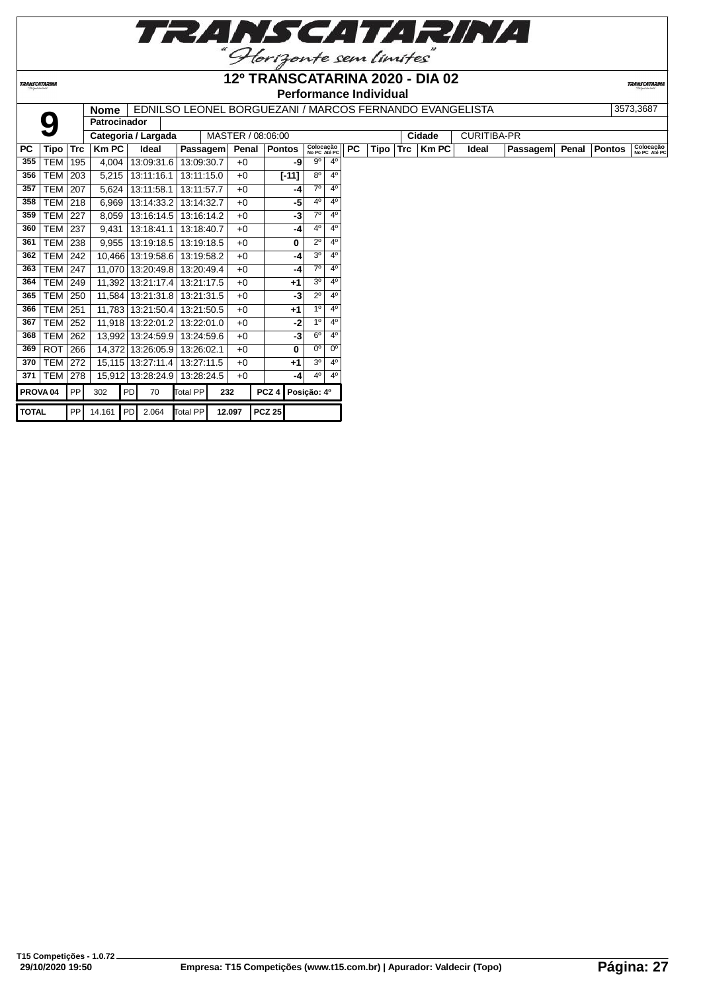| TRANSCATARINA           |  |
|-------------------------|--|
| "Horizonte sem limites" |  |

**12º TRANSCATARINA 2020 - DIA 02**

**TRANSCATARINA** 

# **Performance Individual**

|                     |            |            | Nome                |    |                       |          |            |                   |                  |               |                           |                |           |      |            | EDNILSO LEONEL BORGUEZANI / MARCOS FERNANDO EVANGELISTA |                    |          |       |               | 3573,3687                 |
|---------------------|------------|------------|---------------------|----|-----------------------|----------|------------|-------------------|------------------|---------------|---------------------------|----------------|-----------|------|------------|---------------------------------------------------------|--------------------|----------|-------|---------------|---------------------------|
|                     |            |            | <b>Patrocinador</b> |    |                       |          |            |                   |                  |               |                           |                |           |      |            |                                                         |                    |          |       |               |                           |
|                     |            |            |                     |    | Categoria / Largada   |          |            | MASTER / 08:06:00 |                  |               |                           |                |           |      |            | Cidade                                                  | <b>CURITIBA-PR</b> |          |       |               |                           |
| PC                  | Tipo       | <b>Trc</b> | <b>Km PC</b>        |    | Ideal                 |          | Passagem   | Penal             |                  | <b>Pontos</b> | Colocação<br>No PC Até PC |                | <b>PC</b> | Tipo | <b>Trc</b> | Km PC                                                   | <b>Ideal</b>       | Passagem | Penal | <b>Pontos</b> | Colocação<br>No PC Até PC |
| 355                 | <b>TEM</b> | 195        | 4,004               |    | 13:09:31.6            |          | 13:09:30.7 | $+0$              |                  | -9            | $9^{\circ}$               | $4^{\circ}$    |           |      |            |                                                         |                    |          |       |               |                           |
| 356                 | TEM        | 203        | 5,215               |    | 13:11:16.1            |          | 13:11:15.0 | $+0$              |                  | $[-11]$       | $8^{\circ}$               | $4^{\circ}$    |           |      |            |                                                         |                    |          |       |               |                           |
| 357                 | TEM        | 207        | 5,624               |    | 13:11:58.1            |          | 13:11:57.7 | $+0$              |                  | -4            | $7^\circ$                 | 4 <sup>0</sup> |           |      |            |                                                         |                    |          |       |               |                           |
| 358                 | <b>TEM</b> | 218        | 6,969               |    | 13:14:33.2            |          | 13:14:32.7 | $+0$              |                  | -5            | $4^{\circ}$               | 4 <sup>0</sup> |           |      |            |                                                         |                    |          |       |               |                           |
| 359                 | TEM        | 227        | 8,059               |    | 13:16:14.5            |          | 13:16:14.2 | $+0$              |                  | -3            | $7^\circ$                 | $4^{\circ}$    |           |      |            |                                                         |                    |          |       |               |                           |
| 360                 | TEM        | 237        | 9,431               |    | 13:18:41.1            |          | 13:18:40.7 | $+0$              |                  | -4            | $4^{\circ}$               | 4 <sup>0</sup> |           |      |            |                                                         |                    |          |       |               |                           |
| 361                 | TEM 238    |            | 9.955               |    | 13:19:18.5            |          | 13:19:18.5 | $+0$              |                  | 0             | $2^{\circ}$               | $4^{\circ}$    |           |      |            |                                                         |                    |          |       |               |                           |
| 362                 | <b>TEM</b> | 242        | 10,466              |    | 13:19:58.6            |          | 13:19:58.2 | $+0$              |                  | -4            | 3 <sup>o</sup>            | 4 <sup>0</sup> |           |      |            |                                                         |                    |          |       |               |                           |
| 363                 | <b>TEM</b> | 247        | 11,070              |    | 13:20:49.8            |          | 13:20:49.4 | $+0$              |                  | -4            | $7^\circ$                 | 4 <sup>0</sup> |           |      |            |                                                         |                    |          |       |               |                           |
| 364                 | <b>TEM</b> | 249        | 11,392              |    | 13:21:17.4            |          | 13:21:17.5 | $+0$              |                  | $+1$          | 3 <sup>o</sup>            | $4^{\circ}$    |           |      |            |                                                         |                    |          |       |               |                           |
| 365                 | TEM        | 250        | 11,584              |    | 13:21:31.8            |          | 13:21:31.5 | $+0$              |                  | -3            | $2^{\circ}$               | 4 <sup>0</sup> |           |      |            |                                                         |                    |          |       |               |                           |
| 366                 | <b>TEM</b> | 251        | 11,783              |    | 13:21:50.4            |          | 13:21:50.5 | $+0$              |                  | $+1$          | 1 <sup>0</sup>            | 4 <sup>0</sup> |           |      |            |                                                         |                    |          |       |               |                           |
| 367                 | <b>TEM</b> | 252        | 11,918              |    | 13:22:01.2            |          | 13:22:01.0 | $+0$              |                  | -2            | 1 <sup>0</sup>            | 4 <sup>0</sup> |           |      |            |                                                         |                    |          |       |               |                           |
| 368                 | <b>TEM</b> | 262        | 13,992              |    | 13:24:59.9            |          | 13:24:59.6 | $+0$              |                  | $-3$          | $6^{\circ}$               | $4^{\circ}$    |           |      |            |                                                         |                    |          |       |               |                           |
| 369                 | <b>ROT</b> | 266        | 14,372              |    | 13:26:05.9            |          | 13:26:02.1 | $+0$              |                  | 0             | $0^{\circ}$               | 0 <sup>o</sup> |           |      |            |                                                         |                    |          |       |               |                           |
| 370                 | <b>TEM</b> | 272        | 15, 115             |    | 13:27:11.4            |          | 13:27:11.5 | $+0$              |                  | $+1$          | 3 <sup>o</sup>            | 4 <sup>0</sup> |           |      |            |                                                         |                    |          |       |               |                           |
| 371                 | TEM        | 278        | 15,912              |    | 13:28:24.9 13:28:24.5 |          |            | $+0$              |                  | -4            | $4^{\circ}$               | $4^{\circ}$    |           |      |            |                                                         |                    |          |       |               |                           |
| PROVA <sub>04</sub> |            | <b>PP</b>  | 302                 | PD | 70                    | Total PP |            | 232               | PCZ <sub>4</sub> |               | Posição: 4º               |                |           |      |            |                                                         |                    |          |       |               |                           |
| <b>TOTAL</b>        |            | PP         | 14.161 PD 2.064     |    |                       | Total PP |            | 12.097            | $PCZ$ 25         |               |                           |                |           |      |            |                                                         |                    |          |       |               |                           |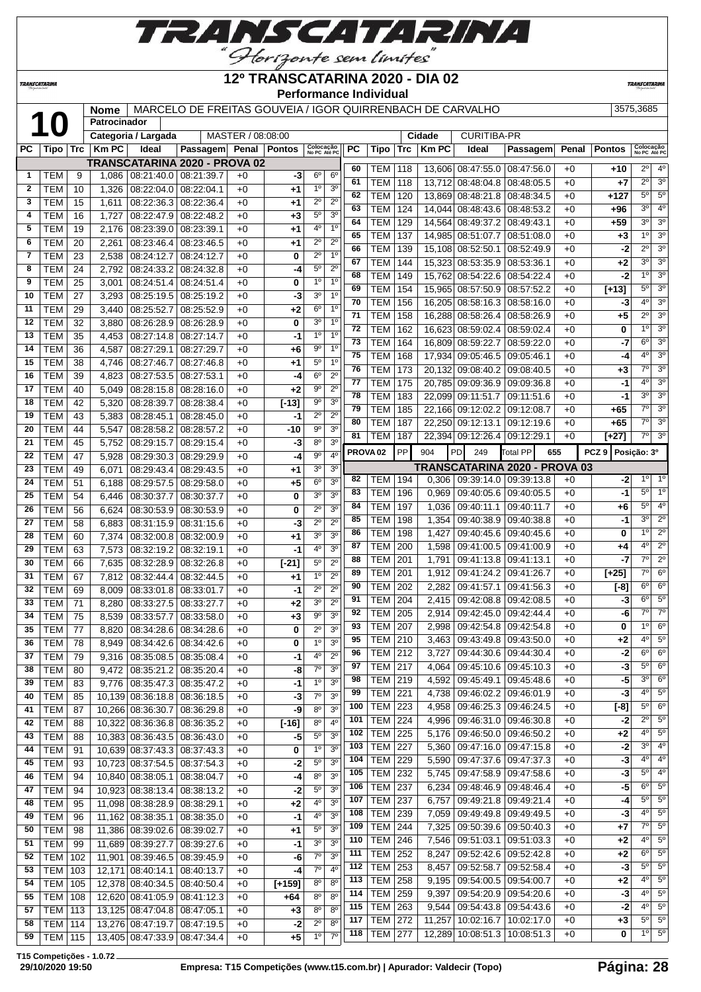

TRANSCATARINA

#### **12º TRANSCATARINA 2020 - DIA 02 Performance Individual**

**TRANSCATARIN** 

**Nome** MARCELO DE FREITAS GOUVEIA / IGOR QUIRRENBACH DE CARVALHO 3575,3685

|              | $\mathbf U$    |            | Patrocinador |                                 |                               |                   |                |                           |                |     |                     |     |              |                                 |                 |       |                   |                           |                  |
|--------------|----------------|------------|--------------|---------------------------------|-------------------------------|-------------------|----------------|---------------------------|----------------|-----|---------------------|-----|--------------|---------------------------------|-----------------|-------|-------------------|---------------------------|------------------|
|              |                |            |              | Categoria / Largada             |                               | MASTER / 08:08:00 |                |                           |                |     |                     |     | Cidade       | <b>CURITIBA-PR</b>              |                 |       |                   |                           |                  |
| РC           | Tipo           | <b>Trc</b> | <b>Km PC</b> | Ideal                           | Passagem                      |                   | Penal   Pontos | Colocação<br>No PC Até PC |                | РC  | Tipo                | Trc | <b>Km PC</b> | Ideal                           | Passagem        | Penal | <b>Pontos</b>     | Colocação<br>No PC Até PC |                  |
|              |                |            |              |                                 | TRANSCATARINA 2020 - PROVA 02 |                   |                |                           |                | 60  | TEM                 | 118 |              | 13,606 08:47:55.0               | 08:47:56.0      | $+0$  | $+10$             | $2^{\circ}$               | 4 <sup>0</sup>   |
| 1            | TEM            | 9          | 1,086        | 08:21:40.0                      | 08:21:39.7                    | $+0$              | -3             | 6 <sup>o</sup>            | $6^{\circ}$    | 61  | <b>TEM</b>          | 118 |              | 13,712 08:48:04.8               | 08:48:05.5      | $+0$  | $+7$              | $2^{\circ}$               | 3 <sup>o</sup>   |
| $\mathbf{2}$ | <b>TEM</b>     | 10         | 1,326        | 08:22:04.0                      | 08:22:04.1                    | $+0$              | +1             | 1 <sup>0</sup>            | 3 <sup>0</sup> | 62  | <b>TEM</b>          | 120 |              | 13,869 08:48:21.8               | 08:48:34.5      | $+0$  | $+127$            | $5^{\circ}$               | $5^{\circ}$      |
| 3            | <b>TEM</b>     | 15         | 1,611        | 08:22:36.3                      | 08:22:36.4                    | $+0$              | +1             | $2^{\circ}$               | $2^{\circ}$    | 63  | <b>TEM</b>          |     |              |                                 |                 | $+0$  |                   | 30                        | 4 <sup>0</sup>   |
| 4            | <b>TEM</b>     | 16         | 1,727        | 08:22:47.9                      | 08:22:48.2                    | $+0$              | +3             | $5^{\rm o}$               | 3 <sup>0</sup> | 64  |                     | 124 |              | 14,044 08:48:43.6               | 08:48:53.2      |       | +96               | 3 <sup>o</sup>            | 3 <sup>o</sup>   |
| 5            | <b>TEM</b>     | 19         | 2,176        | 08:23:39.0                      | 08:23:39.1                    | $+0$              | +1             | $4^{\circ}$               | 1 <sup>0</sup> |     | <b>TEM</b>          | 129 | 14,564       | 08:49:37.2                      | 08:49:43.1      | $+0$  | $+59$             |                           |                  |
| 6            | <b>TEM</b>     | 20         | 2,261        | 08:23:46.4                      | 08:23:46.5                    | $+0$              | +1             | $2^{\circ}$               | $2^{\circ}$    | 65  | <b>TEM</b>          | 137 | 14,985       | 08:51:07.7                      | 08:51:08.0      | $+0$  | $+3$              | 1 <sup>0</sup>            | 3 <sup>o</sup>   |
| 7            | <b>TEM</b>     | 23         | 2,538        | 08:24:12.7                      | 08:24:12.7                    | $+0$              | 0              | $2^{\circ}$               | 1 <sup>0</sup> | 66  | <b>TEM</b>          | 139 | 15,108       | 08:52:50.1                      | 08:52:49.9      | $+0$  | -2                | $2^{\circ}$               | 3 <sup>0</sup>   |
| 8            | <b>TEM</b>     | 24         | 2,792        | 08:24:33.2                      | 08:24:32.8                    | $+0$              | -4             | $5^{\circ}$               | $2^{\circ}$    | 67  | TEM                 | 144 | 15,323       | 08:53:35.9                      | 08:53:36.1      | $+0$  | +2                | 3 <sup>o</sup>            | 3 <sup>0</sup>   |
| 9            | <b>TEM</b>     | 25         | 3,001        | 08:24:51.4                      | 08:24:51.4                    | $+0$              | 0              | 1 <sup>0</sup>            | 1 <sup>0</sup> | 68  | <b>TEM</b>          | 149 | 15.762       | 08:54:22.6                      | 08:54:22.4      | $+0$  | -2                | 1 <sup>0</sup>            | 3 <sup>o</sup>   |
| 10           | <b>TEM</b>     | 27         | 3,293        | 08:25:19.5                      | 08:25:19.2                    | $+0$              | -3             | 3 <sup>0</sup>            | 1 <sup>0</sup> | 69  | <b>TEM</b>          | 154 | 15,965       | 08:57:50.9                      | 08:57:52.2      | $+0$  | $[+13]$           | $5^{\circ}$               | 3 <sup>0</sup>   |
| 11           | <b>TEM</b>     | 29         | 3,440        | 08:25:52.7                      | 08:25:52.9                    | $+0$              | +2             | $6^{\circ}$               | 1 <sup>0</sup> | 70  | <b>TEM</b>          | 156 | 16,205       | 08:58:16.3                      | 08:58:16.0      | $+0$  | -3                | 4 <sup>0</sup>            | 3 <sup>o</sup>   |
| 12           | <b>TEM</b>     | 32         | 3,880        | 08:26:28.9                      | 08:26:28.9                    | $+0$              | 0              | 30                        | 1 <sup>0</sup> | 71  | <b>TEM</b>          | 158 |              | 16,288 08:58:26.4               | 08:58:26.9      | $+0$  | $+5$              | $2^{\circ}$               | 3 <sup>o</sup>   |
| 13           | <b>TEM</b>     | 35         |              |                                 |                               | $+0$              | -1             | 1 <sup>0</sup>            | 1 <sup>0</sup> | 72  | <b>TEM</b>          | 162 |              | 16,623 08:59:02.4               | 08:59:02.4      | $+0$  | 0                 | 1 <sup>0</sup>            | 3 <sup>o</sup>   |
|              |                |            | 4,453        | 08:27:14.8                      | 08:27:14.7                    |                   |                | $9^{\circ}$               | 1 <sup>0</sup> | 73  | <b>TEM</b>          | 164 | 16,809       | 08:59:22.7                      | 08:59:22.0      | $+0$  | -7                | $6^{\circ}$               | 3 <sup>o</sup>   |
| 14           | <b>TEM</b>     | 36         | 4,587        | 08:27:29.1                      | 08:27:29.7                    | $+0$              | +6             |                           |                | 75  | <b>TEM</b>          | 168 | 17,934       | 09:05:46.5                      | 09:05:46.1      | $+0$  | -4                | 4 <sup>0</sup>            | 3 <sup>o</sup>   |
| 15           | <b>TEM</b>     | 38         | 4,746        | 08:27:46.7                      | 08:27:46.8                    | $+0$              | +1             | $5^{\rm o}$               | 1 <sup>0</sup> | 76  | <b>TEM</b>          | 173 | 20,132       | 09:08:40.2                      | 09:08:40.5      | $+0$  | $+3$              | 70                        | 3 <sup>o</sup>   |
| 16           | <b>TEM</b>     | 39         | 4,823        | 08:27:53.5                      | 08:27:53.1                    | $+0$              | -4             | $6^{\circ}$               | $2^{\circ}$    | 77  | <b>TEM</b>          | 175 |              | 20,785 09:09:36.9               | 09:09:36.8      | $+0$  | -1                | 4 <sup>0</sup>            | 3 <sup>0</sup>   |
| 17           | <b>TEM</b>     | 40         | 5,049        | 08:28:15.8                      | 08:28:16.0                    | $+0$              | +2             | $9^{\circ}$               | $2^{\circ}$    | 78  | <b>TEM</b>          | 183 |              | 22,099 09:11:51.7               | 09:11:51.6      | $+0$  | -1                | 3 <sup>o</sup>            | 3 <sup>o</sup>   |
| 18           | <b>TEM</b>     | 42         | 5,320        | 08:28:39.7                      | 08:28:38.4                    | $+0$              | $[-13]$        | $9^{\circ}$               | 3 <sup>o</sup> | 79  | <b>TEM</b>          | 185 | 22,166       | 09:12:02.2                      | 09:12:08.7      | $+0$  | $+65$             | $7^\circ$                 | $\overline{3^0}$ |
| 19           | <b>TEM</b>     | 43         | 5,383        | 08:28:45.1                      | 08:28:45.0                    | $+0$              | -1             | $2^{\circ}$               | $2^{\circ}$    | 80  | <b>TEM</b>          | 187 |              | 22,250 09:12:13.1               | 09:12:19.6      | $+0$  | $+65$             | $7^\circ$                 | 3 <sup>o</sup>   |
| 20           | <b>TEM</b>     | 44         | 5,547        | 08:28:58.2                      | 08:28:57.2                    | $+0$              | $-10$          | $9^{\rm o}$               | 3 <sup>o</sup> | 81  | TEM                 | 187 |              | 22,394 09:12:26.4               | 09:12:29.1      | $+0$  | $[+27]$           | $7^\circ$                 | 3 <sup>o</sup>   |
| 21           | <b>TEM</b>     | 45         | 5,752        | 08:29:15.7                      | 08:29:15.4                    | $+0$              | -3             | $8^{\circ}$               | 3 <sup>o</sup> |     |                     |     |              |                                 |                 |       |                   |                           |                  |
| 22           | <b>TEM</b>     | 47         | 5,928        | 08:29:30.3                      | 08:29:29.9                    | $+0$              | -4             | $9^{\rm o}$               | 4 <sup>0</sup> |     | PROVA <sub>02</sub> | PP  | 904          | PD<br>249                       | <b>Total PP</b> | 655   | PCZ 9 Posicão: 3º |                           |                  |
| 23           | <b>TEM</b>     | 49         | 6,071        | 08:29:43.4                      | 08:29:43.5                    | $+0$              | +1             | 3 <sup>o</sup>            | 3 <sup>o</sup> |     |                     |     |              | TRANSCATARINA 2020 - PROVA 03   |                 |       |                   |                           |                  |
| 24           | <b>TEM</b>     | 51         | 6,188        | 08:29:57.5                      | 08:29:58.0                    | $+0$              | $+5$           | $6^{\circ}$               | 3 <sup>o</sup> | 82  | <b>TEM</b>          | 194 | 0,306        | 09:39:14.0                      | 09:39:13.8      | $+0$  | -2                | $1^{\circ}$               | $1^{\circ}$      |
| 25           | <b>TEM</b>     | 54         | 6,446        | 08:30:37.7                      | 08:30:37.7                    | $+0$              | 0              | 30                        | 3 <sup>o</sup> | 83  | <b>TEM</b>          | 196 | 0,969        | 09:40:05.6                      | 09:40:05.5      | $+0$  | -1                | $5^{\circ}$               | 10               |
| 26           | <b>TEM</b>     | 56         | 6,624        | 08:30:53.9                      | 08:30:53.9                    | $+0$              | 0              | $2^{\circ}$               | 3 <sup>o</sup> | 84  | <b>TEM</b>          | 197 | 1,036        | 09:40:11.1                      | 09:40:11.7      | $+0$  | +6                | $5^{\circ}$               | 4 <sup>0</sup>   |
| 27           | <b>TEM</b>     | 58         | 6,883        | 08:31:15.9                      | 08:31:15.6                    | $+0$              | -3             | $2^{\circ}$               | $2^{\circ}$    | 85  | <b>TEM</b>          | 198 | 1,354        | 09:40:38.9                      | 09:40:38.8      | $+0$  | -1                | 3 <sup>o</sup>            | $2^{\circ}$      |
| 28           | <b>TEM</b>     | 60         | 7,374        | 08:32:00.8                      | 08:32:00.9                    | $+0$              | +1             | 3 <sup>o</sup>            | 3 <sup>o</sup> | 86  | TEM                 | 198 | 1,427        | 09:40:45.6                      | 09:40:45.6      | $+0$  | 0                 | 1 <sup>0</sup>            | $\overline{2^0}$ |
| 29           | <b>TEM</b>     | 63         | 7,573        | 08:32:19.2                      | 08:32:19.1                    | $+0$              | -1             | 4 <sup>0</sup>            | 3 <sup>0</sup> | 87  | тем                 | 200 | 1,598        | 09:41:00.5                      | 09:41:00.9      | $+0$  | +4                | 4°                        | $\overline{2^0}$ |
| 30           | <b>TEM</b>     | 66         | 7,635        | 08:32:28.9                      | 08:32:26.8                    | $+0$              | $[-21]$        | $5^{\circ}$               | $2^{\circ}$    | 88  | <b>TEM</b>          | 201 | 1,791        | 09:41:13.8                      | 09:41:13.1      | $+0$  | -7                | $7^\circ$                 | $2^{\circ}$      |
| 31           | <b>TEM</b>     | 67         | 7,812        | 08:32:44.4                      | 08:32:44.5                    | $+0$              | +1             | 1 <sup>0</sup>            | $2^{\circ}$    | 89  | <b>TEM</b>          | 201 | 1,912        | 09:41:24.2                      | 09:41:26.7      | $+0$  | $[+25]$           | $7^\circ$                 | 6 <sup>o</sup>   |
| 32           | <b>TEM</b>     | 69         | 8,009        | 08:33:01.8                      | 08:33:01.7                    | $+0$              | -1             | $2^{\circ}$               | $2^{\circ}$    | 90  | <b>TEM</b>          | 202 | 2,282        | 09:41:57.1                      | 09:41:56.3      | $+0$  | $[-8]$            | $6^{\circ}$               | 6 <sup>o</sup>   |
| 33           | <b>TEM</b>     | 71         |              |                                 |                               |                   |                | 3 <sup>o</sup>            | $2^{\circ}$    | 91  | <b>TEM</b>          | 204 | 2,415        | 09:42:08.8                      | 09:42:08.5      | $+0$  | -3                | $6^{\circ}$               | $5^{\circ}$      |
| 34           |                |            | 8,280        | 08:33:27.5                      | 08:33:27.7                    | $+0$              | +2             | $9^{\circ}$               | 3 <sup>o</sup> | 92  | TEM                 | 205 | 2,914        | 09:42:45.0                      | 09:42:44.4      | $+0$  | -6                | $7^\circ$                 | $7^\circ$        |
|              | <b>TEM</b>     | 75         | 8,539        | 08:33:57.7                      | 08:33:58.0                    | $+0$              | $+3$           |                           |                | 93  | <b>TEM</b>          | 207 | 2,998        | 09:42:54.8                      | 09:42:54.8      | $+0$  | 0                 | 1 <sup>0</sup>            | 6 <sup>o</sup>   |
| 35           | <b>TEM</b>     | 77         | 8,820        | 08:34:28.6                      | 08:34:28.6                    | $+0$              | 0              | $2^{\circ}$               | 3 <sup>o</sup> | 95  | <b>TEM</b>          | 210 | 3,463        | 09:43:49.8                      | 09:43:50.0      | $+0$  | +2                | 4 <sup>0</sup>            | 5 <sup>0</sup>   |
| 36           | <b>TEM</b>     | 78         | 8,949        |                                 | 08:34:42.6   08:34:42.6       | $+0$              | 0              | 1 <sup>0</sup>            | 3 <sup>0</sup> | 96  | <b>TEM 212</b>      |     |              | 3,727   09:44:30.6   09:44:30.4 |                 | +0    | -2                | $6^{\circ}$               | $6^{\circ}$      |
| 37           | TEM            | 79         | 9,316        | 08:35:08.5                      | 08:35:08.4                    | $+0$              | -1             | 4 <sup>0</sup>            | $2^{\circ}$    | 97  | <b>TEM 217</b>      |     | 4,064        | 09:45:10.6 09:45:10.3           |                 | $+0$  | $-3$              | $5^{\circ}$               | 6 <sup>o</sup>   |
| 38           | <b>TEM</b>     | 80         | 9,472        | 08:35:21.2                      | 08:35:20.4                    | $+0$              | -8             | $7^\circ$                 | 3 <sup>0</sup> |     |                     |     |              |                                 |                 |       |                   | 3 <sup>o</sup>            | 6 <sup>o</sup>   |
| 39           | TEM            | 83         |              | 9,776   08:35:47.3   08:35:47.2 |                               | $+0$              | -1             | $1^{\circ}$               | 3 <sup>o</sup> | 98  | <b>TEM</b>          | 219 | 4,592        | 09:45:49.1 09:45:48.6           |                 | $+0$  | -5                | 40                        | 5 <sup>0</sup>   |
| 40           | <b>TEM</b>     | 85         |              | 10,139 08:36:18.8 08:36:18.5    |                               | $+0$              | -3             | $7^{\circ}$               | 3 <sup>0</sup> | 99  | <b>TEM</b>          | 221 | 4,738        | 09:46:02.2 09:46:01.9           |                 | $+0$  | -3                |                           |                  |
| 41           | <b>TEM</b>     | 87         |              | 10,266 08:36:30.7               | 08:36:29.8                    | $+0$              | -9             | $8^{\circ}$               | 3 <sup>o</sup> | 100 | <b>TEM</b>          | 223 | 4,958        | 09:46:25.3 09:46:24.5           |                 | $+0$  | $[-8]$            | $5^{\circ}$               | 6 <sup>o</sup>   |
| 42           | <b>TEM</b>     | 88         |              | 10,322 08:36:36.8               | 08:36:35.2                    | $+0$              | $[-16]$        | $8^{\circ}$               | 4 <sup>0</sup> | 101 | <b>TEM</b>          | 224 | 4,996        | 09:46:31.0 09:46:30.8           |                 | $+0$  | $-2$              | $2^{\circ}$               | 5 <sup>0</sup>   |
| 43           | <b>TEM</b>     | 88         |              | 10,383 08:36:43.5               | 08:36:43.0                    | $+0$              | -5             | $5^{\circ}$               | 3 <sup>o</sup> | 102 | <b>TEM</b>          | 225 | 5,176        | 09:46:50.0 09:46:50.2           |                 | $+0$  | $+2$              | 4°                        | $5^{\circ}$      |
| 44           | <b>TEM</b>     | 91         |              | 10,639 08:37:43.3               | 08:37:43.3                    | $+0$              | 0              | $1^{\circ}$               | 3 <sup>o</sup> | 103 | <b>TEM</b>          | 227 | 5,360        | 09:47:16.0 09:47:15.8           |                 | $+0$  | $-2$              | 3 <sup>0</sup>            | $4^{\circ}$      |
| 45           | <b>TEM</b>     | 93         |              | 10,723 08:37:54.5               | 08:37:54.3                    | $+0$              | -2             | $5^{\circ}$               | 3 <sup>o</sup> | 104 | <b>TEM</b>          | 229 | 5,590        | 09:47:37.6                      | 09:47:37.3      | $+0$  | $-3$              | 40                        | $4^{\circ}$      |
| 46           | <b>TEM</b>     | 94         |              | 10,840 08:38:05.1               | 08:38:04.7                    | +0                | -4             | 8 <sup>o</sup>            | 3 <sup>o</sup> | 105 | <b>TEM</b>          | 232 | 5,745        | 09:47:58.9                      | 09:47:58.6      | $+0$  | $-3$              | $5^{\circ}$               | 4 <sup>0</sup>   |
| 47           | <b>TEM</b>     | 94         |              | 10,923 08:38:13.4               | 08:38:13.2                    | $+0$              | -2             | $5^{\rm o}$               | 3 <sup>o</sup> | 106 | <b>TEM</b>          | 237 | 6,234        | 09:48:46.9                      | 09:48:46.4      | $+0$  | $-5$              | $6^{\circ}$               | 5 <sup>0</sup>   |
| 48           | <b>TEM</b>     | 95         |              | 11,098 08:38:28.9 08:38:29.1    |                               | $+0$              | $+2$           | 4°                        | 3 <sup>o</sup> | 107 | <b>TEM</b>          | 237 | 6,757        | 09:49:21.8 09:49:21.4           |                 | $+0$  | -4                | $5^{\circ}$               | $5^{\circ}$      |
| 49           | <b>TEM</b>     | 96         |              | 11,162 08:38:35.1               | 08:38:35.0                    | $+0$              | -1             | 4°                        | 3 <sup>o</sup> | 108 | <b>TEM</b>          | 239 | 7,059        | 09:49:49.8   09:49:49.5         |                 | $+0$  | -3                | 40                        | $5^{\circ}$      |
| 50           | <b>TEM</b>     | 98         |              | 11,386 08:39:02.6               | 08:39:02.7                    | $+0$              | $+1$           | $5^{\circ}$               | 3 <sup>o</sup> | 109 | <b>TEM</b>          | 244 | 7,325        | 09:50:39.6   09:50:40.3         |                 | $+0$  | +7                | $7^\circ$                 | $5^{\circ}$      |
| 51           | <b>TEM</b>     | 99         |              | 11,689 08:39:27.7               | 08:39:27.6                    | $+0$              | -1             | 3 <sup>o</sup>            | 3 <sup>o</sup> | 110 | <b>TEM</b>          | 246 | 7,546        | 09:51:03.1                      | 09:51:03.3      | $+0$  | $+2$              | $4^{\circ}$               | 5 <sup>0</sup>   |
| 52           | <b>TEM 102</b> |            | 11,901       | 08:39:46.5                      | 08:39:45.9                    | $+0$              | -6             | 7 <sup>o</sup>            | 3 <sup>o</sup> | 111 | $TEM$ 252           |     | 8,247        | 09:52:42.6 09:52:42.8           |                 | $+0$  | +2                | $6^{\circ}$               | 5 <sup>o</sup>   |
| 53           | <b>TEM</b>     | 103        |              | 08:40:14.1                      | 08:40:13.7                    | $+0$              | -4             | $7^\circ$                 | 4 <sup>0</sup> | 112 | <b>TEM</b>          | 253 | 8,457        | 09:52:58.7 09:52:58.4           |                 | $+0$  | $-3$              | $5^{\circ}$               | 5 <sup>0</sup>   |
|              |                |            | 12,171       |                                 |                               |                   |                | $8^{\circ}$               | $8^{\circ}$    | 113 | <b>TEM</b>          | 258 | 9,195        | 09:54:00.5   09:54:00.7         |                 | $+0$  | $+2$              | 4°                        | 5 <sup>0</sup>   |
| 54           | <b>TEM</b>     | 105        |              | 12,378 08:40:34.5               | 08:40:50.4                    | +0                | $[+159]$       |                           |                | 114 | <b>TEM</b>          | 259 | 9,397        | 09:54:20.9                      | 09:54:20.6      | $+0$  | $-3$              | 4°                        | $5^{\circ}$      |
| 55           | <b>TEM</b>     | 108        |              | 12,620 08:41:05.9               | 08:41:12.3                    | $+0$              | $+64$          | 8 <sup>o</sup>            | $8^{\circ}$    | 115 | <b>TEM</b>          | 263 | 9,544        | 09:54:43.8 09:54:43.6           |                 | $+0$  | $-2$              | 4°                        | 5 <sup>0</sup>   |
| 57           | <b>TEM 113</b> |            |              | 13,125 08:47:04.8 08:47:05.1    |                               | $+0$              | $+3$           | $8^{\circ}$               | $8^{\circ}$    | 117 | <b>TEM</b>          | 272 | 11,257       | 10:02:16.7                      | 10:02:17.0      | $+0$  | $+3$              | $5^{\circ}$               | 5 <sup>0</sup>   |
| 58           | <b>TEM 114</b> |            |              | 13,276 08:47:19.7 08:47:19.5    |                               | $+0$              | $-2$           | $2^{\circ}$               | $8^{\circ}$    |     |                     |     |              |                                 |                 |       |                   | 1 <sup>0</sup>            | 5 <sup>0</sup>   |
| 59           | $TEM$ 115      |            |              | 13,405 08:47:33.9 08:47:34.4    |                               | $+0$              | $+5$           | $1^{\circ}$               | $7^\circ$      | 118 | TEM                 | 277 |              | 12,289 10:08:51.3               | 10:08:51.3      | $+0$  | 0                 |                           |                  |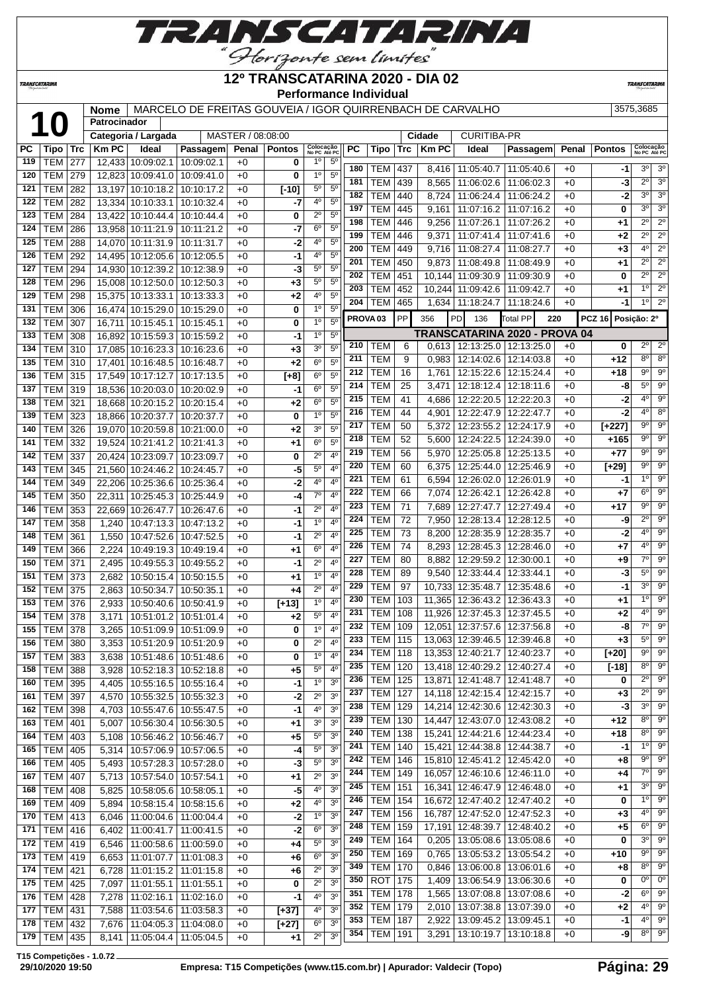

#### *TRANSCATARINA*

#### **12º TRANSCATARINA 2020 - DIA 02 Performance Individual**

**TRANSCATAR** 

 **Nome** MARCELO DE FREITAS GOUVEIA / IGOR QUIRRENBACH DE CARVALHO 3575,3685<br> **10 Categoria / Largada** MASTER / 08:08:00 **Cidade** CURITIBA-PR<br> **PC** Tipo Trc Km PC Ideal Passagem Penal Pontos Colocate PRESSAGEMENT RESS **Patrocinador Categoria / Largada PERC REPC PERC PASSAGEM Penal Pontos No PC Até PC PC Tipo Trc Km PC Ideal Passagem Penal Pontos Colocação No PC Até PC** TEM 277 12,433 10:09:02.1 10:09:02.1 +0 **0** 1º 5º TEM 279 12,823 10:09:41.0 10:09:41.0 +0 **0** 1º 5º TEM 282 13,197 10:10:18.2 10:10:17.2 +0 **[-10]** 5º 5º TEM 282 13,334 10:10:33.1 10:10:32.4 +0 **-7** 4º 5º | TEM | 284 | 13,422 | 10:10:44.4 | 10:10:44.4 | +0 | **0** | 2<sup>°</sup> | 5<sup>°</sup> TEM 286 13,958 10:11:21.9 10:11:21.2 +0 **-7** 6º 5º TEM 288 14,070 10:11:31.9 10:11:31.7 +0 **-2** 4º 5º TEM 292 14,495 10:12:05.6 10:12:05.5 +0 **-1** 4º 5º TEM 294 14,930 10:12:39.2 10:12:38.9 +0 **-3** 5º 5º TEM 296 15,008 10:12:50.0 10:12:50.3 +0 **+3** 5º 5º TEM 298 15,375 10:13:33.1 10:13:33.3 +0 **+2** 4º 5º TEM 306 16,474 10:15:29.0 10:15:29.0 +0 **0** 1º 5º TEM 307 16,711 10:15:45.1 10:15:45.1 +0 **0** 1º 5º TEM 308 16,892 10:15:59.3 10:15:59.2 +0 **-1** 1º 5º TEM 310 17,085 10:16:23.3 10:16:23.6 +0 **+3** 3º 5º TEM 310 17,401 10:16:48.5 10:16:48.7 +0 **+2** 6º 5º TEM 315 17,549 10:17:12.7 10:17:13.5 +0 **[+8]** 6º 5º TEM 319 18,536 10:20:03.0 10:20:02.9 +0 **-1** 6º 5º TEM 321 18,668 10:20:15.2 10:20:15.4 +0 **+2** 6º 5º TEM 323 18,866 10:20:37.7 10:20:37.7 +0 **0** 1º 5<sup>6</sup> TEM 326 19,070 10:20:59.8 10:21:00.0 +0 **+2** 3º 5º TEM 332 19,524 10:21:41.2 10:21:41.3 +0 **+1** 6º 5º TEM 337 20,424 10:23:09.7 10:23:09.7 +0 **0** 2º 4º TEM 345 21,560 10:24:46.2 10:24:45.7 +0 **-5** 5º 4º TEM 349 22,206 10:25:36.6 10:25:36.4 +0 **-2** 4º 4º TEM 350 22,311 10:25:45.3 10:25:44.9 +0 **-4** 7º 4º TEM 353 22,669 10:26:47.7 10:26:47.6 +0 **-1** 2º 4º TEM 358 1,240 10:47:13.3 10:47:13.2 +0 **-1** 1º 4º TEM 361 1,550 10:47:52.6 10:47:52.5 +0 **-1** 2º 4º TEM 366 2,224 10:49:19.3 10:49:19.4 +0 **+1** 6º 4º TEM 371 2,495 10:49:55.3 10:49:55.2 +0 **-1** 2º 4º TEM 373 2,682 10:50:15.4 10:50:15.5 +0 **+1** 1º 4º TEM 375 2,863 10:50:34.7 10:50:35.1 +0 **+4** 2º 4º TEM 376 2,933 10:50:40.6 10:50:41.9 +0 **[+13]** 1º 4º TEM 378 3,171 10:51:01.2 10:51:01.4 +0 **+2** 5º 4º | TEM | 378 | 3,265 | 10:51:09.9 | 10:51:09.9 | +0 | **0** | 1<sup>0</sup> | 4<sup>0</sup> | TEM | 380 | 3,353 | 10:51:20.9 | 10:51:20.9 | +0 | **0** | 2<sup>°</sup> | 4<sup>°</sup> | TEM | 383 | 3,638 | 10:51:48.6 | 10:51:48.6 | +0 | **0** | 1<sup>o</sup> | 4<sup>o</sup> TEM 388 3,928 10:52:18.3 10:52:18.8 +0 **+5** 5º 4º TEM 395 4,405 10:55:16.5 10:55:16.4 +0 **-1** 1º 3º TEM 397 4,570 10:55:32.5 10:55:32.3 +0 **-2** 2º 3º TEM 398 4,703 10:55:47.6 10:55:47.5 +0 **-1** 4º 3º TEM 401 5,007 10:56:30.4 10:56:30.5 +0 **+1** 3º 3º TEM 403 5,108 10:56:46.2 10:56:46.7 +0 **+5** 5º 3º TEM 405 5,314 10:57:06.9 10:57:06.5 +0 **-4** 5º 3º TEM 405 5,493 10:57:28.3 10:57:28.0 +0 **-3** 5º 3º TEM 407 5,713 10:57:54.0 10:57:54.1 +0 **+1** 2º 3º TEM 408 5,825 10:58:05.6 10:58:05.1 +0 **-5** 4º 3º TEM 409 5,894 10:58:15.4 10:58:15.6 +0 **+2** 4º 3º TEM 413 6,046 11:00:04.6 11:00:04.4 +0 **-2** 1º 3º TEM 416 6,402 11:00:41.7 11:00:41.5 +0 **-2** 6º 3º TEM 419 6,546 11:00:58.6 11:00:59.0 +0 **+4** 5º 3º TEM 419 6,653 11:01:07.7 11:01:08.3 +0 **+6** 6º 3º TEM 421 6,728 11:01:15.2 11:01:15.8 +0 **+6** 2º 3º TEM 425 7,097 11:01:55.1 11:01:55.1 +0 **0** 2º 3º TEM 428 7,278 11:02:16.1 11:02:16.0 +0 **-1** 4º 3º TEM 431 7,588 11:03:54.6 11:03:58.3 +0 **[+37]** 4º 3º TEM 432 7,676 11:04:05.3 11:04:08.0 +0 **[+27]** 6º 3º TEM 435 8,141 11:05:04.4 11:05:04.5 +0 +1 2<sup>o</sup> 3 TEM 437 8,416 11:05:40.7 11:05:40.6 +0 **-1** 3º 3º TEM 439 8,565 11:06:02.6 11:06:02.3 +0 **-3** 2º 3º TEM 440 8,724 11:06:24.4 11:06:24.2 +0 **-2** 3º 3º TEM 445 9,161 11:07:16.2 11:07:16.2 +0 **0** 3º 3º TEM 446 9,256 11:07:26.1 11:07:26.2 +0 **+1** 2º 2º TEM 446 | 9,371 | 11:07:41.4 | 11:07:41.6 | +0 | +2 | 2<sup>o</sup> 2<sup>o</sup> TEM 449 | 9,716 | 11:08:27.4 | 11:08:27.7 | +0 | +3 | 4<sup>o</sup> | 2<sup>o</sup> TEM 450 9,873 11:08:49.8 11:08:49.9 +0 **+1** 2º 2º | TEM | 451 | 10,144 | 11:09:30.9 | 11:09:30.9 | +0 | **0** | 2<sup>°</sup> 2<sup>°</sup> TEM 452 | 10,244 | 11:09:42.6 | 11:09:42.7 | +0 | +1 | <sup>10</sup> | 2<sup>0</sup> TEM 465 1,634 11:18:24.7 11:18:24.6 +0 **-1** 1º 2º **PROVA 03** PP 356 PD 136 Total PP **220 PCZ 16 Posição: 2º TRANSCATARINA 2020 - PROVA 04** TEM 6 0,613 12:13:25.0 12:13:25.0 +0 **0** 2<sup>o</sup> 2 TEM 9 0,983 12:14:02.6 12:14:03.8 +0 +12 8° 8° TEM 16 1,761 12:15:22.6 12:15:24.4 +0 +18 9° 9 TEM 25 3,471 12:18:12.4 12:18:11.6 +0 -8 5° 9 TEM 41 4,686 12:22:20.5 12:22:20.3 +0 **-2** 4º 9º TEM 44 4,901 12:22:47.9 12:22:47.7 +0 **-2** 4º 8º TEM 50 5,372 12:23:55.2 12:24:17.9 +0 **[+227]** 9º 9º TEM 52 5,600 12:24:22.5 12:24:39.0 +0 **+165** 9º 9º TEM 56 5,970 12:25:05.8 12:25:13.5 +0 **+77** 9º 9º TEM 60 6,375 12:25:44.0 12:25:46.9 +0 **[+29]**  $9^{\circ}$  9 TEM 61 6,594 12:26:02.0 12:26:01.9 +0 -1 1<sup>o</sup> 9 TEM 66 7,074 12:26:42.1 12:26:42.8 +0 **+7** 6º 9º TEM 71 7,689 12:27:47.7 12:27:49.4 +0 **+17** 9º 9º TEM 72 7,950 12:28:13.4 12:28:12.5 +0 **-9** 2º 9º TEM 73 8,200 12:28:35.9 12:28:35.7 +0 **-2** 4º 9º TEM 74 8,293 12:28:45.3 12:28:46.0 +0 **+7** 4º 9º TEM 80 8.882 12:29:59.2 12:30:00.1 +0 +9 7<sup>o</sup> 9 TEM 89 9,540 12:33:44.4 12:33:44.1 +0 **-3** 5º 9º TEM 97 10,733 12:35:48.7 12:35:48.6 +0 **-1** 3º 9º TEM 103 11,365 12:36:43.2 12:36:43.3 +0 **+1** 1º 9º | TEM | 108 | 11,926 | 12:37:45.3 | 12:37:45.5 | +0 | +2 | 4<sup>o</sup> | 9<sup>o</sup> TEM 109 12,051 12:37:57.6 12:37:56.8 +0 **-8** 7º 9º TEM 115 13,063 12:39:46.5 12:39:46.8 +0 **+3** 5º 9º TEM 118 13,353 12:40:21.7 12:40:23.7 +0 **[+20]** 9º 9º TEM 120 13,418 12:40:29.2 12:40:27.4 +0 **[-18]** 8º 9º TEM 125 13,871 12:41:48.7 12:41:48.7 +0 **0** 2<sup>°</sup> 9 TEM 127 14,118 12:42:15.4 12:42:15.7 +0 +3 2<sup>o</sup> 9 TEM 129 14,214 12:42:30.6 12:42:30.3 +0 -3 3<sup>°</sup> 9 TEM 130 14,447 12:43:07.0 12:43:08.2 +0 +12 8° 9 TEM 138 15,241 12:44:21.6 12:44:23.4 +0 **+18** 8º 9º TEM 140 15,421 12:44:38.8 12:44:38.7 +0 **-1** 1º 9º TEM 146 15,810 12:45:41.2 12:45:42.0 +0 **+8** 9º 9º TEM 149 16,057 12:46:10.6 12:46:11.0 +0 **+4** 7º 9º TEM 151 16,341 12:46:47.9 12:46:48.0 +0 **+1** 3º 9º TEM 154 16,672 12:47:40.2 12:47:40.2 +0 **0** 1º 9 TEM 156 16,787 12:47:52.0 12:47:52.3 +0 **+3** 4º 9º TEM 159 17,191 12:48:39.7 12:48:40.2 +0 +5 6° 9 TEM 164 0,205 13:05:08.6 13:05:08.6 +0 **0** 3º 9º TEM 169 0,765 13:05:53.2 13:05:54.2 +0 **+10** 9º 9º TEM 170 0,846 13:06:00.8 13:06:01.6 +0 **+8** 8º 9º ROT 175 1,409 13:06:54.9 13:06:30.6 +0 **0** 0<sup>o</sup> 0 | TEM | 178 | 1,565 | 13:07:08.8 | 13:07:08.6 | +0 | **-2** 6<sup>°</sup> 9<sup>°</sup> TEM 179 2,010 13:07:38.8 13:07:39.0 +0 **+2** 4º 9º TEM 187 2,922 13:09:45.2 13:09:45.1 +0 **-1** 4º 9º TEM 191 3,291 13:10:19.7 13:10:18.8 +0 **-9** 8º 9º